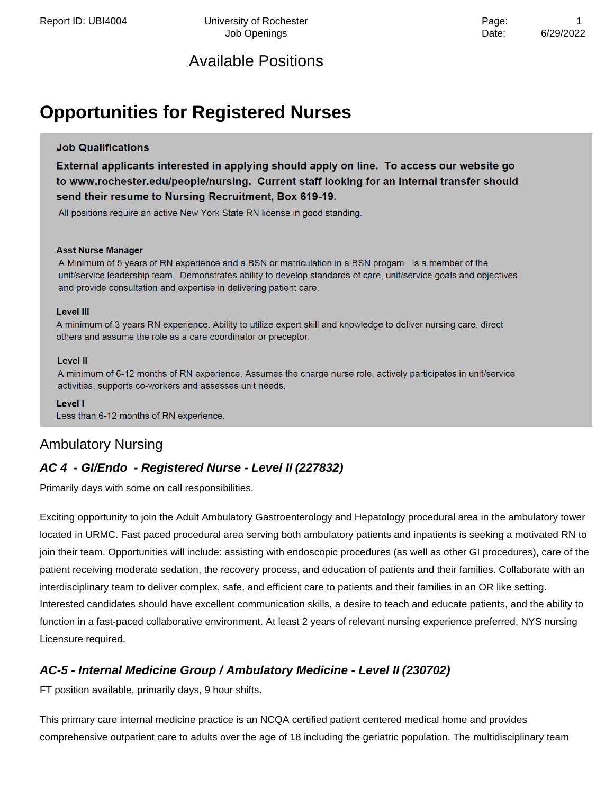# **Opportunities for Registered Nurses**

#### **Job Qualifications**

External applicants interested in applying should apply on line. To access our website go to www.rochester.edu/people/nursing. Current staff looking for an internal transfer should send their resume to Nursing Recruitment, Box 619-19.

All positions require an active New York State RN license in good standing.

#### **Asst Nurse Manager**

A Minimum of 5 years of RN experience and a BSN or matriculation in a BSN progam. Is a member of the unit/service leadership team. Demonstrates ability to develop standards of care, unit/service goals and objectives and provide consultation and expertise in delivering patient care.

#### **Level III**

A minimum of 3 years RN experience. Ability to utilize expert skill and knowledge to deliver nursing care, direct others and assume the role as a care coordinator or preceptor.

#### **Level II**

A minimum of 6-12 months of RN experience. Assumes the charge nurse role, actively participates in unit/service activities, supports co-workers and assesses unit needs.

Level I Less than 6-12 months of RN experience.

### Ambulatory Nursing

### **AC 4 - GI/Endo - Registered Nurse - Level II (227832)**

Primarily days with some on call responsibilities.

Exciting opportunity to join the Adult Ambulatory Gastroenterology and Hepatology procedural area in the ambulatory tower located in URMC. Fast paced procedural area serving both ambulatory patients and inpatients is seeking a motivated RN to join their team. Opportunities will include: assisting with endoscopic procedures (as well as other GI procedures), care of the patient receiving moderate sedation, the recovery process, and education of patients and their families. Collaborate with an interdisciplinary team to deliver complex, safe, and efficient care to patients and their families in an OR like setting. Interested candidates should have excellent communication skills, a desire to teach and educate patients, and the ability to function in a fast-paced collaborative environment. At least 2 years of relevant nursing experience preferred, NYS nursing Licensure required.

### **AC-5 - Internal Medicine Group / Ambulatory Medicine - Level II (230702)**

FT position available, primarily days, 9 hour shifts.

This primary care internal medicine practice is an NCQA certified patient centered medical home and provides comprehensive outpatient care to adults over the age of 18 including the geriatric population. The multidisciplinary team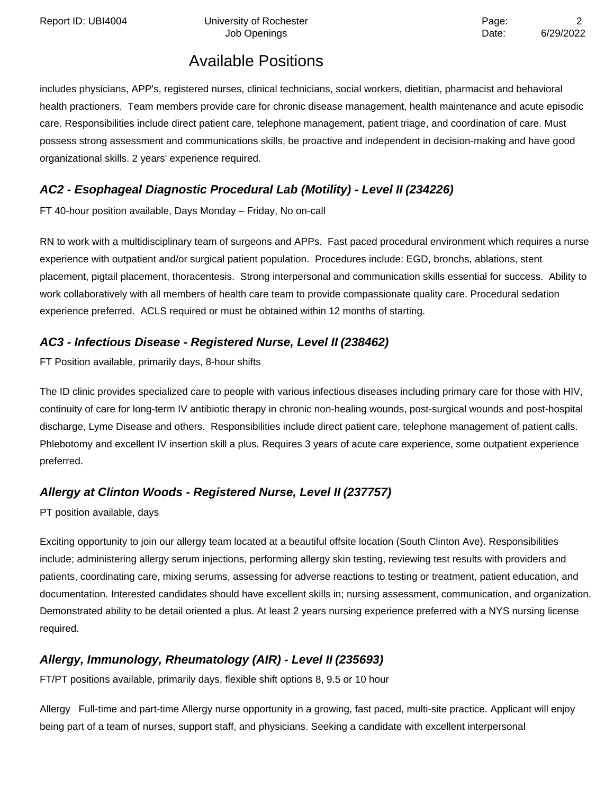Report ID: UBI4004 University of Rochester **Page:** 2014 Page:

# Available Positions

includes physicians, APP's, registered nurses, clinical technicians, social workers, dietitian, pharmacist and behavioral health practioners. Team members provide care for chronic disease management, health maintenance and acute episodic care. Responsibilities include direct patient care, telephone management, patient triage, and coordination of care. Must possess strong assessment and communications skills, be proactive and independent in decision-making and have good organizational skills. 2 years' experience required.

### **AC2 - Esophageal Diagnostic Procedural Lab (Motility) - Level II (234226)**

FT 40-hour position available, Days Monday – Friday, No on-call

RN to work with a multidisciplinary team of surgeons and APPs. Fast paced procedural environment which requires a nurse experience with outpatient and/or surgical patient population. Procedures include: EGD, bronchs, ablations, stent placement, pigtail placement, thoracentesis. Strong interpersonal and communication skills essential for success. Ability to work collaboratively with all members of health care team to provide compassionate quality care. Procedural sedation experience preferred. ACLS required or must be obtained within 12 months of starting.

### **AC3 - Infectious Disease - Registered Nurse, Level II (238462)**

FT Position available, primarily days, 8-hour shifts

The ID clinic provides specialized care to people with various infectious diseases including primary care for those with HIV, continuity of care for long-term IV antibiotic therapy in chronic non-healing wounds, post-surgical wounds and post-hospital discharge, Lyme Disease and others. Responsibilities include direct patient care, telephone management of patient calls. Phlebotomy and excellent IV insertion skill a plus. Requires 3 years of acute care experience, some outpatient experience preferred.

### **Allergy at Clinton Woods - Registered Nurse, Level II (237757)**

PT position available, days

Exciting opportunity to join our allergy team located at a beautiful offsite location (South Clinton Ave). Responsibilities include; administering allergy serum injections, performing allergy skin testing, reviewing test results with providers and patients, coordinating care, mixing serums, assessing for adverse reactions to testing or treatment, patient education, and documentation. Interested candidates should have excellent skills in; nursing assessment, communication, and organization. Demonstrated ability to be detail oriented a plus. At least 2 years nursing experience preferred with a NYS nursing license required.

### **Allergy, Immunology, Rheumatology (AIR) - Level II (235693)**

FT/PT positions available, primarily days, flexible shift options 8, 9.5 or 10 hour

Allergy Full-time and part-time Allergy nurse opportunity in a growing, fast paced, multi-site practice. Applicant will enjoy being part of a team of nurses, support staff, and physicians. Seeking a candidate with excellent interpersonal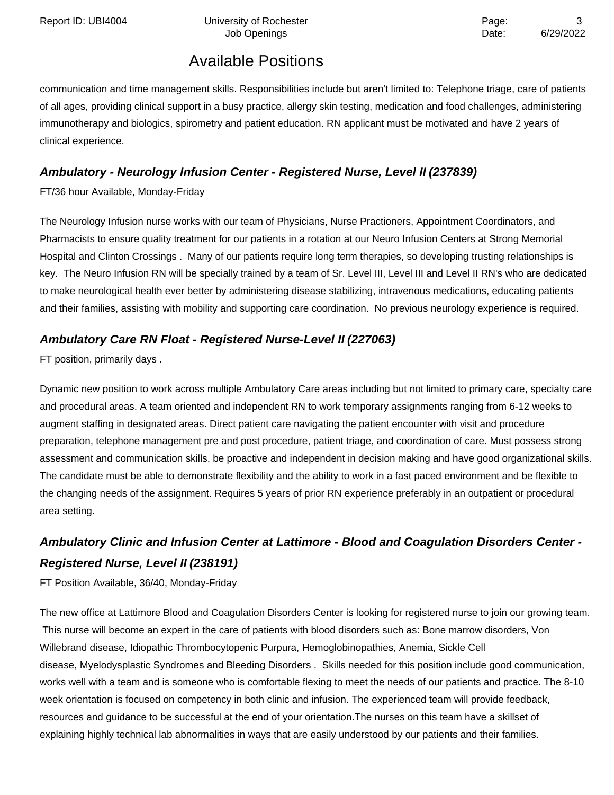communication and time management skills. Responsibilities include but aren't limited to: Telephone triage, care of patients of all ages, providing clinical support in a busy practice, allergy skin testing, medication and food challenges, administering immunotherapy and biologics, spirometry and patient education. RN applicant must be motivated and have 2 years of clinical experience.

### **Ambulatory - Neurology Infusion Center - Registered Nurse, Level II (237839)**

FT/36 hour Available, Monday-Friday

The Neurology Infusion nurse works with our team of Physicians, Nurse Practioners, Appointment Coordinators, and Pharmacists to ensure quality treatment for our patients in a rotation at our Neuro Infusion Centers at Strong Memorial Hospital and Clinton Crossings . Many of our patients require long term therapies, so developing trusting relationships is key. The Neuro Infusion RN will be specially trained by a team of Sr. Level III, Level III and Level II RN's who are dedicated to make neurological health ever better by administering disease stabilizing, intravenous medications, educating patients and their families, assisting with mobility and supporting care coordination. No previous neurology experience is required.

### **Ambulatory Care RN Float - Registered Nurse-Level II (227063)**

FT position, primarily days .

Dynamic new position to work across multiple Ambulatory Care areas including but not limited to primary care, specialty care and procedural areas. A team oriented and independent RN to work temporary assignments ranging from 6-12 weeks to augment staffing in designated areas. Direct patient care navigating the patient encounter with visit and procedure preparation, telephone management pre and post procedure, patient triage, and coordination of care. Must possess strong assessment and communication skills, be proactive and independent in decision making and have good organizational skills. The candidate must be able to demonstrate flexibility and the ability to work in a fast paced environment and be flexible to the changing needs of the assignment. Requires 5 years of prior RN experience preferably in an outpatient or procedural area setting.

# **Ambulatory Clinic and Infusion Center at Lattimore - Blood and Coagulation Disorders Center - Registered Nurse, Level II (238191)**

FT Position Available, 36/40, Monday-Friday

The new office at Lattimore Blood and Coagulation Disorders Center is looking for registered nurse to join our growing team. This nurse will become an expert in the care of patients with blood disorders such as: Bone marrow disorders, Von Willebrand disease, Idiopathic Thrombocytopenic Purpura, Hemoglobinopathies, Anemia, Sickle Cell disease, Myelodysplastic Syndromes and Bleeding Disorders . Skills needed for this position include good communication, works well with a team and is someone who is comfortable flexing to meet the needs of our patients and practice. The 8-10 week orientation is focused on competency in both clinic and infusion. The experienced team will provide feedback, resources and guidance to be successful at the end of your orientation.The nurses on this team have a skillset of explaining highly technical lab abnormalities in ways that are easily understood by our patients and their families.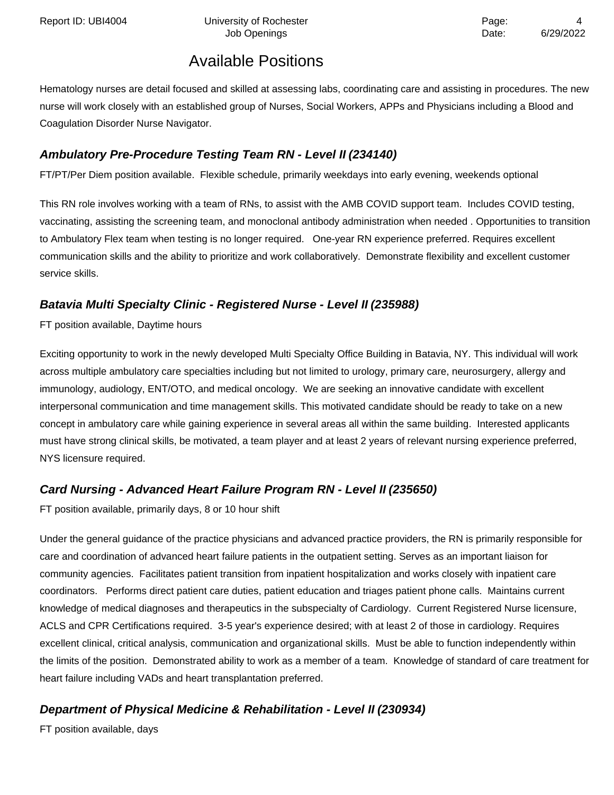Hematology nurses are detail focused and skilled at assessing labs, coordinating care and assisting in procedures. The new nurse will work closely with an established group of Nurses, Social Workers, APPs and Physicians including a Blood and Coagulation Disorder Nurse Navigator.

### **Ambulatory Pre-Procedure Testing Team RN - Level II (234140)**

FT/PT/Per Diem position available. Flexible schedule, primarily weekdays into early evening, weekends optional

This RN role involves working with a team of RNs, to assist with the AMB COVID support team. Includes COVID testing, vaccinating, assisting the screening team, and monoclonal antibody administration when needed . Opportunities to transition to Ambulatory Flex team when testing is no longer required. One-year RN experience preferred. Requires excellent communication skills and the ability to prioritize and work collaboratively. Demonstrate flexibility and excellent customer service skills.

#### **Batavia Multi Specialty Clinic - Registered Nurse - Level II (235988)**

FT position available, Daytime hours

Exciting opportunity to work in the newly developed Multi Specialty Office Building in Batavia, NY. This individual will work across multiple ambulatory care specialties including but not limited to urology, primary care, neurosurgery, allergy and immunology, audiology, ENT/OTO, and medical oncology. We are seeking an innovative candidate with excellent interpersonal communication and time management skills. This motivated candidate should be ready to take on a new concept in ambulatory care while gaining experience in several areas all within the same building. Interested applicants must have strong clinical skills, be motivated, a team player and at least 2 years of relevant nursing experience preferred, NYS licensure required.

### **Card Nursing - Advanced Heart Failure Program RN - Level II (235650)**

FT position available, primarily days, 8 or 10 hour shift

Under the general guidance of the practice physicians and advanced practice providers, the RN is primarily responsible for care and coordination of advanced heart failure patients in the outpatient setting. Serves as an important liaison for community agencies. Facilitates patient transition from inpatient hospitalization and works closely with inpatient care coordinators. Performs direct patient care duties, patient education and triages patient phone calls. Maintains current knowledge of medical diagnoses and therapeutics in the subspecialty of Cardiology. Current Registered Nurse licensure, ACLS and CPR Certifications required. 3-5 year's experience desired; with at least 2 of those in cardiology. Requires excellent clinical, critical analysis, communication and organizational skills. Must be able to function independently within the limits of the position. Demonstrated ability to work as a member of a team. Knowledge of standard of care treatment for heart failure including VADs and heart transplantation preferred.

### **Department of Physical Medicine & Rehabilitation - Level II (230934)**

FT position available, days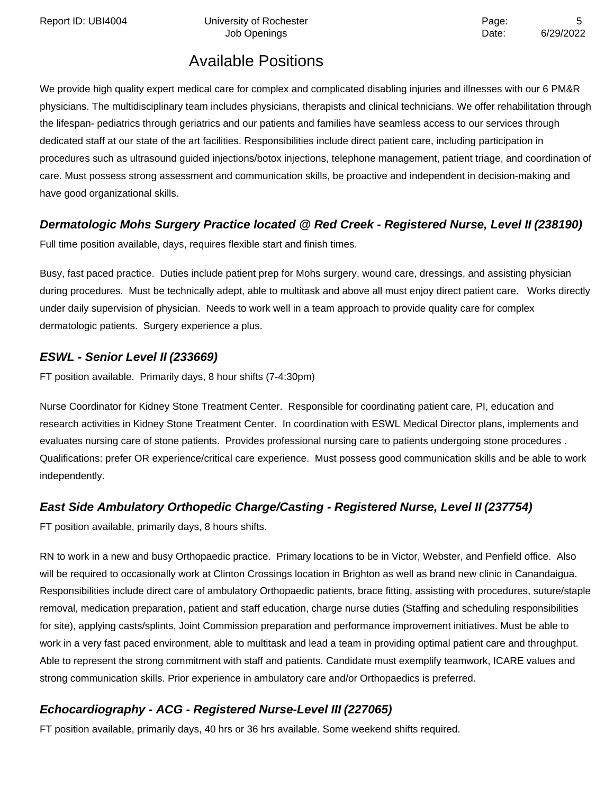Report ID: UBI4004 Contract University of Rochester Contract Contract Contract Page: 5

Job Openings **Date:** 6/29/2022

# Available Positions

We provide high quality expert medical care for complex and complicated disabling injuries and illnesses with our 6 PM&R physicians. The multidisciplinary team includes physicians, therapists and clinical technicians. We offer rehabilitation through the lifespan- pediatrics through geriatrics and our patients and families have seamless access to our services through dedicated staff at our state of the art facilities. Responsibilities include direct patient care, including participation in procedures such as ultrasound guided injections/botox injections, telephone management, patient triage, and coordination of care. Must possess strong assessment and communication skills, be proactive and independent in decision-making and have good organizational skills.

#### **Dermatologic Mohs Surgery Practice located @ Red Creek - Registered Nurse, Level II(238190)**

Full time position available, days, requires flexible start and finish times.

Busy, fast paced practice. Duties include patient prep for Mohs surgery, wound care, dressings, and assisting physician during procedures. Must be technically adept, able to multitask and above all must enjoy direct patient care. Works directly under daily supervision of physician. Needs to work well in a team approach to provide quality care for complex dermatologic patients. Surgery experience a plus.

#### **ESWL - Senior Level II (233669)**

FT position available. Primarily days, 8 hour shifts (7-4:30pm)

Nurse Coordinator for Kidney Stone Treatment Center. Responsible for coordinating patient care, PI, education and research activities in Kidney Stone Treatment Center. In coordination with ESWL Medical Director plans, implements and evaluates nursing care of stone patients. Provides professional nursing care to patients undergoing stone procedures . Qualifications: prefer OR experience/critical care experience. Must possess good communication skills and be able to work independently.

### **East Side Ambulatory Orthopedic Charge/Casting - Registered Nurse, Level II (237754)**

FT position available, primarily days, 8 hours shifts.

RN to work in a new and busy Orthopaedic practice. Primary locations to be in Victor, Webster, and Penfield office. Also will be required to occasionally work at Clinton Crossings location in Brighton as well as brand new clinic in Canandaigua. Responsibilities include direct care of ambulatory Orthopaedic patients, brace fitting, assisting with procedures, suture/staple removal, medication preparation, patient and staff education, charge nurse duties (Staffing and scheduling responsibilities for site), applying casts/splints, Joint Commission preparation and performance improvement initiatives. Must be able to work in a very fast paced environment, able to multitask and lead a team in providing optimal patient care and throughput. Able to represent the strong commitment with staff and patients. Candidate must exemplify teamwork, ICARE values and strong communication skills. Prior experience in ambulatory care and/or Orthopaedics is preferred.

### **Echocardiography - ACG - Registered Nurse-Level III (227065)**

FT position available, primarily days, 40 hrs or 36 hrs available. Some weekend shifts required.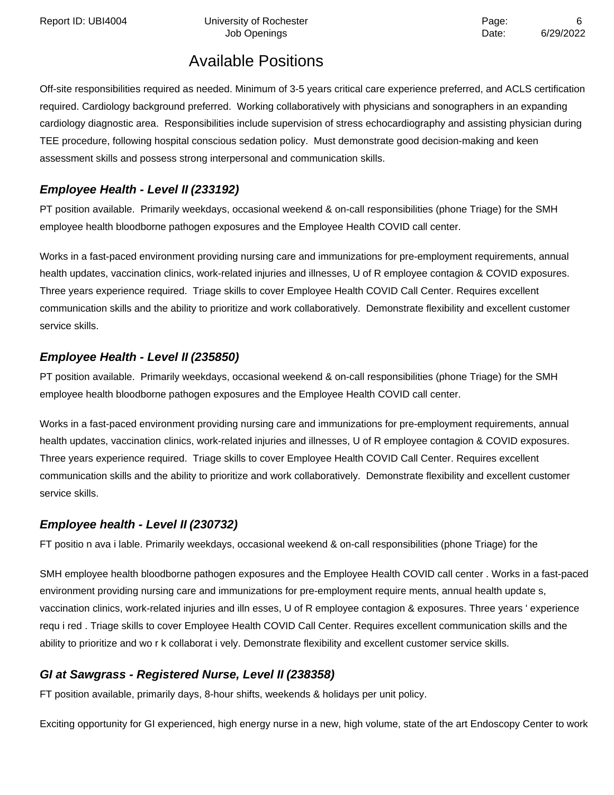Off-site responsibilities required as needed. Minimum of 3-5 years critical care experience preferred, and ACLS certification required. Cardiology background preferred. Working collaboratively with physicians and sonographers in an expanding cardiology diagnostic area. Responsibilities include supervision of stress echocardiography and assisting physician during TEE procedure, following hospital conscious sedation policy. Must demonstrate good decision-making and keen assessment skills and possess strong interpersonal and communication skills.

## **Employee Health - Level II (233192)**

PT position available. Primarily weekdays, occasional weekend & on-call responsibilities (phone Triage) for the SMH employee health bloodborne pathogen exposures and the Employee Health COVID call center.

Works in a fast-paced environment providing nursing care and immunizations for pre-employment requirements, annual health updates, vaccination clinics, work-related injuries and illnesses, U of R employee contagion & COVID exposures. Three years experience required. Triage skills to cover Employee Health COVID Call Center. Requires excellent communication skills and the ability to prioritize and work collaboratively. Demonstrate flexibility and excellent customer service skills.

### **Employee Health - Level II (235850)**

PT position available. Primarily weekdays, occasional weekend & on-call responsibilities (phone Triage) for the SMH employee health bloodborne pathogen exposures and the Employee Health COVID call center.

Works in a fast-paced environment providing nursing care and immunizations for pre-employment requirements, annual health updates, vaccination clinics, work-related injuries and illnesses, U of R employee contagion & COVID exposures. Three years experience required. Triage skills to cover Employee Health COVID Call Center. Requires excellent communication skills and the ability to prioritize and work collaboratively. Demonstrate flexibility and excellent customer service skills.

# **Employee health - Level II (230732)**

FT positio n ava i lable. Primarily weekdays, occasional weekend & on-call responsibilities (phone Triage) for the

SMH employee health bloodborne pathogen exposures and the Employee Health COVID call center . Works in a fast-paced environment providing nursing care and immunizations for pre-employment require ments, annual health update s, vaccination clinics, work-related injuries and illn esses, U of R employee contagion & exposures. Three years ' experience requ i red . Triage skills to cover Employee Health COVID Call Center. Requires excellent communication skills and the ability to prioritize and wo r k collaborat i vely. Demonstrate flexibility and excellent customer service skills.

# **GI at Sawgrass - Registered Nurse, Level II (238358)**

FT position available, primarily days, 8-hour shifts, weekends & holidays per unit policy.

Exciting opportunity for GI experienced, high energy nurse in a new, high volume, state of the art Endoscopy Center to work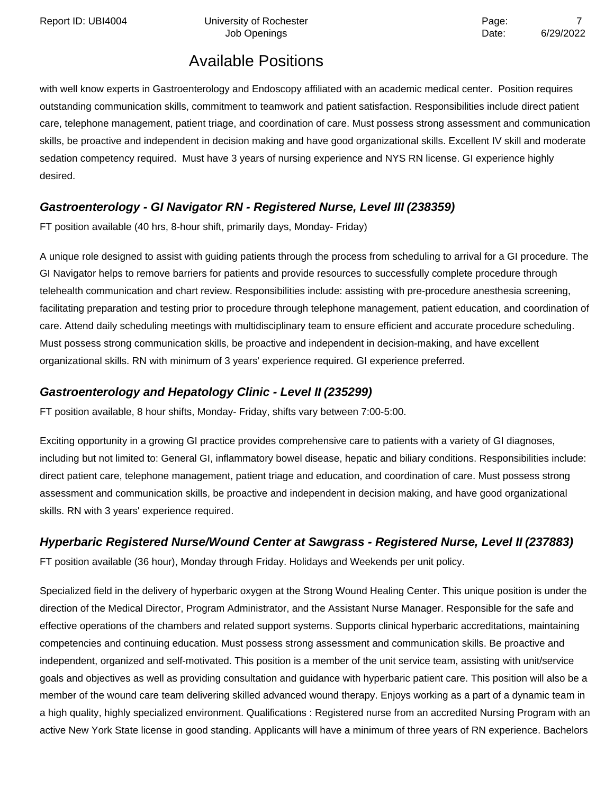Report ID: UBI4004 University of Rochester **The Contract Contract Contract Page:** 7

# Job Openings **Date:** 6/29/2022

# Available Positions

with well know experts in Gastroenterology and Endoscopy affiliated with an academic medical center. Position requires outstanding communication skills, commitment to teamwork and patient satisfaction. Responsibilities include direct patient care, telephone management, patient triage, and coordination of care. Must possess strong assessment and communication skills, be proactive and independent in decision making and have good organizational skills. Excellent IV skill and moderate sedation competency required. Must have 3 years of nursing experience and NYS RN license. GI experience highly desired.

### **Gastroenterology - GI Navigator RN - Registered Nurse, Level III (238359)**

FT position available (40 hrs, 8-hour shift, primarily days, Monday- Friday)

A unique role designed to assist with guiding patients through the process from scheduling to arrival for a GI procedure. The GI Navigator helps to remove barriers for patients and provide resources to successfully complete procedure through telehealth communication and chart review. Responsibilities include: assisting with pre-procedure anesthesia screening, facilitating preparation and testing prior to procedure through telephone management, patient education, and coordination of care. Attend daily scheduling meetings with multidisciplinary team to ensure efficient and accurate procedure scheduling. Must possess strong communication skills, be proactive and independent in decision-making, and have excellent organizational skills. RN with minimum of 3 years' experience required. GI experience preferred.

#### **Gastroenterology and Hepatology Clinic - Level II (235299)**

FT position available, 8 hour shifts, Monday- Friday, shifts vary between 7:00-5:00.

Exciting opportunity in a growing GI practice provides comprehensive care to patients with a variety of GI diagnoses, including but not limited to: General GI, inflammatory bowel disease, hepatic and biliary conditions. Responsibilities include: direct patient care, telephone management, patient triage and education, and coordination of care. Must possess strong assessment and communication skills, be proactive and independent in decision making, and have good organizational skills. RN with 3 years' experience required.

### **Hyperbaric Registered Nurse/Wound Center at Sawgrass - Registered Nurse, Level II (237883)**

FT position available (36 hour), Monday through Friday. Holidays and Weekends per unit policy.

Specialized field in the delivery of hyperbaric oxygen at the Strong Wound Healing Center. This unique position is under the direction of the Medical Director, Program Administrator, and the Assistant Nurse Manager. Responsible for the safe and effective operations of the chambers and related support systems. Supports clinical hyperbaric accreditations, maintaining competencies and continuing education. Must possess strong assessment and communication skills. Be proactive and independent, organized and self-motivated. This position is a member of the unit service team, assisting with unit/service goals and objectives as well as providing consultation and guidance with hyperbaric patient care. This position will also be a member of the wound care team delivering skilled advanced wound therapy. Enjoys working as a part of a dynamic team in a high quality, highly specialized environment. Qualifications : Registered nurse from an accredited Nursing Program with an active New York State license in good standing. Applicants will have a minimum of three years of RN experience. Bachelors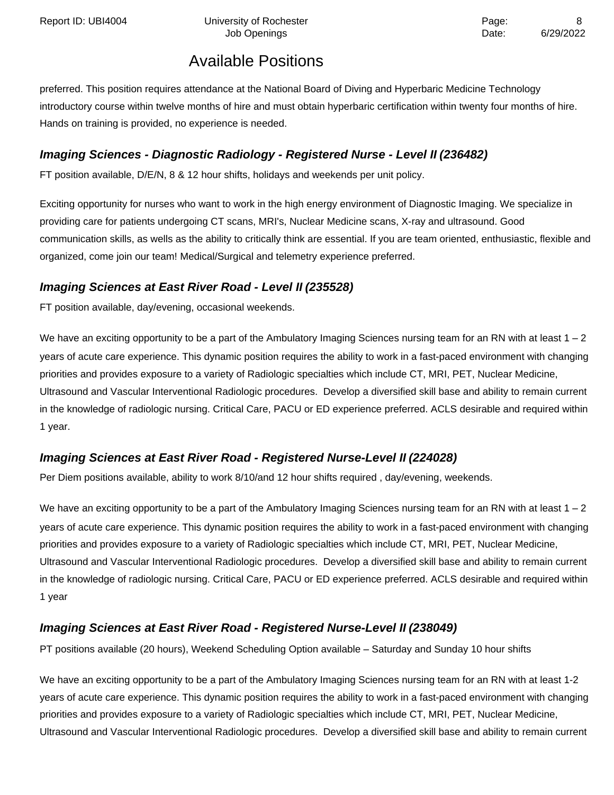preferred. This position requires attendance at the National Board of Diving and Hyperbaric Medicine Technology introductory course within twelve months of hire and must obtain hyperbaric certification within twenty four months of hire. Hands on training is provided, no experience is needed.

### **Imaging Sciences - Diagnostic Radiology - Registered Nurse - Level II (236482)**

FT position available, D/E/N, 8 & 12 hour shifts, holidays and weekends per unit policy.

Exciting opportunity for nurses who want to work in the high energy environment of Diagnostic Imaging. We specialize in providing care for patients undergoing CT scans, MRI's, Nuclear Medicine scans, X-ray and ultrasound. Good communication skills, as wells as the ability to critically think are essential. If you are team oriented, enthusiastic, flexible and organized, come join our team! Medical/Surgical and telemetry experience preferred.

### **Imaging Sciences at East River Road - Level II (235528)**

FT position available, day/evening, occasional weekends.

We have an exciting opportunity to be a part of the Ambulatory Imaging Sciences nursing team for an RN with at least  $1 - 2$ years of acute care experience. This dynamic position requires the ability to work in a fast-paced environment with changing priorities and provides exposure to a variety of Radiologic specialties which include CT, MRI, PET, Nuclear Medicine, Ultrasound and Vascular Interventional Radiologic procedures. Develop a diversified skill base and ability to remain current in the knowledge of radiologic nursing. Critical Care, PACU or ED experience preferred. ACLS desirable and required within 1 year.

### **Imaging Sciences at East River Road - Registered Nurse-Level II (224028)**

Per Diem positions available, ability to work 8/10/and 12 hour shifts required , day/evening, weekends.

We have an exciting opportunity to be a part of the Ambulatory Imaging Sciences nursing team for an RN with at least  $1 - 2$ years of acute care experience. This dynamic position requires the ability to work in a fast-paced environment with changing priorities and provides exposure to a variety of Radiologic specialties which include CT, MRI, PET, Nuclear Medicine, Ultrasound and Vascular Interventional Radiologic procedures. Develop a diversified skill base and ability to remain current in the knowledge of radiologic nursing. Critical Care, PACU or ED experience preferred. ACLS desirable and required within 1 year

### **Imaging Sciences at East River Road - Registered Nurse-Level II (238049)**

PT positions available (20 hours), Weekend Scheduling Option available – Saturday and Sunday 10 hour shifts

We have an exciting opportunity to be a part of the Ambulatory Imaging Sciences nursing team for an RN with at least 1-2 years of acute care experience. This dynamic position requires the ability to work in a fast-paced environment with changing priorities and provides exposure to a variety of Radiologic specialties which include CT, MRI, PET, Nuclear Medicine, Ultrasound and Vascular Interventional Radiologic procedures. Develop a diversified skill base and ability to remain current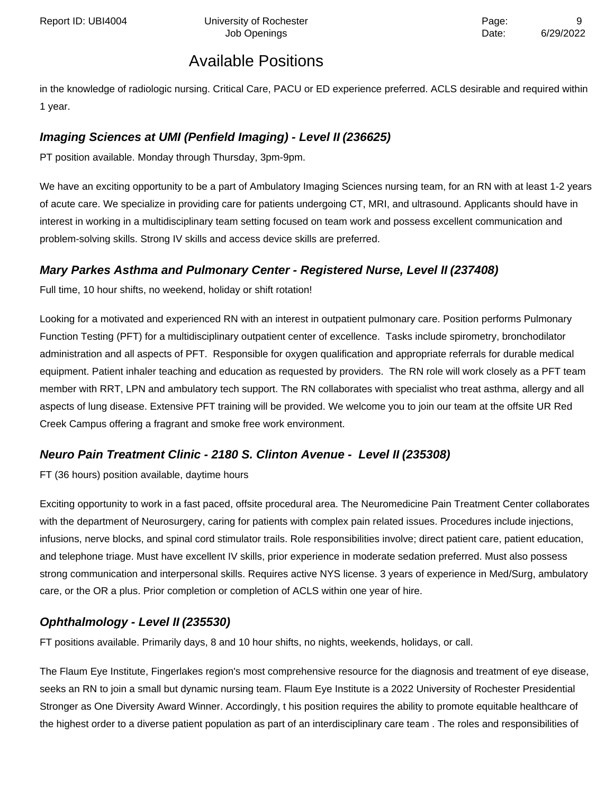in the knowledge of radiologic nursing. Critical Care, PACU or ED experience preferred. ACLS desirable and required within 1 year.

### **Imaging Sciences at UMI (Penfield Imaging) - Level II (236625)**

PT position available. Monday through Thursday, 3pm-9pm.

We have an exciting opportunity to be a part of Ambulatory Imaging Sciences nursing team, for an RN with at least 1-2 years of acute care. We specialize in providing care for patients undergoing CT, MRI, and ultrasound. Applicants should have in interest in working in a multidisciplinary team setting focused on team work and possess excellent communication and problem-solving skills. Strong IV skills and access device skills are preferred.

### **Mary Parkes Asthma and Pulmonary Center - Registered Nurse, Level II (237408)**

Full time, 10 hour shifts, no weekend, holiday or shift rotation!

Looking for a motivated and experienced RN with an interest in outpatient pulmonary care. Position performs Pulmonary Function Testing (PFT) for a multidisciplinary outpatient center of excellence. Tasks include spirometry, bronchodilator administration and all aspects of PFT. Responsible for oxygen qualification and appropriate referrals for durable medical equipment. Patient inhaler teaching and education as requested by providers. The RN role will work closely as a PFT team member with RRT, LPN and ambulatory tech support. The RN collaborates with specialist who treat asthma, allergy and all aspects of lung disease. Extensive PFT training will be provided. We welcome you to join our team at the offsite UR Red Creek Campus offering a fragrant and smoke free work environment.

### **Neuro Pain Treatment Clinic - 2180 S. Clinton Avenue - Level II (235308)**

FT (36 hours) position available, daytime hours

Exciting opportunity to work in a fast paced, offsite procedural area. The Neuromedicine Pain Treatment Center collaborates with the department of Neurosurgery, caring for patients with complex pain related issues. Procedures include injections, infusions, nerve blocks, and spinal cord stimulator trails. Role responsibilities involve; direct patient care, patient education, and telephone triage. Must have excellent IV skills, prior experience in moderate sedation preferred. Must also possess strong communication and interpersonal skills. Requires active NYS license. 3 years of experience in Med/Surg, ambulatory care, or the OR a plus. Prior completion or completion of ACLS within one year of hire.

#### **Ophthalmology - Level II (235530)**

FT positions available. Primarily days, 8 and 10 hour shifts, no nights, weekends, holidays, or call.

The Flaum Eye Institute, Fingerlakes region's most comprehensive resource for the diagnosis and treatment of eye disease, seeks an RN to join a small but dynamic nursing team. Flaum Eye Institute is a 2022 University of Rochester Presidential Stronger as One Diversity Award Winner. Accordingly, t his position requires the ability to promote equitable healthcare of the highest order to a diverse patient population as part of an interdisciplinary care team . The roles and responsibilities of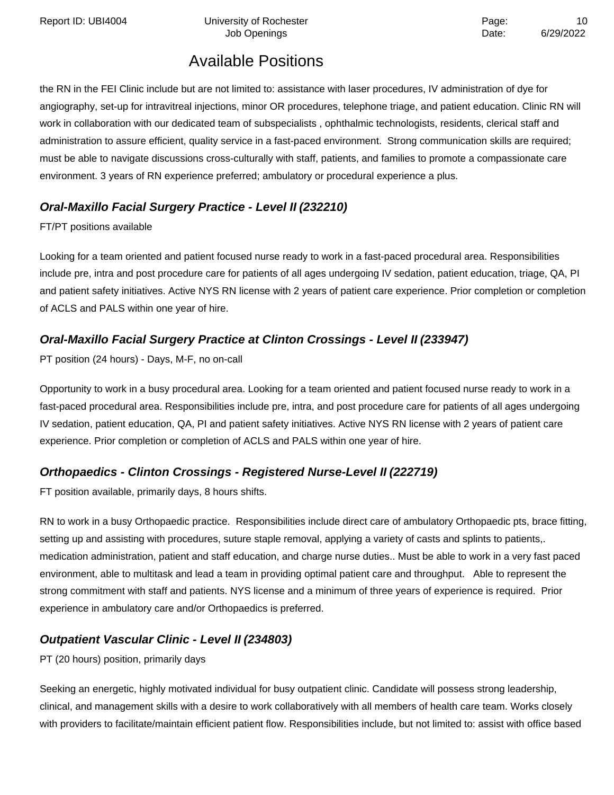Report ID: UBI4004 **Depart Controller University of Rochester** Page: 10

Job Openings **Date:** 6/29/2022

# Available Positions

the RN in the FEI Clinic include but are not limited to: assistance with laser procedures, IV administration of dye for angiography, set-up for intravitreal injections, minor OR procedures, telephone triage, and patient education. Clinic RN will work in collaboration with our dedicated team of subspecialists , ophthalmic technologists, residents, clerical staff and administration to assure efficient, quality service in a fast-paced environment. Strong communication skills are required; must be able to navigate discussions cross-culturally with staff, patients, and families to promote a compassionate care environment. 3 years of RN experience preferred; ambulatory or procedural experience a plus.

### **Oral-Maxillo Facial Surgery Practice - Level II (232210)**

#### FT/PT positions available

Looking for a team oriented and patient focused nurse ready to work in a fast-paced procedural area. Responsibilities include pre, intra and post procedure care for patients of all ages undergoing IV sedation, patient education, triage, QA, PI and patient safety initiatives. Active NYS RN license with 2 years of patient care experience. Prior completion or completion of ACLS and PALS within one year of hire.

### **Oral-Maxillo Facial Surgery Practice at Clinton Crossings - Level II (233947)**

PT position (24 hours) - Days, M-F, no on-call

Opportunity to work in a busy procedural area. Looking for a team oriented and patient focused nurse ready to work in a fast-paced procedural area. Responsibilities include pre, intra, and post procedure care for patients of all ages undergoing IV sedation, patient education, QA, PI and patient safety initiatives. Active NYS RN license with 2 years of patient care experience. Prior completion or completion of ACLS and PALS within one year of hire.

### **Orthopaedics - Clinton Crossings - Registered Nurse-Level II (222719)**

FT position available, primarily days, 8 hours shifts.

RN to work in a busy Orthopaedic practice. Responsibilities include direct care of ambulatory Orthopaedic pts, brace fitting, setting up and assisting with procedures, suture staple removal, applying a variety of casts and splints to patients,. medication administration, patient and staff education, and charge nurse duties.. Must be able to work in a very fast paced environment, able to multitask and lead a team in providing optimal patient care and throughput. Able to represent the strong commitment with staff and patients. NYS license and a minimum of three years of experience is required. Prior experience in ambulatory care and/or Orthopaedics is preferred.

### **Outpatient Vascular Clinic - Level II (234803)**

PT (20 hours) position, primarily days

Seeking an energetic, highly motivated individual for busy outpatient clinic. Candidate will possess strong leadership, clinical, and management skills with a desire to work collaboratively with all members of health care team. Works closely with providers to facilitate/maintain efficient patient flow. Responsibilities include, but not limited to: assist with office based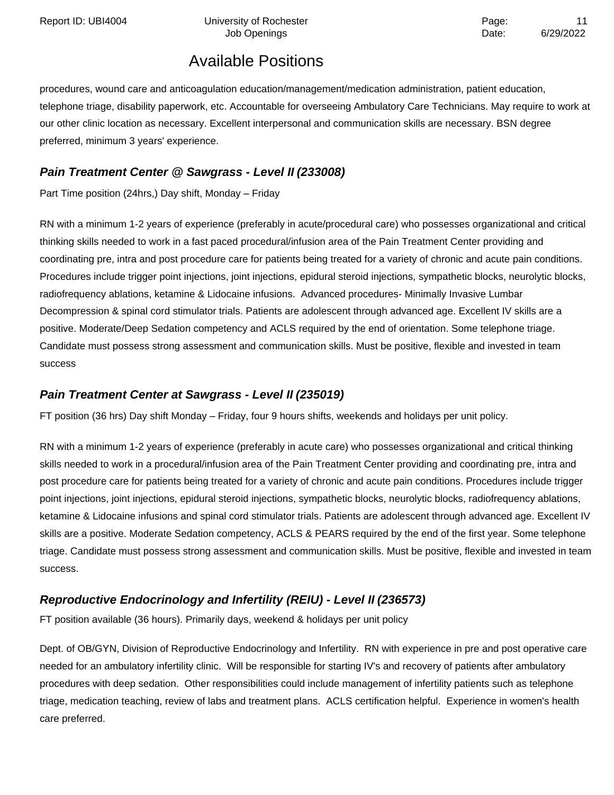procedures, wound care and anticoagulation education/management/medication administration, patient education, telephone triage, disability paperwork, etc. Accountable for overseeing Ambulatory Care Technicians. May require to work at our other clinic location as necessary. Excellent interpersonal and communication skills are necessary. BSN degree preferred, minimum 3 years' experience.

### **Pain Treatment Center @ Sawgrass - Level II(233008)**

Part Time position (24hrs,) Day shift, Monday – Friday

RN with a minimum 1-2 years of experience (preferably in acute/procedural care) who possesses organizational and critical thinking skills needed to work in a fast paced procedural/infusion area of the Pain Treatment Center providing and coordinating pre, intra and post procedure care for patients being treated for a variety of chronic and acute pain conditions. Procedures include trigger point injections, joint injections, epidural steroid injections, sympathetic blocks, neurolytic blocks, radiofrequency ablations, ketamine & Lidocaine infusions. Advanced procedures- Minimally Invasive Lumbar Decompression & spinal cord stimulator trials. Patients are adolescent through advanced age. Excellent IV skills are a positive. Moderate/Deep Sedation competency and ACLS required by the end of orientation. Some telephone triage. Candidate must possess strong assessment and communication skills. Must be positive, flexible and invested in team success

#### **Pain Treatment Center at Sawgrass - Level II (235019)**

FT position (36 hrs) Day shift Monday – Friday, four 9 hours shifts, weekends and holidays per unit policy.

RN with a minimum 1-2 years of experience (preferably in acute care) who possesses organizational and critical thinking skills needed to work in a procedural/infusion area of the Pain Treatment Center providing and coordinating pre, intra and post procedure care for patients being treated for a variety of chronic and acute pain conditions. Procedures include trigger point injections, joint injections, epidural steroid injections, sympathetic blocks, neurolytic blocks, radiofrequency ablations, ketamine & Lidocaine infusions and spinal cord stimulator trials. Patients are adolescent through advanced age. Excellent IV skills are a positive. Moderate Sedation competency, ACLS & PEARS required by the end of the first year. Some telephone triage. Candidate must possess strong assessment and communication skills. Must be positive, flexible and invested in team success.

### **Reproductive Endocrinology and Infertility (REIU) - Level II (236573)**

FT position available (36 hours). Primarily days, weekend & holidays per unit policy

Dept. of OB/GYN, Division of Reproductive Endocrinology and Infertility. RN with experience in pre and post operative care needed for an ambulatory infertility clinic. Will be responsible for starting IV's and recovery of patients after ambulatory procedures with deep sedation. Other responsibilities could include management of infertility patients such as telephone triage, medication teaching, review of labs and treatment plans. ACLS certification helpful. Experience in women's health care preferred.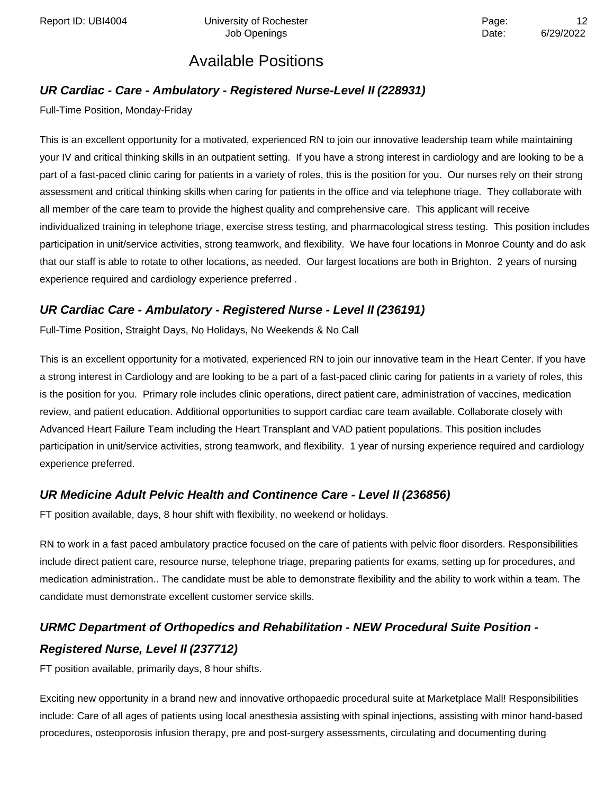### **UR Cardiac - Care - Ambulatory - Registered Nurse-Level II (228931)**

Full-Time Position, Monday-Friday

This is an excellent opportunity for a motivated, experienced RN to join our innovative leadership team while maintaining your IV and critical thinking skills in an outpatient setting. If you have a strong interest in cardiology and are looking to be a part of a fast-paced clinic caring for patients in a variety of roles, this is the position for you. Our nurses rely on their strong assessment and critical thinking skills when caring for patients in the office and via telephone triage. They collaborate with all member of the care team to provide the highest quality and comprehensive care. This applicant will receive individualized training in telephone triage, exercise stress testing, and pharmacological stress testing. This position includes participation in unit/service activities, strong teamwork, and flexibility. We have four locations in Monroe County and do ask that our staff is able to rotate to other locations, as needed. Our largest locations are both in Brighton. 2 years of nursing experience required and cardiology experience preferred .

### **UR Cardiac Care - Ambulatory - Registered Nurse - Level II (236191)**

Full-Time Position, Straight Days, No Holidays, No Weekends & No Call

This is an excellent opportunity for a motivated, experienced RN to join our innovative team in the Heart Center. If you have a strong interest in Cardiology and are looking to be a part of a fast-paced clinic caring for patients in a variety of roles, this is the position for you. Primary role includes clinic operations, direct patient care, administration of vaccines, medication review, and patient education. Additional opportunities to support cardiac care team available. Collaborate closely with Advanced Heart Failure Team including the Heart Transplant and VAD patient populations. This position includes participation in unit/service activities, strong teamwork, and flexibility. 1 year of nursing experience required and cardiology experience preferred.

### **UR Medicine Adult Pelvic Health and Continence Care - Level II (236856)**

FT position available, days, 8 hour shift with flexibility, no weekend or holidays.

RN to work in a fast paced ambulatory practice focused on the care of patients with pelvic floor disorders. Responsibilities include direct patient care, resource nurse, telephone triage, preparing patients for exams, setting up for procedures, and medication administration.. The candidate must be able to demonstrate flexibility and the ability to work within a team. The candidate must demonstrate excellent customer service skills.

# **URMC Department of Orthopedics and Rehabilitation - NEW Procedural Suite Position - Registered Nurse, Level II (237712)**

FT position available, primarily days, 8 hour shifts.

Exciting new opportunity in a brand new and innovative orthopaedic procedural suite at Marketplace Mall! Responsibilities include: Care of all ages of patients using local anesthesia assisting with spinal injections, assisting with minor hand-based procedures, osteoporosis infusion therapy, pre and post-surgery assessments, circulating and documenting during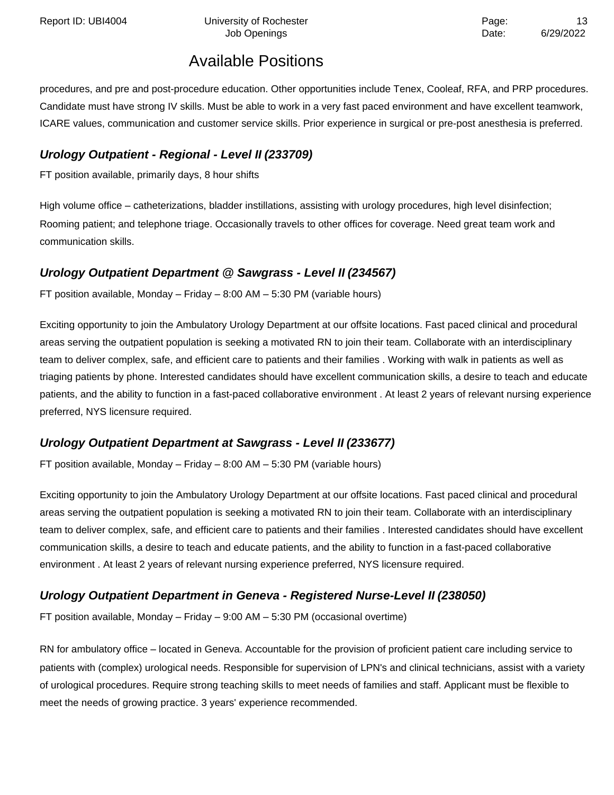procedures, and pre and post-procedure education. Other opportunities include Tenex, Cooleaf, RFA, and PRP procedures. Candidate must have strong IV skills. Must be able to work in a very fast paced environment and have excellent teamwork, ICARE values, communication and customer service skills. Prior experience in surgical or pre-post anesthesia is preferred.

### **Urology Outpatient - Regional - Level II (233709)**

FT position available, primarily days, 8 hour shifts

High volume office – catheterizations, bladder instillations, assisting with urology procedures, high level disinfection; Rooming patient; and telephone triage. Occasionally travels to other offices for coverage. Need great team work and communication skills.

### **Urology Outpatient Department @ Sawgrass - Level II(234567)**

FT position available, Monday – Friday – 8:00 AM – 5:30 PM (variable hours)

Exciting opportunity to join the Ambulatory Urology Department at our offsite locations. Fast paced clinical and procedural areas serving the outpatient population is seeking a motivated RN to join their team. Collaborate with an interdisciplinary team to deliver complex, safe, and efficient care to patients and their families . Working with walk in patients as well as triaging patients by phone. Interested candidates should have excellent communication skills, a desire to teach and educate patients, and the ability to function in a fast-paced collaborative environment . At least 2 years of relevant nursing experience preferred, NYS licensure required.

### **Urology Outpatient Department at Sawgrass - Level II (233677)**

FT position available, Monday – Friday – 8:00 AM – 5:30 PM (variable hours)

Exciting opportunity to join the Ambulatory Urology Department at our offsite locations. Fast paced clinical and procedural areas serving the outpatient population is seeking a motivated RN to join their team. Collaborate with an interdisciplinary team to deliver complex, safe, and efficient care to patients and their families . Interested candidates should have excellent communication skills, a desire to teach and educate patients, and the ability to function in a fast-paced collaborative environment . At least 2 years of relevant nursing experience preferred, NYS licensure required.

### **Urology Outpatient Department in Geneva - Registered Nurse-Level II (238050)**

FT position available, Monday – Friday – 9:00 AM – 5:30 PM (occasional overtime)

RN for ambulatory office – located in Geneva. Accountable for the provision of proficient patient care including service to patients with (complex) urological needs. Responsible for supervision of LPN's and clinical technicians, assist with a variety of urological procedures. Require strong teaching skills to meet needs of families and staff. Applicant must be flexible to meet the needs of growing practice. 3 years' experience recommended.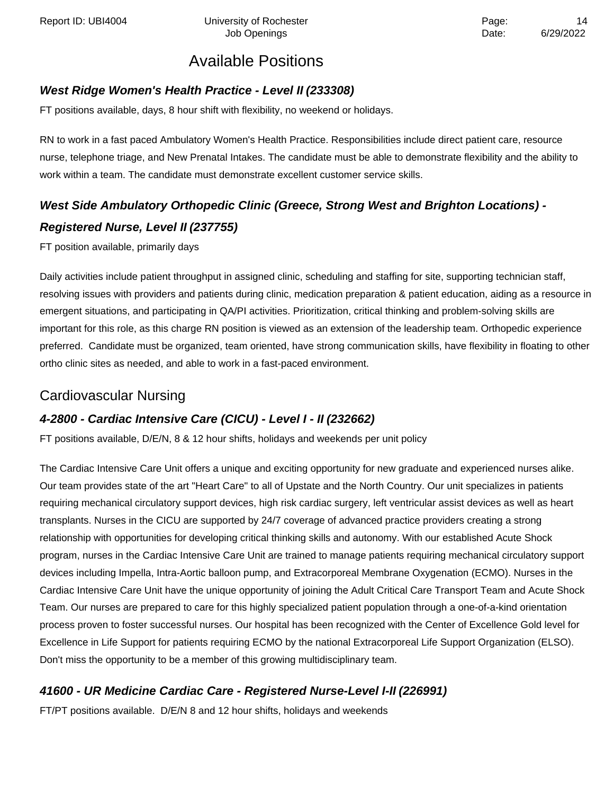#### **West Ridge Women's Health Practice - Level II (233308)**

FT positions available, days, 8 hour shift with flexibility, no weekend or holidays.

RN to work in a fast paced Ambulatory Women's Health Practice. Responsibilities include direct patient care, resource nurse, telephone triage, and New Prenatal Intakes. The candidate must be able to demonstrate flexibility and the ability to work within a team. The candidate must demonstrate excellent customer service skills.

# **West Side Ambulatory Orthopedic Clinic (Greece, Strong West and Brighton Locations) - Registered Nurse, Level II (237755)**

FT position available, primarily days

Daily activities include patient throughput in assigned clinic, scheduling and staffing for site, supporting technician staff, resolving issues with providers and patients during clinic, medication preparation & patient education, aiding as a resource in emergent situations, and participating in QA/PI activities. Prioritization, critical thinking and problem-solving skills are important for this role, as this charge RN position is viewed as an extension of the leadership team. Orthopedic experience preferred. Candidate must be organized, team oriented, have strong communication skills, have flexibility in floating to other ortho clinic sites as needed, and able to work in a fast-paced environment.

### Cardiovascular Nursing

### **4-2800 - Cardiac Intensive Care (CICU) - Level I - II (232662)**

FT positions available, D/E/N, 8 & 12 hour shifts, holidays and weekends per unit policy

The Cardiac Intensive Care Unit offers a unique and exciting opportunity for new graduate and experienced nurses alike. Our team provides state of the art "Heart Care" to all of Upstate and the North Country. Our unit specializes in patients requiring mechanical circulatory support devices, high risk cardiac surgery, left ventricular assist devices as well as heart transplants. Nurses in the CICU are supported by 24/7 coverage of advanced practice providers creating a strong relationship with opportunities for developing critical thinking skills and autonomy. With our established Acute Shock program, nurses in the Cardiac Intensive Care Unit are trained to manage patients requiring mechanical circulatory support devices including Impella, Intra-Aortic balloon pump, and Extracorporeal Membrane Oxygenation (ECMO). Nurses in the Cardiac Intensive Care Unit have the unique opportunity of joining the Adult Critical Care Transport Team and Acute Shock Team. Our nurses are prepared to care for this highly specialized patient population through a one-of-a-kind orientation process proven to foster successful nurses. Our hospital has been recognized with the Center of Excellence Gold level for Excellence in Life Support for patients requiring ECMO by the national Extracorporeal Life Support Organization (ELSO). Don't miss the opportunity to be a member of this growing multidisciplinary team.

### **41600 - UR Medicine Cardiac Care - Registered Nurse-Level I-II (226991)**

FT/PT positions available. D/E/N 8 and 12 hour shifts, holidays and weekends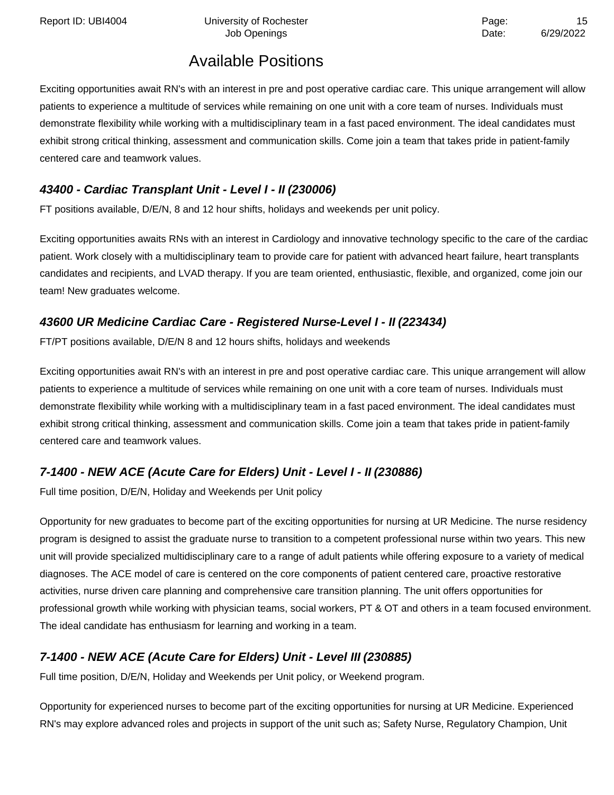Report ID: UBI4004 **Depart Controller University of Rochester** Page: 15

# Available Positions

Exciting opportunities await RN's with an interest in pre and post operative cardiac care. This unique arrangement will allow patients to experience a multitude of services while remaining on one unit with a core team of nurses. Individuals must demonstrate flexibility while working with a multidisciplinary team in a fast paced environment. The ideal candidates must exhibit strong critical thinking, assessment and communication skills. Come join a team that takes pride in patient-family centered care and teamwork values.

### **43400 - Cardiac Transplant Unit - Level I - II (230006)**

FT positions available, D/E/N, 8 and 12 hour shifts, holidays and weekends per unit policy.

Exciting opportunities awaits RNs with an interest in Cardiology and innovative technology specific to the care of the cardiac patient. Work closely with a multidisciplinary team to provide care for patient with advanced heart failure, heart transplants candidates and recipients, and LVAD therapy. If you are team oriented, enthusiastic, flexible, and organized, come join our team! New graduates welcome.

### **43600 UR Medicine Cardiac Care - Registered Nurse-Level I - II (223434)**

FT/PT positions available, D/E/N 8 and 12 hours shifts, holidays and weekends

Exciting opportunities await RN's with an interest in pre and post operative cardiac care. This unique arrangement will allow patients to experience a multitude of services while remaining on one unit with a core team of nurses. Individuals must demonstrate flexibility while working with a multidisciplinary team in a fast paced environment. The ideal candidates must exhibit strong critical thinking, assessment and communication skills. Come join a team that takes pride in patient-family centered care and teamwork values.

### **7-1400 - NEW ACE (Acute Care for Elders) Unit - Level I - II (230886)**

Full time position, D/E/N, Holiday and Weekends per Unit policy

Opportunity for new graduates to become part of the exciting opportunities for nursing at UR Medicine. The nurse residency program is designed to assist the graduate nurse to transition to a competent professional nurse within two years. This new unit will provide specialized multidisciplinary care to a range of adult patients while offering exposure to a variety of medical diagnoses. The ACE model of care is centered on the core components of patient centered care, proactive restorative activities, nurse driven care planning and comprehensive care transition planning. The unit offers opportunities for professional growth while working with physician teams, social workers, PT & OT and others in a team focused environment. The ideal candidate has enthusiasm for learning and working in a team.

### **7-1400 - NEW ACE (Acute Care for Elders) Unit - Level III (230885)**

Full time position, D/E/N, Holiday and Weekends per Unit policy, or Weekend program.

Opportunity for experienced nurses to become part of the exciting opportunities for nursing at UR Medicine. Experienced RN's may explore advanced roles and projects in support of the unit such as; Safety Nurse, Regulatory Champion, Unit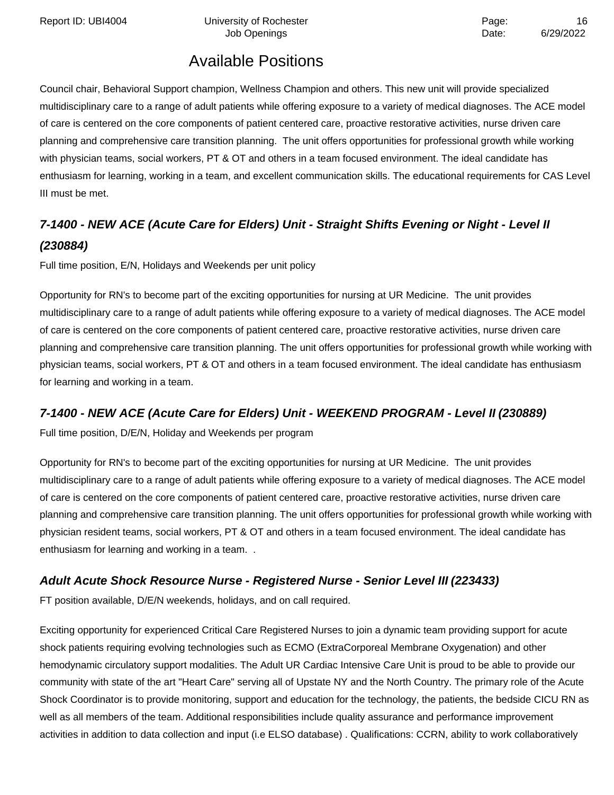Report ID: UBI4004 **Depart Controller University of Rochester** Page: 16 and 2016 Page: 16 and 2016

Job Openings **Date:** 6/29/2022

# Available Positions

Council chair, Behavioral Support champion, Wellness Champion and others. This new unit will provide specialized multidisciplinary care to a range of adult patients while offering exposure to a variety of medical diagnoses. The ACE model of care is centered on the core components of patient centered care, proactive restorative activities, nurse driven care planning and comprehensive care transition planning. The unit offers opportunities for professional growth while working with physician teams, social workers, PT & OT and others in a team focused environment. The ideal candidate has enthusiasm for learning, working in a team, and excellent communication skills. The educational requirements for CAS Level III must be met.

# **7-1400 - NEW ACE (Acute Care for Elders) Unit - Straight Shifts Evening or Night - Level II (230884)**

Full time position, E/N, Holidays and Weekends per unit policy

Opportunity for RN's to become part of the exciting opportunities for nursing at UR Medicine. The unit provides multidisciplinary care to a range of adult patients while offering exposure to a variety of medical diagnoses. The ACE model of care is centered on the core components of patient centered care, proactive restorative activities, nurse driven care planning and comprehensive care transition planning. The unit offers opportunities for professional growth while working with physician teams, social workers, PT & OT and others in a team focused environment. The ideal candidate has enthusiasm for learning and working in a team.

### **7-1400 - NEW ACE (Acute Care for Elders) Unit - WEEKEND PROGRAM - Level II (230889)**

Full time position, D/E/N, Holiday and Weekends per program

Opportunity for RN's to become part of the exciting opportunities for nursing at UR Medicine. The unit provides multidisciplinary care to a range of adult patients while offering exposure to a variety of medical diagnoses. The ACE model of care is centered on the core components of patient centered care, proactive restorative activities, nurse driven care planning and comprehensive care transition planning. The unit offers opportunities for professional growth while working with physician resident teams, social workers, PT & OT and others in a team focused environment. The ideal candidate has enthusiasm for learning and working in a team. .

### **Adult Acute Shock Resource Nurse - Registered Nurse - Senior Level III (223433)**

FT position available, D/E/N weekends, holidays, and on call required.

Exciting opportunity for experienced Critical Care Registered Nurses to join a dynamic team providing support for acute shock patients requiring evolving technologies such as ECMO (ExtraCorporeal Membrane Oxygenation) and other hemodynamic circulatory support modalities. The Adult UR Cardiac Intensive Care Unit is proud to be able to provide our community with state of the art "Heart Care" serving all of Upstate NY and the North Country. The primary role of the Acute Shock Coordinator is to provide monitoring, support and education for the technology, the patients, the bedside CICU RN as well as all members of the team. Additional responsibilities include quality assurance and performance improvement activities in addition to data collection and input (i.e ELSO database) . Qualifications: CCRN, ability to work collaboratively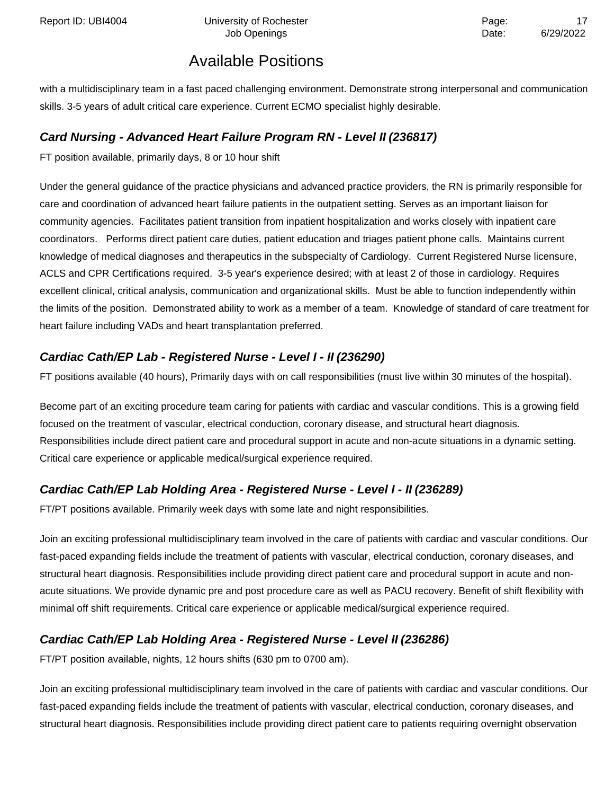Report ID: UBI4004 **Depart Controller University of Rochester** Page: 17 and 2012 17

Job Openings **Date:** 6/29/2022

# Available Positions

with a multidisciplinary team in a fast paced challenging environment. Demonstrate strong interpersonal and communication skills. 3-5 years of adult critical care experience. Current ECMO specialist highly desirable.

#### **Card Nursing - Advanced Heart Failure Program RN - Level II (236817)**

FT position available, primarily days, 8 or 10 hour shift

Under the general guidance of the practice physicians and advanced practice providers, the RN is primarily responsible for care and coordination of advanced heart failure patients in the outpatient setting. Serves as an important liaison for community agencies. Facilitates patient transition from inpatient hospitalization and works closely with inpatient care coordinators. Performs direct patient care duties, patient education and triages patient phone calls. Maintains current knowledge of medical diagnoses and therapeutics in the subspecialty of Cardiology. Current Registered Nurse licensure, ACLS and CPR Certifications required. 3-5 year's experience desired; with at least 2 of those in cardiology. Requires excellent clinical, critical analysis, communication and organizational skills. Must be able to function independently within the limits of the position. Demonstrated ability to work as a member of a team. Knowledge of standard of care treatment for heart failure including VADs and heart transplantation preferred.

### **Cardiac Cath/EP Lab - Registered Nurse - Level I - II (236290)**

FT positions available (40 hours), Primarily days with on call responsibilities (must live within 30 minutes of the hospital).

Become part of an exciting procedure team caring for patients with cardiac and vascular conditions. This is a growing field focused on the treatment of vascular, electrical conduction, coronary disease, and structural heart diagnosis. Responsibilities include direct patient care and procedural support in acute and non-acute situations in a dynamic setting. Critical care experience or applicable medical/surgical experience required.

### **Cardiac Cath/EP Lab Holding Area - Registered Nurse - Level I - II (236289)**

FT/PT positions available. Primarily week days with some late and night responsibilities.

Join an exciting professional multidisciplinary team involved in the care of patients with cardiac and vascular conditions. Our fast-paced expanding fields include the treatment of patients with vascular, electrical conduction, coronary diseases, and structural heart diagnosis. Responsibilities include providing direct patient care and procedural support in acute and nonacute situations. We provide dynamic pre and post procedure care as well as PACU recovery. Benefit of shift flexibility with minimal off shift requirements. Critical care experience or applicable medical/surgical experience required.

### **Cardiac Cath/EP Lab Holding Area - Registered Nurse - Level II (236286)**

FT/PT position available, nights, 12 hours shifts (630 pm to 0700 am).

Join an exciting professional multidisciplinary team involved in the care of patients with cardiac and vascular conditions. Our fast-paced expanding fields include the treatment of patients with vascular, electrical conduction, coronary diseases, and structural heart diagnosis. Responsibilities include providing direct patient care to patients requiring overnight observation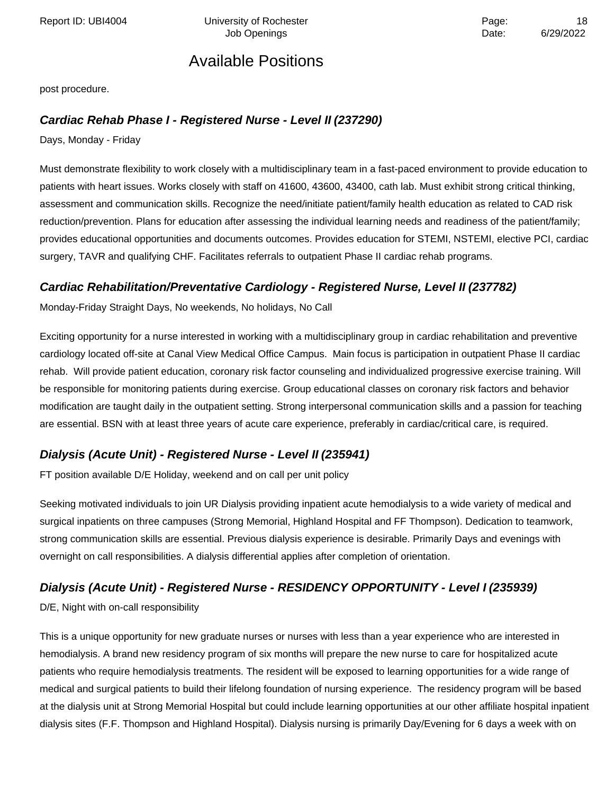Report ID: UBI4004 **Depart Controller University of Rochester** Page: 18 and Page: 18 and Page: 18 and Page: 18 and Page: 18 and Page: 18 and Page: 18 and Page: 18 and Page: 18 and Page: 18 and Page: 18 and Page: 18 and Pag

### Available Positions

post procedure.

#### **Cardiac Rehab Phase I - Registered Nurse - Level II (237290)**

Days, Monday - Friday

Must demonstrate flexibility to work closely with a multidisciplinary team in a fast-paced environment to provide education to patients with heart issues. Works closely with staff on 41600, 43600, 43400, cath lab. Must exhibit strong critical thinking, assessment and communication skills. Recognize the need/initiate patient/family health education as related to CAD risk reduction/prevention. Plans for education after assessing the individual learning needs and readiness of the patient/family; provides educational opportunities and documents outcomes. Provides education for STEMI, NSTEMI, elective PCI, cardiac surgery, TAVR and qualifying CHF. Facilitates referrals to outpatient Phase II cardiac rehab programs.

#### **Cardiac Rehabilitation/Preventative Cardiology - Registered Nurse, Level II (237782)**

Monday-Friday Straight Days, No weekends, No holidays, No Call

Exciting opportunity for a nurse interested in working with a multidisciplinary group in cardiac rehabilitation and preventive cardiology located off-site at Canal View Medical Office Campus. Main focus is participation in outpatient Phase II cardiac rehab. Will provide patient education, coronary risk factor counseling and individualized progressive exercise training. Will be responsible for monitoring patients during exercise. Group educational classes on coronary risk factors and behavior modification are taught daily in the outpatient setting. Strong interpersonal communication skills and a passion for teaching are essential. BSN with at least three years of acute care experience, preferably in cardiac/critical care, is required.

#### **Dialysis (Acute Unit) - Registered Nurse - Level II (235941)**

FT position available D/E Holiday, weekend and on call per unit policy

Seeking motivated individuals to join UR Dialysis providing inpatient acute hemodialysis to a wide variety of medical and surgical inpatients on three campuses (Strong Memorial, Highland Hospital and FF Thompson). Dedication to teamwork, strong communication skills are essential. Previous dialysis experience is desirable. Primarily Days and evenings with overnight on call responsibilities. A dialysis differential applies after completion of orientation.

#### **Dialysis (Acute Unit) - Registered Nurse - RESIDENCY OPPORTUNITY - Level I (235939)**

D/E, Night with on-call responsibility

This is a unique opportunity for new graduate nurses or nurses with less than a year experience who are interested in hemodialysis. A brand new residency program of six months will prepare the new nurse to care for hospitalized acute patients who require hemodialysis treatments. The resident will be exposed to learning opportunities for a wide range of medical and surgical patients to build their lifelong foundation of nursing experience. The residency program will be based at the dialysis unit at Strong Memorial Hospital but could include learning opportunities at our other affiliate hospital inpatient dialysis sites (F.F. Thompson and Highland Hospital). Dialysis nursing is primarily Day/Evening for 6 days a week with on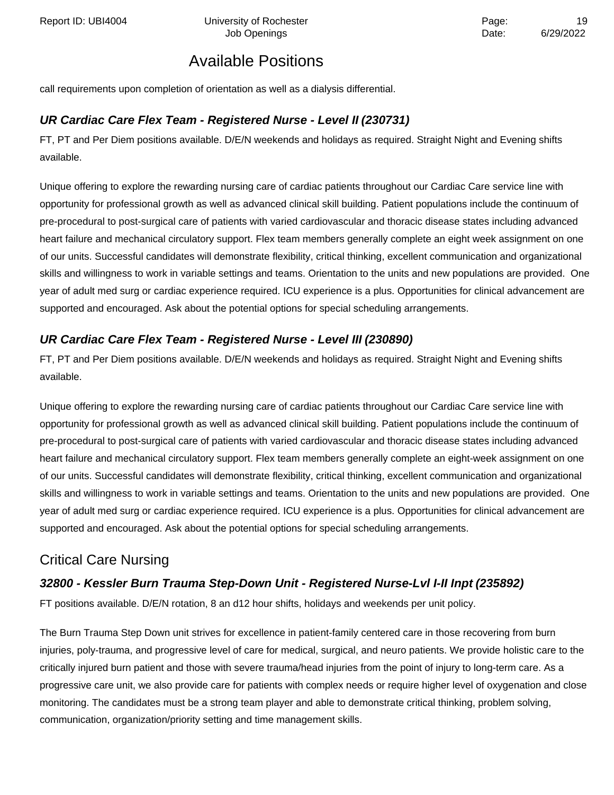Report ID: UBI4004 **Depart Controller University of Rochester** Page: 19 and Page: 19 and Page: 19 and Page: 19 and Page: 19 and Page: 19 and Page: 19 and Page: 19 and Page: 19 and Page: 19 and Page: 19 and Page: 19 and Pag

# Available Positions

call requirements upon completion of orientation as well as a dialysis differential.

#### **UR Cardiac Care Flex Team - Registered Nurse - Level II (230731)**

FT, PT and Per Diem positions available. D/E/N weekends and holidays as required. Straight Night and Evening shifts available.

Unique offering to explore the rewarding nursing care of cardiac patients throughout our Cardiac Care service line with opportunity for professional growth as well as advanced clinical skill building. Patient populations include the continuum of pre-procedural to post-surgical care of patients with varied cardiovascular and thoracic disease states including advanced heart failure and mechanical circulatory support. Flex team members generally complete an eight week assignment on one of our units. Successful candidates will demonstrate flexibility, critical thinking, excellent communication and organizational skills and willingness to work in variable settings and teams. Orientation to the units and new populations are provided. One year of adult med surg or cardiac experience required. ICU experience is a plus. Opportunities for clinical advancement are supported and encouraged. Ask about the potential options for special scheduling arrangements.

### **UR Cardiac Care Flex Team - Registered Nurse - Level III (230890)**

FT, PT and Per Diem positions available. D/E/N weekends and holidays as required. Straight Night and Evening shifts available.

Unique offering to explore the rewarding nursing care of cardiac patients throughout our Cardiac Care service line with opportunity for professional growth as well as advanced clinical skill building. Patient populations include the continuum of pre-procedural to post-surgical care of patients with varied cardiovascular and thoracic disease states including advanced heart failure and mechanical circulatory support. Flex team members generally complete an eight-week assignment on one of our units. Successful candidates will demonstrate flexibility, critical thinking, excellent communication and organizational skills and willingness to work in variable settings and teams. Orientation to the units and new populations are provided. One year of adult med surg or cardiac experience required. ICU experience is a plus. Opportunities for clinical advancement are supported and encouraged. Ask about the potential options for special scheduling arrangements.

### Critical Care Nursing

#### **32800 - Kessler Burn Trauma Step-Down Unit - Registered Nurse-Lvl I-II Inpt (235892)**

FT positions available. D/E/N rotation, 8 an d12 hour shifts, holidays and weekends per unit policy.

The Burn Trauma Step Down unit strives for excellence in patient-family centered care in those recovering from burn injuries, poly-trauma, and progressive level of care for medical, surgical, and neuro patients. We provide holistic care to the critically injured burn patient and those with severe trauma/head injuries from the point of injury to long-term care. As a progressive care unit, we also provide care for patients with complex needs or require higher level of oxygenation and close monitoring. The candidates must be a strong team player and able to demonstrate critical thinking, problem solving, communication, organization/priority setting and time management skills.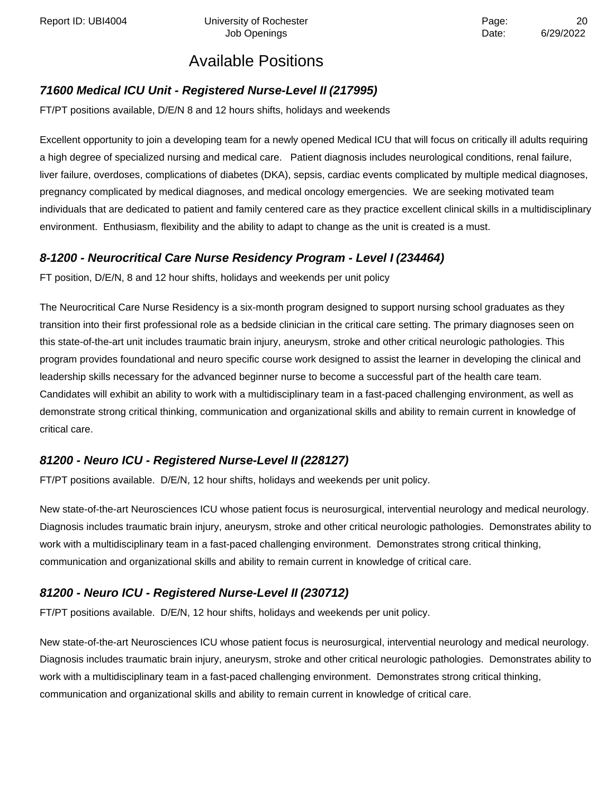Report ID: UBI4004 **Depart Controller University of Rochester** Page: 20 Page: 20

# Available Positions

#### **71600 Medical ICU Unit - Registered Nurse-Level II (217995)**

FT/PT positions available, D/E/N 8 and 12 hours shifts, holidays and weekends

Excellent opportunity to join a developing team for a newly opened Medical ICU that will focus on critically ill adults requiring a high degree of specialized nursing and medical care. Patient diagnosis includes neurological conditions, renal failure, liver failure, overdoses, complications of diabetes (DKA), sepsis, cardiac events complicated by multiple medical diagnoses, pregnancy complicated by medical diagnoses, and medical oncology emergencies. We are seeking motivated team individuals that are dedicated to patient and family centered care as they practice excellent clinical skills in a multidisciplinary environment. Enthusiasm, flexibility and the ability to adapt to change as the unit is created is a must.

#### **8-1200 - Neurocritical Care Nurse Residency Program - Level I (234464)**

FT position, D/E/N, 8 and 12 hour shifts, holidays and weekends per unit policy

The Neurocritical Care Nurse Residency is a six-month program designed to support nursing school graduates as they transition into their first professional role as a bedside clinician in the critical care setting. The primary diagnoses seen on this state-of-the-art unit includes traumatic brain injury, aneurysm, stroke and other critical neurologic pathologies. This program provides foundational and neuro specific course work designed to assist the learner in developing the clinical and leadership skills necessary for the advanced beginner nurse to become a successful part of the health care team. Candidates will exhibit an ability to work with a multidisciplinary team in a fast-paced challenging environment, as well as demonstrate strong critical thinking, communication and organizational skills and ability to remain current in knowledge of critical care.

#### **81200 - Neuro ICU - Registered Nurse-Level II (228127)**

FT/PT positions available. D/E/N, 12 hour shifts, holidays and weekends per unit policy.

New state-of-the-art Neurosciences ICU whose patient focus is neurosurgical, intervential neurology and medical neurology. Diagnosis includes traumatic brain injury, aneurysm, stroke and other critical neurologic pathologies. Demonstrates ability to work with a multidisciplinary team in a fast-paced challenging environment. Demonstrates strong critical thinking, communication and organizational skills and ability to remain current in knowledge of critical care.

#### **81200 - Neuro ICU - Registered Nurse-Level II (230712)**

FT/PT positions available. D/E/N, 12 hour shifts, holidays and weekends per unit policy.

New state-of-the-art Neurosciences ICU whose patient focus is neurosurgical, intervential neurology and medical neurology. Diagnosis includes traumatic brain injury, aneurysm, stroke and other critical neurologic pathologies. Demonstrates ability to work with a multidisciplinary team in a fast-paced challenging environment. Demonstrates strong critical thinking, communication and organizational skills and ability to remain current in knowledge of critical care.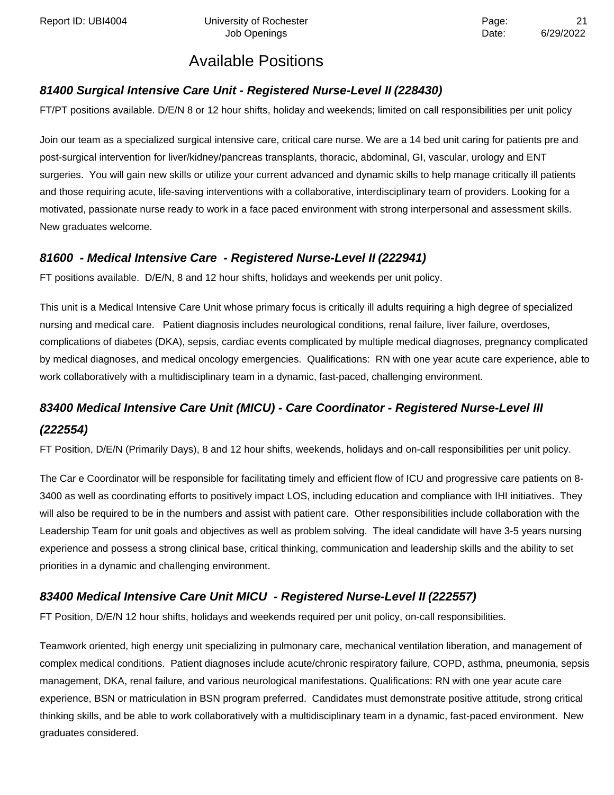### **81400 Surgical Intensive Care Unit - Registered Nurse-Level II (228430)**

FT/PT positions available. D/E/N 8 or 12 hour shifts, holiday and weekends; limited on call responsibilities per unit policy

Join our team as a specialized surgical intensive care, critical care nurse. We are a 14 bed unit caring for patients pre and post-surgical intervention for liver/kidney/pancreas transplants, thoracic, abdominal, GI, vascular, urology and ENT surgeries. You will gain new skills or utilize your current advanced and dynamic skills to help manage critically ill patients and those requiring acute, life-saving interventions with a collaborative, interdisciplinary team of providers. Looking for a motivated, passionate nurse ready to work in a face paced environment with strong interpersonal and assessment skills. New graduates welcome.

### **81600 - Medical Intensive Care - Registered Nurse-Level II (222941)**

FT positions available. D/E/N, 8 and 12 hour shifts, holidays and weekends per unit policy.

This unit is a Medical Intensive Care Unit whose primary focus is critically ill adults requiring a high degree of specialized nursing and medical care. Patient diagnosis includes neurological conditions, renal failure, liver failure, overdoses, complications of diabetes (DKA), sepsis, cardiac events complicated by multiple medical diagnoses, pregnancy complicated by medical diagnoses, and medical oncology emergencies. Qualifications: RN with one year acute care experience, able to work collaboratively with a multidisciplinary team in a dynamic, fast-paced, challenging environment.

# **83400 Medical Intensive Care Unit (MICU) - Care Coordinator - Registered Nurse-Level III (222554)**

FT Position, D/E/N (Primarily Days), 8 and 12 hour shifts, weekends, holidays and on-call responsibilities per unit policy.

The Car e Coordinator will be responsible for facilitating timely and efficient flow of ICU and progressive care patients on 8- 3400 as well as coordinating efforts to positively impact LOS, including education and compliance with IHI initiatives. They will also be required to be in the numbers and assist with patient care. Other responsibilities include collaboration with the Leadership Team for unit goals and objectives as well as problem solving. The ideal candidate will have 3-5 years nursing experience and possess a strong clinical base, critical thinking, communication and leadership skills and the ability to set priorities in a dynamic and challenging environment.

### **83400 Medical Intensive Care Unit MICU - Registered Nurse-Level II (222557)**

FT Position, D/E/N 12 hour shifts, holidays and weekends required per unit policy, on-call responsibilities.

Teamwork oriented, high energy unit specializing in pulmonary care, mechanical ventilation liberation, and management of complex medical conditions. Patient diagnoses include acute/chronic respiratory failure, COPD, asthma, pneumonia, sepsis management, DKA, renal failure, and various neurological manifestations. Qualifications: RN with one year acute care experience, BSN or matriculation in BSN program preferred. Candidates must demonstrate positive attitude, strong critical thinking skills, and be able to work collaboratively with a multidisciplinary team in a dynamic, fast-paced environment. New graduates considered.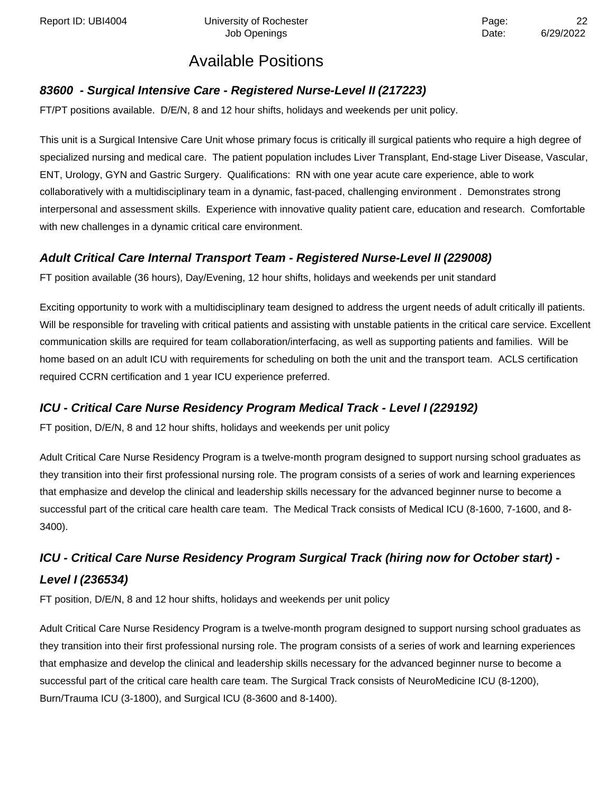### **83600 - Surgical Intensive Care - Registered Nurse-Level II (217223)**

FT/PT positions available. D/E/N, 8 and 12 hour shifts, holidays and weekends per unit policy.

This unit is a Surgical Intensive Care Unit whose primary focus is critically ill surgical patients who require a high degree of specialized nursing and medical care. The patient population includes Liver Transplant, End-stage Liver Disease, Vascular, ENT, Urology, GYN and Gastric Surgery. Qualifications: RN with one year acute care experience, able to work collaboratively with a multidisciplinary team in a dynamic, fast-paced, challenging environment . Demonstrates strong interpersonal and assessment skills. Experience with innovative quality patient care, education and research. Comfortable with new challenges in a dynamic critical care environment.

### **Adult Critical Care Internal Transport Team - Registered Nurse-Level II (229008)**

FT position available (36 hours), Day/Evening, 12 hour shifts, holidays and weekends per unit standard

Exciting opportunity to work with a multidisciplinary team designed to address the urgent needs of adult critically ill patients. Will be responsible for traveling with critical patients and assisting with unstable patients in the critical care service. Excellent communication skills are required for team collaboration/interfacing, as well as supporting patients and families. Will be home based on an adult ICU with requirements for scheduling on both the unit and the transport team. ACLS certification required CCRN certification and 1 year ICU experience preferred.

### **ICU - Critical Care Nurse Residency Program Medical Track - Level I (229192)**

FT position, D/E/N, 8 and 12 hour shifts, holidays and weekends per unit policy

Adult Critical Care Nurse Residency Program is a twelve-month program designed to support nursing school graduates as they transition into their first professional nursing role. The program consists of a series of work and learning experiences that emphasize and develop the clinical and leadership skills necessary for the advanced beginner nurse to become a successful part of the critical care health care team. The Medical Track consists of Medical ICU (8-1600, 7-1600, and 8- 3400).

# **ICU - Critical Care Nurse Residency Program Surgical Track (hiring now for October start) - Level I (236534)**

FT position, D/E/N, 8 and 12 hour shifts, holidays and weekends per unit policy

Adult Critical Care Nurse Residency Program is a twelve-month program designed to support nursing school graduates as they transition into their first professional nursing role. The program consists of a series of work and learning experiences that emphasize and develop the clinical and leadership skills necessary for the advanced beginner nurse to become a successful part of the critical care health care team. The Surgical Track consists of NeuroMedicine ICU (8-1200), Burn/Trauma ICU (3-1800), and Surgical ICU (8-3600 and 8-1400).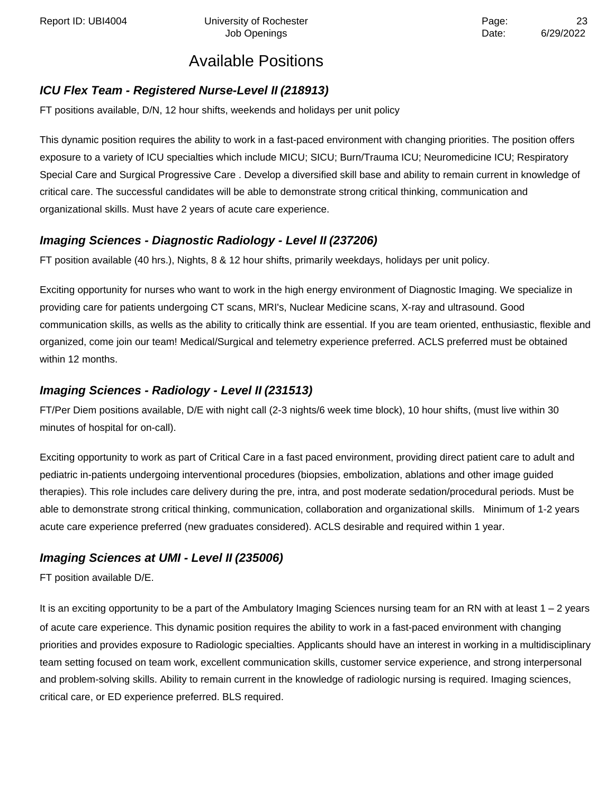### **ICU Flex Team - Registered Nurse-Level II (218913)**

FT positions available, D/N, 12 hour shifts, weekends and holidays per unit policy

This dynamic position requires the ability to work in a fast-paced environment with changing priorities. The position offers exposure to a variety of ICU specialties which include MICU; SICU; Burn/Trauma ICU; Neuromedicine ICU; Respiratory Special Care and Surgical Progressive Care . Develop a diversified skill base and ability to remain current in knowledge of critical care. The successful candidates will be able to demonstrate strong critical thinking, communication and organizational skills. Must have 2 years of acute care experience.

### **Imaging Sciences - Diagnostic Radiology - Level II (237206)**

FT position available (40 hrs.), Nights, 8 & 12 hour shifts, primarily weekdays, holidays per unit policy.

Exciting opportunity for nurses who want to work in the high energy environment of Diagnostic Imaging. We specialize in providing care for patients undergoing CT scans, MRI's, Nuclear Medicine scans, X-ray and ultrasound. Good communication skills, as wells as the ability to critically think are essential. If you are team oriented, enthusiastic, flexible and organized, come join our team! Medical/Surgical and telemetry experience preferred. ACLS preferred must be obtained within 12 months.

### **Imaging Sciences - Radiology - Level II (231513)**

FT/Per Diem positions available, D/E with night call (2-3 nights/6 week time block), 10 hour shifts, (must live within 30 minutes of hospital for on-call).

Exciting opportunity to work as part of Critical Care in a fast paced environment, providing direct patient care to adult and pediatric in-patients undergoing interventional procedures (biopsies, embolization, ablations and other image guided therapies). This role includes care delivery during the pre, intra, and post moderate sedation/procedural periods. Must be able to demonstrate strong critical thinking, communication, collaboration and organizational skills. Minimum of 1-2 years acute care experience preferred (new graduates considered). ACLS desirable and required within 1 year.

### **Imaging Sciences at UMI - Level II (235006)**

FT position available D/E.

It is an exciting opportunity to be a part of the Ambulatory Imaging Sciences nursing team for an RN with at least 1 – 2 years of acute care experience. This dynamic position requires the ability to work in a fast-paced environment with changing priorities and provides exposure to Radiologic specialties. Applicants should have an interest in working in a multidisciplinary team setting focused on team work, excellent communication skills, customer service experience, and strong interpersonal and problem-solving skills. Ability to remain current in the knowledge of radiologic nursing is required. Imaging sciences, critical care, or ED experience preferred. BLS required.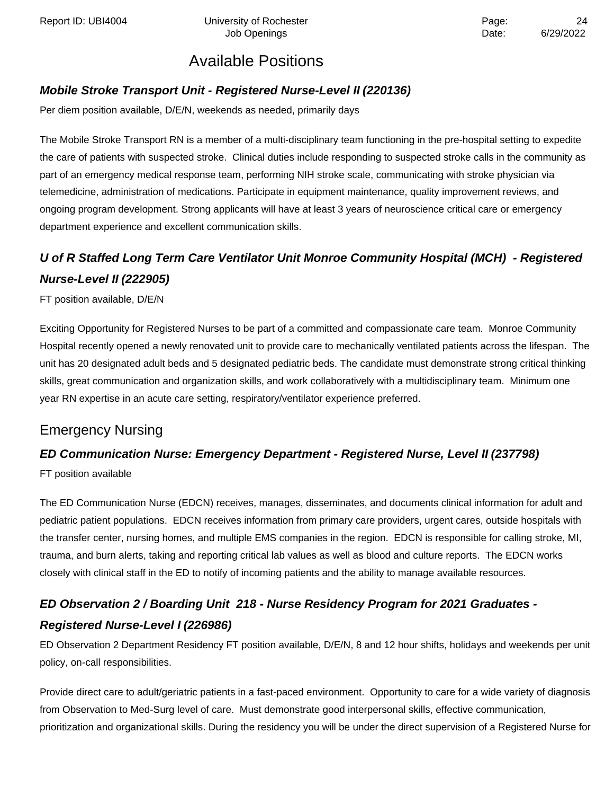### **Mobile Stroke Transport Unit - Registered Nurse-Level II (220136)**

Per diem position available, D/E/N, weekends as needed, primarily days

The Mobile Stroke Transport RN is a member of a multi-disciplinary team functioning in the pre-hospital setting to expedite the care of patients with suspected stroke. Clinical duties include responding to suspected stroke calls in the community as part of an emergency medical response team, performing NIH stroke scale, communicating with stroke physician via telemedicine, administration of medications. Participate in equipment maintenance, quality improvement reviews, and ongoing program development. Strong applicants will have at least 3 years of neuroscience critical care or emergency department experience and excellent communication skills.

# **U of R Staffed Long Term Care Ventilator Unit Monroe Community Hospital (MCH) - Registered Nurse-Level II (222905)**

FT position available, D/E/N

Exciting Opportunity for Registered Nurses to be part of a committed and compassionate care team. Monroe Community Hospital recently opened a newly renovated unit to provide care to mechanically ventilated patients across the lifespan. The unit has 20 designated adult beds and 5 designated pediatric beds. The candidate must demonstrate strong critical thinking skills, great communication and organization skills, and work collaboratively with a multidisciplinary team. Minimum one year RN expertise in an acute care setting, respiratory/ventilator experience preferred.

### Emergency Nursing

### **ED Communication Nurse: Emergency Department - Registered Nurse, Level II (237798)**

FT position available

The ED Communication Nurse (EDCN) receives, manages, disseminates, and documents clinical information for adult and pediatric patient populations. EDCN receives information from primary care providers, urgent cares, outside hospitals with the transfer center, nursing homes, and multiple EMS companies in the region. EDCN is responsible for calling stroke, MI, trauma, and burn alerts, taking and reporting critical lab values as well as blood and culture reports. The EDCN works closely with clinical staff in the ED to notify of incoming patients and the ability to manage available resources.

# **ED Observation 2 / Boarding Unit 218 - Nurse Residency Program for 2021 Graduates - Registered Nurse-Level I (226986)**

ED Observation 2 Department Residency FT position available, D/E/N, 8 and 12 hour shifts, holidays and weekends per unit policy, on-call responsibilities.

Provide direct care to adult/geriatric patients in a fast-paced environment. Opportunity to care for a wide variety of diagnosis from Observation to Med-Surg level of care. Must demonstrate good interpersonal skills, effective communication, prioritization and organizational skills. During the residency you will be under the direct supervision of a Registered Nurse for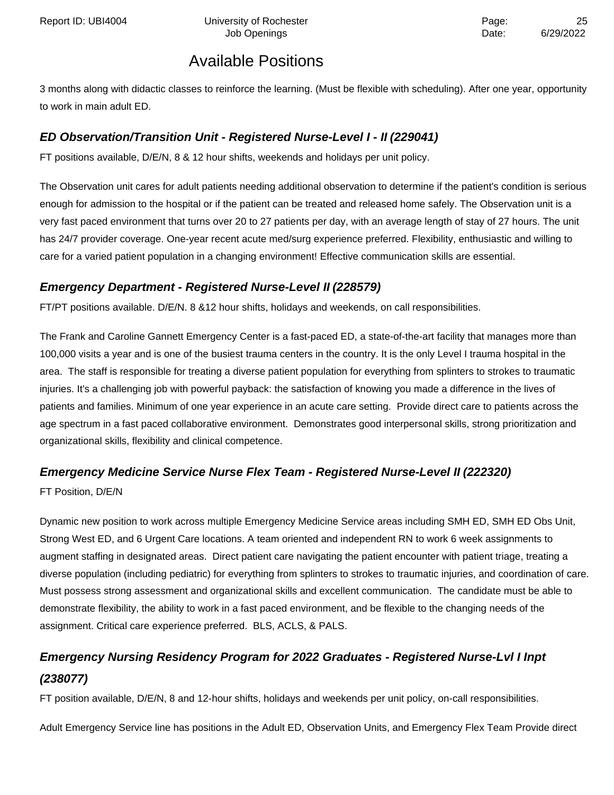3 months along with didactic classes to reinforce the learning. (Must be flexible with scheduling). After one year, opportunity to work in main adult ED.

### **ED Observation/Transition Unit - Registered Nurse-Level I - II (229041)**

FT positions available, D/E/N, 8 & 12 hour shifts, weekends and holidays per unit policy.

The Observation unit cares for adult patients needing additional observation to determine if the patient's condition is serious enough for admission to the hospital or if the patient can be treated and released home safely. The Observation unit is a very fast paced environment that turns over 20 to 27 patients per day, with an average length of stay of 27 hours. The unit has 24/7 provider coverage. One-year recent acute med/surg experience preferred. Flexibility, enthusiastic and willing to care for a varied patient population in a changing environment! Effective communication skills are essential.

### **Emergency Department - Registered Nurse-Level II (228579)**

FT/PT positions available. D/E/N. 8 &12 hour shifts, holidays and weekends, on call responsibilities.

The Frank and Caroline Gannett Emergency Center is a fast-paced ED, a state-of-the-art facility that manages more than 100,000 visits a year and is one of the busiest trauma centers in the country. It is the only Level I trauma hospital in the area. The staff is responsible for treating a diverse patient population for everything from splinters to strokes to traumatic injuries. It's a challenging job with powerful payback: the satisfaction of knowing you made a difference in the lives of patients and families. Minimum of one year experience in an acute care setting. Provide direct care to patients across the age spectrum in a fast paced collaborative environment. Demonstrates good interpersonal skills, strong prioritization and organizational skills, flexibility and clinical competence.

### **Emergency Medicine Service Nurse Flex Team - Registered Nurse-Level II (222320)**

FT Position, D/E/N

Dynamic new position to work across multiple Emergency Medicine Service areas including SMH ED, SMH ED Obs Unit, Strong West ED, and 6 Urgent Care locations. A team oriented and independent RN to work 6 week assignments to augment staffing in designated areas. Direct patient care navigating the patient encounter with patient triage, treating a diverse population (including pediatric) for everything from splinters to strokes to traumatic injuries, and coordination of care. Must possess strong assessment and organizational skills and excellent communication. The candidate must be able to demonstrate flexibility, the ability to work in a fast paced environment, and be flexible to the changing needs of the assignment. Critical care experience preferred. BLS, ACLS, & PALS.

# **Emergency Nursing Residency Program for 2022 Graduates - Registered Nurse-Lvl I Inpt (238077)**

FT position available, D/E/N, 8 and 12-hour shifts, holidays and weekends per unit policy, on-call responsibilities.

Adult Emergency Service line has positions in the Adult ED, Observation Units, and Emergency Flex Team Provide direct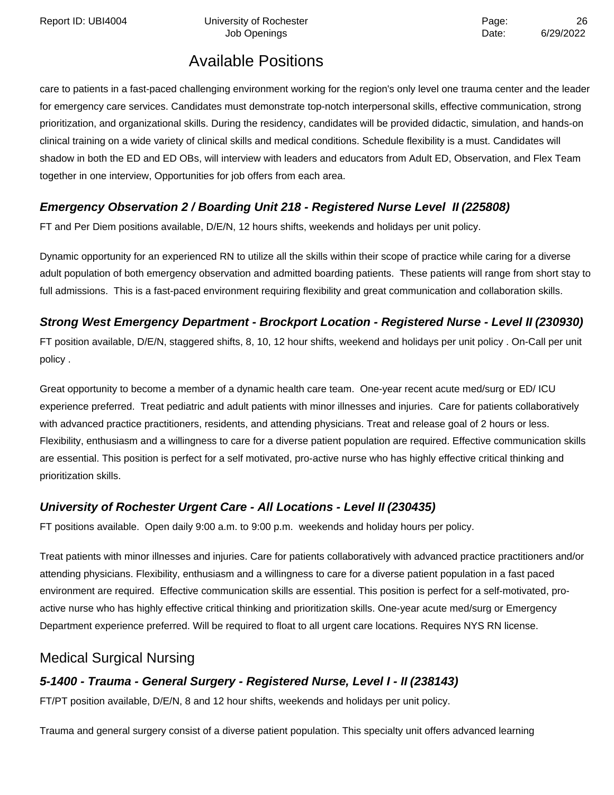Report ID: UBI4004 Chiversity of Rochester Page: 26

# Available Positions

care to patients in a fast-paced challenging environment working for the region's only level one trauma center and the leader for emergency care services. Candidates must demonstrate top-notch interpersonal skills, effective communication, strong prioritization, and organizational skills. During the residency, candidates will be provided didactic, simulation, and hands-on clinical training on a wide variety of clinical skills and medical conditions. Schedule flexibility is a must. Candidates will shadow in both the ED and ED OBs, will interview with leaders and educators from Adult ED, Observation, and Flex Team together in one interview, Opportunities for job offers from each area.

### **Emergency Observation 2 / Boarding Unit 218 - Registered Nurse Level II (225808)**

FT and Per Diem positions available, D/E/N, 12 hours shifts, weekends and holidays per unit policy.

Dynamic opportunity for an experienced RN to utilize all the skills within their scope of practice while caring for a diverse adult population of both emergency observation and admitted boarding patients. These patients will range from short stay to full admissions. This is a fast-paced environment requiring flexibility and great communication and collaboration skills.

### **Strong West Emergency Department - Brockport Location - Registered Nurse - Level II (230930)**

FT position available, D/E/N, staggered shifts, 8, 10, 12 hour shifts, weekend and holidays per unit policy . On-Call per unit policy .

Great opportunity to become a member of a dynamic health care team. One-year recent acute med/surg or ED/ ICU experience preferred. Treat pediatric and adult patients with minor illnesses and injuries. Care for patients collaboratively with advanced practice practitioners, residents, and attending physicians. Treat and release goal of 2 hours or less. Flexibility, enthusiasm and a willingness to care for a diverse patient population are required. Effective communication skills are essential. This position is perfect for a self motivated, pro-active nurse who has highly effective critical thinking and prioritization skills.

### **University of Rochester Urgent Care - All Locations - Level II (230435)**

FT positions available. Open daily 9:00 a.m. to 9:00 p.m. weekends and holiday hours per policy.

Treat patients with minor illnesses and injuries. Care for patients collaboratively with advanced practice practitioners and/or attending physicians. Flexibility, enthusiasm and a willingness to care for a diverse patient population in a fast paced environment are required. Effective communication skills are essential. This position is perfect for a self-motivated, proactive nurse who has highly effective critical thinking and prioritization skills. One-year acute med/surg or Emergency Department experience preferred. Will be required to float to all urgent care locations. Requires NYS RN license.

### Medical Surgical Nursing

### **5-1400 - Trauma - General Surgery - Registered Nurse, Level I - II (238143)**

FT/PT position available, D/E/N, 8 and 12 hour shifts, weekends and holidays per unit policy.

Trauma and general surgery consist of a diverse patient population. This specialty unit offers advanced learning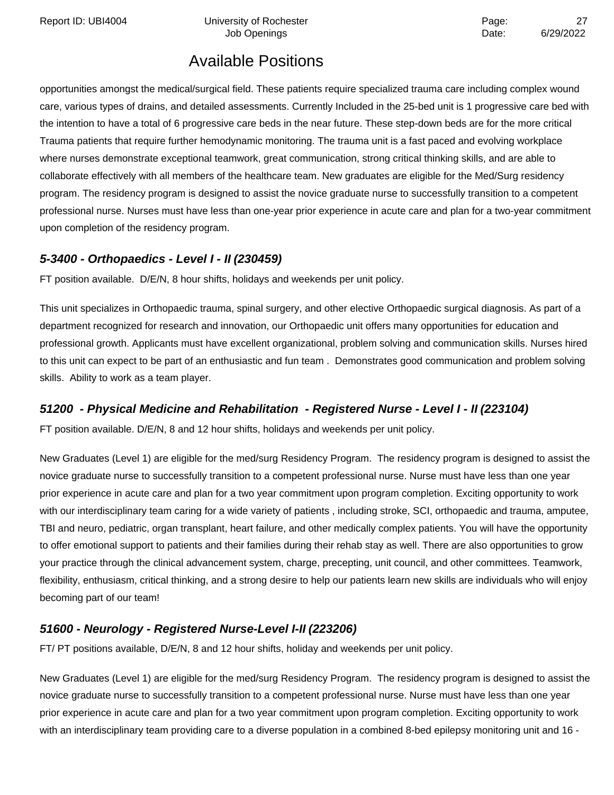Report ID: UBI4004 **Depart Controller University of Rochester** Page: 27 and 27 and 27 and 27 and 27 and 27 and 27

Job Openings **Date:** 6/29/2022

# Available Positions

opportunities amongst the medical/surgical field. These patients require specialized trauma care including complex wound care, various types of drains, and detailed assessments. Currently Included in the 25-bed unit is 1 progressive care bed with the intention to have a total of 6 progressive care beds in the near future. These step-down beds are for the more critical Trauma patients that require further hemodynamic monitoring. The trauma unit is a fast paced and evolving workplace where nurses demonstrate exceptional teamwork, great communication, strong critical thinking skills, and are able to collaborate effectively with all members of the healthcare team. New graduates are eligible for the Med/Surg residency program. The residency program is designed to assist the novice graduate nurse to successfully transition to a competent professional nurse. Nurses must have less than one-year prior experience in acute care and plan for a two-year commitment upon completion of the residency program.

#### **5-3400 - Orthopaedics - Level I - II (230459)**

FT position available. D/E/N, 8 hour shifts, holidays and weekends per unit policy.

This unit specializes in Orthopaedic trauma, spinal surgery, and other elective Orthopaedic surgical diagnosis. As part of a department recognized for research and innovation, our Orthopaedic unit offers many opportunities for education and professional growth. Applicants must have excellent organizational, problem solving and communication skills. Nurses hired to this unit can expect to be part of an enthusiastic and fun team . Demonstrates good communication and problem solving skills. Ability to work as a team player.

### **51200 - Physical Medicine and Rehabilitation - Registered Nurse - Level I - II (223104)**

FT position available. D/E/N, 8 and 12 hour shifts, holidays and weekends per unit policy.

New Graduates (Level 1) are eligible for the med/surg Residency Program. The residency program is designed to assist the novice graduate nurse to successfully transition to a competent professional nurse. Nurse must have less than one year prior experience in acute care and plan for a two year commitment upon program completion. Exciting opportunity to work with our interdisciplinary team caring for a wide variety of patients , including stroke, SCI, orthopaedic and trauma, amputee, TBI and neuro, pediatric, organ transplant, heart failure, and other medically complex patients. You will have the opportunity to offer emotional support to patients and their families during their rehab stay as well. There are also opportunities to grow your practice through the clinical advancement system, charge, precepting, unit council, and other committees. Teamwork, flexibility, enthusiasm, critical thinking, and a strong desire to help our patients learn new skills are individuals who will enjoy becoming part of our team!

### **51600 - Neurology - Registered Nurse-Level I-II (223206)**

FT/ PT positions available, D/E/N, 8 and 12 hour shifts, holiday and weekends per unit policy.

New Graduates (Level 1) are eligible for the med/surg Residency Program. The residency program is designed to assist the novice graduate nurse to successfully transition to a competent professional nurse. Nurse must have less than one year prior experience in acute care and plan for a two year commitment upon program completion. Exciting opportunity to work with an interdisciplinary team providing care to a diverse population in a combined 8-bed epilepsy monitoring unit and 16 -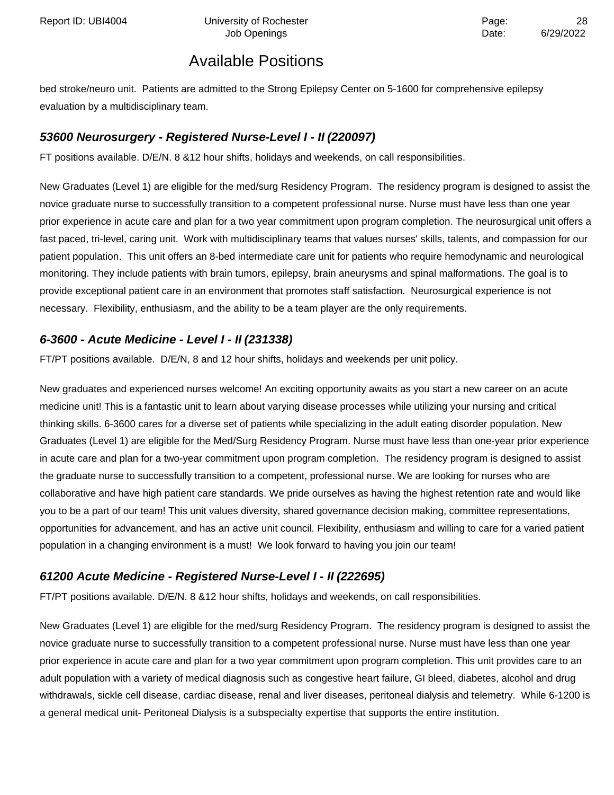bed stroke/neuro unit. Patients are admitted to the Strong Epilepsy Center on 5-1600 for comprehensive epilepsy evaluation by a multidisciplinary team.

### **53600 Neurosurgery - Registered Nurse-Level I - II (220097)**

FT positions available. D/E/N. 8 &12 hour shifts, holidays and weekends, on call responsibilities.

New Graduates (Level 1) are eligible for the med/surg Residency Program. The residency program is designed to assist the novice graduate nurse to successfully transition to a competent professional nurse. Nurse must have less than one year prior experience in acute care and plan for a two year commitment upon program completion. The neurosurgical unit offers a fast paced, tri-level, caring unit. Work with multidisciplinary teams that values nurses' skills, talents, and compassion for our patient population. This unit offers an 8-bed intermediate care unit for patients who require hemodynamic and neurological monitoring. They include patients with brain tumors, epilepsy, brain aneurysms and spinal malformations. The goal is to provide exceptional patient care in an environment that promotes staff satisfaction. Neurosurgical experience is not necessary. Flexibility, enthusiasm, and the ability to be a team player are the only requirements.

### **6-3600 - Acute Medicine - Level I - II (231338)**

FT/PT positions available. D/E/N, 8 and 12 hour shifts, holidays and weekends per unit policy.

New graduates and experienced nurses welcome! An exciting opportunity awaits as you start a new career on an acute medicine unit! This is a fantastic unit to learn about varying disease processes while utilizing your nursing and critical thinking skills. 6-3600 cares for a diverse set of patients while specializing in the adult eating disorder population. New Graduates (Level 1) are eligible for the Med/Surg Residency Program. Nurse must have less than one-year prior experience in acute care and plan for a two-year commitment upon program completion. The residency program is designed to assist the graduate nurse to successfully transition to a competent, professional nurse. We are looking for nurses who are collaborative and have high patient care standards. We pride ourselves as having the highest retention rate and would like you to be a part of our team! This unit values diversity, shared governance decision making, committee representations, opportunities for advancement, and has an active unit council. Flexibility, enthusiasm and willing to care for a varied patient population in a changing environment is a must! We look forward to having you join our team!

### **61200 Acute Medicine - Registered Nurse-Level I - II (222695)**

FT/PT positions available. D/E/N. 8 &12 hour shifts, holidays and weekends, on call responsibilities.

New Graduates (Level 1) are eligible for the med/surg Residency Program. The residency program is designed to assist the novice graduate nurse to successfully transition to a competent professional nurse. Nurse must have less than one year prior experience in acute care and plan for a two year commitment upon program completion. This unit provides care to an adult population with a variety of medical diagnosis such as congestive heart failure, GI bleed, diabetes, alcohol and drug withdrawals, sickle cell disease, cardiac disease, renal and liver diseases, peritoneal dialysis and telemetry. While 6-1200 is a general medical unit- Peritoneal Dialysis is a subspecialty expertise that supports the entire institution.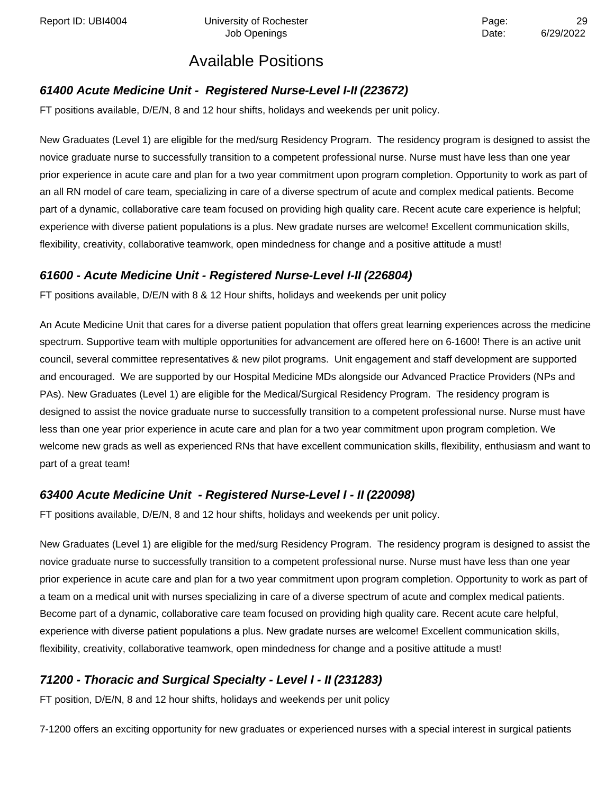Report ID: UBI4004 **Depart Controller University of Rochester** Page: 29 Page: 29

# Available Positions

### **61400 Acute Medicine Unit - Registered Nurse-Level I-II (223672)**

FT positions available, D/E/N, 8 and 12 hour shifts, holidays and weekends per unit policy.

New Graduates (Level 1) are eligible for the med/surg Residency Program. The residency program is designed to assist the novice graduate nurse to successfully transition to a competent professional nurse. Nurse must have less than one year prior experience in acute care and plan for a two year commitment upon program completion. Opportunity to work as part of an all RN model of care team, specializing in care of a diverse spectrum of acute and complex medical patients. Become part of a dynamic, collaborative care team focused on providing high quality care. Recent acute care experience is helpful; experience with diverse patient populations is a plus. New gradate nurses are welcome! Excellent communication skills, flexibility, creativity, collaborative teamwork, open mindedness for change and a positive attitude a must!

### **61600 - Acute Medicine Unit - Registered Nurse-Level I-II (226804)**

FT positions available, D/E/N with 8 & 12 Hour shifts, holidays and weekends per unit policy

An Acute Medicine Unit that cares for a diverse patient population that offers great learning experiences across the medicine spectrum. Supportive team with multiple opportunities for advancement are offered here on 6-1600! There is an active unit council, several committee representatives & new pilot programs. Unit engagement and staff development are supported and encouraged. We are supported by our Hospital Medicine MDs alongside our Advanced Practice Providers (NPs and PAs). New Graduates (Level 1) are eligible for the Medical/Surgical Residency Program. The residency program is designed to assist the novice graduate nurse to successfully transition to a competent professional nurse. Nurse must have less than one year prior experience in acute care and plan for a two year commitment upon program completion. We welcome new grads as well as experienced RNs that have excellent communication skills, flexibility, enthusiasm and want to part of a great team!

### **63400 Acute Medicine Unit - Registered Nurse-Level I - II (220098)**

FT positions available, D/E/N, 8 and 12 hour shifts, holidays and weekends per unit policy.

New Graduates (Level 1) are eligible for the med/surg Residency Program. The residency program is designed to assist the novice graduate nurse to successfully transition to a competent professional nurse. Nurse must have less than one year prior experience in acute care and plan for a two year commitment upon program completion. Opportunity to work as part of a team on a medical unit with nurses specializing in care of a diverse spectrum of acute and complex medical patients. Become part of a dynamic, collaborative care team focused on providing high quality care. Recent acute care helpful, experience with diverse patient populations a plus. New gradate nurses are welcome! Excellent communication skills, flexibility, creativity, collaborative teamwork, open mindedness for change and a positive attitude a must!

### **71200 - Thoracic and Surgical Specialty - Level I - II (231283)**

FT position, D/E/N, 8 and 12 hour shifts, holidays and weekends per unit policy

7-1200 offers an exciting opportunity for new graduates or experienced nurses with a special interest in surgical patients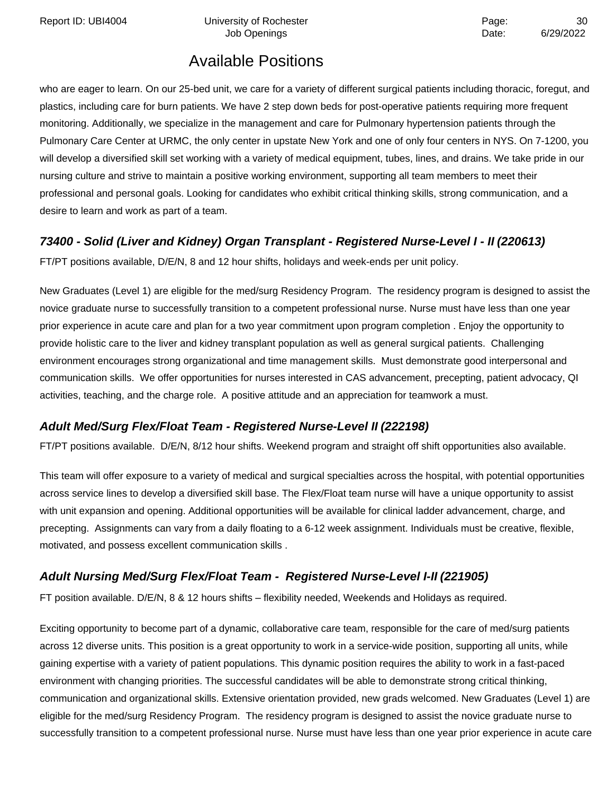Report ID: UBI4004 **Depart Controller University of Rochester** Page: 20 and Page: 30

Job Openings **Date:** 6/29/2022

# Available Positions

who are eager to learn. On our 25-bed unit, we care for a variety of different surgical patients including thoracic, foregut, and plastics, including care for burn patients. We have 2 step down beds for post-operative patients requiring more frequent monitoring. Additionally, we specialize in the management and care for Pulmonary hypertension patients through the Pulmonary Care Center at URMC, the only center in upstate New York and one of only four centers in NYS. On 7-1200, you will develop a diversified skill set working with a variety of medical equipment, tubes, lines, and drains. We take pride in our nursing culture and strive to maintain a positive working environment, supporting all team members to meet their professional and personal goals. Looking for candidates who exhibit critical thinking skills, strong communication, and a desire to learn and work as part of a team.

### **73400 - Solid (Liver and Kidney) Organ Transplant - Registered Nurse-Level I - II (220613)**

FT/PT positions available, D/E/N, 8 and 12 hour shifts, holidays and week-ends per unit policy.

New Graduates (Level 1) are eligible for the med/surg Residency Program. The residency program is designed to assist the novice graduate nurse to successfully transition to a competent professional nurse. Nurse must have less than one year prior experience in acute care and plan for a two year commitment upon program completion . Enjoy the opportunity to provide holistic care to the liver and kidney transplant population as well as general surgical patients. Challenging environment encourages strong organizational and time management skills. Must demonstrate good interpersonal and communication skills. We offer opportunities for nurses interested in CAS advancement, precepting, patient advocacy, QI activities, teaching, and the charge role. A positive attitude and an appreciation for teamwork a must.

### **Adult Med/Surg Flex/Float Team - Registered Nurse-Level II (222198)**

FT/PT positions available. D/E/N, 8/12 hour shifts. Weekend program and straight off shift opportunities also available.

This team will offer exposure to a variety of medical and surgical specialties across the hospital, with potential opportunities across service lines to develop a diversified skill base. The Flex/Float team nurse will have a unique opportunity to assist with unit expansion and opening. Additional opportunities will be available for clinical ladder advancement, charge, and precepting. Assignments can vary from a daily floating to a 6-12 week assignment. Individuals must be creative, flexible, motivated, and possess excellent communication skills .

### **Adult Nursing Med/Surg Flex/Float Team - Registered Nurse-Level I-II (221905)**

FT position available. D/E/N, 8 & 12 hours shifts – flexibility needed, Weekends and Holidays as required.

Exciting opportunity to become part of a dynamic, collaborative care team, responsible for the care of med/surg patients across 12 diverse units. This position is a great opportunity to work in a service-wide position, supporting all units, while gaining expertise with a variety of patient populations. This dynamic position requires the ability to work in a fast-paced environment with changing priorities. The successful candidates will be able to demonstrate strong critical thinking, communication and organizational skills. Extensive orientation provided, new grads welcomed. New Graduates (Level 1) are eligible for the med/surg Residency Program. The residency program is designed to assist the novice graduate nurse to successfully transition to a competent professional nurse. Nurse must have less than one year prior experience in acute care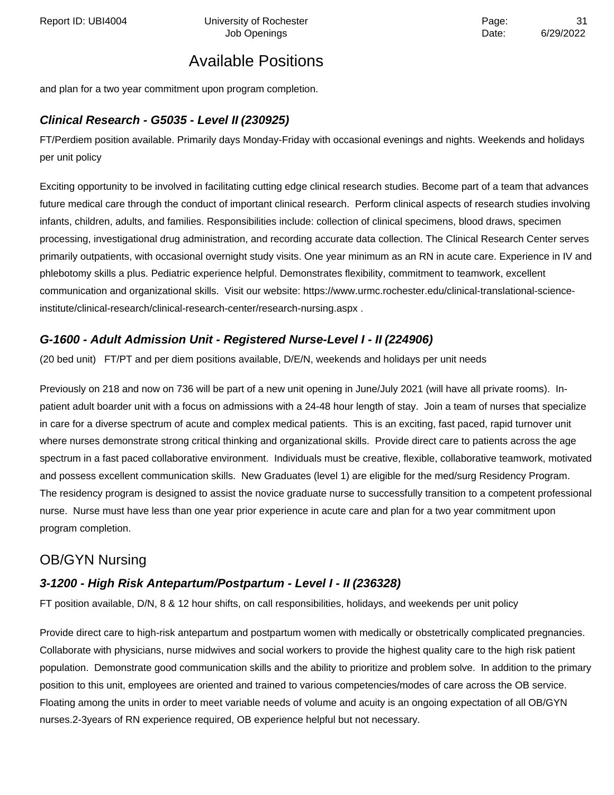and plan for a two year commitment upon program completion.

#### **Clinical Research - G5035 - Level II (230925)**

FT/Perdiem position available. Primarily days Monday-Friday with occasional evenings and nights. Weekends and holidays per unit policy

Exciting opportunity to be involved in facilitating cutting edge clinical research studies. Become part of a team that advances future medical care through the conduct of important clinical research. Perform clinical aspects of research studies involving infants, children, adults, and families. Responsibilities include: collection of clinical specimens, blood draws, specimen processing, investigational drug administration, and recording accurate data collection. The Clinical Research Center serves primarily outpatients, with occasional overnight study visits. One year minimum as an RN in acute care. Experience in IV and phlebotomy skills a plus. Pediatric experience helpful. Demonstrates flexibility, commitment to teamwork, excellent communication and organizational skills. Visit our website: https://www.urmc.rochester.edu/clinical-translational-scienceinstitute/clinical-research/clinical-research-center/research-nursing.aspx .

### **G-1600 - Adult Admission Unit - Registered Nurse-Level I - II (224906)**

(20 bed unit) FT/PT and per diem positions available, D/E/N, weekends and holidays per unit needs

Previously on 218 and now on 736 will be part of a new unit opening in June/July 2021 (will have all private rooms). Inpatient adult boarder unit with a focus on admissions with a 24-48 hour length of stay. Join a team of nurses that specialize in care for a diverse spectrum of acute and complex medical patients. This is an exciting, fast paced, rapid turnover unit where nurses demonstrate strong critical thinking and organizational skills. Provide direct care to patients across the age spectrum in a fast paced collaborative environment. Individuals must be creative, flexible, collaborative teamwork, motivated and possess excellent communication skills. New Graduates (level 1) are eligible for the med/surg Residency Program. The residency program is designed to assist the novice graduate nurse to successfully transition to a competent professional nurse. Nurse must have less than one year prior experience in acute care and plan for a two year commitment upon program completion.

### OB/GYN Nursing

#### **3-1200 - High Risk Antepartum/Postpartum - Level I - II (236328)**

FT position available, D/N, 8 & 12 hour shifts, on call responsibilities, holidays, and weekends per unit policy

Provide direct care to high-risk antepartum and postpartum women with medically or obstetrically complicated pregnancies. Collaborate with physicians, nurse midwives and social workers to provide the highest quality care to the high risk patient population. Demonstrate good communication skills and the ability to prioritize and problem solve. In addition to the primary position to this unit, employees are oriented and trained to various competencies/modes of care across the OB service. Floating among the units in order to meet variable needs of volume and acuity is an ongoing expectation of all OB/GYN nurses.2-3years of RN experience required, OB experience helpful but not necessary.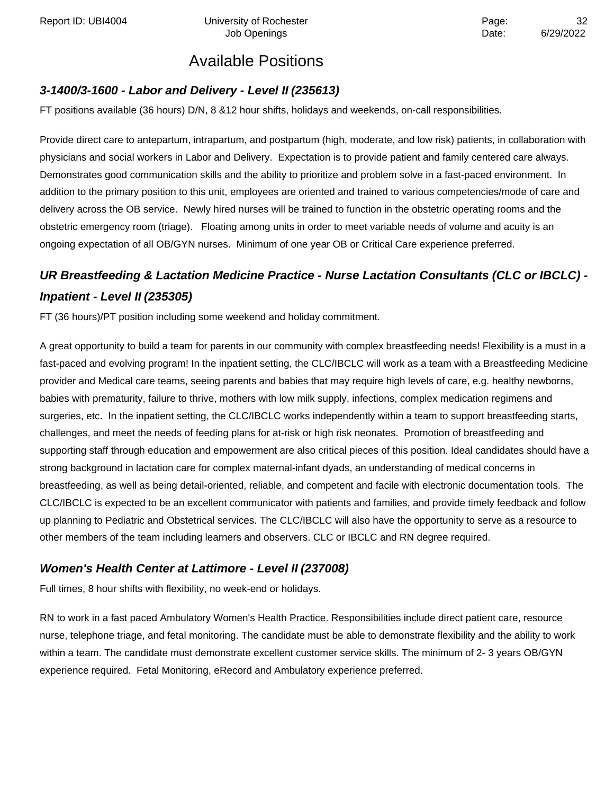### **3-1400/3-1600 - Labor and Delivery - Level II (235613)**

FT positions available (36 hours) D/N, 8 &12 hour shifts, holidays and weekends, on-call responsibilities.

Provide direct care to antepartum, intrapartum, and postpartum (high, moderate, and low risk) patients, in collaboration with physicians and social workers in Labor and Delivery. Expectation is to provide patient and family centered care always. Demonstrates good communication skills and the ability to prioritize and problem solve in a fast-paced environment. In addition to the primary position to this unit, employees are oriented and trained to various competencies/mode of care and delivery across the OB service. Newly hired nurses will be trained to function in the obstetric operating rooms and the obstetric emergency room (triage). Floating among units in order to meet variable needs of volume and acuity is an ongoing expectation of all OB/GYN nurses. Minimum of one year OB or Critical Care experience preferred.

# **UR Breastfeeding & Lactation Medicine Practice - Nurse Lactation Consultants (CLC or IBCLC) - Inpatient - Level II (235305)**

FT (36 hours)/PT position including some weekend and holiday commitment.

A great opportunity to build a team for parents in our community with complex breastfeeding needs! Flexibility is a must in a fast-paced and evolving program! In the inpatient setting, the CLC/IBCLC will work as a team with a Breastfeeding Medicine provider and Medical care teams, seeing parents and babies that may require high levels of care, e.g. healthy newborns, babies with prematurity, failure to thrive, mothers with low milk supply, infections, complex medication regimens and surgeries, etc. In the inpatient setting, the CLC/IBCLC works independently within a team to support breastfeeding starts, challenges, and meet the needs of feeding plans for at-risk or high risk neonates. Promotion of breastfeeding and supporting staff through education and empowerment are also critical pieces of this position. Ideal candidates should have a strong background in lactation care for complex maternal-infant dyads, an understanding of medical concerns in breastfeeding, as well as being detail-oriented, reliable, and competent and facile with electronic documentation tools. The CLC/IBCLC is expected to be an excellent communicator with patients and families, and provide timely feedback and follow up planning to Pediatric and Obstetrical services. The CLC/IBCLC will also have the opportunity to serve as a resource to other members of the team including learners and observers. CLC or IBCLC and RN degree required.

#### **Women's Health Center at Lattimore - Level II (237008)**

Full times, 8 hour shifts with flexibility, no week-end or holidays.

RN to work in a fast paced Ambulatory Women's Health Practice. Responsibilities include direct patient care, resource nurse, telephone triage, and fetal monitoring. The candidate must be able to demonstrate flexibility and the ability to work within a team. The candidate must demonstrate excellent customer service skills. The minimum of 2- 3 years OB/GYN experience required. Fetal Monitoring, eRecord and Ambulatory experience preferred.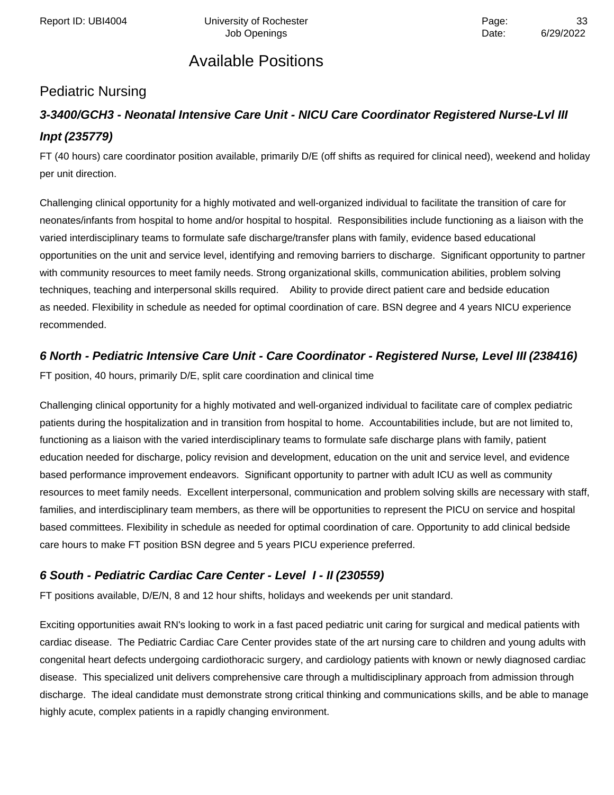### Pediatric Nursing

# **3-3400/GCH3 - Neonatal Intensive Care Unit - NICU Care Coordinator Registered Nurse-Lvl III Inpt (235779)**

FT (40 hours) care coordinator position available, primarily D/E (off shifts as required for clinical need), weekend and holiday per unit direction.

Challenging clinical opportunity for a highly motivated and well-organized individual to facilitate the transition of care for neonates/infants from hospital to home and/or hospital to hospital. Responsibilities include functioning as a liaison with the varied interdisciplinary teams to formulate safe discharge/transfer plans with family, evidence based educational opportunities on the unit and service level, identifying and removing barriers to discharge. Significant opportunity to partner with community resources to meet family needs. Strong organizational skills, communication abilities, problem solving techniques, teaching and interpersonal skills required. Ability to provide direct patient care and bedside education as needed. Flexibility in schedule as needed for optimal coordination of care. BSN degree and 4 years NICU experience recommended.

### **6 North - Pediatric Intensive Care Unit - Care Coordinator - Registered Nurse, Level III (238416)**

FT position, 40 hours, primarily D/E, split care coordination and clinical time

Challenging clinical opportunity for a highly motivated and well-organized individual to facilitate care of complex pediatric patients during the hospitalization and in transition from hospital to home. Accountabilities include, but are not limited to, functioning as a liaison with the varied interdisciplinary teams to formulate safe discharge plans with family, patient education needed for discharge, policy revision and development, education on the unit and service level, and evidence based performance improvement endeavors. Significant opportunity to partner with adult ICU as well as community resources to meet family needs. Excellent interpersonal, communication and problem solving skills are necessary with staff, families, and interdisciplinary team members, as there will be opportunities to represent the PICU on service and hospital based committees. Flexibility in schedule as needed for optimal coordination of care. Opportunity to add clinical bedside care hours to make FT position BSN degree and 5 years PICU experience preferred.

### **6 South - Pediatric Cardiac Care Center - Level I - II (230559)**

FT positions available, D/E/N, 8 and 12 hour shifts, holidays and weekends per unit standard.

Exciting opportunities await RN's looking to work in a fast paced pediatric unit caring for surgical and medical patients with cardiac disease. The Pediatric Cardiac Care Center provides state of the art nursing care to children and young adults with congenital heart defects undergoing cardiothoracic surgery, and cardiology patients with known or newly diagnosed cardiac disease. This specialized unit delivers comprehensive care through a multidisciplinary approach from admission through discharge. The ideal candidate must demonstrate strong critical thinking and communications skills, and be able to manage highly acute, complex patients in a rapidly changing environment.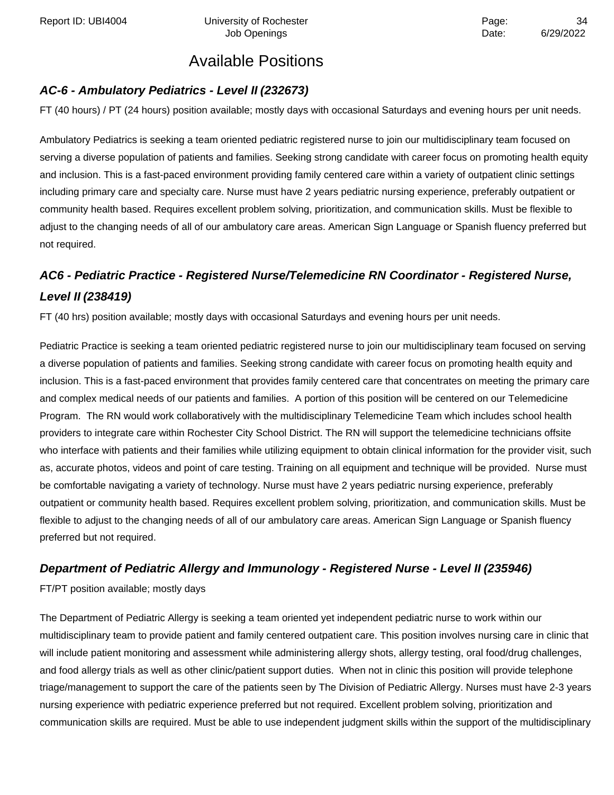## **AC-6 - Ambulatory Pediatrics - Level II (232673)**

FT (40 hours) / PT (24 hours) position available; mostly days with occasional Saturdays and evening hours per unit needs.

Ambulatory Pediatrics is seeking a team oriented pediatric registered nurse to join our multidisciplinary team focused on serving a diverse population of patients and families. Seeking strong candidate with career focus on promoting health equity and inclusion. This is a fast-paced environment providing family centered care within a variety of outpatient clinic settings including primary care and specialty care. Nurse must have 2 years pediatric nursing experience, preferably outpatient or community health based. Requires excellent problem solving, prioritization, and communication skills. Must be flexible to adjust to the changing needs of all of our ambulatory care areas. American Sign Language or Spanish fluency preferred but not required.

# **AC6 - Pediatric Practice - Registered Nurse/Telemedicine RN Coordinator - Registered Nurse, Level II (238419)**

FT (40 hrs) position available; mostly days with occasional Saturdays and evening hours per unit needs.

Pediatric Practice is seeking a team oriented pediatric registered nurse to join our multidisciplinary team focused on serving a diverse population of patients and families. Seeking strong candidate with career focus on promoting health equity and inclusion. This is a fast-paced environment that provides family centered care that concentrates on meeting the primary care and complex medical needs of our patients and families. A portion of this position will be centered on our Telemedicine Program. The RN would work collaboratively with the multidisciplinary Telemedicine Team which includes school health providers to integrate care within Rochester City School District. The RN will support the telemedicine technicians offsite who interface with patients and their families while utilizing equipment to obtain clinical information for the provider visit, such as, accurate photos, videos and point of care testing. Training on all equipment and technique will be provided. Nurse must be comfortable navigating a variety of technology. Nurse must have 2 years pediatric nursing experience, preferably outpatient or community health based. Requires excellent problem solving, prioritization, and communication skills. Must be flexible to adjust to the changing needs of all of our ambulatory care areas. American Sign Language or Spanish fluency preferred but not required.

### **Department of Pediatric Allergy and Immunology - Registered Nurse - Level II (235946)**

FT/PT position available; mostly days

The Department of Pediatric Allergy is seeking a team oriented yet independent pediatric nurse to work within our multidisciplinary team to provide patient and family centered outpatient care. This position involves nursing care in clinic that will include patient monitoring and assessment while administering allergy shots, allergy testing, oral food/drug challenges, and food allergy trials as well as other clinic/patient support duties. When not in clinic this position will provide telephone triage/management to support the care of the patients seen by The Division of Pediatric Allergy. Nurses must have 2-3 years nursing experience with pediatric experience preferred but not required. Excellent problem solving, prioritization and communication skills are required. Must be able to use independent judgment skills within the support of the multidisciplinary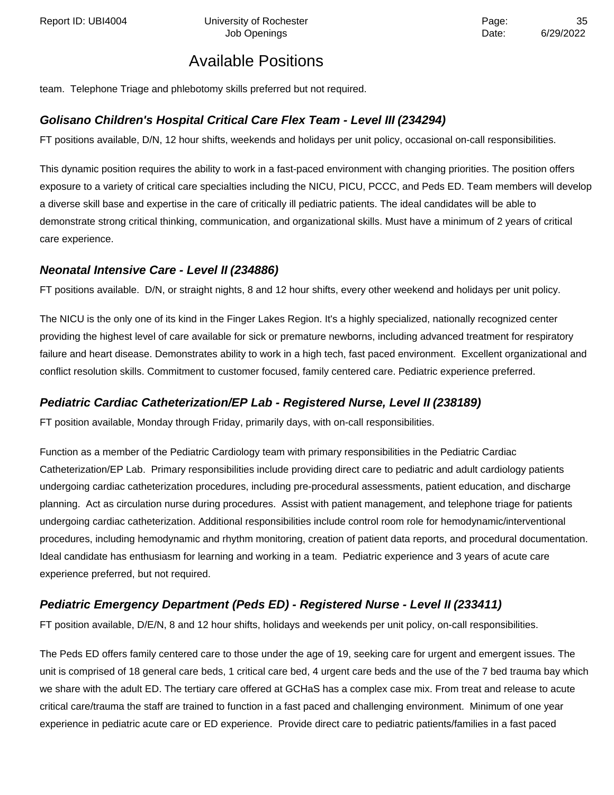Report ID: UBI4004 Chiversity of Rochester Page: 25

# Available Positions

team. Telephone Triage and phlebotomy skills preferred but not required.

#### **Golisano Children's Hospital Critical Care Flex Team - Level III (234294)**

FT positions available, D/N, 12 hour shifts, weekends and holidays per unit policy, occasional on-call responsibilities.

This dynamic position requires the ability to work in a fast-paced environment with changing priorities. The position offers exposure to a variety of critical care specialties including the NICU, PICU, PCCC, and Peds ED. Team members will develop a diverse skill base and expertise in the care of critically ill pediatric patients. The ideal candidates will be able to demonstrate strong critical thinking, communication, and organizational skills. Must have a minimum of 2 years of critical care experience.

#### **Neonatal Intensive Care - Level II (234886)**

FT positions available. D/N, or straight nights, 8 and 12 hour shifts, every other weekend and holidays per unit policy.

The NICU is the only one of its kind in the Finger Lakes Region. It's a highly specialized, nationally recognized center providing the highest level of care available for sick or premature newborns, including advanced treatment for respiratory failure and heart disease. Demonstrates ability to work in a high tech, fast paced environment. Excellent organizational and conflict resolution skills. Commitment to customer focused, family centered care. Pediatric experience preferred.

#### **Pediatric Cardiac Catheterization/EP Lab - Registered Nurse, Level II (238189)**

FT position available, Monday through Friday, primarily days, with on-call responsibilities.

Function as a member of the Pediatric Cardiology team with primary responsibilities in the Pediatric Cardiac Catheterization/EP Lab. Primary responsibilities include providing direct care to pediatric and adult cardiology patients undergoing cardiac catheterization procedures, including pre-procedural assessments, patient education, and discharge planning. Act as circulation nurse during procedures. Assist with patient management, and telephone triage for patients undergoing cardiac catheterization. Additional responsibilities include control room role for hemodynamic/interventional procedures, including hemodynamic and rhythm monitoring, creation of patient data reports, and procedural documentation. Ideal candidate has enthusiasm for learning and working in a team. Pediatric experience and 3 years of acute care experience preferred, but not required.

### **Pediatric Emergency Department (Peds ED) - Registered Nurse - Level II (233411)**

FT position available, D/E/N, 8 and 12 hour shifts, holidays and weekends per unit policy, on-call responsibilities.

The Peds ED offers family centered care to those under the age of 19, seeking care for urgent and emergent issues. The unit is comprised of 18 general care beds, 1 critical care bed, 4 urgent care beds and the use of the 7 bed trauma bay which we share with the adult ED. The tertiary care offered at GCHaS has a complex case mix. From treat and release to acute critical care/trauma the staff are trained to function in a fast paced and challenging environment. Minimum of one year experience in pediatric acute care or ED experience. Provide direct care to pediatric patients/families in a fast paced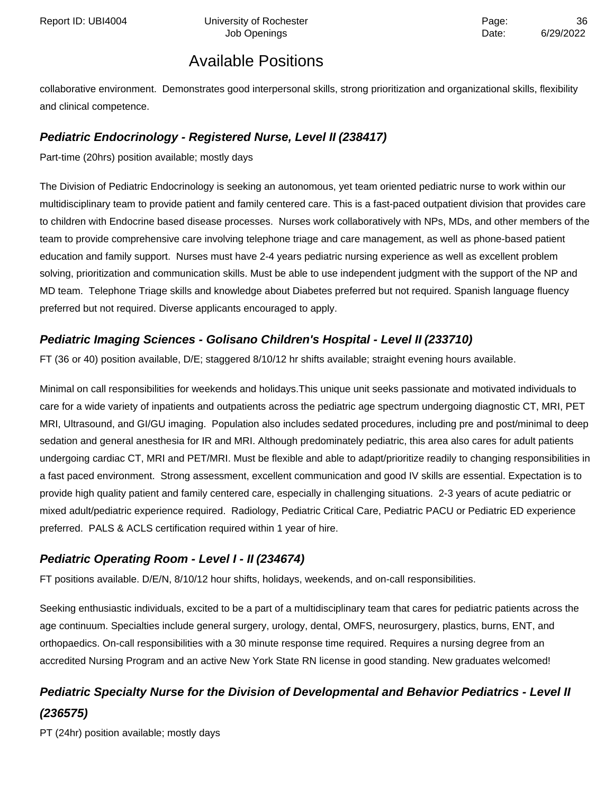collaborative environment. Demonstrates good interpersonal skills, strong prioritization and organizational skills, flexibility and clinical competence.

### **Pediatric Endocrinology - Registered Nurse, Level II (238417)**

Part-time (20hrs) position available; mostly days

The Division of Pediatric Endocrinology is seeking an autonomous, yet team oriented pediatric nurse to work within our multidisciplinary team to provide patient and family centered care. This is a fast-paced outpatient division that provides care to children with Endocrine based disease processes. Nurses work collaboratively with NPs, MDs, and other members of the team to provide comprehensive care involving telephone triage and care management, as well as phone-based patient education and family support. Nurses must have 2-4 years pediatric nursing experience as well as excellent problem solving, prioritization and communication skills. Must be able to use independent judgment with the support of the NP and MD team. Telephone Triage skills and knowledge about Diabetes preferred but not required. Spanish language fluency preferred but not required. Diverse applicants encouraged to apply.

### **Pediatric Imaging Sciences - Golisano Children's Hospital - Level II (233710)**

FT (36 or 40) position available, D/E; staggered 8/10/12 hr shifts available; straight evening hours available.

Minimal on call responsibilities for weekends and holidays.This unique unit seeks passionate and motivated individuals to care for a wide variety of inpatients and outpatients across the pediatric age spectrum undergoing diagnostic CT, MRI, PET MRI, Ultrasound, and GI/GU imaging. Population also includes sedated procedures, including pre and post/minimal to deep sedation and general anesthesia for IR and MRI. Although predominately pediatric, this area also cares for adult patients undergoing cardiac CT, MRI and PET/MRI. Must be flexible and able to adapt/prioritize readily to changing responsibilities in a fast paced environment. Strong assessment, excellent communication and good IV skills are essential. Expectation is to provide high quality patient and family centered care, especially in challenging situations. 2-3 years of acute pediatric or mixed adult/pediatric experience required. Radiology, Pediatric Critical Care, Pediatric PACU or Pediatric ED experience preferred. PALS & ACLS certification required within 1 year of hire.

### **Pediatric Operating Room - Level I - II (234674)**

FT positions available. D/E/N, 8/10/12 hour shifts, holidays, weekends, and on-call responsibilities.

Seeking enthusiastic individuals, excited to be a part of a multidisciplinary team that cares for pediatric patients across the age continuum. Specialties include general surgery, urology, dental, OMFS, neurosurgery, plastics, burns, ENT, and orthopaedics. On-call responsibilities with a 30 minute response time required. Requires a nursing degree from an accredited Nursing Program and an active New York State RN license in good standing. New graduates welcomed!

# **Pediatric Specialty Nurse for the Division of Developmental and Behavior Pediatrics - Level II (236575)**

PT (24hr) position available; mostly days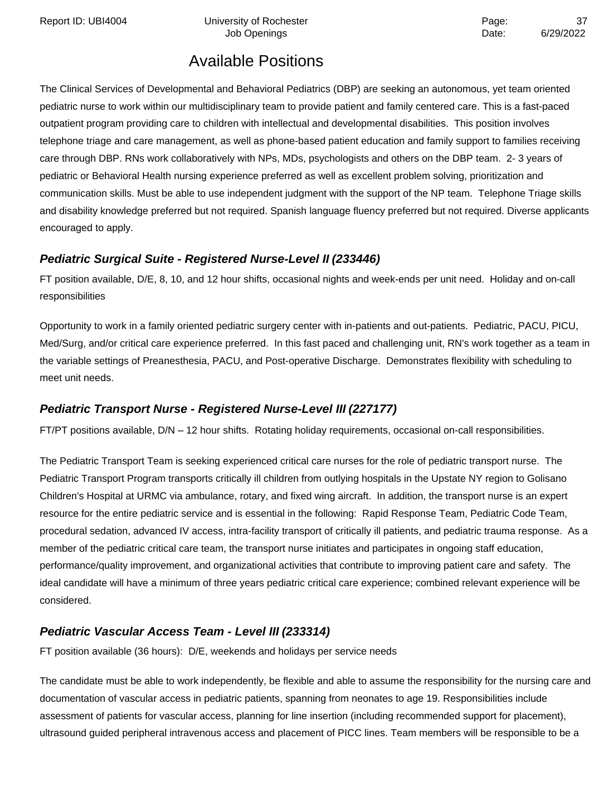Report ID: UBI4004 **Depart Controller University of Rochester** Page: 27 and 237

# Available Positions

The Clinical Services of Developmental and Behavioral Pediatrics (DBP) are seeking an autonomous, yet team oriented pediatric nurse to work within our multidisciplinary team to provide patient and family centered care. This is a fast-paced outpatient program providing care to children with intellectual and developmental disabilities. This position involves telephone triage and care management, as well as phone-based patient education and family support to families receiving care through DBP. RNs work collaboratively with NPs, MDs, psychologists and others on the DBP team. 2- 3 years of pediatric or Behavioral Health nursing experience preferred as well as excellent problem solving, prioritization and communication skills. Must be able to use independent judgment with the support of the NP team. Telephone Triage skills and disability knowledge preferred but not required. Spanish language fluency preferred but not required. Diverse applicants encouraged to apply.

## **Pediatric Surgical Suite - Registered Nurse-Level II (233446)**

FT position available, D/E, 8, 10, and 12 hour shifts, occasional nights and week-ends per unit need. Holiday and on-call responsibilities

Opportunity to work in a family oriented pediatric surgery center with in-patients and out-patients. Pediatric, PACU, PICU, Med/Surg, and/or critical care experience preferred. In this fast paced and challenging unit, RN's work together as a team in the variable settings of Preanesthesia, PACU, and Post-operative Discharge. Demonstrates flexibility with scheduling to meet unit needs.

## **Pediatric Transport Nurse - Registered Nurse-Level III (227177)**

FT/PT positions available, D/N – 12 hour shifts. Rotating holiday requirements, occasional on-call responsibilities.

The Pediatric Transport Team is seeking experienced critical care nurses for the role of pediatric transport nurse. The Pediatric Transport Program transports critically ill children from outlying hospitals in the Upstate NY region to Golisano Children's Hospital at URMC via ambulance, rotary, and fixed wing aircraft. In addition, the transport nurse is an expert resource for the entire pediatric service and is essential in the following: Rapid Response Team, Pediatric Code Team, procedural sedation, advanced IV access, intra-facility transport of critically ill patients, and pediatric trauma response. As a member of the pediatric critical care team, the transport nurse initiates and participates in ongoing staff education, performance/quality improvement, and organizational activities that contribute to improving patient care and safety. The ideal candidate will have a minimum of three years pediatric critical care experience; combined relevant experience will be considered.

## **Pediatric Vascular Access Team - Level III (233314)**

FT position available (36 hours): D/E, weekends and holidays per service needs

The candidate must be able to work independently, be flexible and able to assume the responsibility for the nursing care and documentation of vascular access in pediatric patients, spanning from neonates to age 19. Responsibilities include assessment of patients for vascular access, planning for line insertion (including recommended support for placement), ultrasound guided peripheral intravenous access and placement of PICC lines. Team members will be responsible to be a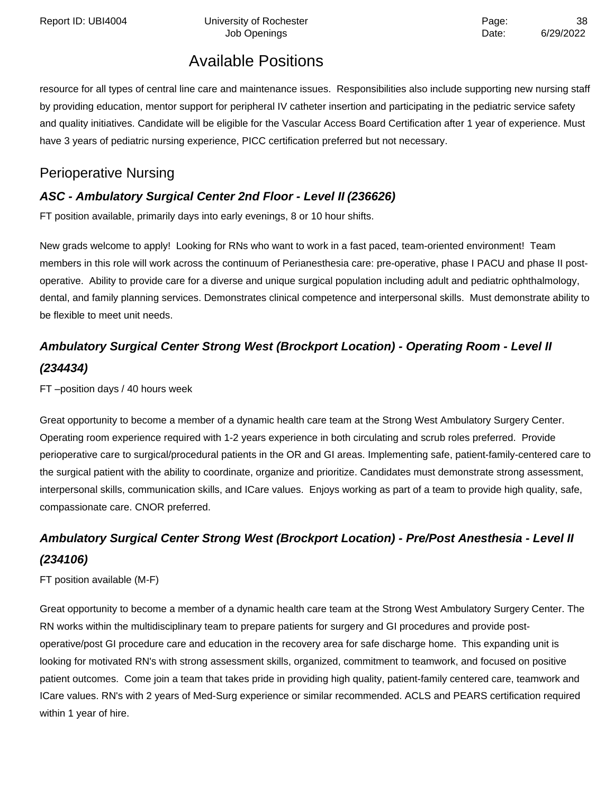resource for all types of central line care and maintenance issues. Responsibilities also include supporting new nursing staff by providing education, mentor support for peripheral IV catheter insertion and participating in the pediatric service safety and quality initiatives. Candidate will be eligible for the Vascular Access Board Certification after 1 year of experience. Must have 3 years of pediatric nursing experience, PICC certification preferred but not necessary.

## Perioperative Nursing

## **ASC - Ambulatory Surgical Center 2nd Floor - Level II (236626)**

FT position available, primarily days into early evenings, 8 or 10 hour shifts.

New grads welcome to apply! Looking for RNs who want to work in a fast paced, team-oriented environment! Team members in this role will work across the continuum of Perianesthesia care: pre-operative, phase I PACU and phase II postoperative. Ability to provide care for a diverse and unique surgical population including adult and pediatric ophthalmology, dental, and family planning services. Demonstrates clinical competence and interpersonal skills. Must demonstrate ability to be flexible to meet unit needs.

# **Ambulatory Surgical Center Strong West (Brockport Location) - Operating Room - Level II (234434)**

FT –position days / 40 hours week

Great opportunity to become a member of a dynamic health care team at the Strong West Ambulatory Surgery Center. Operating room experience required with 1-2 years experience in both circulating and scrub roles preferred. Provide perioperative care to surgical/procedural patients in the OR and GI areas. Implementing safe, patient-family-centered care to the surgical patient with the ability to coordinate, organize and prioritize. Candidates must demonstrate strong assessment, interpersonal skills, communication skills, and ICare values. Enjoys working as part of a team to provide high quality, safe, compassionate care. CNOR preferred.

# **Ambulatory Surgical Center Strong West (Brockport Location) - Pre/Post Anesthesia - Level II (234106)**

FT position available (M-F)

Great opportunity to become a member of a dynamic health care team at the Strong West Ambulatory Surgery Center. The RN works within the multidisciplinary team to prepare patients for surgery and GI procedures and provide postoperative/post GI procedure care and education in the recovery area for safe discharge home. This expanding unit is looking for motivated RN's with strong assessment skills, organized, commitment to teamwork, and focused on positive patient outcomes. Come join a team that takes pride in providing high quality, patient-family centered care, teamwork and ICare values. RN's with 2 years of Med-Surg experience or similar recommended. ACLS and PEARS certification required within 1 year of hire.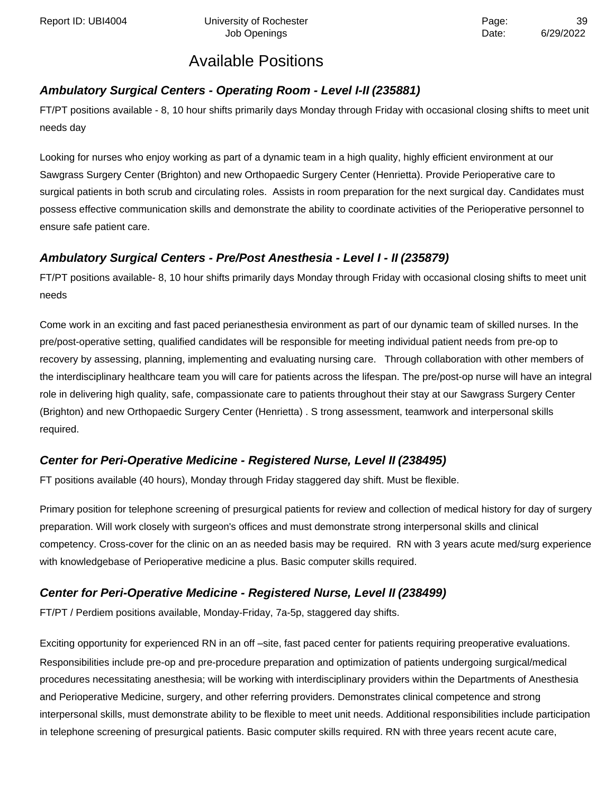### **Ambulatory Surgical Centers - Operating Room - Level I-II (235881)**

FT/PT positions available - 8, 10 hour shifts primarily days Monday through Friday with occasional closing shifts to meet unit needs day

Looking for nurses who enjoy working as part of a dynamic team in a high quality, highly efficient environment at our Sawgrass Surgery Center (Brighton) and new Orthopaedic Surgery Center (Henrietta). Provide Perioperative care to surgical patients in both scrub and circulating roles. Assists in room preparation for the next surgical day. Candidates must possess effective communication skills and demonstrate the ability to coordinate activities of the Perioperative personnel to ensure safe patient care.

### **Ambulatory Surgical Centers - Pre/Post Anesthesia - Level I - II (235879)**

FT/PT positions available- 8, 10 hour shifts primarily days Monday through Friday with occasional closing shifts to meet unit needs

Come work in an exciting and fast paced perianesthesia environment as part of our dynamic team of skilled nurses. In the pre/post-operative setting, qualified candidates will be responsible for meeting individual patient needs from pre-op to recovery by assessing, planning, implementing and evaluating nursing care. Through collaboration with other members of the interdisciplinary healthcare team you will care for patients across the lifespan. The pre/post-op nurse will have an integral role in delivering high quality, safe, compassionate care to patients throughout their stay at our Sawgrass Surgery Center (Brighton) and new Orthopaedic Surgery Center (Henrietta) . S trong assessment, teamwork and interpersonal skills required.

### **Center for Peri-Operative Medicine - Registered Nurse, Level II (238495)**

FT positions available (40 hours), Monday through Friday staggered day shift. Must be flexible.

Primary position for telephone screening of presurgical patients for review and collection of medical history for day of surgery preparation. Will work closely with surgeon's offices and must demonstrate strong interpersonal skills and clinical competency. Cross-cover for the clinic on an as needed basis may be required. RN with 3 years acute med/surg experience with knowledgebase of Perioperative medicine a plus. Basic computer skills required.

### **Center for Peri-Operative Medicine - Registered Nurse, Level II (238499)**

FT/PT / Perdiem positions available, Monday-Friday, 7a-5p, staggered day shifts.

Exciting opportunity for experienced RN in an off –site, fast paced center for patients requiring preoperative evaluations. Responsibilities include pre-op and pre-procedure preparation and optimization of patients undergoing surgical/medical procedures necessitating anesthesia; will be working with interdisciplinary providers within the Departments of Anesthesia and Perioperative Medicine, surgery, and other referring providers. Demonstrates clinical competence and strong interpersonal skills, must demonstrate ability to be flexible to meet unit needs. Additional responsibilities include participation in telephone screening of presurgical patients. Basic computer skills required. RN with three years recent acute care,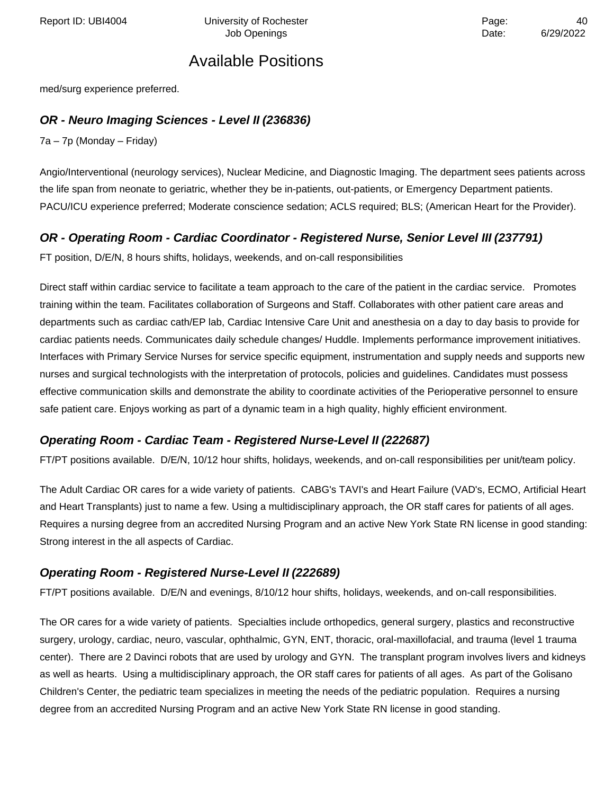Report ID: UBI4004 Chiversity of Rochester Page: All Page: 40

## Available Positions

med/surg experience preferred.

### **OR - Neuro Imaging Sciences - Level II (236836)**

7a – 7p (Monday – Friday)

Angio/Interventional (neurology services), Nuclear Medicine, and Diagnostic Imaging. The department sees patients across the life span from neonate to geriatric, whether they be in-patients, out-patients, or Emergency Department patients. PACU/ICU experience preferred; Moderate conscience sedation; ACLS required; BLS; (American Heart for the Provider).

### **OR - Operating Room - Cardiac Coordinator - Registered Nurse, Senior Level III (237791)**

FT position, D/E/N, 8 hours shifts, holidays, weekends, and on-call responsibilities

Direct staff within cardiac service to facilitate a team approach to the care of the patient in the cardiac service. Promotes training within the team. Facilitates collaboration of Surgeons and Staff. Collaborates with other patient care areas and departments such as cardiac cath/EP lab, Cardiac Intensive Care Unit and anesthesia on a day to day basis to provide for cardiac patients needs. Communicates daily schedule changes/ Huddle. Implements performance improvement initiatives. Interfaces with Primary Service Nurses for service specific equipment, instrumentation and supply needs and supports new nurses and surgical technologists with the interpretation of protocols, policies and guidelines. Candidates must possess effective communication skills and demonstrate the ability to coordinate activities of the Perioperative personnel to ensure safe patient care. Enjoys working as part of a dynamic team in a high quality, highly efficient environment.

#### **Operating Room - Cardiac Team - Registered Nurse-Level II (222687)**

FT/PT positions available. D/E/N, 10/12 hour shifts, holidays, weekends, and on-call responsibilities per unit/team policy.

The Adult Cardiac OR cares for a wide variety of patients. CABG's TAVI's and Heart Failure (VAD's, ECMO, Artificial Heart and Heart Transplants) just to name a few. Using a multidisciplinary approach, the OR staff cares for patients of all ages. Requires a nursing degree from an accredited Nursing Program and an active New York State RN license in good standing: Strong interest in the all aspects of Cardiac.

#### **Operating Room - Registered Nurse-Level II (222689)**

FT/PT positions available. D/E/N and evenings, 8/10/12 hour shifts, holidays, weekends, and on-call responsibilities.

The OR cares for a wide variety of patients. Specialties include orthopedics, general surgery, plastics and reconstructive surgery, urology, cardiac, neuro, vascular, ophthalmic, GYN, ENT, thoracic, oral-maxillofacial, and trauma (level 1 trauma center). There are 2 Davinci robots that are used by urology and GYN. The transplant program involves livers and kidneys as well as hearts. Using a multidisciplinary approach, the OR staff cares for patients of all ages. As part of the Golisano Children's Center, the pediatric team specializes in meeting the needs of the pediatric population. Requires a nursing degree from an accredited Nursing Program and an active New York State RN license in good standing.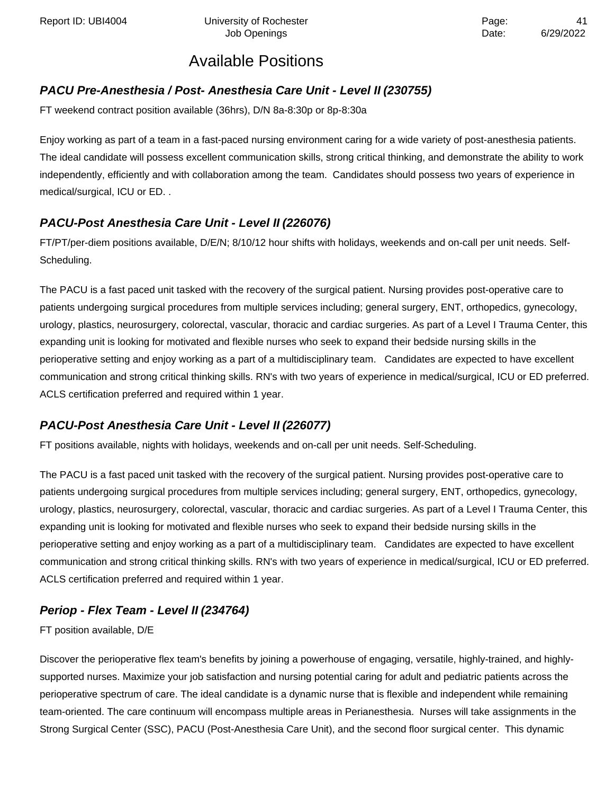Report ID: UBI4004 University of Rochester **Access 2018** Page:

## Available Positions

### **PACU Pre-Anesthesia / Post- Anesthesia Care Unit - Level II (230755)**

FT weekend contract position available (36hrs), D/N 8a-8:30p or 8p-8:30a

Enjoy working as part of a team in a fast-paced nursing environment caring for a wide variety of post-anesthesia patients. The ideal candidate will possess excellent communication skills, strong critical thinking, and demonstrate the ability to work independently, efficiently and with collaboration among the team. Candidates should possess two years of experience in medical/surgical, ICU or ED. .

### **PACU-Post Anesthesia Care Unit - Level II (226076)**

FT/PT/per-diem positions available, D/E/N; 8/10/12 hour shifts with holidays, weekends and on-call per unit needs. Self-Scheduling.

The PACU is a fast paced unit tasked with the recovery of the surgical patient. Nursing provides post-operative care to patients undergoing surgical procedures from multiple services including; general surgery, ENT, orthopedics, gynecology, urology, plastics, neurosurgery, colorectal, vascular, thoracic and cardiac surgeries. As part of a Level I Trauma Center, this expanding unit is looking for motivated and flexible nurses who seek to expand their bedside nursing skills in the perioperative setting and enjoy working as a part of a multidisciplinary team. Candidates are expected to have excellent communication and strong critical thinking skills. RN's with two years of experience in medical/surgical, ICU or ED preferred. ACLS certification preferred and required within 1 year.

### **PACU-Post Anesthesia Care Unit - Level II (226077)**

FT positions available, nights with holidays, weekends and on-call per unit needs. Self-Scheduling.

The PACU is a fast paced unit tasked with the recovery of the surgical patient. Nursing provides post-operative care to patients undergoing surgical procedures from multiple services including; general surgery, ENT, orthopedics, gynecology, urology, plastics, neurosurgery, colorectal, vascular, thoracic and cardiac surgeries. As part of a Level I Trauma Center, this expanding unit is looking for motivated and flexible nurses who seek to expand their bedside nursing skills in the perioperative setting and enjoy working as a part of a multidisciplinary team. Candidates are expected to have excellent communication and strong critical thinking skills. RN's with two years of experience in medical/surgical, ICU or ED preferred. ACLS certification preferred and required within 1 year.

## **Periop - Flex Team - Level II (234764)**

FT position available, D/E

Discover the perioperative flex team's benefits by joining a powerhouse of engaging, versatile, highly-trained, and highlysupported nurses. Maximize your job satisfaction and nursing potential caring for adult and pediatric patients across the perioperative spectrum of care. The ideal candidate is a dynamic nurse that is flexible and independent while remaining team-oriented. The care continuum will encompass multiple areas in Perianesthesia. Nurses will take assignments in the Strong Surgical Center (SSC), PACU (Post-Anesthesia Care Unit), and the second floor surgical center. This dynamic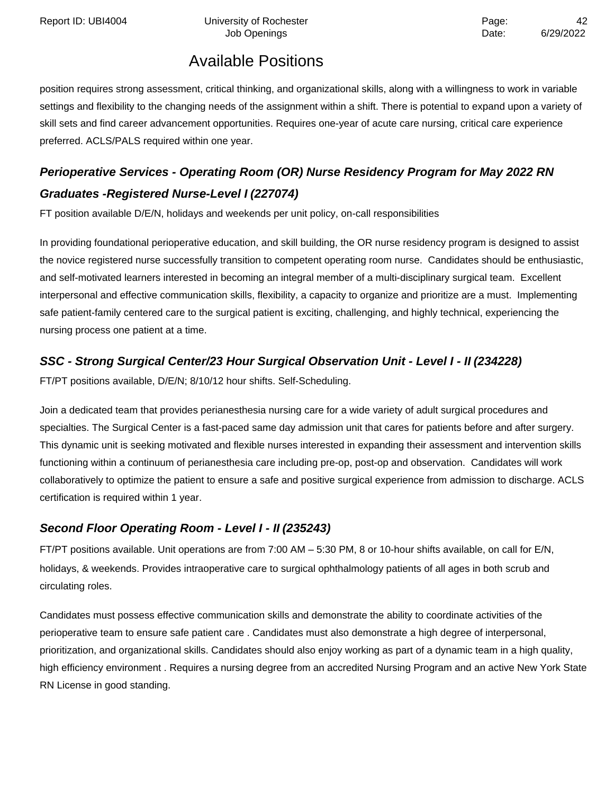position requires strong assessment, critical thinking, and organizational skills, along with a willingness to work in variable settings and flexibility to the changing needs of the assignment within a shift. There is potential to expand upon a variety of skill sets and find career advancement opportunities. Requires one-year of acute care nursing, critical care experience preferred. ACLS/PALS required within one year.

# **Perioperative Services - Operating Room (OR) Nurse Residency Program for May 2022 RN Graduates -Registered Nurse-Level I (227074)**

FT position available D/E/N, holidays and weekends per unit policy, on-call responsibilities

In providing foundational perioperative education, and skill building, the OR nurse residency program is designed to assist the novice registered nurse successfully transition to competent operating room nurse. Candidates should be enthusiastic, and self-motivated learners interested in becoming an integral member of a multi-disciplinary surgical team. Excellent interpersonal and effective communication skills, flexibility, a capacity to organize and prioritize are a must. Implementing safe patient-family centered care to the surgical patient is exciting, challenging, and highly technical, experiencing the nursing process one patient at a time.

## **SSC - Strong Surgical Center/23 Hour Surgical Observation Unit - Level I - II (234228)**

FT/PT positions available, D/E/N; 8/10/12 hour shifts. Self-Scheduling.

Join a dedicated team that provides perianesthesia nursing care for a wide variety of adult surgical procedures and specialties. The Surgical Center is a fast-paced same day admission unit that cares for patients before and after surgery. This dynamic unit is seeking motivated and flexible nurses interested in expanding their assessment and intervention skills functioning within a continuum of perianesthesia care including pre-op, post-op and observation. Candidates will work collaboratively to optimize the patient to ensure a safe and positive surgical experience from admission to discharge. ACLS certification is required within 1 year.

### **Second Floor Operating Room - Level I - II (235243)**

FT/PT positions available. Unit operations are from 7:00 AM – 5:30 PM, 8 or 10-hour shifts available, on call for E/N, holidays, & weekends. Provides intraoperative care to surgical ophthalmology patients of all ages in both scrub and circulating roles.

Candidates must possess effective communication skills and demonstrate the ability to coordinate activities of the perioperative team to ensure safe patient care . Candidates must also demonstrate a high degree of interpersonal, prioritization, and organizational skills. Candidates should also enjoy working as part of a dynamic team in a high quality, high efficiency environment . Requires a nursing degree from an accredited Nursing Program and an active New York State RN License in good standing.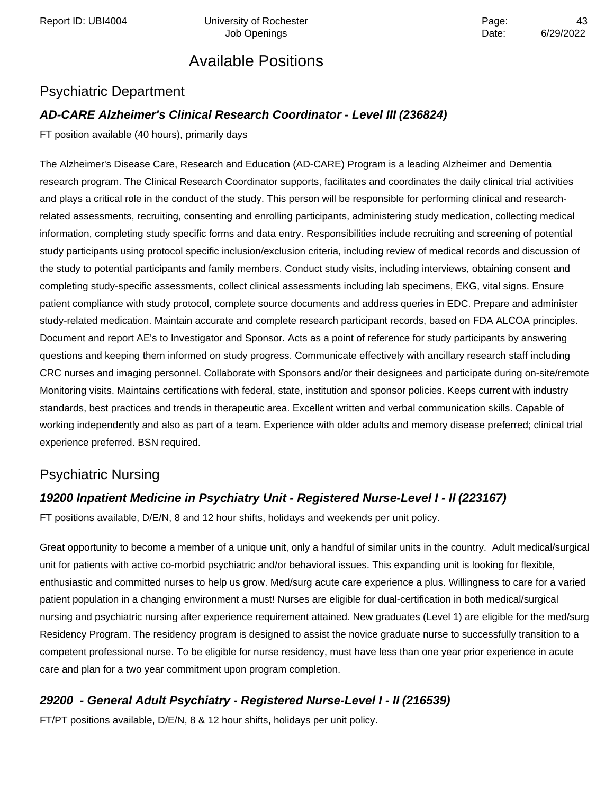Report ID: UBI4004 **Depart Controller University of Rochester** Page: A3

Job Openings **Date:** 6/29/2022

## Available Positions

## Psychiatric Department

### **AD-CARE Alzheimer's Clinical Research Coordinator - Level III (236824)**

FT position available (40 hours), primarily days

The Alzheimer's Disease Care, Research and Education (AD-CARE) Program is a leading Alzheimer and Dementia research program. The Clinical Research Coordinator supports, facilitates and coordinates the daily clinical trial activities and plays a critical role in the conduct of the study. This person will be responsible for performing clinical and researchrelated assessments, recruiting, consenting and enrolling participants, administering study medication, collecting medical information, completing study specific forms and data entry. Responsibilities include recruiting and screening of potential study participants using protocol specific inclusion/exclusion criteria, including review of medical records and discussion of the study to potential participants and family members. Conduct study visits, including interviews, obtaining consent and completing study-specific assessments, collect clinical assessments including lab specimens, EKG, vital signs. Ensure patient compliance with study protocol, complete source documents and address queries in EDC. Prepare and administer study-related medication. Maintain accurate and complete research participant records, based on FDA ALCOA principles. Document and report AE's to Investigator and Sponsor. Acts as a point of reference for study participants by answering questions and keeping them informed on study progress. Communicate effectively with ancillary research staff including CRC nurses and imaging personnel. Collaborate with Sponsors and/or their designees and participate during on-site/remote Monitoring visits. Maintains certifications with federal, state, institution and sponsor policies. Keeps current with industry standards, best practices and trends in therapeutic area. Excellent written and verbal communication skills. Capable of working independently and also as part of a team. Experience with older adults and memory disease preferred; clinical trial experience preferred. BSN required.

## Psychiatric Nursing

### **19200 Inpatient Medicine in Psychiatry Unit - Registered Nurse-Level I - II (223167)**

FT positions available, D/E/N, 8 and 12 hour shifts, holidays and weekends per unit policy.

Great opportunity to become a member of a unique unit, only a handful of similar units in the country. Adult medical/surgical unit for patients with active co-morbid psychiatric and/or behavioral issues. This expanding unit is looking for flexible, enthusiastic and committed nurses to help us grow. Med/surg acute care experience a plus. Willingness to care for a varied patient population in a changing environment a must! Nurses are eligible for dual-certification in both medical/surgical nursing and psychiatric nursing after experience requirement attained. New graduates (Level 1) are eligible for the med/surg Residency Program. The residency program is designed to assist the novice graduate nurse to successfully transition to a competent professional nurse. To be eligible for nurse residency, must have less than one year prior experience in acute care and plan for a two year commitment upon program completion.

### **29200 - General Adult Psychiatry - Registered Nurse-Level I - II (216539)**

FT/PT positions available, D/E/N, 8 & 12 hour shifts, holidays per unit policy.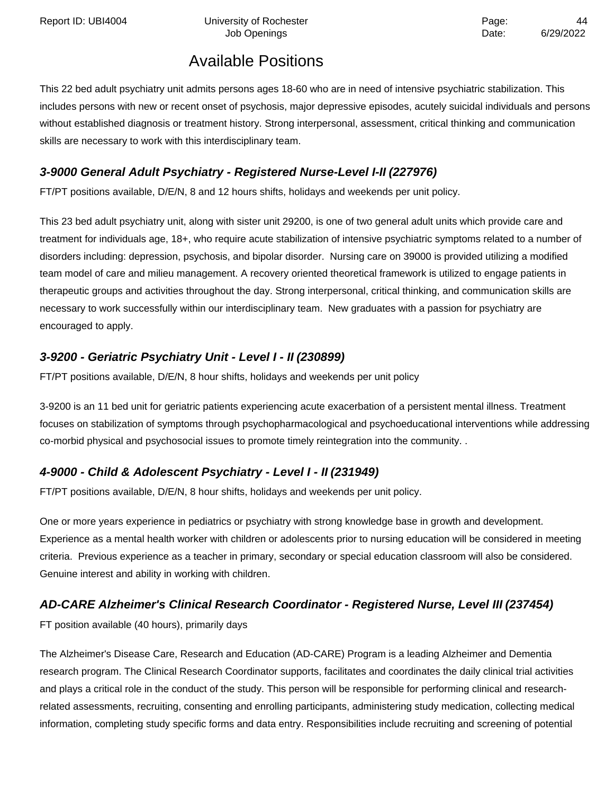This 22 bed adult psychiatry unit admits persons ages 18-60 who are in need of intensive psychiatric stabilization. This includes persons with new or recent onset of psychosis, major depressive episodes, acutely suicidal individuals and persons without established diagnosis or treatment history. Strong interpersonal, assessment, critical thinking and communication skills are necessary to work with this interdisciplinary team.

## **3-9000 General Adult Psychiatry - Registered Nurse-Level I-II (227976)**

FT/PT positions available, D/E/N, 8 and 12 hours shifts, holidays and weekends per unit policy.

This 23 bed adult psychiatry unit, along with sister unit 29200, is one of two general adult units which provide care and treatment for individuals age, 18+, who require acute stabilization of intensive psychiatric symptoms related to a number of disorders including: depression, psychosis, and bipolar disorder. Nursing care on 39000 is provided utilizing a modified team model of care and milieu management. A recovery oriented theoretical framework is utilized to engage patients in therapeutic groups and activities throughout the day. Strong interpersonal, critical thinking, and communication skills are necessary to work successfully within our interdisciplinary team. New graduates with a passion for psychiatry are encouraged to apply.

### **3-9200 - Geriatric Psychiatry Unit - Level I - II (230899)**

FT/PT positions available, D/E/N, 8 hour shifts, holidays and weekends per unit policy

3-9200 is an 11 bed unit for geriatric patients experiencing acute exacerbation of a persistent mental illness. Treatment focuses on stabilization of symptoms through psychopharmacological and psychoeducational interventions while addressing co-morbid physical and psychosocial issues to promote timely reintegration into the community. .

## **4-9000 - Child & Adolescent Psychiatry - Level I - II (231949)**

FT/PT positions available, D/E/N, 8 hour shifts, holidays and weekends per unit policy.

One or more years experience in pediatrics or psychiatry with strong knowledge base in growth and development. Experience as a mental health worker with children or adolescents prior to nursing education will be considered in meeting criteria. Previous experience as a teacher in primary, secondary or special education classroom will also be considered. Genuine interest and ability in working with children.

## **AD-CARE Alzheimer's Clinical Research Coordinator - Registered Nurse, Level III (237454)**

FT position available (40 hours), primarily days

The Alzheimer's Disease Care, Research and Education (AD-CARE) Program is a leading Alzheimer and Dementia research program. The Clinical Research Coordinator supports, facilitates and coordinates the daily clinical trial activities and plays a critical role in the conduct of the study. This person will be responsible for performing clinical and researchrelated assessments, recruiting, consenting and enrolling participants, administering study medication, collecting medical information, completing study specific forms and data entry. Responsibilities include recruiting and screening of potential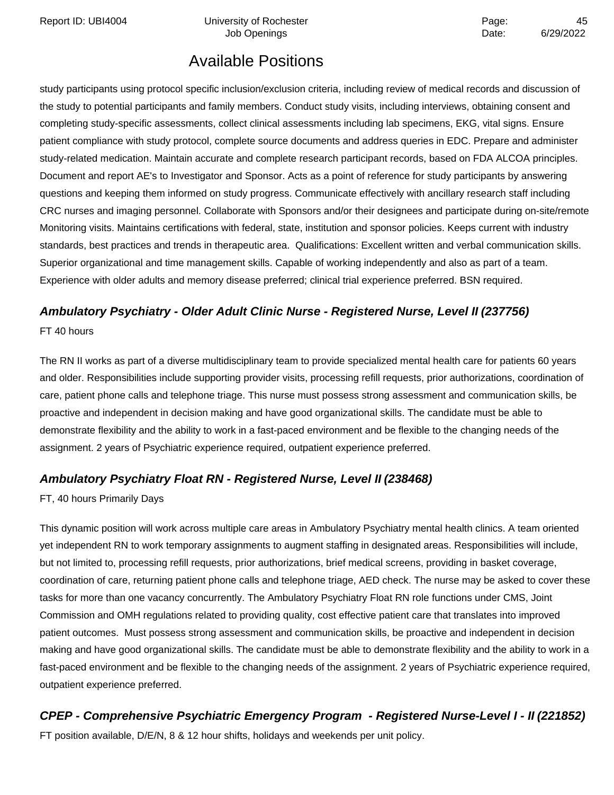Report ID: UBI4004 Chiversity of Rochester Page: At a strategy and the Page: At a strategy and the Page: At a strategy and the Page: At a strategy and the Page: At a strategy and the Page: At a strategy and the Page and th

# Available Positions

study participants using protocol specific inclusion/exclusion criteria, including review of medical records and discussion of the study to potential participants and family members. Conduct study visits, including interviews, obtaining consent and completing study-specific assessments, collect clinical assessments including lab specimens, EKG, vital signs. Ensure patient compliance with study protocol, complete source documents and address queries in EDC. Prepare and administer study-related medication. Maintain accurate and complete research participant records, based on FDA ALCOA principles. Document and report AE's to Investigator and Sponsor. Acts as a point of reference for study participants by answering questions and keeping them informed on study progress. Communicate effectively with ancillary research staff including CRC nurses and imaging personnel. Collaborate with Sponsors and/or their designees and participate during on-site/remote Monitoring visits. Maintains certifications with federal, state, institution and sponsor policies. Keeps current with industry standards, best practices and trends in therapeutic area. Qualifications: Excellent written and verbal communication skills. Superior organizational and time management skills. Capable of working independently and also as part of a team. Experience with older adults and memory disease preferred; clinical trial experience preferred. BSN required.

# **Ambulatory Psychiatry - Older Adult Clinic Nurse - Registered Nurse, Level II (237756)**

FT 40 hours

The RN II works as part of a diverse multidisciplinary team to provide specialized mental health care for patients 60 years and older. Responsibilities include supporting provider visits, processing refill requests, prior authorizations, coordination of care, patient phone calls and telephone triage. This nurse must possess strong assessment and communication skills, be proactive and independent in decision making and have good organizational skills. The candidate must be able to demonstrate flexibility and the ability to work in a fast-paced environment and be flexible to the changing needs of the assignment. 2 years of Psychiatric experience required, outpatient experience preferred.

### **Ambulatory Psychiatry Float RN - Registered Nurse, Level II (238468)**

FT, 40 hours Primarily Days

This dynamic position will work across multiple care areas in Ambulatory Psychiatry mental health clinics. A team oriented yet independent RN to work temporary assignments to augment staffing in designated areas. Responsibilities will include, but not limited to, processing refill requests, prior authorizations, brief medical screens, providing in basket coverage, coordination of care, returning patient phone calls and telephone triage, AED check. The nurse may be asked to cover these tasks for more than one vacancy concurrently. The Ambulatory Psychiatry Float RN role functions under CMS, Joint Commission and OMH regulations related to providing quality, cost effective patient care that translates into improved patient outcomes. Must possess strong assessment and communication skills, be proactive and independent in decision making and have good organizational skills. The candidate must be able to demonstrate flexibility and the ability to work in a fast-paced environment and be flexible to the changing needs of the assignment. 2 years of Psychiatric experience required, outpatient experience preferred.

## **CPEP - Comprehensive Psychiatric Emergency Program - Registered Nurse-Level I - II (221852)**

FT position available, D/E/N, 8 & 12 hour shifts, holidays and weekends per unit policy.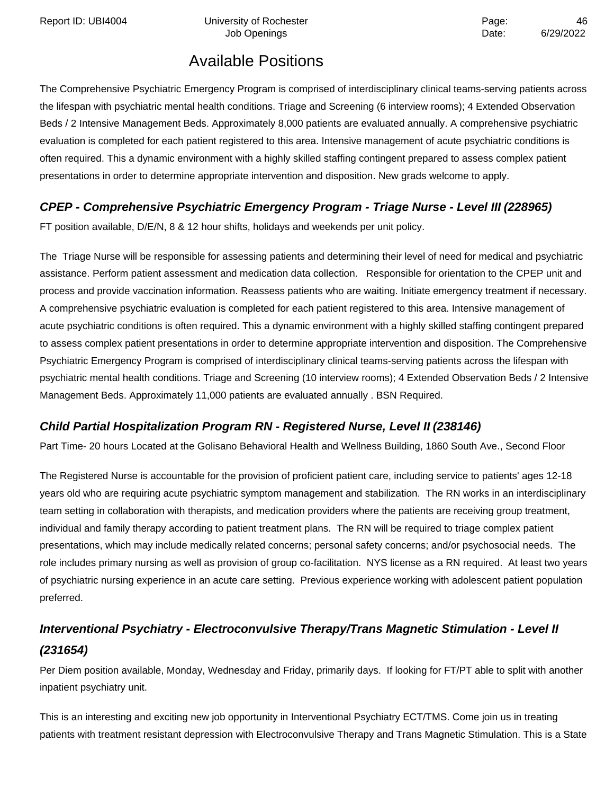Report ID: UBI4004 **Depart Controller University of Rochester** Page: All Page: 46

# Available Positions

The Comprehensive Psychiatric Emergency Program is comprised of interdisciplinary clinical teams-serving patients across the lifespan with psychiatric mental health conditions. Triage and Screening (6 interview rooms); 4 Extended Observation Beds / 2 Intensive Management Beds. Approximately 8,000 patients are evaluated annually. A comprehensive psychiatric evaluation is completed for each patient registered to this area. Intensive management of acute psychiatric conditions is often required. This a dynamic environment with a highly skilled staffing contingent prepared to assess complex patient presentations in order to determine appropriate intervention and disposition. New grads welcome to apply.

## **CPEP - Comprehensive Psychiatric Emergency Program - Triage Nurse - Level III (228965)**

FT position available, D/E/N, 8 & 12 hour shifts, holidays and weekends per unit policy.

The Triage Nurse will be responsible for assessing patients and determining their level of need for medical and psychiatric assistance. Perform patient assessment and medication data collection. Responsible for orientation to the CPEP unit and process and provide vaccination information. Reassess patients who are waiting. Initiate emergency treatment if necessary. A comprehensive psychiatric evaluation is completed for each patient registered to this area. Intensive management of acute psychiatric conditions is often required. This a dynamic environment with a highly skilled staffing contingent prepared to assess complex patient presentations in order to determine appropriate intervention and disposition. The Comprehensive Psychiatric Emergency Program is comprised of interdisciplinary clinical teams-serving patients across the lifespan with psychiatric mental health conditions. Triage and Screening (10 interview rooms); 4 Extended Observation Beds / 2 Intensive Management Beds. Approximately 11,000 patients are evaluated annually . BSN Required.

### **Child Partial Hospitalization Program RN - Registered Nurse, Level II (238146)**

Part Time- 20 hours Located at the Golisano Behavioral Health and Wellness Building, 1860 South Ave., Second Floor

The Registered Nurse is accountable for the provision of proficient patient care, including service to patients' ages 12-18 years old who are requiring acute psychiatric symptom management and stabilization. The RN works in an interdisciplinary team setting in collaboration with therapists, and medication providers where the patients are receiving group treatment, individual and family therapy according to patient treatment plans. The RN will be required to triage complex patient presentations, which may include medically related concerns; personal safety concerns; and/or psychosocial needs. The role includes primary nursing as well as provision of group co-facilitation. NYS license as a RN required. At least two years of psychiatric nursing experience in an acute care setting. Previous experience working with adolescent patient population preferred.

# **Interventional Psychiatry - Electroconvulsive Therapy/Trans Magnetic Stimulation - Level II (231654)**

Per Diem position available, Monday, Wednesday and Friday, primarily days. If looking for FT/PT able to split with another inpatient psychiatry unit.

This is an interesting and exciting new job opportunity in Interventional Psychiatry ECT/TMS. Come join us in treating patients with treatment resistant depression with Electroconvulsive Therapy and Trans Magnetic Stimulation. This is a State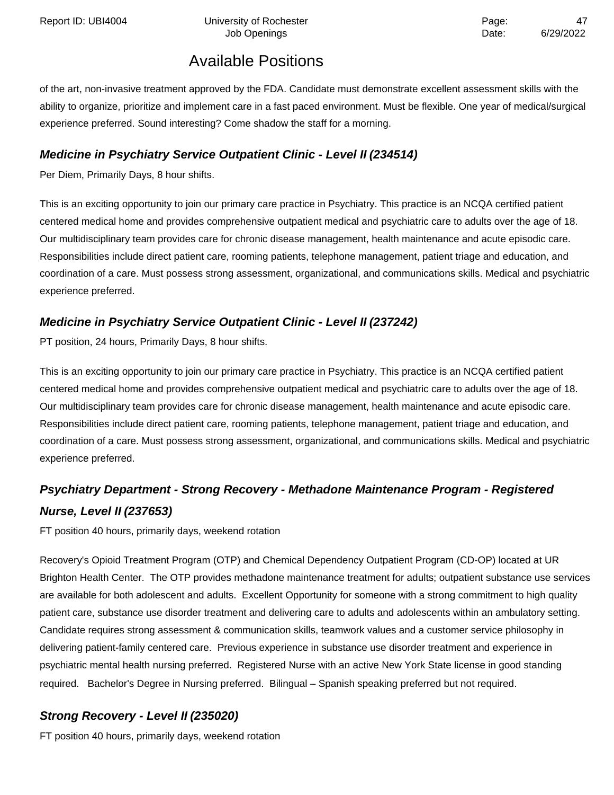of the art, non-invasive treatment approved by the FDA. Candidate must demonstrate excellent assessment skills with the ability to organize, prioritize and implement care in a fast paced environment. Must be flexible. One year of medical/surgical experience preferred. Sound interesting? Come shadow the staff for a morning.

### **Medicine in Psychiatry Service Outpatient Clinic - Level II (234514)**

Per Diem, Primarily Days, 8 hour shifts.

This is an exciting opportunity to join our primary care practice in Psychiatry. This practice is an NCQA certified patient centered medical home and provides comprehensive outpatient medical and psychiatric care to adults over the age of 18. Our multidisciplinary team provides care for chronic disease management, health maintenance and acute episodic care. Responsibilities include direct patient care, rooming patients, telephone management, patient triage and education, and coordination of a care. Must possess strong assessment, organizational, and communications skills. Medical and psychiatric experience preferred.

## **Medicine in Psychiatry Service Outpatient Clinic - Level II (237242)**

PT position, 24 hours, Primarily Days, 8 hour shifts.

This is an exciting opportunity to join our primary care practice in Psychiatry. This practice is an NCQA certified patient centered medical home and provides comprehensive outpatient medical and psychiatric care to adults over the age of 18. Our multidisciplinary team provides care for chronic disease management, health maintenance and acute episodic care. Responsibilities include direct patient care, rooming patients, telephone management, patient triage and education, and coordination of a care. Must possess strong assessment, organizational, and communications skills. Medical and psychiatric experience preferred.

## **Psychiatry Department - Strong Recovery - Methadone Maintenance Program - Registered Nurse, Level II (237653)**

FT position 40 hours, primarily days, weekend rotation

Recovery's Opioid Treatment Program (OTP) and Chemical Dependency Outpatient Program (CD-OP) located at UR Brighton Health Center. The OTP provides methadone maintenance treatment for adults; outpatient substance use services are available for both adolescent and adults. Excellent Opportunity for someone with a strong commitment to high quality patient care, substance use disorder treatment and delivering care to adults and adolescents within an ambulatory setting. Candidate requires strong assessment & communication skills, teamwork values and a customer service philosophy in delivering patient-family centered care. Previous experience in substance use disorder treatment and experience in psychiatric mental health nursing preferred. Registered Nurse with an active New York State license in good standing required. Bachelor's Degree in Nursing preferred. Bilingual – Spanish speaking preferred but not required.

## **Strong Recovery - Level II (235020)**

FT position 40 hours, primarily days, weekend rotation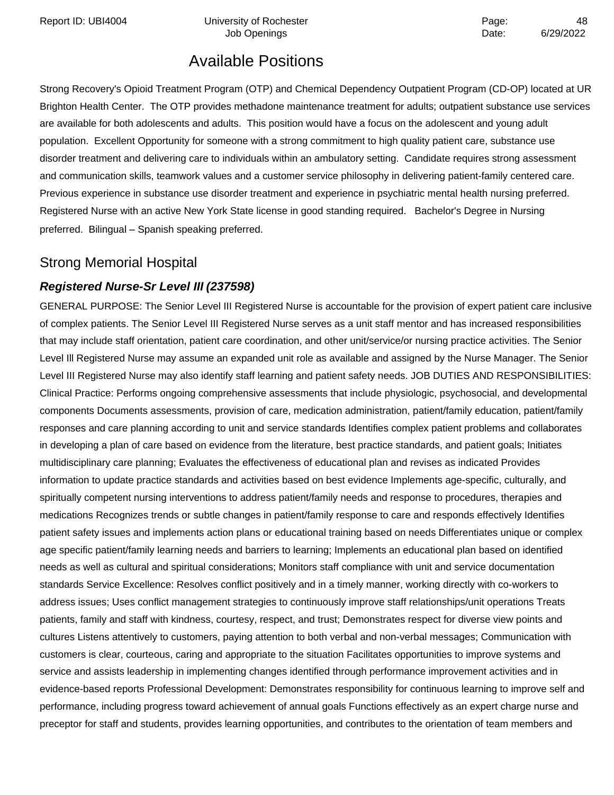Report ID: UBI4004 **Depart Controller University of Rochester** Page: All Page: 48

Job Openings **Date:** 6/29/2022

# Available Positions

Strong Recovery's Opioid Treatment Program (OTP) and Chemical Dependency Outpatient Program (CD-OP) located at UR Brighton Health Center. The OTP provides methadone maintenance treatment for adults; outpatient substance use services are available for both adolescents and adults. This position would have a focus on the adolescent and young adult population. Excellent Opportunity for someone with a strong commitment to high quality patient care, substance use disorder treatment and delivering care to individuals within an ambulatory setting. Candidate requires strong assessment and communication skills, teamwork values and a customer service philosophy in delivering patient-family centered care. Previous experience in substance use disorder treatment and experience in psychiatric mental health nursing preferred. Registered Nurse with an active New York State license in good standing required. Bachelor's Degree in Nursing preferred. Bilingual – Spanish speaking preferred.

## Strong Memorial Hospital

## **Registered Nurse-Sr Level III (237598)**

GENERAL PURPOSE: The Senior Level III Registered Nurse is accountable for the provision of expert patient care inclusive of complex patients. The Senior Level III Registered Nurse serves as a unit staff mentor and has increased responsibilities that may include staff orientation, patient care coordination, and other unit/service/or nursing practice activities. The Senior Level Ill Registered Nurse may assume an expanded unit role as available and assigned by the Nurse Manager. The Senior Level III Registered Nurse may also identify staff learning and patient safety needs. JOB DUTIES AND RESPONSIBILITIES: Clinical Practice: Performs ongoing comprehensive assessments that include physiologic, psychosocial, and developmental components Documents assessments, provision of care, medication administration, patient/family education, patient/family responses and care planning according to unit and service standards Identifies complex patient problems and collaborates in developing a plan of care based on evidence from the literature, best practice standards, and patient goals; Initiates multidisciplinary care planning; Evaluates the effectiveness of educational plan and revises as indicated Provides information to update practice standards and activities based on best evidence Implements age-specific, culturally, and spiritually competent nursing interventions to address patient/family needs and response to procedures, therapies and medications Recognizes trends or subtle changes in patient/family response to care and responds effectively Identifies patient safety issues and implements action plans or educational training based on needs Differentiates unique or complex age specific patient/family learning needs and barriers to learning; Implements an educational plan based on identified needs as well as cultural and spiritual considerations; Monitors staff compliance with unit and service documentation standards Service Excellence: Resolves conflict positively and in a timely manner, working directly with co-workers to address issues; Uses conflict management strategies to continuously improve staff relationships/unit operations Treats patients, family and staff with kindness, courtesy, respect, and trust; Demonstrates respect for diverse view points and cultures Listens attentively to customers, paying attention to both verbal and non-verbal messages; Communication with customers is clear, courteous, caring and appropriate to the situation Facilitates opportunities to improve systems and service and assists leadership in implementing changes identified through performance improvement activities and in evidence-based reports Professional Development: Demonstrates responsibility for continuous learning to improve self and performance, including progress toward achievement of annual goals Functions effectively as an expert charge nurse and preceptor for staff and students, provides learning opportunities, and contributes to the orientation of team members and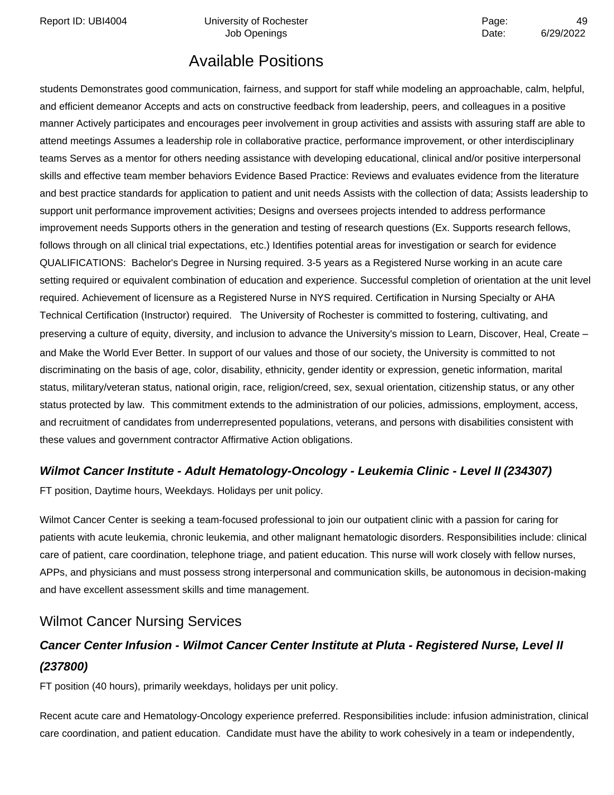Report ID: UBI4004 **Depart Controller University of Rochester** Page: All Page: 49

Job Openings **Date:** 6/29/2022

# Available Positions

students Demonstrates good communication, fairness, and support for staff while modeling an approachable, calm, helpful, and efficient demeanor Accepts and acts on constructive feedback from leadership, peers, and colleagues in a positive manner Actively participates and encourages peer involvement in group activities and assists with assuring staff are able to attend meetings Assumes a leadership role in collaborative practice, performance improvement, or other interdisciplinary teams Serves as a mentor for others needing assistance with developing educational, clinical and/or positive interpersonal skills and effective team member behaviors Evidence Based Practice: Reviews and evaluates evidence from the literature and best practice standards for application to patient and unit needs Assists with the collection of data; Assists leadership to support unit performance improvement activities; Designs and oversees projects intended to address performance improvement needs Supports others in the generation and testing of research questions (Ex. Supports research fellows, follows through on all clinical trial expectations, etc.) Identifies potential areas for investigation or search for evidence QUALIFICATIONS: Bachelor's Degree in Nursing required. 3-5 years as a Registered Nurse working in an acute care setting required or equivalent combination of education and experience. Successful completion of orientation at the unit level required. Achievement of licensure as a Registered Nurse in NYS required. Certification in Nursing Specialty or AHA Technical Certification (Instructor) required. The University of Rochester is committed to fostering, cultivating, and preserving a culture of equity, diversity, and inclusion to advance the University's mission to Learn, Discover, Heal, Create – and Make the World Ever Better. In support of our values and those of our society, the University is committed to not discriminating on the basis of age, color, disability, ethnicity, gender identity or expression, genetic information, marital status, military/veteran status, national origin, race, religion/creed, sex, sexual orientation, citizenship status, or any other status protected by law. This commitment extends to the administration of our policies, admissions, employment, access, and recruitment of candidates from underrepresented populations, veterans, and persons with disabilities consistent with these values and government contractor Affirmative Action obligations.

### **Wilmot Cancer Institute - Adult Hematology-Oncology - Leukemia Clinic - Level II (234307)**

FT position, Daytime hours, Weekdays. Holidays per unit policy.

Wilmot Cancer Center is seeking a team-focused professional to join our outpatient clinic with a passion for caring for patients with acute leukemia, chronic leukemia, and other malignant hematologic disorders. Responsibilities include: clinical care of patient, care coordination, telephone triage, and patient education. This nurse will work closely with fellow nurses, APPs, and physicians and must possess strong interpersonal and communication skills, be autonomous in decision-making and have excellent assessment skills and time management.

## Wilmot Cancer Nursing Services

## **Cancer Center Infusion - Wilmot Cancer Center Institute at Pluta - Registered Nurse, Level II (237800)**

FT position (40 hours), primarily weekdays, holidays per unit policy.

Recent acute care and Hematology-Oncology experience preferred. Responsibilities include: infusion administration, clinical care coordination, and patient education. Candidate must have the ability to work cohesively in a team or independently,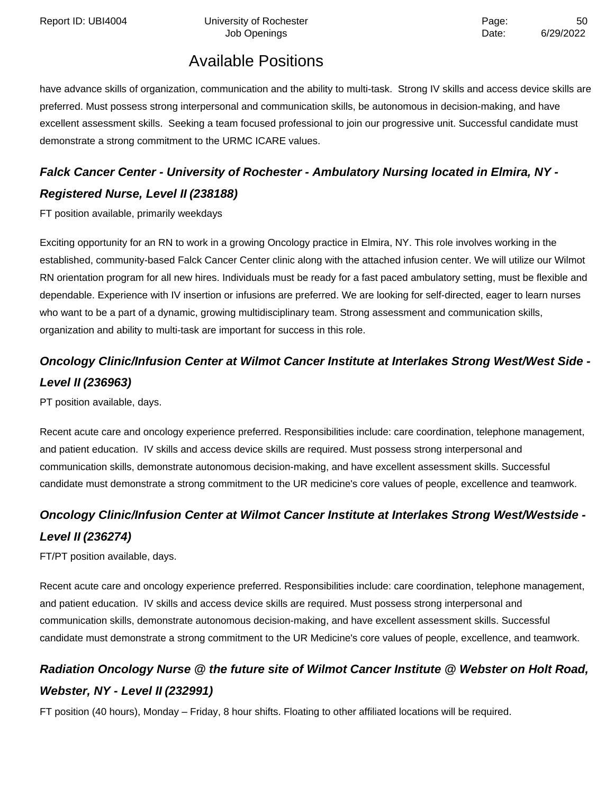Report ID: UBI4004 Chiversity of Rochester Page: 50

Job Openings **Date:** 6/29/2022

# Available Positions

have advance skills of organization, communication and the ability to multi-task. Strong IV skills and access device skills are preferred. Must possess strong interpersonal and communication skills, be autonomous in decision-making, and have excellent assessment skills. Seeking a team focused professional to join our progressive unit. Successful candidate must demonstrate a strong commitment to the URMC ICARE values.

# **Falck Cancer Center - University of Rochester - Ambulatory Nursing located in Elmira, NY - Registered Nurse, Level II (238188)**

FT position available, primarily weekdays

Exciting opportunity for an RN to work in a growing Oncology practice in Elmira, NY. This role involves working in the established, community-based Falck Cancer Center clinic along with the attached infusion center. We will utilize our Wilmot RN orientation program for all new hires. Individuals must be ready for a fast paced ambulatory setting, must be flexible and dependable. Experience with IV insertion or infusions are preferred. We are looking for self-directed, eager to learn nurses who want to be a part of a dynamic, growing multidisciplinary team. Strong assessment and communication skills, organization and ability to multi-task are important for success in this role.

# **Oncology Clinic/Infusion Center at Wilmot Cancer Institute at Interlakes Strong West/West Side - Level II (236963)**

PT position available, days.

Recent acute care and oncology experience preferred. Responsibilities include: care coordination, telephone management, and patient education. IV skills and access device skills are required. Must possess strong interpersonal and communication skills, demonstrate autonomous decision-making, and have excellent assessment skills. Successful candidate must demonstrate a strong commitment to the UR medicine's core values of people, excellence and teamwork.

# **Oncology Clinic/Infusion Center at Wilmot Cancer Institute at Interlakes Strong West/Westside - Level II (236274)**

FT/PT position available, days.

Recent acute care and oncology experience preferred. Responsibilities include: care coordination, telephone management, and patient education. IV skills and access device skills are required. Must possess strong interpersonal and communication skills, demonstrate autonomous decision-making, and have excellent assessment skills. Successful candidate must demonstrate a strong commitment to the UR Medicine's core values of people, excellence, and teamwork.

# **Radiation Oncology Nurse @ the future site of Wilmot Cancer Institute @ Webster on Holt Road, Webster, NY - Level II (232991)**

FT position (40 hours), Monday – Friday, 8 hour shifts. Floating to other affiliated locations will be required.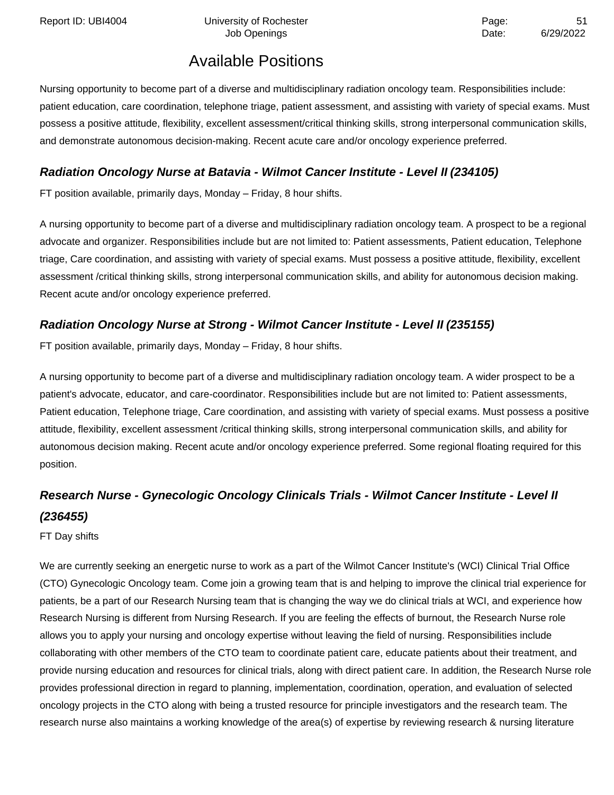Nursing opportunity to become part of a diverse and multidisciplinary radiation oncology team. Responsibilities include: patient education, care coordination, telephone triage, patient assessment, and assisting with variety of special exams. Must possess a positive attitude, flexibility, excellent assessment/critical thinking skills, strong interpersonal communication skills, and demonstrate autonomous decision-making. Recent acute care and/or oncology experience preferred.

### **Radiation Oncology Nurse at Batavia - Wilmot Cancer Institute - Level II (234105)**

FT position available, primarily days, Monday – Friday, 8 hour shifts.

A nursing opportunity to become part of a diverse and multidisciplinary radiation oncology team. A prospect to be a regional advocate and organizer. Responsibilities include but are not limited to: Patient assessments, Patient education, Telephone triage, Care coordination, and assisting with variety of special exams. Must possess a positive attitude, flexibility, excellent assessment /critical thinking skills, strong interpersonal communication skills, and ability for autonomous decision making. Recent acute and/or oncology experience preferred.

### **Radiation Oncology Nurse at Strong - Wilmot Cancer Institute - Level II (235155)**

FT position available, primarily days, Monday – Friday, 8 hour shifts.

A nursing opportunity to become part of a diverse and multidisciplinary radiation oncology team. A wider prospect to be a patient's advocate, educator, and care-coordinator. Responsibilities include but are not limited to: Patient assessments, Patient education, Telephone triage, Care coordination, and assisting with variety of special exams. Must possess a positive attitude, flexibility, excellent assessment /critical thinking skills, strong interpersonal communication skills, and ability for autonomous decision making. Recent acute and/or oncology experience preferred. Some regional floating required for this position.

# **Research Nurse - Gynecologic Oncology Clinicals Trials - Wilmot Cancer Institute - Level II (236455)**

FT Day shifts

We are currently seeking an energetic nurse to work as a part of the Wilmot Cancer Institute's (WCI) Clinical Trial Office (CTO) Gynecologic Oncology team. Come join a growing team that is and helping to improve the clinical trial experience for patients, be a part of our Research Nursing team that is changing the way we do clinical trials at WCI, and experience how Research Nursing is different from Nursing Research. If you are feeling the effects of burnout, the Research Nurse role allows you to apply your nursing and oncology expertise without leaving the field of nursing. Responsibilities include collaborating with other members of the CTO team to coordinate patient care, educate patients about their treatment, and provide nursing education and resources for clinical trials, along with direct patient care. In addition, the Research Nurse role provides professional direction in regard to planning, implementation, coordination, operation, and evaluation of selected oncology projects in the CTO along with being a trusted resource for principle investigators and the research team. The research nurse also maintains a working knowledge of the area(s) of expertise by reviewing research & nursing literature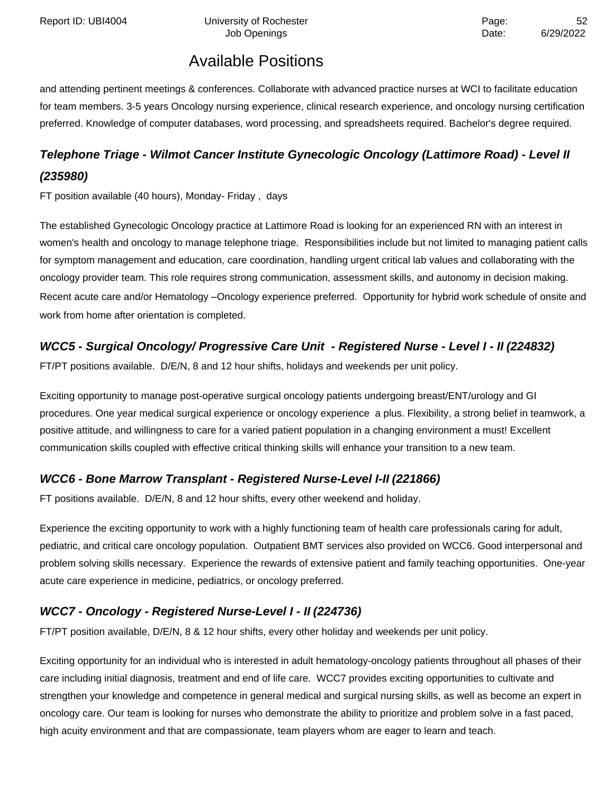and attending pertinent meetings & conferences. Collaborate with advanced practice nurses at WCI to facilitate education for team members. 3-5 years Oncology nursing experience, clinical research experience, and oncology nursing certification preferred. Knowledge of computer databases, word processing, and spreadsheets required. Bachelor's degree required.

## **Telephone Triage - Wilmot Cancer Institute Gynecologic Oncology (Lattimore Road) - Level II (235980)**

FT position available (40 hours), Monday- Friday , days

The established Gynecologic Oncology practice at Lattimore Road is looking for an experienced RN with an interest in women's health and oncology to manage telephone triage. Responsibilities include but not limited to managing patient calls for symptom management and education, care coordination, handling urgent critical lab values and collaborating with the oncology provider team. This role requires strong communication, assessment skills, and autonomy in decision making. Recent acute care and/or Hematology –Oncology experience preferred. Opportunity for hybrid work schedule of onsite and work from home after orientation is completed.

## **WCC5 - Surgical Oncology/ Progressive Care Unit - Registered Nurse - Level I - II (224832)**

FT/PT positions available. D/E/N, 8 and 12 hour shifts, holidays and weekends per unit policy.

Exciting opportunity to manage post-operative surgical oncology patients undergoing breast/ENT/urology and GI procedures. One year medical surgical experience or oncology experience a plus. Flexibility, a strong belief in teamwork, a positive attitude, and willingness to care for a varied patient population in a changing environment a must! Excellent communication skills coupled with effective critical thinking skills will enhance your transition to a new team.

### **WCC6 - Bone Marrow Transplant - Registered Nurse-Level I-II (221866)**

FT positions available. D/E/N, 8 and 12 hour shifts, every other weekend and holiday.

Experience the exciting opportunity to work with a highly functioning team of health care professionals caring for adult, pediatric, and critical care oncology population. Outpatient BMT services also provided on WCC6. Good interpersonal and problem solving skills necessary. Experience the rewards of extensive patient and family teaching opportunities. One-year acute care experience in medicine, pediatrics, or oncology preferred.

## **WCC7 - Oncology - Registered Nurse-Level I - II (224736)**

FT/PT position available, D/E/N, 8 & 12 hour shifts, every other holiday and weekends per unit policy.

Exciting opportunity for an individual who is interested in adult hematology-oncology patients throughout all phases of their care including initial diagnosis, treatment and end of life care. WCC7 provides exciting opportunities to cultivate and strengthen your knowledge and competence in general medical and surgical nursing skills, as well as become an expert in oncology care. Our team is looking for nurses who demonstrate the ability to prioritize and problem solve in a fast paced, high acuity environment and that are compassionate, team players whom are eager to learn and teach.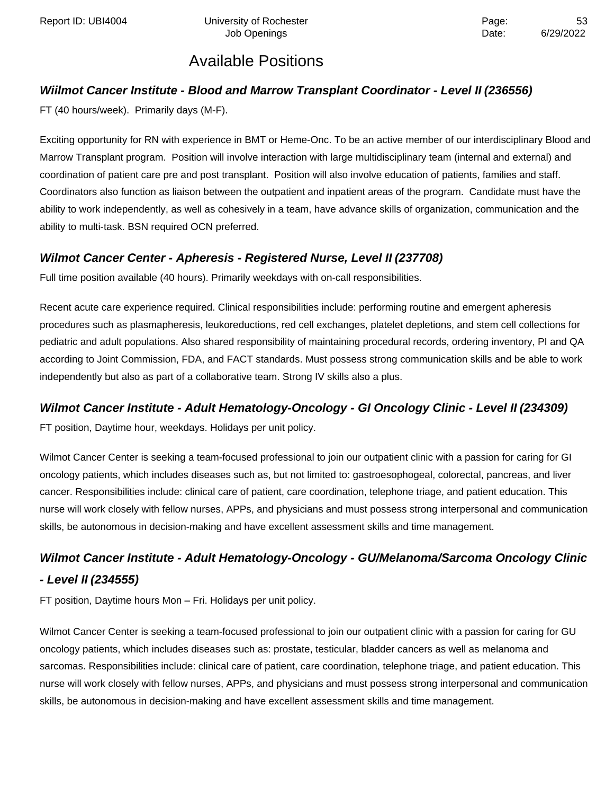### **Wiilmot Cancer Institute - Blood and Marrow Transplant Coordinator - Level II (236556)**

FT (40 hours/week). Primarily days (M-F).

Exciting opportunity for RN with experience in BMT or Heme-Onc. To be an active member of our interdisciplinary Blood and Marrow Transplant program. Position will involve interaction with large multidisciplinary team (internal and external) and coordination of patient care pre and post transplant. Position will also involve education of patients, families and staff. Coordinators also function as liaison between the outpatient and inpatient areas of the program. Candidate must have the ability to work independently, as well as cohesively in a team, have advance skills of organization, communication and the ability to multi-task. BSN required OCN preferred.

### **Wilmot Cancer Center - Apheresis - Registered Nurse, Level II (237708)**

Full time position available (40 hours). Primarily weekdays with on-call responsibilities.

Recent acute care experience required. Clinical responsibilities include: performing routine and emergent apheresis procedures such as plasmapheresis, leukoreductions, red cell exchanges, platelet depletions, and stem cell collections for pediatric and adult populations. Also shared responsibility of maintaining procedural records, ordering inventory, PI and QA according to Joint Commission, FDA, and FACT standards. Must possess strong communication skills and be able to work independently but also as part of a collaborative team. Strong IV skills also a plus.

### **Wilmot Cancer Institute - Adult Hematology-Oncology - GI Oncology Clinic - Level II (234309)**

FT position, Daytime hour, weekdays. Holidays per unit policy.

Wilmot Cancer Center is seeking a team-focused professional to join our outpatient clinic with a passion for caring for GI oncology patients, which includes diseases such as, but not limited to: gastroesophogeal, colorectal, pancreas, and liver cancer. Responsibilities include: clinical care of patient, care coordination, telephone triage, and patient education. This nurse will work closely with fellow nurses, APPs, and physicians and must possess strong interpersonal and communication skills, be autonomous in decision-making and have excellent assessment skills and time management.

## **Wilmot Cancer Institute - Adult Hematology-Oncology - GU/Melanoma/Sarcoma Oncology Clinic - Level II (234555)**

FT position, Daytime hours Mon – Fri. Holidays per unit policy.

Wilmot Cancer Center is seeking a team-focused professional to join our outpatient clinic with a passion for caring for GU oncology patients, which includes diseases such as: prostate, testicular, bladder cancers as well as melanoma and sarcomas. Responsibilities include: clinical care of patient, care coordination, telephone triage, and patient education. This nurse will work closely with fellow nurses, APPs, and physicians and must possess strong interpersonal and communication skills, be autonomous in decision-making and have excellent assessment skills and time management.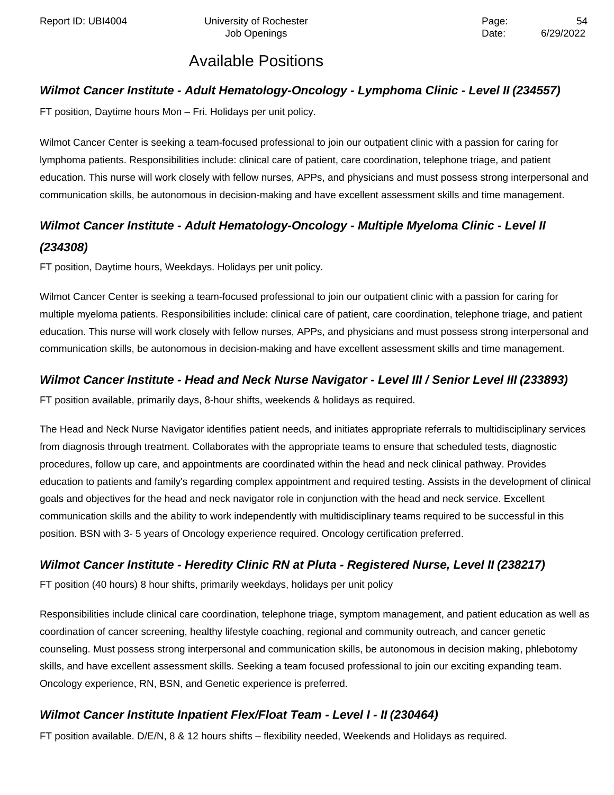### **Wilmot Cancer Institute - Adult Hematology-Oncology - Lymphoma Clinic - Level II (234557)**

FT position, Daytime hours Mon – Fri. Holidays per unit policy.

Wilmot Cancer Center is seeking a team-focused professional to join our outpatient clinic with a passion for caring for lymphoma patients. Responsibilities include: clinical care of patient, care coordination, telephone triage, and patient education. This nurse will work closely with fellow nurses, APPs, and physicians and must possess strong interpersonal and communication skills, be autonomous in decision-making and have excellent assessment skills and time management.

## **Wilmot Cancer Institute - Adult Hematology-Oncology - Multiple Myeloma Clinic - Level II (234308)**

FT position, Daytime hours, Weekdays. Holidays per unit policy.

Wilmot Cancer Center is seeking a team-focused professional to join our outpatient clinic with a passion for caring for multiple myeloma patients. Responsibilities include: clinical care of patient, care coordination, telephone triage, and patient education. This nurse will work closely with fellow nurses, APPs, and physicians and must possess strong interpersonal and communication skills, be autonomous in decision-making and have excellent assessment skills and time management.

### **Wilmot Cancer Institute - Head and Neck Nurse Navigator - Level III / Senior Level III (233893)**

FT position available, primarily days, 8-hour shifts, weekends & holidays as required.

The Head and Neck Nurse Navigator identifies patient needs, and initiates appropriate referrals to multidisciplinary services from diagnosis through treatment. Collaborates with the appropriate teams to ensure that scheduled tests, diagnostic procedures, follow up care, and appointments are coordinated within the head and neck clinical pathway. Provides education to patients and family's regarding complex appointment and required testing. Assists in the development of clinical goals and objectives for the head and neck navigator role in conjunction with the head and neck service. Excellent communication skills and the ability to work independently with multidisciplinary teams required to be successful in this position. BSN with 3- 5 years of Oncology experience required. Oncology certification preferred.

### **Wilmot Cancer Institute - Heredity Clinic RN at Pluta - Registered Nurse, Level II (238217)**

FT position (40 hours) 8 hour shifts, primarily weekdays, holidays per unit policy

Responsibilities include clinical care coordination, telephone triage, symptom management, and patient education as well as coordination of cancer screening, healthy lifestyle coaching, regional and community outreach, and cancer genetic counseling. Must possess strong interpersonal and communication skills, be autonomous in decision making, phlebotomy skills, and have excellent assessment skills. Seeking a team focused professional to join our exciting expanding team. Oncology experience, RN, BSN, and Genetic experience is preferred.

### **Wilmot Cancer Institute Inpatient Flex/Float Team - Level I - II (230464)**

FT position available. D/E/N, 8 & 12 hours shifts – flexibility needed, Weekends and Holidays as required.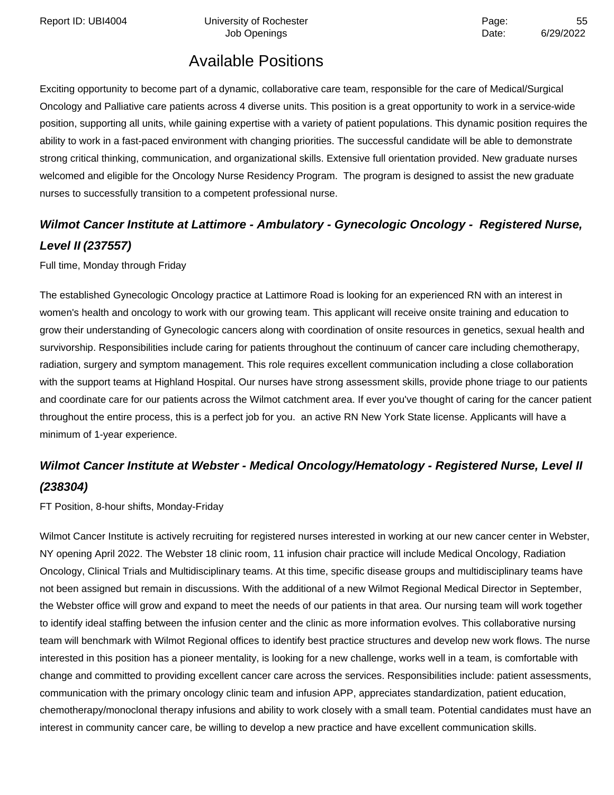Report ID: UBI4004 **Depart Controller University of Rochester** Page: The Page: 55

Job Openings **Date:** 6/29/2022

# Available Positions

Exciting opportunity to become part of a dynamic, collaborative care team, responsible for the care of Medical/Surgical Oncology and Palliative care patients across 4 diverse units. This position is a great opportunity to work in a service-wide position, supporting all units, while gaining expertise with a variety of patient populations. This dynamic position requires the ability to work in a fast-paced environment with changing priorities. The successful candidate will be able to demonstrate strong critical thinking, communication, and organizational skills. Extensive full orientation provided. New graduate nurses welcomed and eligible for the Oncology Nurse Residency Program. The program is designed to assist the new graduate nurses to successfully transition to a competent professional nurse.

## **Wilmot Cancer Institute at Lattimore - Ambulatory - Gynecologic Oncology - Registered Nurse, Level II (237557)**

Full time, Monday through Friday

The established Gynecologic Oncology practice at Lattimore Road is looking for an experienced RN with an interest in women's health and oncology to work with our growing team. This applicant will receive onsite training and education to grow their understanding of Gynecologic cancers along with coordination of onsite resources in genetics, sexual health and survivorship. Responsibilities include caring for patients throughout the continuum of cancer care including chemotherapy, radiation, surgery and symptom management. This role requires excellent communication including a close collaboration with the support teams at Highland Hospital. Our nurses have strong assessment skills, provide phone triage to our patients and coordinate care for our patients across the Wilmot catchment area. If ever you've thought of caring for the cancer patient throughout the entire process, this is a perfect job for you. an active RN New York State license. Applicants will have a minimum of 1-year experience.

# **Wilmot Cancer Institute at Webster - Medical Oncology/Hematology - Registered Nurse, Level II (238304)**

FT Position, 8-hour shifts, Monday-Friday

Wilmot Cancer Institute is actively recruiting for registered nurses interested in working at our new cancer center in Webster, NY opening April 2022. The Webster 18 clinic room, 11 infusion chair practice will include Medical Oncology, Radiation Oncology, Clinical Trials and Multidisciplinary teams. At this time, specific disease groups and multidisciplinary teams have not been assigned but remain in discussions. With the additional of a new Wilmot Regional Medical Director in September, the Webster office will grow and expand to meet the needs of our patients in that area. Our nursing team will work together to identify ideal staffing between the infusion center and the clinic as more information evolves. This collaborative nursing team will benchmark with Wilmot Regional offices to identify best practice structures and develop new work flows. The nurse interested in this position has a pioneer mentality, is looking for a new challenge, works well in a team, is comfortable with change and committed to providing excellent cancer care across the services. Responsibilities include: patient assessments, communication with the primary oncology clinic team and infusion APP, appreciates standardization, patient education, chemotherapy/monoclonal therapy infusions and ability to work closely with a small team. Potential candidates must have an interest in community cancer care, be willing to develop a new practice and have excellent communication skills.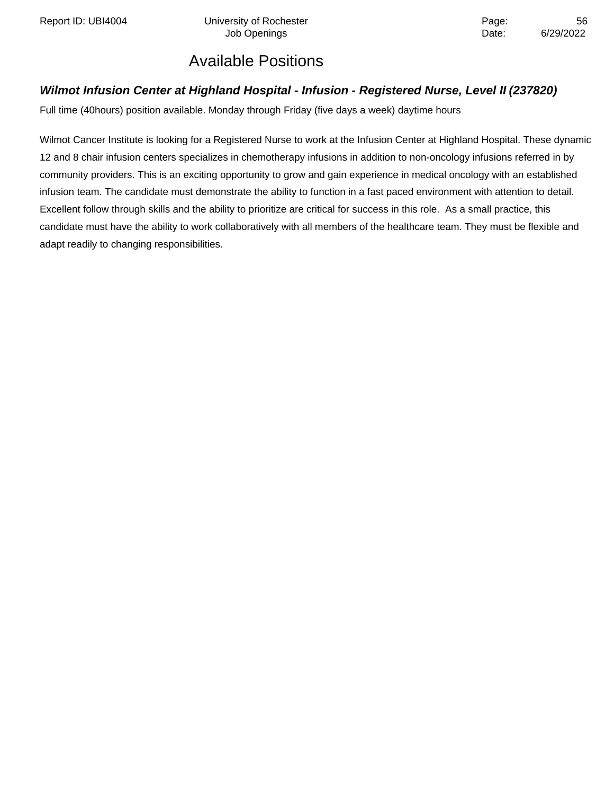Report ID: UBI4004 **Depart Controller University of Rochester** Provides and Page: 56

## Available Positions

### **Wilmot Infusion Center at Highland Hospital - Infusion - Registered Nurse, Level II (237820)**

Full time (40hours) position available. Monday through Friday (five days a week) daytime hours

Wilmot Cancer Institute is looking for a Registered Nurse to work at the Infusion Center at Highland Hospital. These dynamic 12 and 8 chair infusion centers specializes in chemotherapy infusions in addition to non-oncology infusions referred in by community providers. This is an exciting opportunity to grow and gain experience in medical oncology with an established infusion team. The candidate must demonstrate the ability to function in a fast paced environment with attention to detail. Excellent follow through skills and the ability to prioritize are critical for success in this role. As a small practice, this candidate must have the ability to work collaboratively with all members of the healthcare team. They must be flexible and adapt readily to changing responsibilities.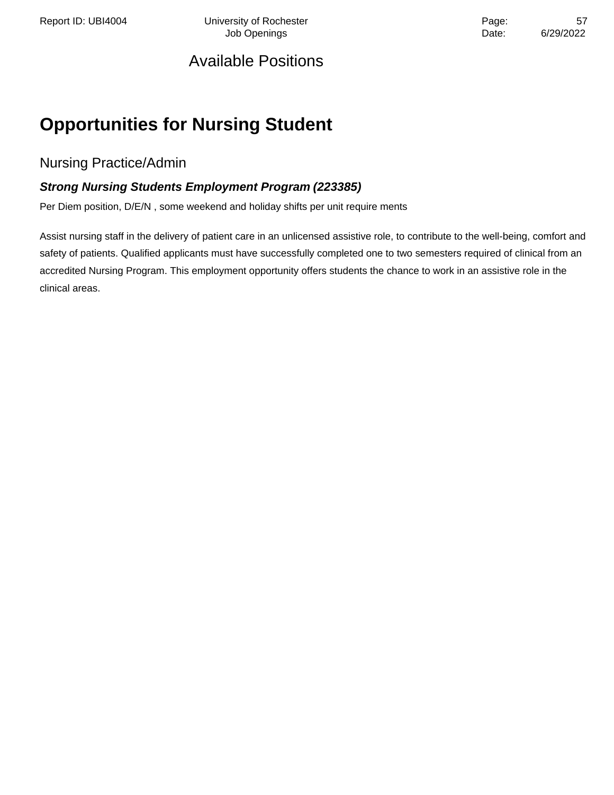Report ID: UBI4004 **University of Rochester** Page: 57 Job Openings **Date:** 6/29/2022

## Available Positions

# **Opportunities for Nursing Student**

Nursing Practice/Admin

### **Strong Nursing Students Employment Program (223385)**

Per Diem position, D/E/N , some weekend and holiday shifts per unit require ments

Assist nursing staff in the delivery of patient care in an unlicensed assistive role, to contribute to the well-being, comfort and safety of patients. Qualified applicants must have successfully completed one to two semesters required of clinical from an accredited Nursing Program. This employment opportunity offers students the chance to work in an assistive role in the clinical areas.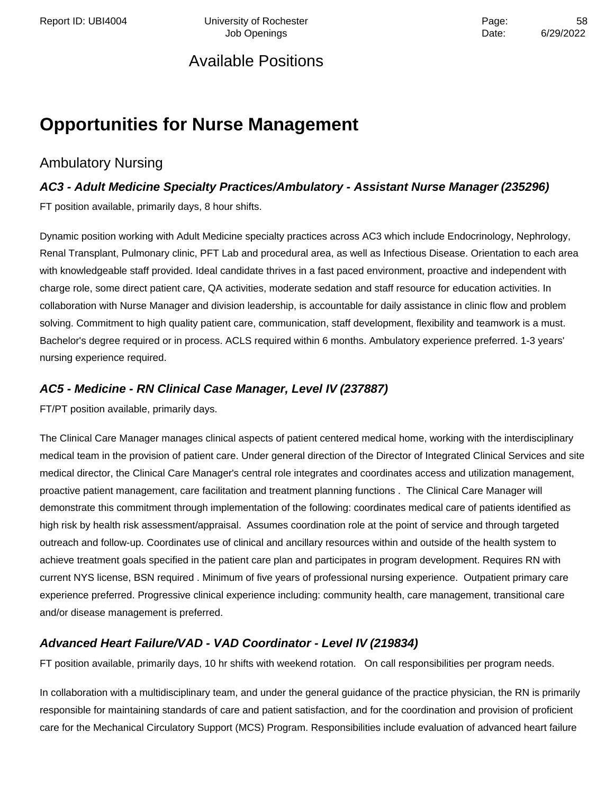Report ID: UBI4004 **Depart Controller University of Rochester** Page: The Page: 58 Job Openings **Date:** 6/29/2022

## Available Positions

# **Opportunities for Nurse Management**

### Ambulatory Nursing

## **AC3 - Adult Medicine Specialty Practices/Ambulatory - Assistant Nurse Manager (235296)** FT position available, primarily days, 8 hour shifts.

Dynamic position working with Adult Medicine specialty practices across AC3 which include Endocrinology, Nephrology, Renal Transplant, Pulmonary clinic, PFT Lab and procedural area, as well as Infectious Disease. Orientation to each area with knowledgeable staff provided. Ideal candidate thrives in a fast paced environment, proactive and independent with charge role, some direct patient care, QA activities, moderate sedation and staff resource for education activities. In collaboration with Nurse Manager and division leadership, is accountable for daily assistance in clinic flow and problem solving. Commitment to high quality patient care, communication, staff development, flexibility and teamwork is a must. Bachelor's degree required or in process. ACLS required within 6 months. Ambulatory experience preferred. 1-3 years' nursing experience required.

### **AC5 - Medicine - RN Clinical Case Manager, Level IV (237887)**

FT/PT position available, primarily days.

The Clinical Care Manager manages clinical aspects of patient centered medical home, working with the interdisciplinary medical team in the provision of patient care. Under general direction of the Director of Integrated Clinical Services and site medical director, the Clinical Care Manager's central role integrates and coordinates access and utilization management, proactive patient management, care facilitation and treatment planning functions . The Clinical Care Manager will demonstrate this commitment through implementation of the following: coordinates medical care of patients identified as high risk by health risk assessment/appraisal. Assumes coordination role at the point of service and through targeted outreach and follow-up. Coordinates use of clinical and ancillary resources within and outside of the health system to achieve treatment goals specified in the patient care plan and participates in program development. Requires RN with current NYS license, BSN required . Minimum of five years of professional nursing experience. Outpatient primary care experience preferred. Progressive clinical experience including: community health, care management, transitional care and/or disease management is preferred.

### **Advanced Heart Failure/VAD - VAD Coordinator - Level IV (219834)**

FT position available, primarily days, 10 hr shifts with weekend rotation. On call responsibilities per program needs.

In collaboration with a multidisciplinary team, and under the general guidance of the practice physician, the RN is primarily responsible for maintaining standards of care and patient satisfaction, and for the coordination and provision of proficient care for the Mechanical Circulatory Support (MCS) Program. Responsibilities include evaluation of advanced heart failure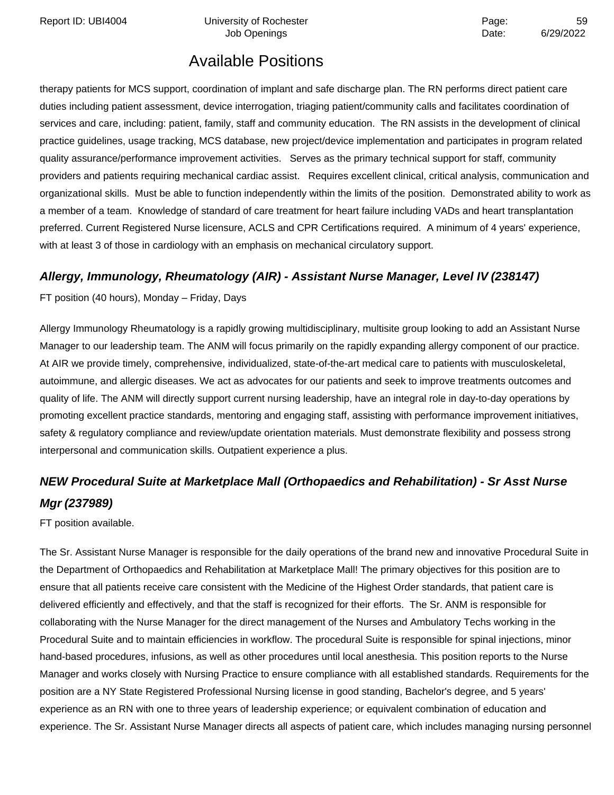Report ID: UBI4004 **Depart Controller University of Rochester** Page: The Page: 59

# Available Positions

therapy patients for MCS support, coordination of implant and safe discharge plan. The RN performs direct patient care duties including patient assessment, device interrogation, triaging patient/community calls and facilitates coordination of services and care, including: patient, family, staff and community education. The RN assists in the development of clinical practice guidelines, usage tracking, MCS database, new project/device implementation and participates in program related quality assurance/performance improvement activities. Serves as the primary technical support for staff, community providers and patients requiring mechanical cardiac assist. Requires excellent clinical, critical analysis, communication and organizational skills. Must be able to function independently within the limits of the position. Demonstrated ability to work as a member of a team. Knowledge of standard of care treatment for heart failure including VADs and heart transplantation preferred. Current Registered Nurse licensure, ACLS and CPR Certifications required. A minimum of 4 years' experience, with at least 3 of those in cardiology with an emphasis on mechanical circulatory support.

### **Allergy, Immunology, Rheumatology (AIR) - Assistant Nurse Manager, Level IV (238147)**

FT position (40 hours), Monday – Friday, Days

Allergy Immunology Rheumatology is a rapidly growing multidisciplinary, multisite group looking to add an Assistant Nurse Manager to our leadership team. The ANM will focus primarily on the rapidly expanding allergy component of our practice. At AIR we provide timely, comprehensive, individualized, state-of-the-art medical care to patients with musculoskeletal, autoimmune, and allergic diseases. We act as advocates for our patients and seek to improve treatments outcomes and quality of life. The ANM will directly support current nursing leadership, have an integral role in day-to-day operations by promoting excellent practice standards, mentoring and engaging staff, assisting with performance improvement initiatives, safety & regulatory compliance and review/update orientation materials. Must demonstrate flexibility and possess strong interpersonal and communication skills. Outpatient experience a plus.

# **NEW Procedural Suite at Marketplace Mall (Orthopaedics and Rehabilitation) - Sr Asst Nurse Mgr (237989)**

FT position available.

The Sr. Assistant Nurse Manager is responsible for the daily operations of the brand new and innovative Procedural Suite in the Department of Orthopaedics and Rehabilitation at Marketplace Mall! The primary objectives for this position are to ensure that all patients receive care consistent with the Medicine of the Highest Order standards, that patient care is delivered efficiently and effectively, and that the staff is recognized for their efforts. The Sr. ANM is responsible for collaborating with the Nurse Manager for the direct management of the Nurses and Ambulatory Techs working in the Procedural Suite and to maintain efficiencies in workflow. The procedural Suite is responsible for spinal injections, minor hand-based procedures, infusions, as well as other procedures until local anesthesia. This position reports to the Nurse Manager and works closely with Nursing Practice to ensure compliance with all established standards. Requirements for the position are a NY State Registered Professional Nursing license in good standing, Bachelor's degree, and 5 years' experience as an RN with one to three years of leadership experience; or equivalent combination of education and experience. The Sr. Assistant Nurse Manager directs all aspects of patient care, which includes managing nursing personnel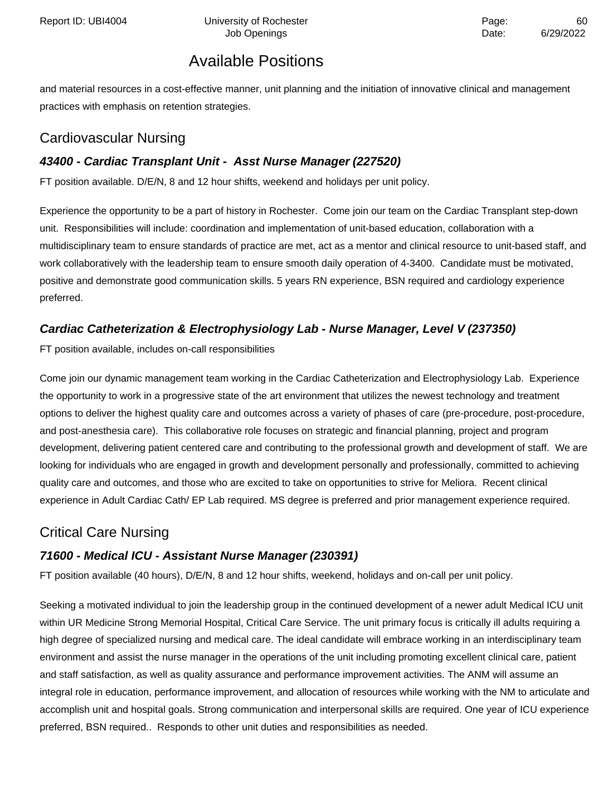and material resources in a cost-effective manner, unit planning and the initiation of innovative clinical and management practices with emphasis on retention strategies.

## Cardiovascular Nursing

## **43400 - Cardiac Transplant Unit - Asst Nurse Manager (227520)**

FT position available. D/E/N, 8 and 12 hour shifts, weekend and holidays per unit policy.

Experience the opportunity to be a part of history in Rochester. Come join our team on the Cardiac Transplant step-down unit. Responsibilities will include: coordination and implementation of unit-based education, collaboration with a multidisciplinary team to ensure standards of practice are met, act as a mentor and clinical resource to unit-based staff, and work collaboratively with the leadership team to ensure smooth daily operation of 4-3400. Candidate must be motivated, positive and demonstrate good communication skills. 5 years RN experience, BSN required and cardiology experience preferred.

### **Cardiac Catheterization & Electrophysiology Lab - Nurse Manager, Level V (237350)**

FT position available, includes on-call responsibilities

Come join our dynamic management team working in the Cardiac Catheterization and Electrophysiology Lab. Experience the opportunity to work in a progressive state of the art environment that utilizes the newest technology and treatment options to deliver the highest quality care and outcomes across a variety of phases of care (pre-procedure, post-procedure, and post-anesthesia care). This collaborative role focuses on strategic and financial planning, project and program development, delivering patient centered care and contributing to the professional growth and development of staff. We are looking for individuals who are engaged in growth and development personally and professionally, committed to achieving quality care and outcomes, and those who are excited to take on opportunities to strive for Meliora. Recent clinical experience in Adult Cardiac Cath/ EP Lab required. MS degree is preferred and prior management experience required.

## Critical Care Nursing

### **71600 - Medical ICU - Assistant Nurse Manager (230391)**

FT position available (40 hours), D/E/N, 8 and 12 hour shifts, weekend, holidays and on-call per unit policy.

Seeking a motivated individual to join the leadership group in the continued development of a newer adult Medical ICU unit within UR Medicine Strong Memorial Hospital, Critical Care Service. The unit primary focus is critically ill adults requiring a high degree of specialized nursing and medical care. The ideal candidate will embrace working in an interdisciplinary team environment and assist the nurse manager in the operations of the unit including promoting excellent clinical care, patient and staff satisfaction, as well as quality assurance and performance improvement activities. The ANM will assume an integral role in education, performance improvement, and allocation of resources while working with the NM to articulate and accomplish unit and hospital goals. Strong communication and interpersonal skills are required. One year of ICU experience preferred, BSN required.. Responds to other unit duties and responsibilities as needed.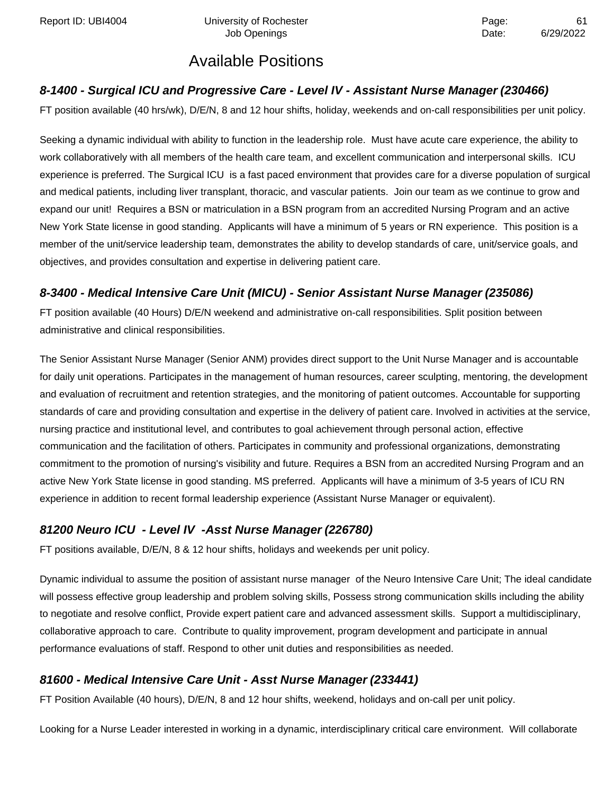### **8-1400 - Surgical ICU and Progressive Care - Level IV - Assistant Nurse Manager (230466)**

FT position available (40 hrs/wk), D/E/N, 8 and 12 hour shifts, holiday, weekends and on-call responsibilities per unit policy.

Seeking a dynamic individual with ability to function in the leadership role. Must have acute care experience, the ability to work collaboratively with all members of the health care team, and excellent communication and interpersonal skills. ICU experience is preferred. The Surgical ICU is a fast paced environment that provides care for a diverse population of surgical and medical patients, including liver transplant, thoracic, and vascular patients. Join our team as we continue to grow and expand our unit! Requires a BSN or matriculation in a BSN program from an accredited Nursing Program and an active New York State license in good standing. Applicants will have a minimum of 5 years or RN experience. This position is a member of the unit/service leadership team, demonstrates the ability to develop standards of care, unit/service goals, and objectives, and provides consultation and expertise in delivering patient care.

### **8-3400 - Medical Intensive Care Unit (MICU) - Senior Assistant Nurse Manager (235086)**

FT position available (40 Hours) D/E/N weekend and administrative on-call responsibilities. Split position between administrative and clinical responsibilities.

The Senior Assistant Nurse Manager (Senior ANM) provides direct support to the Unit Nurse Manager and is accountable for daily unit operations. Participates in the management of human resources, career sculpting, mentoring, the development and evaluation of recruitment and retention strategies, and the monitoring of patient outcomes. Accountable for supporting standards of care and providing consultation and expertise in the delivery of patient care. Involved in activities at the service, nursing practice and institutional level, and contributes to goal achievement through personal action, effective communication and the facilitation of others. Participates in community and professional organizations, demonstrating commitment to the promotion of nursing's visibility and future. Requires a BSN from an accredited Nursing Program and an active New York State license in good standing. MS preferred. Applicants will have a minimum of 3-5 years of ICU RN experience in addition to recent formal leadership experience (Assistant Nurse Manager or equivalent).

### **81200 Neuro ICU - Level IV -Asst Nurse Manager (226780)**

FT positions available, D/E/N, 8 & 12 hour shifts, holidays and weekends per unit policy.

Dynamic individual to assume the position of assistant nurse manager of the Neuro Intensive Care Unit; The ideal candidate will possess effective group leadership and problem solving skills, Possess strong communication skills including the ability to negotiate and resolve conflict, Provide expert patient care and advanced assessment skills. Support a multidisciplinary, collaborative approach to care. Contribute to quality improvement, program development and participate in annual performance evaluations of staff. Respond to other unit duties and responsibilities as needed.

### **81600 - Medical Intensive Care Unit - Asst Nurse Manager (233441)**

FT Position Available (40 hours), D/E/N, 8 and 12 hour shifts, weekend, holidays and on-call per unit policy.

Looking for a Nurse Leader interested in working in a dynamic, interdisciplinary critical care environment. Will collaborate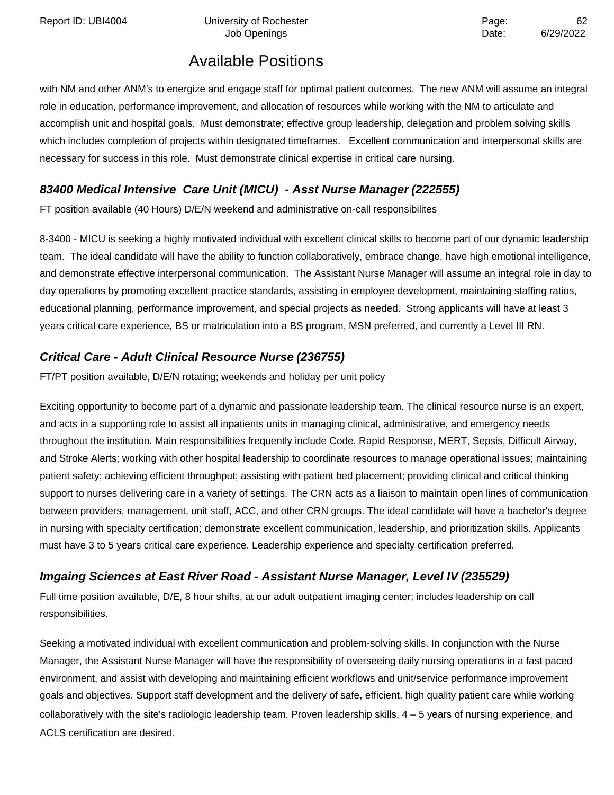Report ID: UBI4004 Chiversity of Rochester Page: 62

Job Openings **Date:** 6/29/2022

## Available Positions

with NM and other ANM's to energize and engage staff for optimal patient outcomes. The new ANM will assume an integral role in education, performance improvement, and allocation of resources while working with the NM to articulate and accomplish unit and hospital goals. Must demonstrate; effective group leadership, delegation and problem solving skills which includes completion of projects within designated timeframes. Excellent communication and interpersonal skills are necessary for success in this role. Must demonstrate clinical expertise in critical care nursing.

### **83400 Medical Intensive Care Unit (MICU) - Asst Nurse Manager (222555)**

FT position available (40 Hours) D/E/N weekend and administrative on-call responsibilites

8-3400 - MICU is seeking a highly motivated individual with excellent clinical skills to become part of our dynamic leadership team. The ideal candidate will have the ability to function collaboratively, embrace change, have high emotional intelligence, and demonstrate effective interpersonal communication. The Assistant Nurse Manager will assume an integral role in day to day operations by promoting excellent practice standards, assisting in employee development, maintaining staffing ratios, educational planning, performance improvement, and special projects as needed. Strong applicants will have at least 3 years critical care experience, BS or matriculation into a BS program, MSN preferred, and currently a Level III RN.

### **Critical Care - Adult Clinical Resource Nurse (236755)**

FT/PT position available, D/E/N rotating; weekends and holiday per unit policy

Exciting opportunity to become part of a dynamic and passionate leadership team. The clinical resource nurse is an expert, and acts in a supporting role to assist all inpatients units in managing clinical, administrative, and emergency needs throughout the institution. Main responsibilities frequently include Code, Rapid Response, MERT, Sepsis, Difficult Airway, and Stroke Alerts; working with other hospital leadership to coordinate resources to manage operational issues; maintaining patient safety; achieving efficient throughput; assisting with patient bed placement; providing clinical and critical thinking support to nurses delivering care in a variety of settings. The CRN acts as a liaison to maintain open lines of communication between providers, management, unit staff, ACC, and other CRN groups. The ideal candidate will have a bachelor's degree in nursing with specialty certification; demonstrate excellent communication, leadership, and prioritization skills. Applicants must have 3 to 5 years critical care experience. Leadership experience and specialty certification preferred.

### **Imgaing Sciences at East River Road - Assistant Nurse Manager, Level IV (235529)**

Full time position available, D/E, 8 hour shifts, at our adult outpatient imaging center; includes leadership on call responsibilities.

Seeking a motivated individual with excellent communication and problem-solving skills. In conjunction with the Nurse Manager, the Assistant Nurse Manager will have the responsibility of overseeing daily nursing operations in a fast paced environment, and assist with developing and maintaining efficient workflows and unit/service performance improvement goals and objectives. Support staff development and the delivery of safe, efficient, high quality patient care while working collaboratively with the site's radiologic leadership team. Proven leadership skills, 4 – 5 years of nursing experience, and ACLS certification are desired.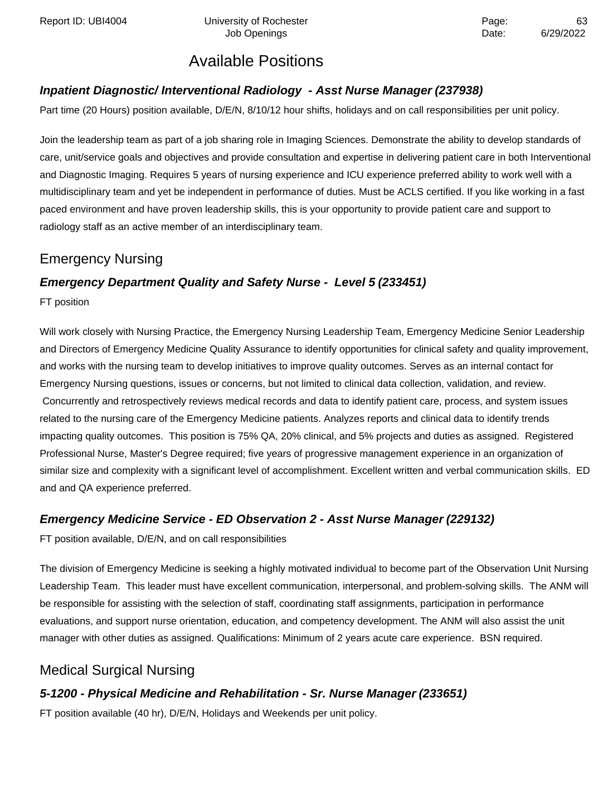### **Inpatient Diagnostic/ Interventional Radiology - Asst Nurse Manager (237938)**

Part time (20 Hours) position available, D/E/N, 8/10/12 hour shifts, holidays and on call responsibilities per unit policy.

Join the leadership team as part of a job sharing role in Imaging Sciences. Demonstrate the ability to develop standards of care, unit/service goals and objectives and provide consultation and expertise in delivering patient care in both Interventional and Diagnostic Imaging. Requires 5 years of nursing experience and ICU experience preferred ability to work well with a multidisciplinary team and yet be independent in performance of duties. Must be ACLS certified. If you like working in a fast paced environment and have proven leadership skills, this is your opportunity to provide patient care and support to radiology staff as an active member of an interdisciplinary team.

## Emergency Nursing

### **Emergency Department Quality and Safety Nurse - Level 5 (233451)**

FT position

Will work closely with Nursing Practice, the Emergency Nursing Leadership Team, Emergency Medicine Senior Leadership and Directors of Emergency Medicine Quality Assurance to identify opportunities for clinical safety and quality improvement, and works with the nursing team to develop initiatives to improve quality outcomes. Serves as an internal contact for Emergency Nursing questions, issues or concerns, but not limited to clinical data collection, validation, and review. Concurrently and retrospectively reviews medical records and data to identify patient care, process, and system issues related to the nursing care of the Emergency Medicine patients. Analyzes reports and clinical data to identify trends impacting quality outcomes. This position is 75% QA, 20% clinical, and 5% projects and duties as assigned. Registered Professional Nurse, Master's Degree required; five years of progressive management experience in an organization of similar size and complexity with a significant level of accomplishment. Excellent written and verbal communication skills. ED and and QA experience preferred.

### **Emergency Medicine Service - ED Observation 2 - Asst Nurse Manager (229132)**

FT position available, D/E/N, and on call responsibilities

The division of Emergency Medicine is seeking a highly motivated individual to become part of the Observation Unit Nursing Leadership Team. This leader must have excellent communication, interpersonal, and problem-solving skills. The ANM will be responsible for assisting with the selection of staff, coordinating staff assignments, participation in performance evaluations, and support nurse orientation, education, and competency development. The ANM will also assist the unit manager with other duties as assigned. Qualifications: Minimum of 2 years acute care experience. BSN required.

## Medical Surgical Nursing

### **5-1200 - Physical Medicine and Rehabilitation - Sr. Nurse Manager (233651)**

FT position available (40 hr), D/E/N, Holidays and Weekends per unit policy.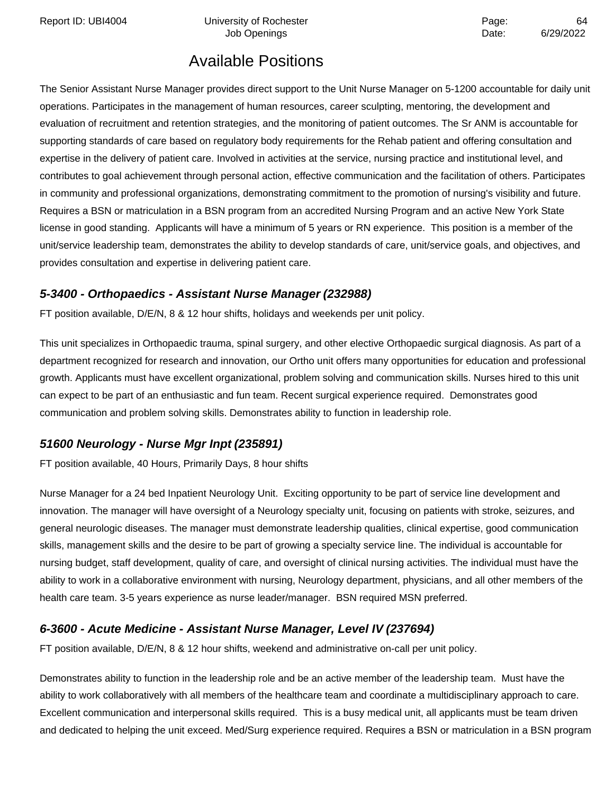Report ID: UBI4004 Chiversity of Rochester Page: 64

Job Openings **Date:** 6/29/2022

# Available Positions

The Senior Assistant Nurse Manager provides direct support to the Unit Nurse Manager on 5-1200 accountable for daily unit operations. Participates in the management of human resources, career sculpting, mentoring, the development and evaluation of recruitment and retention strategies, and the monitoring of patient outcomes. The Sr ANM is accountable for supporting standards of care based on regulatory body requirements for the Rehab patient and offering consultation and expertise in the delivery of patient care. Involved in activities at the service, nursing practice and institutional level, and contributes to goal achievement through personal action, effective communication and the facilitation of others. Participates in community and professional organizations, demonstrating commitment to the promotion of nursing's visibility and future. Requires a BSN or matriculation in a BSN program from an accredited Nursing Program and an active New York State license in good standing. Applicants will have a minimum of 5 years or RN experience. This position is a member of the unit/service leadership team, demonstrates the ability to develop standards of care, unit/service goals, and objectives, and provides consultation and expertise in delivering patient care.

### **5-3400 - Orthopaedics - Assistant Nurse Manager (232988)**

FT position available, D/E/N, 8 & 12 hour shifts, holidays and weekends per unit policy.

This unit specializes in Orthopaedic trauma, spinal surgery, and other elective Orthopaedic surgical diagnosis. As part of a department recognized for research and innovation, our Ortho unit offers many opportunities for education and professional growth. Applicants must have excellent organizational, problem solving and communication skills. Nurses hired to this unit can expect to be part of an enthusiastic and fun team. Recent surgical experience required. Demonstrates good communication and problem solving skills. Demonstrates ability to function in leadership role.

### **51600 Neurology - Nurse Mgr Inpt (235891)**

FT position available, 40 Hours, Primarily Days, 8 hour shifts

Nurse Manager for a 24 bed Inpatient Neurology Unit. Exciting opportunity to be part of service line development and innovation. The manager will have oversight of a Neurology specialty unit, focusing on patients with stroke, seizures, and general neurologic diseases. The manager must demonstrate leadership qualities, clinical expertise, good communication skills, management skills and the desire to be part of growing a specialty service line. The individual is accountable for nursing budget, staff development, quality of care, and oversight of clinical nursing activities. The individual must have the ability to work in a collaborative environment with nursing, Neurology department, physicians, and all other members of the health care team. 3-5 years experience as nurse leader/manager. BSN required MSN preferred.

### **6-3600 - Acute Medicine - Assistant Nurse Manager, Level IV (237694)**

FT position available, D/E/N, 8 & 12 hour shifts, weekend and administrative on-call per unit policy.

Demonstrates ability to function in the leadership role and be an active member of the leadership team. Must have the ability to work collaboratively with all members of the healthcare team and coordinate a multidisciplinary approach to care. Excellent communication and interpersonal skills required. This is a busy medical unit, all applicants must be team driven and dedicated to helping the unit exceed. Med/Surg experience required. Requires a BSN or matriculation in a BSN program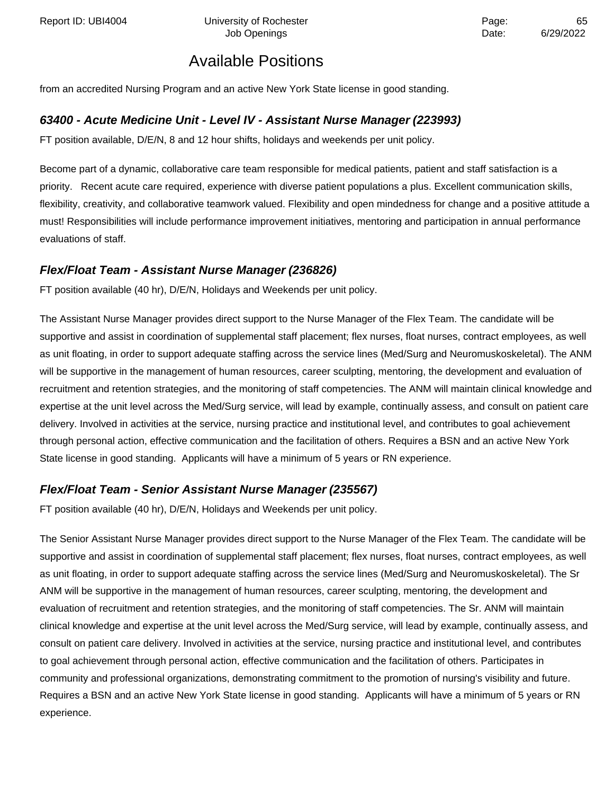from an accredited Nursing Program and an active New York State license in good standing.

### **63400 - Acute Medicine Unit - Level IV - Assistant Nurse Manager (223993)**

FT position available, D/E/N, 8 and 12 hour shifts, holidays and weekends per unit policy.

Become part of a dynamic, collaborative care team responsible for medical patients, patient and staff satisfaction is a priority. Recent acute care required, experience with diverse patient populations a plus. Excellent communication skills, flexibility, creativity, and collaborative teamwork valued. Flexibility and open mindedness for change and a positive attitude a must! Responsibilities will include performance improvement initiatives, mentoring and participation in annual performance evaluations of staff.

### **Flex/Float Team - Assistant Nurse Manager (236826)**

FT position available (40 hr), D/E/N, Holidays and Weekends per unit policy.

The Assistant Nurse Manager provides direct support to the Nurse Manager of the Flex Team. The candidate will be supportive and assist in coordination of supplemental staff placement; flex nurses, float nurses, contract employees, as well as unit floating, in order to support adequate staffing across the service lines (Med/Surg and Neuromuskoskeletal). The ANM will be supportive in the management of human resources, career sculpting, mentoring, the development and evaluation of recruitment and retention strategies, and the monitoring of staff competencies. The ANM will maintain clinical knowledge and expertise at the unit level across the Med/Surg service, will lead by example, continually assess, and consult on patient care delivery. Involved in activities at the service, nursing practice and institutional level, and contributes to goal achievement through personal action, effective communication and the facilitation of others. Requires a BSN and an active New York State license in good standing. Applicants will have a minimum of 5 years or RN experience.

### **Flex/Float Team - Senior Assistant Nurse Manager (235567)**

FT position available (40 hr), D/E/N, Holidays and Weekends per unit policy.

The Senior Assistant Nurse Manager provides direct support to the Nurse Manager of the Flex Team. The candidate will be supportive and assist in coordination of supplemental staff placement; flex nurses, float nurses, contract employees, as well as unit floating, in order to support adequate staffing across the service lines (Med/Surg and Neuromuskoskeletal). The Sr ANM will be supportive in the management of human resources, career sculpting, mentoring, the development and evaluation of recruitment and retention strategies, and the monitoring of staff competencies. The Sr. ANM will maintain clinical knowledge and expertise at the unit level across the Med/Surg service, will lead by example, continually assess, and consult on patient care delivery. Involved in activities at the service, nursing practice and institutional level, and contributes to goal achievement through personal action, effective communication and the facilitation of others. Participates in community and professional organizations, demonstrating commitment to the promotion of nursing's visibility and future. Requires a BSN and an active New York State license in good standing. Applicants will have a minimum of 5 years or RN experience.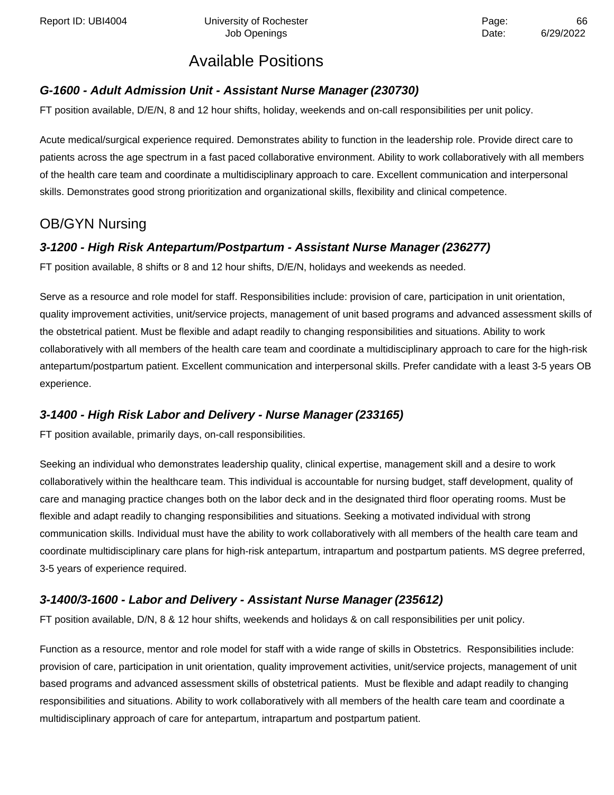Report ID: UBI4004 Chiversity of Rochester Page: Page: 66

## Available Positions

### **G-1600 - Adult Admission Unit - Assistant Nurse Manager (230730)**

FT position available, D/E/N, 8 and 12 hour shifts, holiday, weekends and on-call responsibilities per unit policy.

Acute medical/surgical experience required. Demonstrates ability to function in the leadership role. Provide direct care to patients across the age spectrum in a fast paced collaborative environment. Ability to work collaboratively with all members of the health care team and coordinate a multidisciplinary approach to care. Excellent communication and interpersonal skills. Demonstrates good strong prioritization and organizational skills, flexibility and clinical competence.

## OB/GYN Nursing

### **3-1200 - High Risk Antepartum/Postpartum - Assistant Nurse Manager (236277)**

FT position available, 8 shifts or 8 and 12 hour shifts, D/E/N, holidays and weekends as needed.

Serve as a resource and role model for staff. Responsibilities include: provision of care, participation in unit orientation, quality improvement activities, unit/service projects, management of unit based programs and advanced assessment skills of the obstetrical patient. Must be flexible and adapt readily to changing responsibilities and situations. Ability to work collaboratively with all members of the health care team and coordinate a multidisciplinary approach to care for the high-risk antepartum/postpartum patient. Excellent communication and interpersonal skills. Prefer candidate with a least 3-5 years OB experience.

### **3-1400 - High Risk Labor and Delivery - Nurse Manager (233165)**

FT position available, primarily days, on-call responsibilities.

Seeking an individual who demonstrates leadership quality, clinical expertise, management skill and a desire to work collaboratively within the healthcare team. This individual is accountable for nursing budget, staff development, quality of care and managing practice changes both on the labor deck and in the designated third floor operating rooms. Must be flexible and adapt readily to changing responsibilities and situations. Seeking a motivated individual with strong communication skills. Individual must have the ability to work collaboratively with all members of the health care team and coordinate multidisciplinary care plans for high-risk antepartum, intrapartum and postpartum patients. MS degree preferred, 3-5 years of experience required.

### **3-1400/3-1600 - Labor and Delivery - Assistant Nurse Manager (235612)**

FT position available, D/N, 8 & 12 hour shifts, weekends and holidays & on call responsibilities per unit policy.

Function as a resource, mentor and role model for staff with a wide range of skills in Obstetrics. Responsibilities include: provision of care, participation in unit orientation, quality improvement activities, unit/service projects, management of unit based programs and advanced assessment skills of obstetrical patients. Must be flexible and adapt readily to changing responsibilities and situations. Ability to work collaboratively with all members of the health care team and coordinate a multidisciplinary approach of care for antepartum, intrapartum and postpartum patient.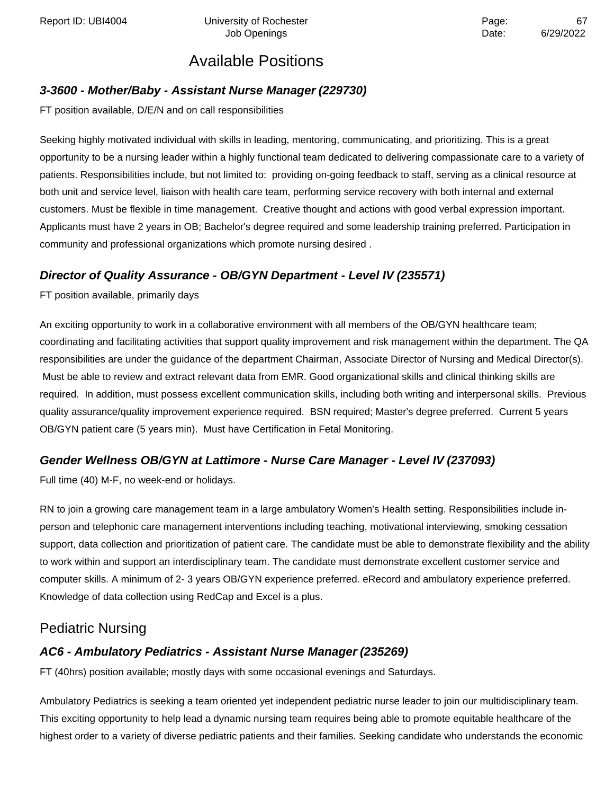### **3-3600 - Mother/Baby - Assistant Nurse Manager (229730)**

FT position available, D/E/N and on call responsibilities

Seeking highly motivated individual with skills in leading, mentoring, communicating, and prioritizing. This is a great opportunity to be a nursing leader within a highly functional team dedicated to delivering compassionate care to a variety of patients. Responsibilities include, but not limited to: providing on-going feedback to staff, serving as a clinical resource at both unit and service level, liaison with health care team, performing service recovery with both internal and external customers. Must be flexible in time management. Creative thought and actions with good verbal expression important. Applicants must have 2 years in OB; Bachelor's degree required and some leadership training preferred. Participation in community and professional organizations which promote nursing desired .

### **Director of Quality Assurance - OB/GYN Department - Level IV (235571)**

FT position available, primarily days

An exciting opportunity to work in a collaborative environment with all members of the OB/GYN healthcare team; coordinating and facilitating activities that support quality improvement and risk management within the department. The QA responsibilities are under the guidance of the department Chairman, Associate Director of Nursing and Medical Director(s). Must be able to review and extract relevant data from EMR. Good organizational skills and clinical thinking skills are required. In addition, must possess excellent communication skills, including both writing and interpersonal skills. Previous quality assurance/quality improvement experience required. BSN required; Master's degree preferred. Current 5 years OB/GYN patient care (5 years min). Must have Certification in Fetal Monitoring.

### **Gender Wellness OB/GYN at Lattimore - Nurse Care Manager - Level IV (237093)**

Full time (40) M-F, no week-end or holidays.

RN to join a growing care management team in a large ambulatory Women's Health setting. Responsibilities include inperson and telephonic care management interventions including teaching, motivational interviewing, smoking cessation support, data collection and prioritization of patient care. The candidate must be able to demonstrate flexibility and the ability to work within and support an interdisciplinary team. The candidate must demonstrate excellent customer service and computer skills. A minimum of 2- 3 years OB/GYN experience preferred. eRecord and ambulatory experience preferred. Knowledge of data collection using RedCap and Excel is a plus.

## Pediatric Nursing

### **AC6 - Ambulatory Pediatrics - Assistant Nurse Manager (235269)**

FT (40hrs) position available; mostly days with some occasional evenings and Saturdays.

Ambulatory Pediatrics is seeking a team oriented yet independent pediatric nurse leader to join our multidisciplinary team. This exciting opportunity to help lead a dynamic nursing team requires being able to promote equitable healthcare of the highest order to a variety of diverse pediatric patients and their families. Seeking candidate who understands the economic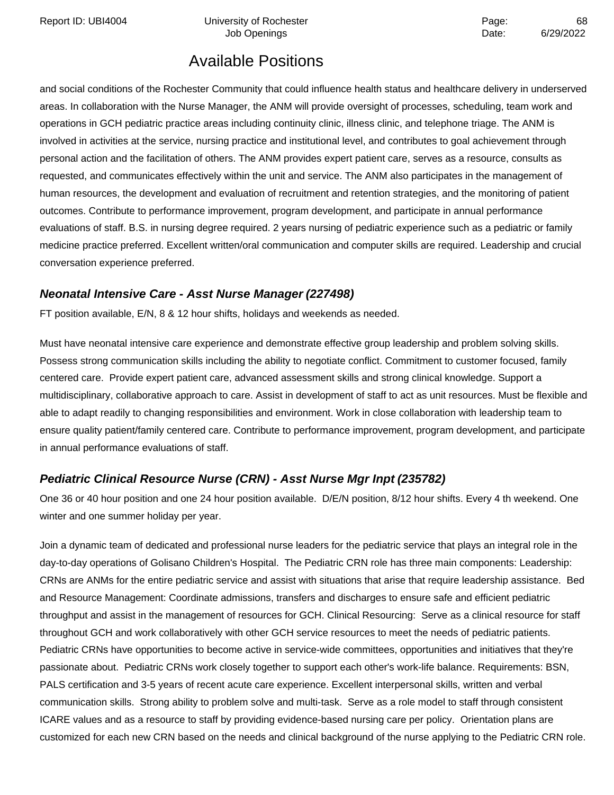Report ID: UBI4004 Chiversity of Rochester Page: And Page: 68

# Available Positions

and social conditions of the Rochester Community that could influence health status and healthcare delivery in underserved areas. In collaboration with the Nurse Manager, the ANM will provide oversight of processes, scheduling, team work and operations in GCH pediatric practice areas including continuity clinic, illness clinic, and telephone triage. The ANM is involved in activities at the service, nursing practice and institutional level, and contributes to goal achievement through personal action and the facilitation of others. The ANM provides expert patient care, serves as a resource, consults as requested, and communicates effectively within the unit and service. The ANM also participates in the management of human resources, the development and evaluation of recruitment and retention strategies, and the monitoring of patient outcomes. Contribute to performance improvement, program development, and participate in annual performance evaluations of staff. B.S. in nursing degree required. 2 years nursing of pediatric experience such as a pediatric or family medicine practice preferred. Excellent written/oral communication and computer skills are required. Leadership and crucial conversation experience preferred.

### **Neonatal Intensive Care - Asst Nurse Manager (227498)**

FT position available, E/N, 8 & 12 hour shifts, holidays and weekends as needed.

Must have neonatal intensive care experience and demonstrate effective group leadership and problem solving skills. Possess strong communication skills including the ability to negotiate conflict. Commitment to customer focused, family centered care. Provide expert patient care, advanced assessment skills and strong clinical knowledge. Support a multidisciplinary, collaborative approach to care. Assist in development of staff to act as unit resources. Must be flexible and able to adapt readily to changing responsibilities and environment. Work in close collaboration with leadership team to ensure quality patient/family centered care. Contribute to performance improvement, program development, and participate in annual performance evaluations of staff.

### **Pediatric Clinical Resource Nurse (CRN) - Asst Nurse Mgr Inpt (235782)**

One 36 or 40 hour position and one 24 hour position available. D/E/N position, 8/12 hour shifts. Every 4 th weekend. One winter and one summer holiday per year.

Join a dynamic team of dedicated and professional nurse leaders for the pediatric service that plays an integral role in the day-to-day operations of Golisano Children's Hospital. The Pediatric CRN role has three main components: Leadership: CRNs are ANMs for the entire pediatric service and assist with situations that arise that require leadership assistance. Bed and Resource Management: Coordinate admissions, transfers and discharges to ensure safe and efficient pediatric throughput and assist in the management of resources for GCH. Clinical Resourcing: Serve as a clinical resource for staff throughout GCH and work collaboratively with other GCH service resources to meet the needs of pediatric patients. Pediatric CRNs have opportunities to become active in service-wide committees, opportunities and initiatives that they're passionate about. Pediatric CRNs work closely together to support each other's work-life balance. Requirements: BSN, PALS certification and 3-5 years of recent acute care experience. Excellent interpersonal skills, written and verbal communication skills. Strong ability to problem solve and multi-task. Serve as a role model to staff through consistent ICARE values and as a resource to staff by providing evidence-based nursing care per policy. Orientation plans are customized for each new CRN based on the needs and clinical background of the nurse applying to the Pediatric CRN role.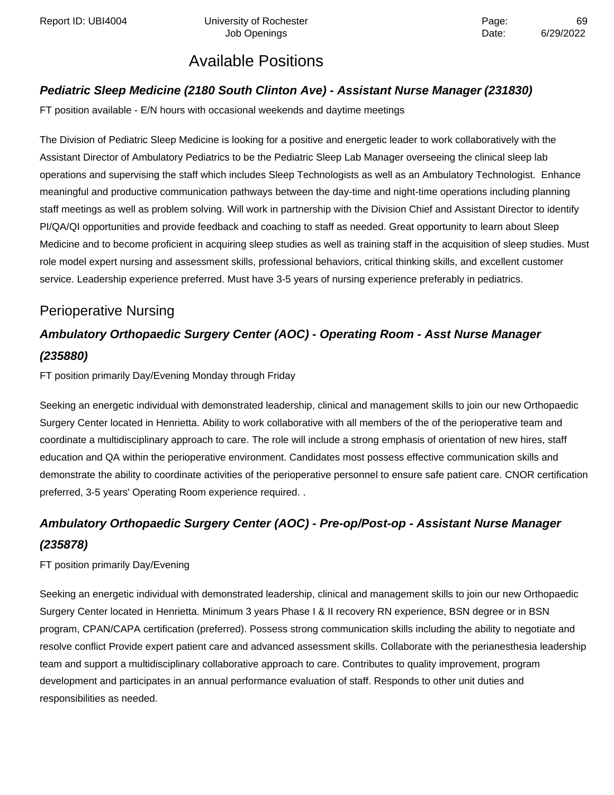Report ID: UBI4004 Chiversity of Rochester Page: And Page: 69

## Available Positions

### **Pediatric Sleep Medicine (2180 South Clinton Ave) - Assistant Nurse Manager (231830)**

FT position available - E/N hours with occasional weekends and daytime meetings

The Division of Pediatric Sleep Medicine is looking for a positive and energetic leader to work collaboratively with the Assistant Director of Ambulatory Pediatrics to be the Pediatric Sleep Lab Manager overseeing the clinical sleep lab operations and supervising the staff which includes Sleep Technologists as well as an Ambulatory Technologist. Enhance meaningful and productive communication pathways between the day-time and night-time operations including planning staff meetings as well as problem solving. Will work in partnership with the Division Chief and Assistant Director to identify PI/QA/QI opportunities and provide feedback and coaching to staff as needed. Great opportunity to learn about Sleep Medicine and to become proficient in acquiring sleep studies as well as training staff in the acquisition of sleep studies. Must role model expert nursing and assessment skills, professional behaviors, critical thinking skills, and excellent customer service. Leadership experience preferred. Must have 3-5 years of nursing experience preferably in pediatrics.

## Perioperative Nursing

# **Ambulatory Orthopaedic Surgery Center (AOC) - Operating Room - Asst Nurse Manager (235880)**

FT position primarily Day/Evening Monday through Friday

Seeking an energetic individual with demonstrated leadership, clinical and management skills to join our new Orthopaedic Surgery Center located in Henrietta. Ability to work collaborative with all members of the of the perioperative team and coordinate a multidisciplinary approach to care. The role will include a strong emphasis of orientation of new hires, staff education and QA within the perioperative environment. Candidates most possess effective communication skills and demonstrate the ability to coordinate activities of the perioperative personnel to ensure safe patient care. CNOR certification preferred, 3-5 years' Operating Room experience required. .

# **Ambulatory Orthopaedic Surgery Center (AOC) - Pre-op/Post-op - Assistant Nurse Manager (235878)**

FT position primarily Day/Evening

Seeking an energetic individual with demonstrated leadership, clinical and management skills to join our new Orthopaedic Surgery Center located in Henrietta. Minimum 3 years Phase I & II recovery RN experience, BSN degree or in BSN program, CPAN/CAPA certification (preferred). Possess strong communication skills including the ability to negotiate and resolve conflict Provide expert patient care and advanced assessment skills. Collaborate with the perianesthesia leadership team and support a multidisciplinary collaborative approach to care. Contributes to quality improvement, program development and participates in an annual performance evaluation of staff. Responds to other unit duties and responsibilities as needed.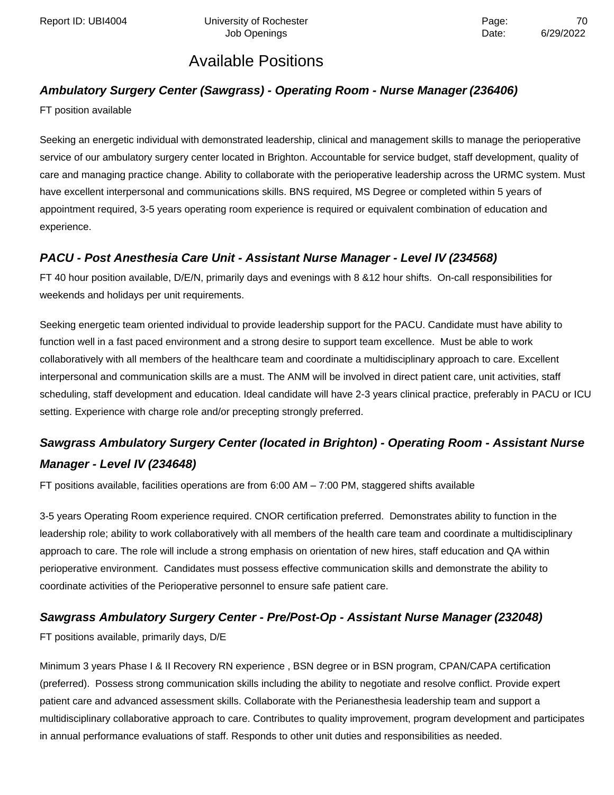## **Ambulatory Surgery Center (Sawgrass) - Operating Room - Nurse Manager (236406)**

FT position available

Seeking an energetic individual with demonstrated leadership, clinical and management skills to manage the perioperative service of our ambulatory surgery center located in Brighton. Accountable for service budget, staff development, quality of care and managing practice change. Ability to collaborate with the perioperative leadership across the URMC system. Must have excellent interpersonal and communications skills. BNS required, MS Degree or completed within 5 years of appointment required, 3-5 years operating room experience is required or equivalent combination of education and experience.

### **PACU - Post Anesthesia Care Unit - Assistant Nurse Manager - Level IV (234568)**

FT 40 hour position available, D/E/N, primarily days and evenings with 8 &12 hour shifts. On-call responsibilities for weekends and holidays per unit requirements.

Seeking energetic team oriented individual to provide leadership support for the PACU. Candidate must have ability to function well in a fast paced environment and a strong desire to support team excellence. Must be able to work collaboratively with all members of the healthcare team and coordinate a multidisciplinary approach to care. Excellent interpersonal and communication skills are a must. The ANM will be involved in direct patient care, unit activities, staff scheduling, staff development and education. Ideal candidate will have 2-3 years clinical practice, preferably in PACU or ICU setting. Experience with charge role and/or precepting strongly preferred.

## **Sawgrass Ambulatory Surgery Center (located in Brighton) - Operating Room - Assistant Nurse Manager - Level IV (234648)**

FT positions available, facilities operations are from 6:00 AM – 7:00 PM, staggered shifts available

3-5 years Operating Room experience required. CNOR certification preferred. Demonstrates ability to function in the leadership role; ability to work collaboratively with all members of the health care team and coordinate a multidisciplinary approach to care. The role will include a strong emphasis on orientation of new hires, staff education and QA within perioperative environment. Candidates must possess effective communication skills and demonstrate the ability to coordinate activities of the Perioperative personnel to ensure safe patient care.

### **Sawgrass Ambulatory Surgery Center - Pre/Post-Op - Assistant Nurse Manager (232048)**

FT positions available, primarily days, D/E

Minimum 3 years Phase I & II Recovery RN experience , BSN degree or in BSN program, CPAN/CAPA certification (preferred). Possess strong communication skills including the ability to negotiate and resolve conflict. Provide expert patient care and advanced assessment skills. Collaborate with the Perianesthesia leadership team and support a multidisciplinary collaborative approach to care. Contributes to quality improvement, program development and participates in annual performance evaluations of staff. Responds to other unit duties and responsibilities as needed.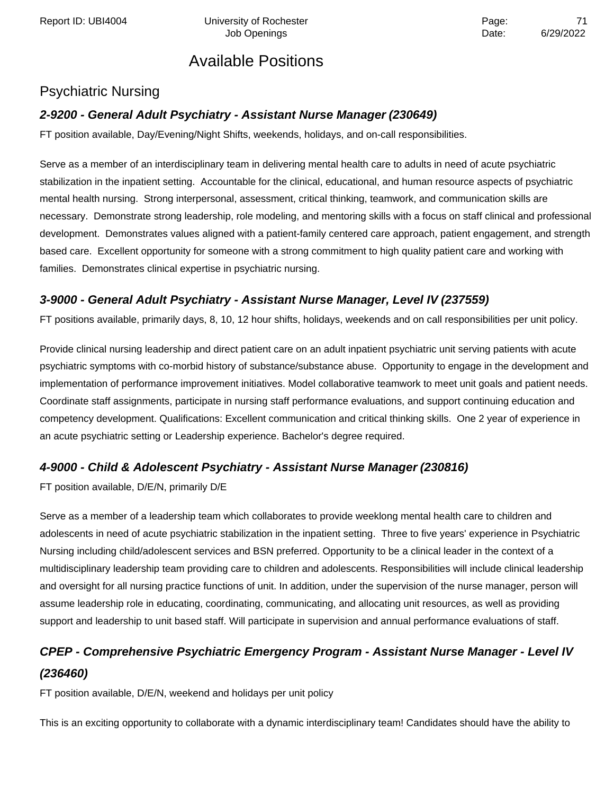## Psychiatric Nursing

### **2-9200 - General Adult Psychiatry - Assistant Nurse Manager (230649)**

FT position available, Day/Evening/Night Shifts, weekends, holidays, and on-call responsibilities.

Serve as a member of an interdisciplinary team in delivering mental health care to adults in need of acute psychiatric stabilization in the inpatient setting. Accountable for the clinical, educational, and human resource aspects of psychiatric mental health nursing. Strong interpersonal, assessment, critical thinking, teamwork, and communication skills are necessary. Demonstrate strong leadership, role modeling, and mentoring skills with a focus on staff clinical and professional development. Demonstrates values aligned with a patient-family centered care approach, patient engagement, and strength based care. Excellent opportunity for someone with a strong commitment to high quality patient care and working with families. Demonstrates clinical expertise in psychiatric nursing.

### **3-9000 - General Adult Psychiatry - Assistant Nurse Manager, Level IV (237559)**

FT positions available, primarily days, 8, 10, 12 hour shifts, holidays, weekends and on call responsibilities per unit policy.

Provide clinical nursing leadership and direct patient care on an adult inpatient psychiatric unit serving patients with acute psychiatric symptoms with co-morbid history of substance/substance abuse. Opportunity to engage in the development and implementation of performance improvement initiatives. Model collaborative teamwork to meet unit goals and patient needs. Coordinate staff assignments, participate in nursing staff performance evaluations, and support continuing education and competency development. Qualifications: Excellent communication and critical thinking skills. One 2 year of experience in an acute psychiatric setting or Leadership experience. Bachelor's degree required.

### **4-9000 - Child & Adolescent Psychiatry - Assistant Nurse Manager (230816)**

FT position available, D/E/N, primarily D/E

Serve as a member of a leadership team which collaborates to provide weeklong mental health care to children and adolescents in need of acute psychiatric stabilization in the inpatient setting. Three to five years' experience in Psychiatric Nursing including child/adolescent services and BSN preferred. Opportunity to be a clinical leader in the context of a multidisciplinary leadership team providing care to children and adolescents. Responsibilities will include clinical leadership and oversight for all nursing practice functions of unit. In addition, under the supervision of the nurse manager, person will assume leadership role in educating, coordinating, communicating, and allocating unit resources, as well as providing support and leadership to unit based staff. Will participate in supervision and annual performance evaluations of staff.

## **CPEP - Comprehensive Psychiatric Emergency Program - Assistant Nurse Manager - Level IV (236460)**

FT position available, D/E/N, weekend and holidays per unit policy

This is an exciting opportunity to collaborate with a dynamic interdisciplinary team! Candidates should have the ability to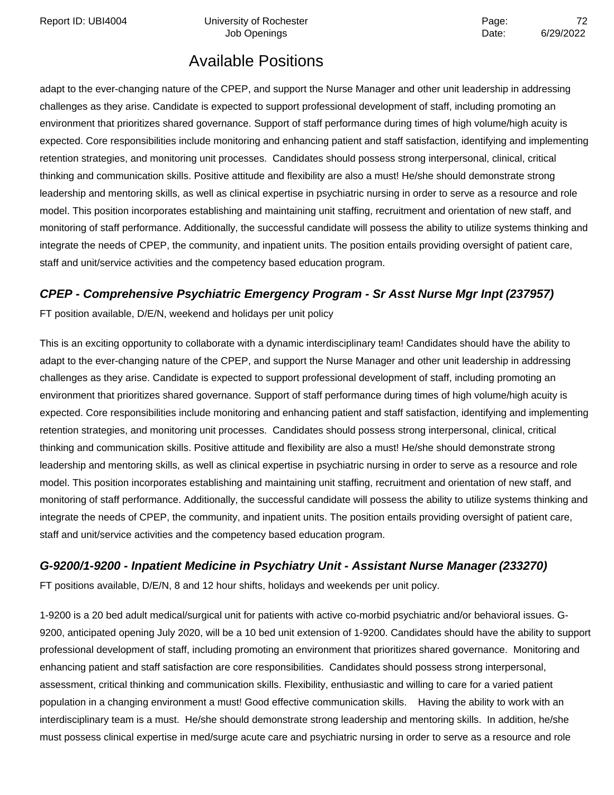adapt to the ever-changing nature of the CPEP, and support the Nurse Manager and other unit leadership in addressing challenges as they arise. Candidate is expected to support professional development of staff, including promoting an environment that prioritizes shared governance. Support of staff performance during times of high volume/high acuity is expected. Core responsibilities include monitoring and enhancing patient and staff satisfaction, identifying and implementing retention strategies, and monitoring unit processes. Candidates should possess strong interpersonal, clinical, critical thinking and communication skills. Positive attitude and flexibility are also a must! He/she should demonstrate strong leadership and mentoring skills, as well as clinical expertise in psychiatric nursing in order to serve as a resource and role model. This position incorporates establishing and maintaining unit staffing, recruitment and orientation of new staff, and monitoring of staff performance. Additionally, the successful candidate will possess the ability to utilize systems thinking and integrate the needs of CPEP, the community, and inpatient units. The position entails providing oversight of patient care, staff and unit/service activities and the competency based education program.

### **CPEP - Comprehensive Psychiatric Emergency Program - Sr Asst Nurse Mgr Inpt (237957)**

FT position available, D/E/N, weekend and holidays per unit policy

This is an exciting opportunity to collaborate with a dynamic interdisciplinary team! Candidates should have the ability to adapt to the ever-changing nature of the CPEP, and support the Nurse Manager and other unit leadership in addressing challenges as they arise. Candidate is expected to support professional development of staff, including promoting an environment that prioritizes shared governance. Support of staff performance during times of high volume/high acuity is expected. Core responsibilities include monitoring and enhancing patient and staff satisfaction, identifying and implementing retention strategies, and monitoring unit processes. Candidates should possess strong interpersonal, clinical, critical thinking and communication skills. Positive attitude and flexibility are also a must! He/she should demonstrate strong leadership and mentoring skills, as well as clinical expertise in psychiatric nursing in order to serve as a resource and role model. This position incorporates establishing and maintaining unit staffing, recruitment and orientation of new staff, and monitoring of staff performance. Additionally, the successful candidate will possess the ability to utilize systems thinking and integrate the needs of CPEP, the community, and inpatient units. The position entails providing oversight of patient care, staff and unit/service activities and the competency based education program.

### **G-9200/1-9200 - Inpatient Medicine in Psychiatry Unit - Assistant Nurse Manager (233270)**

FT positions available, D/E/N, 8 and 12 hour shifts, holidays and weekends per unit policy.

1-9200 is a 20 bed adult medical/surgical unit for patients with active co-morbid psychiatric and/or behavioral issues. G-9200, anticipated opening July 2020, will be a 10 bed unit extension of 1-9200. Candidates should have the ability to support professional development of staff, including promoting an environment that prioritizes shared governance. Monitoring and enhancing patient and staff satisfaction are core responsibilities. Candidates should possess strong interpersonal, assessment, critical thinking and communication skills. Flexibility, enthusiastic and willing to care for a varied patient population in a changing environment a must! Good effective communication skills. Having the ability to work with an interdisciplinary team is a must. He/she should demonstrate strong leadership and mentoring skills. In addition, he/she must possess clinical expertise in med/surge acute care and psychiatric nursing in order to serve as a resource and role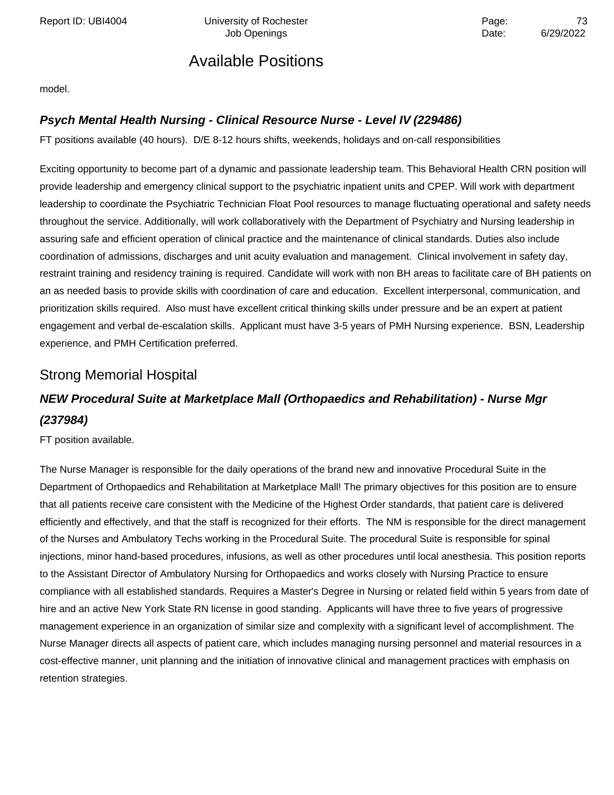Report ID: UBI4004 **Depart Controller University of Rochester** Page: **Page:** 73

Job Openings Date: 6/29/2022

### Available Positions

model.

#### **Psych Mental Health Nursing - Clinical Resource Nurse - Level IV (229486)**

FT positions available (40 hours). D/E 8-12 hours shifts, weekends, holidays and on-call responsibilities

Exciting opportunity to become part of a dynamic and passionate leadership team. This Behavioral Health CRN position will provide leadership and emergency clinical support to the psychiatric inpatient units and CPEP. Will work with department leadership to coordinate the Psychiatric Technician Float Pool resources to manage fluctuating operational and safety needs throughout the service. Additionally, will work collaboratively with the Department of Psychiatry and Nursing leadership in assuring safe and efficient operation of clinical practice and the maintenance of clinical standards. Duties also include coordination of admissions, discharges and unit acuity evaluation and management. Clinical involvement in safety day, restraint training and residency training is required. Candidate will work with non BH areas to facilitate care of BH patients on an as needed basis to provide skills with coordination of care and education. Excellent interpersonal, communication, and prioritization skills required. Also must have excellent critical thinking skills under pressure and be an expert at patient engagement and verbal de-escalation skills. Applicant must have 3-5 years of PMH Nursing experience. BSN, Leadership experience, and PMH Certification preferred.

### Strong Memorial Hospital

### **NEW Procedural Suite at Marketplace Mall (Orthopaedics and Rehabilitation) - Nurse Mgr (237984)**

FT position available.

The Nurse Manager is responsible for the daily operations of the brand new and innovative Procedural Suite in the Department of Orthopaedics and Rehabilitation at Marketplace Mall! The primary objectives for this position are to ensure that all patients receive care consistent with the Medicine of the Highest Order standards, that patient care is delivered efficiently and effectively, and that the staff is recognized for their efforts. The NM is responsible for the direct management of the Nurses and Ambulatory Techs working in the Procedural Suite. The procedural Suite is responsible for spinal injections, minor hand-based procedures, infusions, as well as other procedures until local anesthesia. This position reports to the Assistant Director of Ambulatory Nursing for Orthopaedics and works closely with Nursing Practice to ensure compliance with all established standards. Requires a Master's Degree in Nursing or related field within 5 years from date of hire and an active New York State RN license in good standing. Applicants will have three to five years of progressive management experience in an organization of similar size and complexity with a significant level of accomplishment. The Nurse Manager directs all aspects of patient care, which includes managing nursing personnel and material resources in a cost-effective manner, unit planning and the initiation of innovative clinical and management practices with emphasis on retention strategies.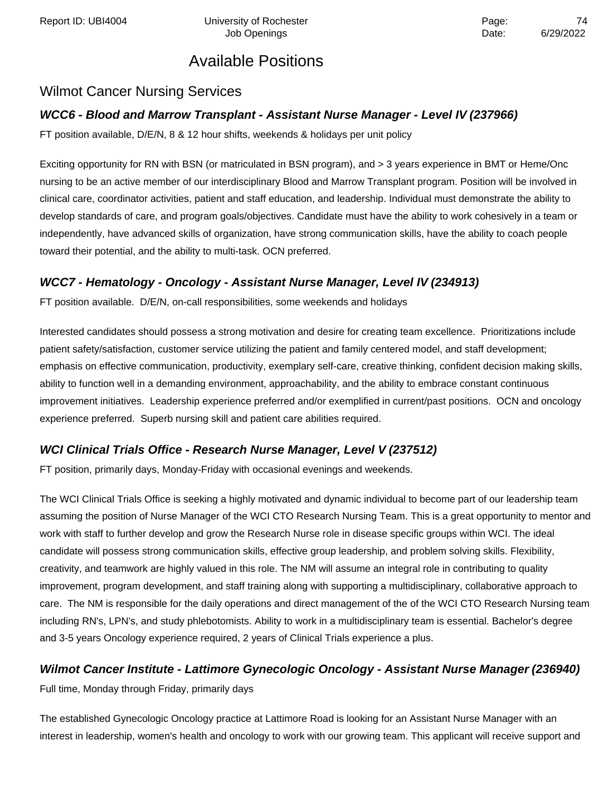### Wilmot Cancer Nursing Services

### **WCC6 - Blood and Marrow Transplant - Assistant Nurse Manager - Level IV (237966)**

FT position available, D/E/N, 8 & 12 hour shifts, weekends & holidays per unit policy

Exciting opportunity for RN with BSN (or matriculated in BSN program), and > 3 years experience in BMT or Heme/Onc nursing to be an active member of our interdisciplinary Blood and Marrow Transplant program. Position will be involved in clinical care, coordinator activities, patient and staff education, and leadership. Individual must demonstrate the ability to develop standards of care, and program goals/objectives. Candidate must have the ability to work cohesively in a team or independently, have advanced skills of organization, have strong communication skills, have the ability to coach people toward their potential, and the ability to multi-task. OCN preferred.

### **WCC7 - Hematology - Oncology - Assistant Nurse Manager, Level IV (234913)**

FT position available. D/E/N, on-call responsibilities, some weekends and holidays

Interested candidates should possess a strong motivation and desire for creating team excellence. Prioritizations include patient safety/satisfaction, customer service utilizing the patient and family centered model, and staff development; emphasis on effective communication, productivity, exemplary self-care, creative thinking, confident decision making skills, ability to function well in a demanding environment, approachability, and the ability to embrace constant continuous improvement initiatives. Leadership experience preferred and/or exemplified in current/past positions. OCN and oncology experience preferred. Superb nursing skill and patient care abilities required.

### **WCI Clinical Trials Office - Research Nurse Manager, Level V (237512)**

FT position, primarily days, Monday-Friday with occasional evenings and weekends.

The WCI Clinical Trials Office is seeking a highly motivated and dynamic individual to become part of our leadership team assuming the position of Nurse Manager of the WCI CTO Research Nursing Team. This is a great opportunity to mentor and work with staff to further develop and grow the Research Nurse role in disease specific groups within WCI. The ideal candidate will possess strong communication skills, effective group leadership, and problem solving skills. Flexibility, creativity, and teamwork are highly valued in this role. The NM will assume an integral role in contributing to quality improvement, program development, and staff training along with supporting a multidisciplinary, collaborative approach to care. The NM is responsible for the daily operations and direct management of the of the WCI CTO Research Nursing team including RN's, LPN's, and study phlebotomists. Ability to work in a multidisciplinary team is essential. Bachelor's degree and 3-5 years Oncology experience required, 2 years of Clinical Trials experience a plus.

### **Wilmot Cancer Institute - Lattimore Gynecologic Oncology - Assistant Nurse Manager (236940)**

Full time, Monday through Friday, primarily days

The established Gynecologic Oncology practice at Lattimore Road is looking for an Assistant Nurse Manager with an interest in leadership, women's health and oncology to work with our growing team. This applicant will receive support and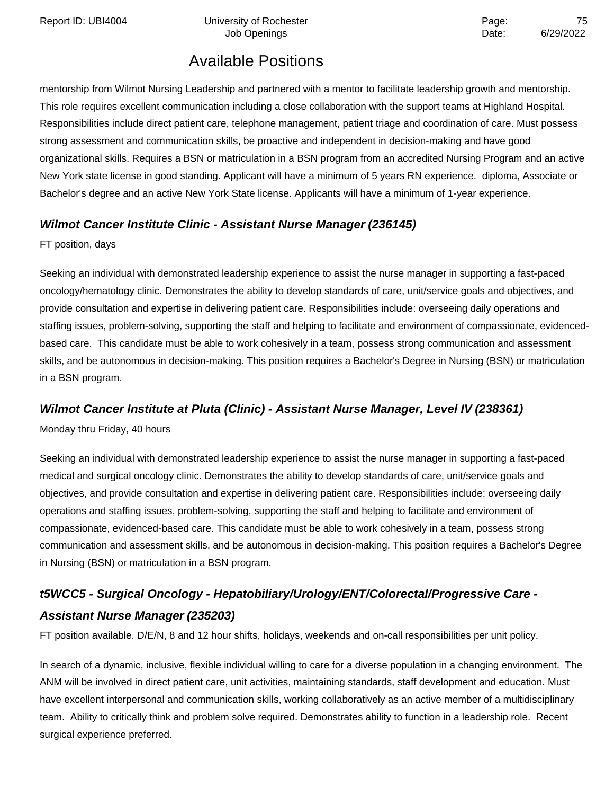Report ID: UBI4004 **Depart Controller University of Rochester** Page: **Page:** 75

## Available Positions

mentorship from Wilmot Nursing Leadership and partnered with a mentor to facilitate leadership growth and mentorship. This role requires excellent communication including a close collaboration with the support teams at Highland Hospital. Responsibilities include direct patient care, telephone management, patient triage and coordination of care. Must possess strong assessment and communication skills, be proactive and independent in decision-making and have good organizational skills. Requires a BSN or matriculation in a BSN program from an accredited Nursing Program and an active New York state license in good standing. Applicant will have a minimum of 5 years RN experience. diploma, Associate or Bachelor's degree and an active New York State license. Applicants will have a minimum of 1-year experience.

#### **Wilmot Cancer Institute Clinic - Assistant Nurse Manager (236145)**

FT position, days

Seeking an individual with demonstrated leadership experience to assist the nurse manager in supporting a fast-paced oncology/hematology clinic. Demonstrates the ability to develop standards of care, unit/service goals and objectives, and provide consultation and expertise in delivering patient care. Responsibilities include: overseeing daily operations and staffing issues, problem-solving, supporting the staff and helping to facilitate and environment of compassionate, evidencedbased care. This candidate must be able to work cohesively in a team, possess strong communication and assessment skills, and be autonomous in decision-making. This position requires a Bachelor's Degree in Nursing (BSN) or matriculation in a BSN program.

#### **Wilmot Cancer Institute at Pluta (Clinic) - Assistant Nurse Manager, Level IV (238361)**

Monday thru Friday, 40 hours

Seeking an individual with demonstrated leadership experience to assist the nurse manager in supporting a fast-paced medical and surgical oncology clinic. Demonstrates the ability to develop standards of care, unit/service goals and objectives, and provide consultation and expertise in delivering patient care. Responsibilities include: overseeing daily operations and staffing issues, problem-solving, supporting the staff and helping to facilitate and environment of compassionate, evidenced-based care. This candidate must be able to work cohesively in a team, possess strong communication and assessment skills, and be autonomous in decision-making. This position requires a Bachelor's Degree in Nursing (BSN) or matriculation in a BSN program.

### **t5WCC5 - Surgical Oncology - Hepatobiliary/Urology/ENT/Colorectal/Progressive Care - Assistant Nurse Manager (235203)**

FT position available. D/E/N, 8 and 12 hour shifts, holidays, weekends and on-call responsibilities per unit policy.

In search of a dynamic, inclusive, flexible individual willing to care for a diverse population in a changing environment. The ANM will be involved in direct patient care, unit activities, maintaining standards, staff development and education. Must have excellent interpersonal and communication skills, working collaboratively as an active member of a multidisciplinary team. Ability to critically think and problem solve required. Demonstrates ability to function in a leadership role. Recent surgical experience preferred.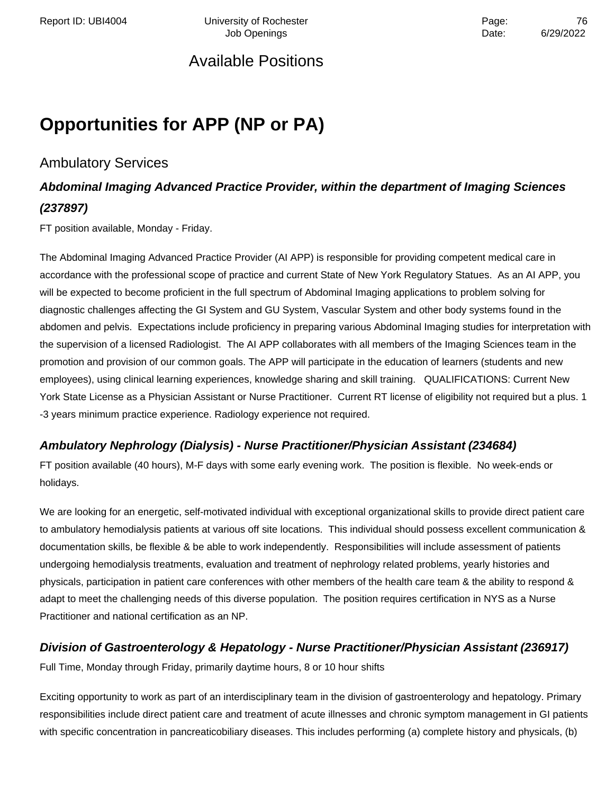# **Opportunities for APP (NP or PA)**

### Ambulatory Services

### **Abdominal Imaging Advanced Practice Provider, within the department of Imaging Sciences (237897)**

FT position available, Monday - Friday.

The Abdominal Imaging Advanced Practice Provider (AI APP) is responsible for providing competent medical care in accordance with the professional scope of practice and current State of New York Regulatory Statues. As an AI APP, you will be expected to become proficient in the full spectrum of Abdominal Imaging applications to problem solving for diagnostic challenges affecting the GI System and GU System, Vascular System and other body systems found in the abdomen and pelvis. Expectations include proficiency in preparing various Abdominal Imaging studies for interpretation with the supervision of a licensed Radiologist. The AI APP collaborates with all members of the Imaging Sciences team in the promotion and provision of our common goals. The APP will participate in the education of learners (students and new employees), using clinical learning experiences, knowledge sharing and skill training. QUALIFICATIONS: Current New York State License as a Physician Assistant or Nurse Practitioner. Current RT license of eligibility not required but a plus. 1 -3 years minimum practice experience. Radiology experience not required.

#### **Ambulatory Nephrology (Dialysis) - Nurse Practitioner/Physician Assistant (234684)**

FT position available (40 hours), M-F days with some early evening work. The position is flexible. No week-ends or holidays.

We are looking for an energetic, self-motivated individual with exceptional organizational skills to provide direct patient care to ambulatory hemodialysis patients at various off site locations. This individual should possess excellent communication & documentation skills, be flexible & be able to work independently. Responsibilities will include assessment of patients undergoing hemodialysis treatments, evaluation and treatment of nephrology related problems, yearly histories and physicals, participation in patient care conferences with other members of the health care team & the ability to respond & adapt to meet the challenging needs of this diverse population. The position requires certification in NYS as a Nurse Practitioner and national certification as an NP.

### **Division of Gastroenterology & Hepatology - Nurse Practitioner/Physician Assistant (236917)**

Full Time, Monday through Friday, primarily daytime hours, 8 or 10 hour shifts

Exciting opportunity to work as part of an interdisciplinary team in the division of gastroenterology and hepatology. Primary responsibilities include direct patient care and treatment of acute illnesses and chronic symptom management in GI patients with specific concentration in pancreaticobiliary diseases. This includes performing (a) complete history and physicals, (b)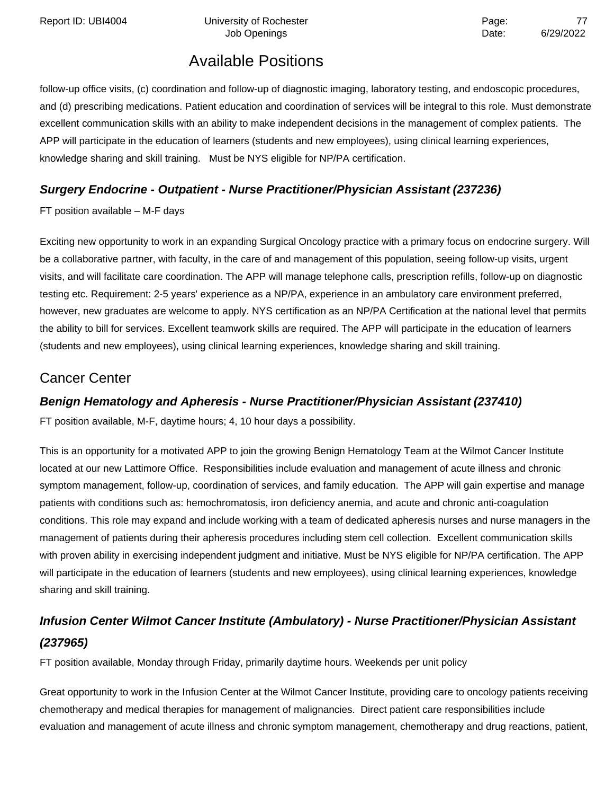Report ID: UBI4004 **Depart Controller University of Rochester** Page: **Page:** 77

Job Openings **Date:** 6/29/2022

### Available Positions

follow-up office visits, (c) coordination and follow-up of diagnostic imaging, laboratory testing, and endoscopic procedures, and (d) prescribing medications. Patient education and coordination of services will be integral to this role. Must demonstrate excellent communication skills with an ability to make independent decisions in the management of complex patients. The APP will participate in the education of learners (students and new employees), using clinical learning experiences, knowledge sharing and skill training. Must be NYS eligible for NP/PA certification.

#### **Surgery Endocrine - Outpatient - Nurse Practitioner/Physician Assistant (237236)**

FT position available – M-F days

Exciting new opportunity to work in an expanding Surgical Oncology practice with a primary focus on endocrine surgery. Will be a collaborative partner, with faculty, in the care of and management of this population, seeing follow-up visits, urgent visits, and will facilitate care coordination. The APP will manage telephone calls, prescription refills, follow-up on diagnostic testing etc. Requirement: 2-5 years' experience as a NP/PA, experience in an ambulatory care environment preferred, however, new graduates are welcome to apply. NYS certification as an NP/PA Certification at the national level that permits the ability to bill for services. Excellent teamwork skills are required. The APP will participate in the education of learners (students and new employees), using clinical learning experiences, knowledge sharing and skill training.

### Cancer Center

#### **Benign Hematology and Apheresis - Nurse Practitioner/Physician Assistant (237410)**

FT position available, M-F, daytime hours; 4, 10 hour days a possibility.

This is an opportunity for a motivated APP to join the growing Benign Hematology Team at the Wilmot Cancer Institute located at our new Lattimore Office. Responsibilities include evaluation and management of acute illness and chronic symptom management, follow-up, coordination of services, and family education. The APP will gain expertise and manage patients with conditions such as: hemochromatosis, iron deficiency anemia, and acute and chronic anti-coagulation conditions. This role may expand and include working with a team of dedicated apheresis nurses and nurse managers in the management of patients during their apheresis procedures including stem cell collection. Excellent communication skills with proven ability in exercising independent judgment and initiative. Must be NYS eligible for NP/PA certification. The APP will participate in the education of learners (students and new employees), using clinical learning experiences, knowledge sharing and skill training.

### **Infusion Center Wilmot Cancer Institute (Ambulatory) - Nurse Practitioner/Physician Assistant (237965)**

FT position available, Monday through Friday, primarily daytime hours. Weekends per unit policy

Great opportunity to work in the Infusion Center at the Wilmot Cancer Institute, providing care to oncology patients receiving chemotherapy and medical therapies for management of malignancies. Direct patient care responsibilities include evaluation and management of acute illness and chronic symptom management, chemotherapy and drug reactions, patient,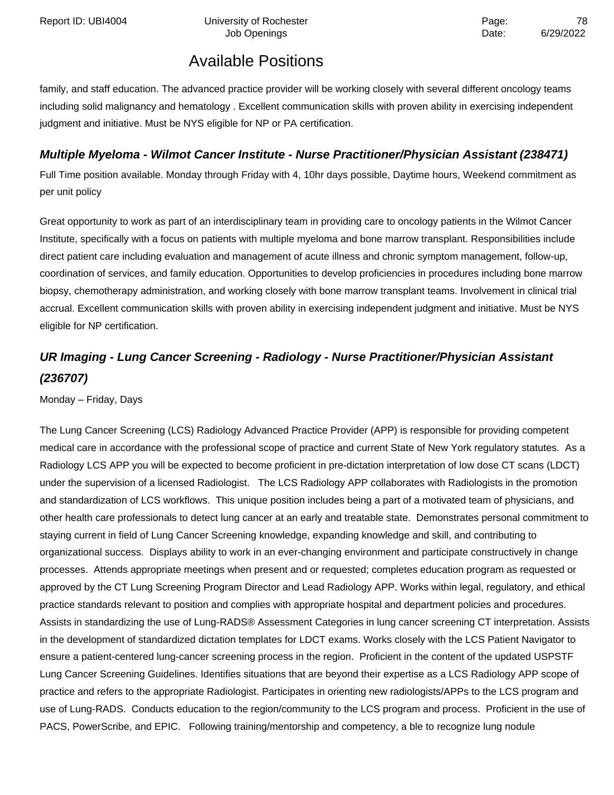family, and staff education. The advanced practice provider will be working closely with several different oncology teams including solid malignancy and hematology . Excellent communication skills with proven ability in exercising independent judgment and initiative. Must be NYS eligible for NP or PA certification.

#### **Multiple Myeloma - Wilmot Cancer Institute - Nurse Practitioner/Physician Assistant (238471)**

Full Time position available. Monday through Friday with 4, 10hr days possible, Daytime hours, Weekend commitment as per unit policy

Great opportunity to work as part of an interdisciplinary team in providing care to oncology patients in the Wilmot Cancer Institute, specifically with a focus on patients with multiple myeloma and bone marrow transplant. Responsibilities include direct patient care including evaluation and management of acute illness and chronic symptom management, follow-up, coordination of services, and family education. Opportunities to develop proficiencies in procedures including bone marrow biopsy, chemotherapy administration, and working closely with bone marrow transplant teams. Involvement in clinical trial accrual. Excellent communication skills with proven ability in exercising independent judgment and initiative. Must be NYS eligible for NP certification.

### **UR Imaging - Lung Cancer Screening - Radiology - Nurse Practitioner/Physician Assistant (236707)**

Monday – Friday, Days

The Lung Cancer Screening (LCS) Radiology Advanced Practice Provider (APP) is responsible for providing competent medical care in accordance with the professional scope of practice and current State of New York regulatory statutes. As a Radiology LCS APP you will be expected to become proficient in pre-dictation interpretation of low dose CT scans (LDCT) under the supervision of a licensed Radiologist. The LCS Radiology APP collaborates with Radiologists in the promotion and standardization of LCS workflows. This unique position includes being a part of a motivated team of physicians, and other health care professionals to detect lung cancer at an early and treatable state. Demonstrates personal commitment to staying current in field of Lung Cancer Screening knowledge, expanding knowledge and skill, and contributing to organizational success. Displays ability to work in an ever-changing environment and participate constructively in change processes. Attends appropriate meetings when present and or requested; completes education program as requested or approved by the CT Lung Screening Program Director and Lead Radiology APP. Works within legal, regulatory, and ethical practice standards relevant to position and complies with appropriate hospital and department policies and procedures. Assists in standardizing the use of Lung-RADS® Assessment Categories in lung cancer screening CT interpretation. Assists in the development of standardized dictation templates for LDCT exams. Works closely with the LCS Patient Navigator to ensure a patient-centered lung-cancer screening process in the region. Proficient in the content of the updated USPSTF Lung Cancer Screening Guidelines. Identifies situations that are beyond their expertise as a LCS Radiology APP scope of practice and refers to the appropriate Radiologist. Participates in orienting new radiologists/APPs to the LCS program and use of Lung-RADS. Conducts education to the region/community to the LCS program and process. Proficient in the use of PACS, PowerScribe, and EPIC. Following training/mentorship and competency, a ble to recognize lung nodule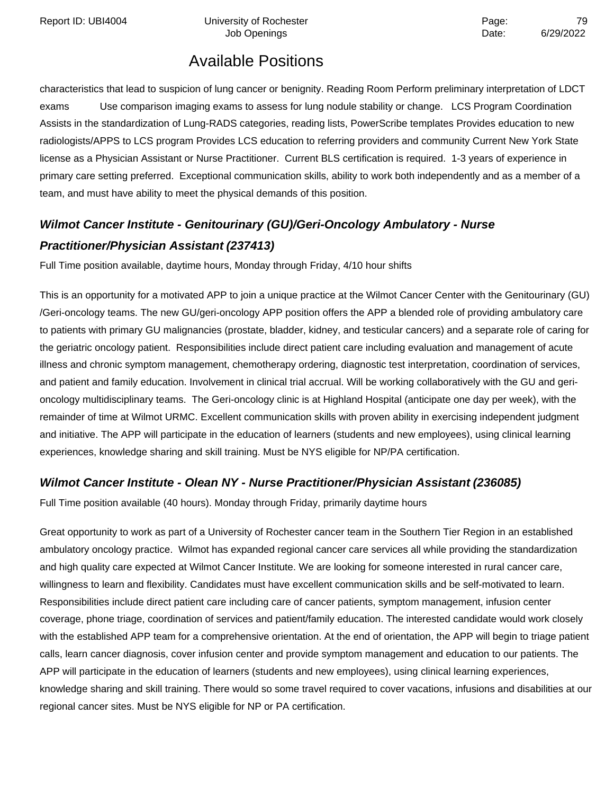Report ID: UBI4004 **Depart Controller University of Rochester** Page: **Page:** 79

### Available Positions

characteristics that lead to suspicion of lung cancer or benignity. Reading Room Perform preliminary interpretation of LDCT exams Use comparison imaging exams to assess for lung nodule stability or change. LCS Program Coordination Assists in the standardization of Lung-RADS categories, reading lists, PowerScribe templates Provides education to new radiologists/APPS to LCS program Provides LCS education to referring providers and community Current New York State license as a Physician Assistant or Nurse Practitioner. Current BLS certification is required. 1-3 years of experience in primary care setting preferred. Exceptional communication skills, ability to work both independently and as a member of a team, and must have ability to meet the physical demands of this position.

### **Wilmot Cancer Institute - Genitourinary (GU)/Geri-Oncology Ambulatory - Nurse Practitioner/Physician Assistant (237413)**

Full Time position available, daytime hours, Monday through Friday, 4/10 hour shifts

This is an opportunity for a motivated APP to join a unique practice at the Wilmot Cancer Center with the Genitourinary (GU) /Geri-oncology teams. The new GU/geri-oncology APP position offers the APP a blended role of providing ambulatory care to patients with primary GU malignancies (prostate, bladder, kidney, and testicular cancers) and a separate role of caring for the geriatric oncology patient. Responsibilities include direct patient care including evaluation and management of acute illness and chronic symptom management, chemotherapy ordering, diagnostic test interpretation, coordination of services, and patient and family education. Involvement in clinical trial accrual. Will be working collaboratively with the GU and gerioncology multidisciplinary teams. The Geri-oncology clinic is at Highland Hospital (anticipate one day per week), with the remainder of time at Wilmot URMC. Excellent communication skills with proven ability in exercising independent judgment and initiative. The APP will participate in the education of learners (students and new employees), using clinical learning experiences, knowledge sharing and skill training. Must be NYS eligible for NP/PA certification.

#### **Wilmot Cancer Institute - Olean NY - Nurse Practitioner/Physician Assistant (236085)**

Full Time position available (40 hours). Monday through Friday, primarily daytime hours

Great opportunity to work as part of a University of Rochester cancer team in the Southern Tier Region in an established ambulatory oncology practice. Wilmot has expanded regional cancer care services all while providing the standardization and high quality care expected at Wilmot Cancer Institute. We are looking for someone interested in rural cancer care, willingness to learn and flexibility. Candidates must have excellent communication skills and be self-motivated to learn. Responsibilities include direct patient care including care of cancer patients, symptom management, infusion center coverage, phone triage, coordination of services and patient/family education. The interested candidate would work closely with the established APP team for a comprehensive orientation. At the end of orientation, the APP will begin to triage patient calls, learn cancer diagnosis, cover infusion center and provide symptom management and education to our patients. The APP will participate in the education of learners (students and new employees), using clinical learning experiences, knowledge sharing and skill training. There would so some travel required to cover vacations, infusions and disabilities at our regional cancer sites. Must be NYS eligible for NP or PA certification.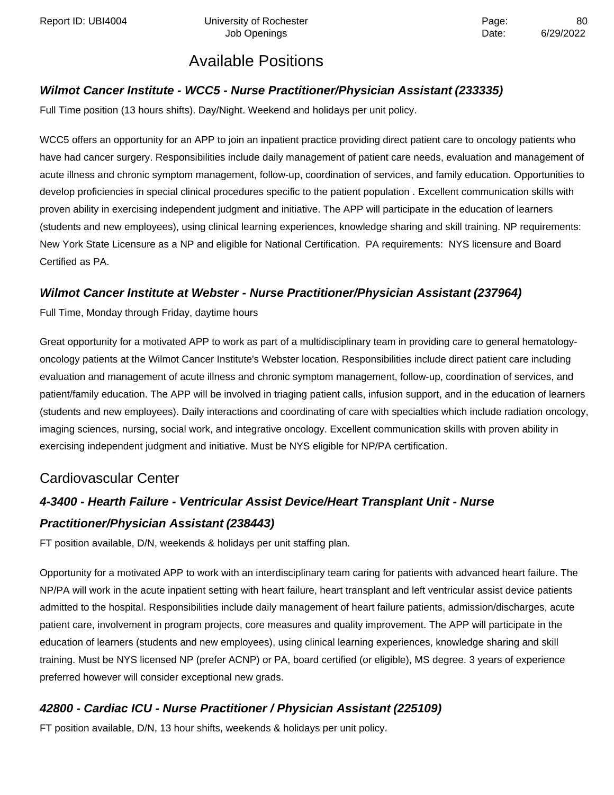#### **Wilmot Cancer Institute - WCC5 - Nurse Practitioner/Physician Assistant (233335)**

Full Time position (13 hours shifts). Day/Night. Weekend and holidays per unit policy.

WCC5 offers an opportunity for an APP to join an inpatient practice providing direct patient care to oncology patients who have had cancer surgery. Responsibilities include daily management of patient care needs, evaluation and management of acute illness and chronic symptom management, follow-up, coordination of services, and family education. Opportunities to develop proficiencies in special clinical procedures specific to the patient population . Excellent communication skills with proven ability in exercising independent judgment and initiative. The APP will participate in the education of learners (students and new employees), using clinical learning experiences, knowledge sharing and skill training. NP requirements: New York State Licensure as a NP and eligible for National Certification. PA requirements: NYS licensure and Board Certified as PA.

#### **Wilmot Cancer Institute at Webster - Nurse Practitioner/Physician Assistant (237964)**

Full Time, Monday through Friday, daytime hours

Great opportunity for a motivated APP to work as part of a multidisciplinary team in providing care to general hematologyoncology patients at the Wilmot Cancer Institute's Webster location. Responsibilities include direct patient care including evaluation and management of acute illness and chronic symptom management, follow-up, coordination of services, and patient/family education. The APP will be involved in triaging patient calls, infusion support, and in the education of learners (students and new employees). Daily interactions and coordinating of care with specialties which include radiation oncology, imaging sciences, nursing, social work, and integrative oncology. Excellent communication skills with proven ability in exercising independent judgment and initiative. Must be NYS eligible for NP/PA certification.

### Cardiovascular Center

## **4-3400 - Hearth Failure - Ventricular Assist Device/Heart Transplant Unit - Nurse Practitioner/Physician Assistant (238443)**

FT position available, D/N, weekends & holidays per unit staffing plan.

Opportunity for a motivated APP to work with an interdisciplinary team caring for patients with advanced heart failure. The NP/PA will work in the acute inpatient setting with heart failure, heart transplant and left ventricular assist device patients admitted to the hospital. Responsibilities include daily management of heart failure patients, admission/discharges, acute patient care, involvement in program projects, core measures and quality improvement. The APP will participate in the education of learners (students and new employees), using clinical learning experiences, knowledge sharing and skill training. Must be NYS licensed NP (prefer ACNP) or PA, board certified (or eligible), MS degree. 3 years of experience preferred however will consider exceptional new grads.

#### **42800 - Cardiac ICU - Nurse Practitioner / Physician Assistant (225109)**

FT position available, D/N, 13 hour shifts, weekends & holidays per unit policy.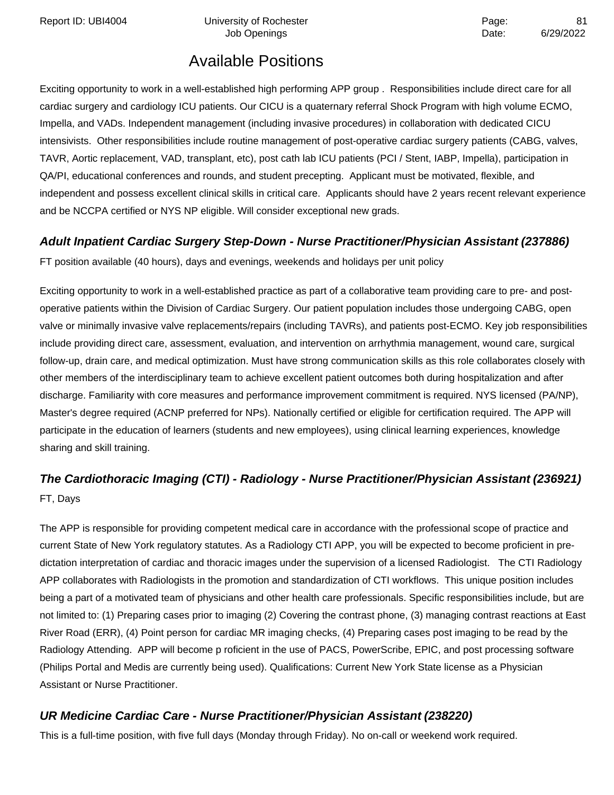Report ID: UBI4004 Contract University of Rochester Contract Contract Page: Report ID: UBI4004 B1

### Available Positions

Exciting opportunity to work in a well-established high performing APP group . Responsibilities include direct care for all cardiac surgery and cardiology ICU patients. Our CICU is a quaternary referral Shock Program with high volume ECMO, Impella, and VADs. Independent management (including invasive procedures) in collaboration with dedicated CICU intensivists. Other responsibilities include routine management of post-operative cardiac surgery patients (CABG, valves, TAVR, Aortic replacement, VAD, transplant, etc), post cath lab ICU patients (PCI / Stent, IABP, Impella), participation in QA/PI, educational conferences and rounds, and student precepting. Applicant must be motivated, flexible, and independent and possess excellent clinical skills in critical care. Applicants should have 2 years recent relevant experience and be NCCPA certified or NYS NP eligible. Will consider exceptional new grads.

#### **Adult Inpatient Cardiac Surgery Step-Down - Nurse Practitioner/Physician Assistant (237886)**

FT position available (40 hours), days and evenings, weekends and holidays per unit policy

Exciting opportunity to work in a well-established practice as part of a collaborative team providing care to pre- and postoperative patients within the Division of Cardiac Surgery. Our patient population includes those undergoing CABG, open valve or minimally invasive valve replacements/repairs (including TAVRs), and patients post-ECMO. Key job responsibilities include providing direct care, assessment, evaluation, and intervention on arrhythmia management, wound care, surgical follow-up, drain care, and medical optimization. Must have strong communication skills as this role collaborates closely with other members of the interdisciplinary team to achieve excellent patient outcomes both during hospitalization and after discharge. Familiarity with core measures and performance improvement commitment is required. NYS licensed (PA/NP), Master's degree required (ACNP preferred for NPs). Nationally certified or eligible for certification required. The APP will participate in the education of learners (students and new employees), using clinical learning experiences, knowledge sharing and skill training.

### **The Cardiothoracic Imaging (CTI) - Radiology - Nurse Practitioner/Physician Assistant (236921)** FT, Days

The APP is responsible for providing competent medical care in accordance with the professional scope of practice and current State of New York regulatory statutes. As a Radiology CTI APP, you will be expected to become proficient in predictation interpretation of cardiac and thoracic images under the supervision of a licensed Radiologist. The CTI Radiology APP collaborates with Radiologists in the promotion and standardization of CTI workflows. This unique position includes being a part of a motivated team of physicians and other health care professionals. Specific responsibilities include, but are not limited to: (1) Preparing cases prior to imaging (2) Covering the contrast phone, (3) managing contrast reactions at East River Road (ERR), (4) Point person for cardiac MR imaging checks, (4) Preparing cases post imaging to be read by the Radiology Attending. APP will become p roficient in the use of PACS, PowerScribe, EPIC, and post processing software (Philips Portal and Medis are currently being used). Qualifications: Current New York State license as a Physician Assistant or Nurse Practitioner.

#### **UR Medicine Cardiac Care - Nurse Practitioner/Physician Assistant (238220)**

This is a full-time position, with five full days (Monday through Friday). No on-call or weekend work required.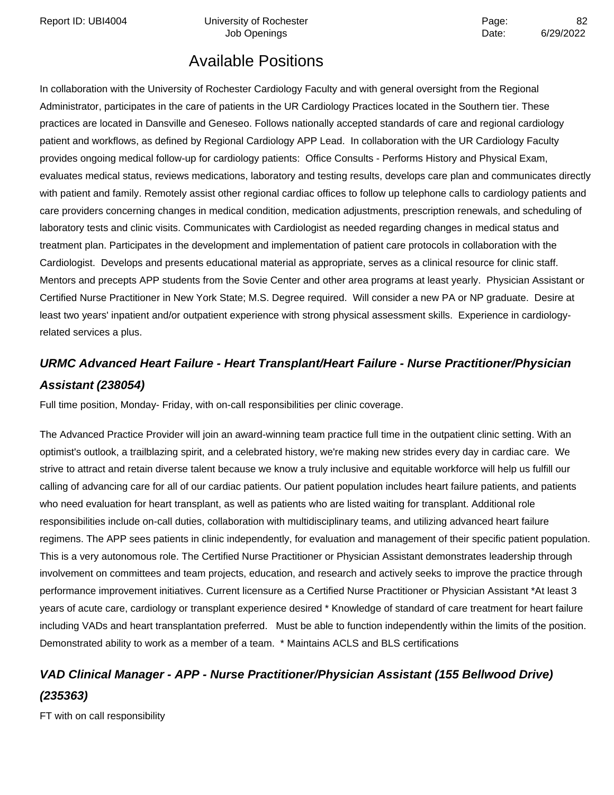Report ID: UBI4004 Chiversity of Rochester Page: 22

Job Openings **Date:** 6/29/2022

### Available Positions

In collaboration with the University of Rochester Cardiology Faculty and with general oversight from the Regional Administrator, participates in the care of patients in the UR Cardiology Practices located in the Southern tier. These practices are located in Dansville and Geneseo. Follows nationally accepted standards of care and regional cardiology patient and workflows, as defined by Regional Cardiology APP Lead. In collaboration with the UR Cardiology Faculty provides ongoing medical follow-up for cardiology patients: Office Consults - Performs History and Physical Exam, evaluates medical status, reviews medications, laboratory and testing results, develops care plan and communicates directly with patient and family. Remotely assist other regional cardiac offices to follow up telephone calls to cardiology patients and care providers concerning changes in medical condition, medication adjustments, prescription renewals, and scheduling of laboratory tests and clinic visits. Communicates with Cardiologist as needed regarding changes in medical status and treatment plan. Participates in the development and implementation of patient care protocols in collaboration with the Cardiologist. Develops and presents educational material as appropriate, serves as a clinical resource for clinic staff. Mentors and precepts APP students from the Sovie Center and other area programs at least yearly. Physician Assistant or Certified Nurse Practitioner in New York State; M.S. Degree required. Will consider a new PA or NP graduate. Desire at least two years' inpatient and/or outpatient experience with strong physical assessment skills. Experience in cardiologyrelated services a plus.

### **URMC Advanced Heart Failure - Heart Transplant/Heart Failure - Nurse Practitioner/Physician Assistant (238054)**

Full time position, Monday- Friday, with on-call responsibilities per clinic coverage.

The Advanced Practice Provider will join an award-winning team practice full time in the outpatient clinic setting. With an optimist's outlook, a trailblazing spirit, and a celebrated history, we're making new strides every day in cardiac care. We strive to attract and retain diverse talent because we know a truly inclusive and equitable workforce will help us fulfill our calling of advancing care for all of our cardiac patients. Our patient population includes heart failure patients, and patients who need evaluation for heart transplant, as well as patients who are listed waiting for transplant. Additional role responsibilities include on-call duties, collaboration with multidisciplinary teams, and utilizing advanced heart failure regimens. The APP sees patients in clinic independently, for evaluation and management of their specific patient population. This is a very autonomous role. The Certified Nurse Practitioner or Physician Assistant demonstrates leadership through involvement on committees and team projects, education, and research and actively seeks to improve the practice through performance improvement initiatives. Current licensure as a Certified Nurse Practitioner or Physician Assistant \*At least 3 years of acute care, cardiology or transplant experience desired \* Knowledge of standard of care treatment for heart failure including VADs and heart transplantation preferred. Must be able to function independently within the limits of the position. Demonstrated ability to work as a member of a team. \* Maintains ACLS and BLS certifications

### **VAD Clinical Manager - APP - Nurse Practitioner/Physician Assistant (155 Bellwood Drive) (235363)**

FT with on call responsibility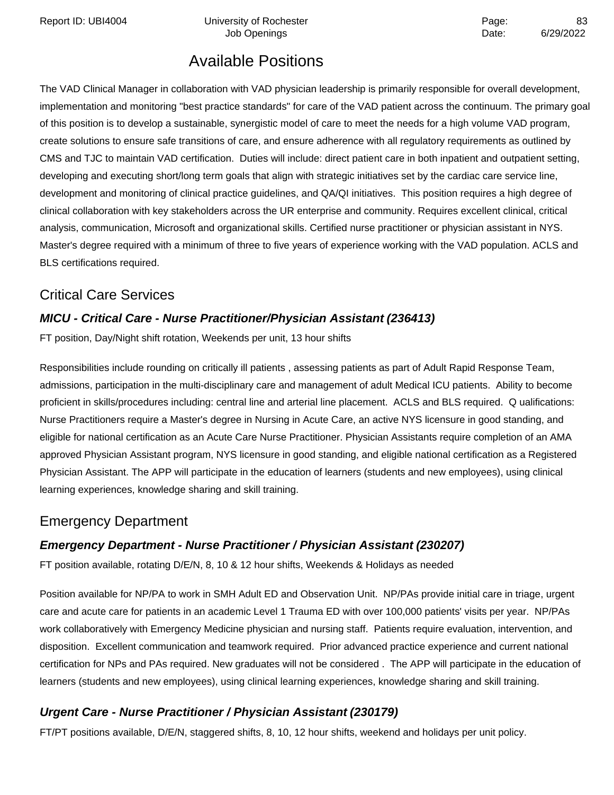Report ID: UBI4004 **Depart Controller University of Rochester** Page: **Page:** 83

### Available Positions

The VAD Clinical Manager in collaboration with VAD physician leadership is primarily responsible for overall development, implementation and monitoring "best practice standards" for care of the VAD patient across the continuum. The primary goal of this position is to develop a sustainable, synergistic model of care to meet the needs for a high volume VAD program, create solutions to ensure safe transitions of care, and ensure adherence with all regulatory requirements as outlined by CMS and TJC to maintain VAD certification. Duties will include: direct patient care in both inpatient and outpatient setting, developing and executing short/long term goals that align with strategic initiatives set by the cardiac care service line, development and monitoring of clinical practice guidelines, and QA/QI initiatives. This position requires a high degree of clinical collaboration with key stakeholders across the UR enterprise and community. Requires excellent clinical, critical analysis, communication, Microsoft and organizational skills. Certified nurse practitioner or physician assistant in NYS. Master's degree required with a minimum of three to five years of experience working with the VAD population. ACLS and BLS certifications required.

### Critical Care Services

#### **MICU - Critical Care - Nurse Practitioner/Physician Assistant (236413)**

FT position, Day/Night shift rotation, Weekends per unit, 13 hour shifts

Responsibilities include rounding on critically ill patients , assessing patients as part of Adult Rapid Response Team, admissions, participation in the multi-disciplinary care and management of adult Medical ICU patients. Ability to become proficient in skills/procedures including: central line and arterial line placement. ACLS and BLS required. Q ualifications: Nurse Practitioners require a Master's degree in Nursing in Acute Care, an active NYS licensure in good standing, and eligible for national certification as an Acute Care Nurse Practitioner. Physician Assistants require completion of an AMA approved Physician Assistant program, NYS licensure in good standing, and eligible national certification as a Registered Physician Assistant. The APP will participate in the education of learners (students and new employees), using clinical learning experiences, knowledge sharing and skill training.

### Emergency Department

#### **Emergency Department - Nurse Practitioner / Physician Assistant (230207)**

FT position available, rotating D/E/N, 8, 10 & 12 hour shifts, Weekends & Holidays as needed

Position available for NP/PA to work in SMH Adult ED and Observation Unit. NP/PAs provide initial care in triage, urgent care and acute care for patients in an academic Level 1 Trauma ED with over 100,000 patients' visits per year. NP/PAs work collaboratively with Emergency Medicine physician and nursing staff. Patients require evaluation, intervention, and disposition. Excellent communication and teamwork required. Prior advanced practice experience and current national certification for NPs and PAs required. New graduates will not be considered . The APP will participate in the education of learners (students and new employees), using clinical learning experiences, knowledge sharing and skill training.

#### **Urgent Care - Nurse Practitioner / Physician Assistant (230179)**

FT/PT positions available, D/E/N, staggered shifts, 8, 10, 12 hour shifts, weekend and holidays per unit policy.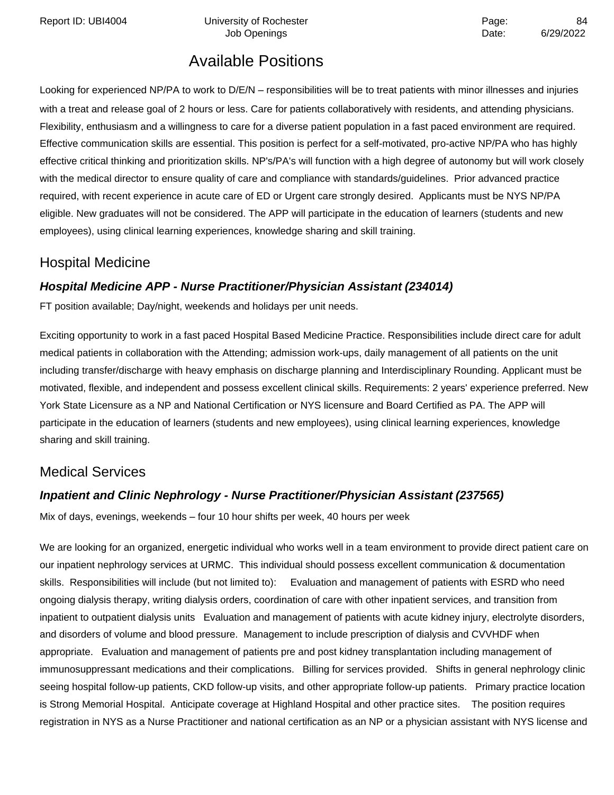Report ID: UBI4004 University of Rochester **Network 10: UBI4004** Page:

### Available Positions

Looking for experienced NP/PA to work to D/E/N – responsibilities will be to treat patients with minor illnesses and injuries with a treat and release goal of 2 hours or less. Care for patients collaboratively with residents, and attending physicians. Flexibility, enthusiasm and a willingness to care for a diverse patient population in a fast paced environment are required. Effective communication skills are essential. This position is perfect for a self-motivated, pro-active NP/PA who has highly effective critical thinking and prioritization skills. NP's/PA's will function with a high degree of autonomy but will work closely with the medical director to ensure quality of care and compliance with standards/guidelines. Prior advanced practice required, with recent experience in acute care of ED or Urgent care strongly desired. Applicants must be NYS NP/PA eligible. New graduates will not be considered. The APP will participate in the education of learners (students and new employees), using clinical learning experiences, knowledge sharing and skill training.

#### Hospital Medicine

#### **Hospital Medicine APP - Nurse Practitioner/Physician Assistant (234014)**

FT position available; Day/night, weekends and holidays per unit needs.

Exciting opportunity to work in a fast paced Hospital Based Medicine Practice. Responsibilities include direct care for adult medical patients in collaboration with the Attending; admission work-ups, daily management of all patients on the unit including transfer/discharge with heavy emphasis on discharge planning and Interdisciplinary Rounding. Applicant must be motivated, flexible, and independent and possess excellent clinical skills. Requirements: 2 years' experience preferred. New York State Licensure as a NP and National Certification or NYS licensure and Board Certified as PA. The APP will participate in the education of learners (students and new employees), using clinical learning experiences, knowledge sharing and skill training.

### Medical Services

#### **Inpatient and Clinic Nephrology - Nurse Practitioner/Physician Assistant (237565)**

Mix of days, evenings, weekends – four 10 hour shifts per week, 40 hours per week

We are looking for an organized, energetic individual who works well in a team environment to provide direct patient care on our inpatient nephrology services at URMC. This individual should possess excellent communication & documentation skills. Responsibilities will include (but not limited to): Evaluation and management of patients with ESRD who need ongoing dialysis therapy, writing dialysis orders, coordination of care with other inpatient services, and transition from inpatient to outpatient dialysis units Evaluation and management of patients with acute kidney injury, electrolyte disorders, and disorders of volume and blood pressure. Management to include prescription of dialysis and CVVHDF when appropriate. Evaluation and management of patients pre and post kidney transplantation including management of immunosuppressant medications and their complications. Billing for services provided. Shifts in general nephrology clinic seeing hospital follow-up patients, CKD follow-up visits, and other appropriate follow-up patients. Primary practice location is Strong Memorial Hospital. Anticipate coverage at Highland Hospital and other practice sites. The position requires registration in NYS as a Nurse Practitioner and national certification as an NP or a physician assistant with NYS license and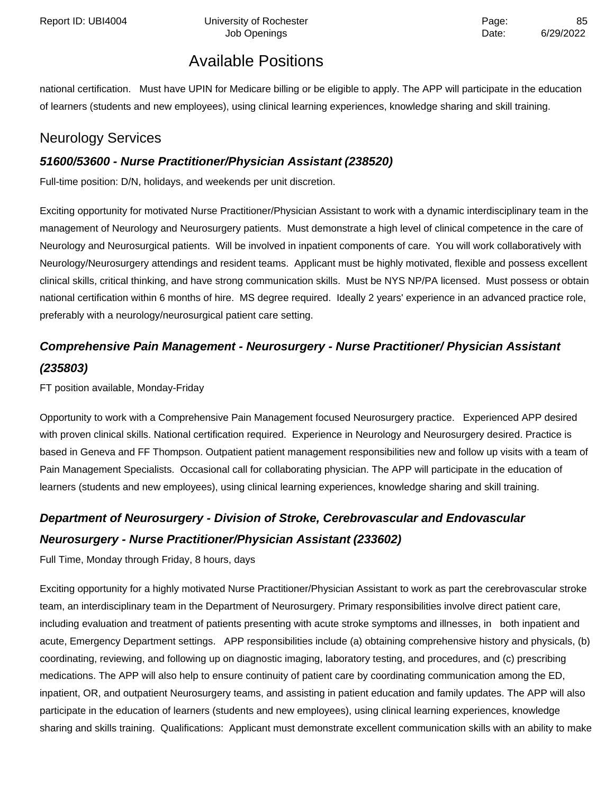national certification. Must have UPIN for Medicare billing or be eligible to apply. The APP will participate in the education of learners (students and new employees), using clinical learning experiences, knowledge sharing and skill training.

### Neurology Services

#### **51600/53600 - Nurse Practitioner/Physician Assistant (238520)**

Full-time position: D/N, holidays, and weekends per unit discretion.

Exciting opportunity for motivated Nurse Practitioner/Physician Assistant to work with a dynamic interdisciplinary team in the management of Neurology and Neurosurgery patients. Must demonstrate a high level of clinical competence in the care of Neurology and Neurosurgical patients. Will be involved in inpatient components of care. You will work collaboratively with Neurology/Neurosurgery attendings and resident teams. Applicant must be highly motivated, flexible and possess excellent clinical skills, critical thinking, and have strong communication skills. Must be NYS NP/PA licensed. Must possess or obtain national certification within 6 months of hire. MS degree required. Ideally 2 years' experience in an advanced practice role, preferably with a neurology/neurosurgical patient care setting.

### **Comprehensive Pain Management - Neurosurgery - Nurse Practitioner/ Physician Assistant (235803)**

FT position available, Monday-Friday

Opportunity to work with a Comprehensive Pain Management focused Neurosurgery practice. Experienced APP desired with proven clinical skills. National certification required. Experience in Neurology and Neurosurgery desired. Practice is based in Geneva and FF Thompson. Outpatient patient management responsibilities new and follow up visits with a team of Pain Management Specialists. Occasional call for collaborating physician. The APP will participate in the education of learners (students and new employees), using clinical learning experiences, knowledge sharing and skill training.

### **Department of Neurosurgery - Division of Stroke, Cerebrovascular and Endovascular Neurosurgery - Nurse Practitioner/Physician Assistant (233602)**

Full Time, Monday through Friday, 8 hours, days

Exciting opportunity for a highly motivated Nurse Practitioner/Physician Assistant to work as part the cerebrovascular stroke team, an interdisciplinary team in the Department of Neurosurgery. Primary responsibilities involve direct patient care, including evaluation and treatment of patients presenting with acute stroke symptoms and illnesses, in both inpatient and acute, Emergency Department settings. APP responsibilities include (a) obtaining comprehensive history and physicals, (b) coordinating, reviewing, and following up on diagnostic imaging, laboratory testing, and procedures, and (c) prescribing medications. The APP will also help to ensure continuity of patient care by coordinating communication among the ED, inpatient, OR, and outpatient Neurosurgery teams, and assisting in patient education and family updates. The APP will also participate in the education of learners (students and new employees), using clinical learning experiences, knowledge sharing and skills training. Qualifications: Applicant must demonstrate excellent communication skills with an ability to make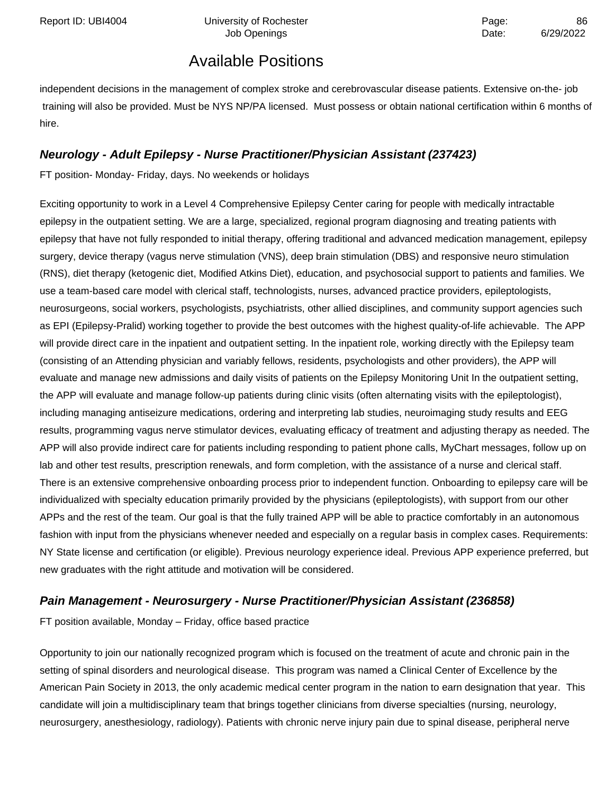independent decisions in the management of complex stroke and cerebrovascular disease patients. Extensive on-the- job training will also be provided. Must be NYS NP/PA licensed. Must possess or obtain national certification within 6 months of hire.

#### **Neurology - Adult Epilepsy - Nurse Practitioner/Physician Assistant (237423)**

FT position- Monday- Friday, days. No weekends or holidays

Exciting opportunity to work in a Level 4 Comprehensive Epilepsy Center caring for people with medically intractable epilepsy in the outpatient setting. We are a large, specialized, regional program diagnosing and treating patients with epilepsy that have not fully responded to initial therapy, offering traditional and advanced medication management, epilepsy surgery, device therapy (vagus nerve stimulation (VNS), deep brain stimulation (DBS) and responsive neuro stimulation (RNS), diet therapy (ketogenic diet, Modified Atkins Diet), education, and psychosocial support to patients and families. We use a team-based care model with clerical staff, technologists, nurses, advanced practice providers, epileptologists, neurosurgeons, social workers, psychologists, psychiatrists, other allied disciplines, and community support agencies such as EPI (Epilepsy-Pralid) working together to provide the best outcomes with the highest quality-of-life achievable. The APP will provide direct care in the inpatient and outpatient setting. In the inpatient role, working directly with the Epilepsy team (consisting of an Attending physician and variably fellows, residents, psychologists and other providers), the APP will evaluate and manage new admissions and daily visits of patients on the Epilepsy Monitoring Unit In the outpatient setting, the APP will evaluate and manage follow-up patients during clinic visits (often alternating visits with the epileptologist), including managing antiseizure medications, ordering and interpreting lab studies, neuroimaging study results and EEG results, programming vagus nerve stimulator devices, evaluating efficacy of treatment and adjusting therapy as needed. The APP will also provide indirect care for patients including responding to patient phone calls, MyChart messages, follow up on lab and other test results, prescription renewals, and form completion, with the assistance of a nurse and clerical staff. There is an extensive comprehensive onboarding process prior to independent function. Onboarding to epilepsy care will be individualized with specialty education primarily provided by the physicians (epileptologists), with support from our other APPs and the rest of the team. Our goal is that the fully trained APP will be able to practice comfortably in an autonomous fashion with input from the physicians whenever needed and especially on a regular basis in complex cases. Requirements: NY State license and certification (or eligible). Previous neurology experience ideal. Previous APP experience preferred, but new graduates with the right attitude and motivation will be considered.

### **Pain Management - Neurosurgery - Nurse Practitioner/Physician Assistant (236858)**

FT position available, Monday – Friday, office based practice

Opportunity to join our nationally recognized program which is focused on the treatment of acute and chronic pain in the setting of spinal disorders and neurological disease. This program was named a Clinical Center of Excellence by the American Pain Society in 2013, the only academic medical center program in the nation to earn designation that year. This candidate will join a multidisciplinary team that brings together clinicians from diverse specialties (nursing, neurology, neurosurgery, anesthesiology, radiology). Patients with chronic nerve injury pain due to spinal disease, peripheral nerve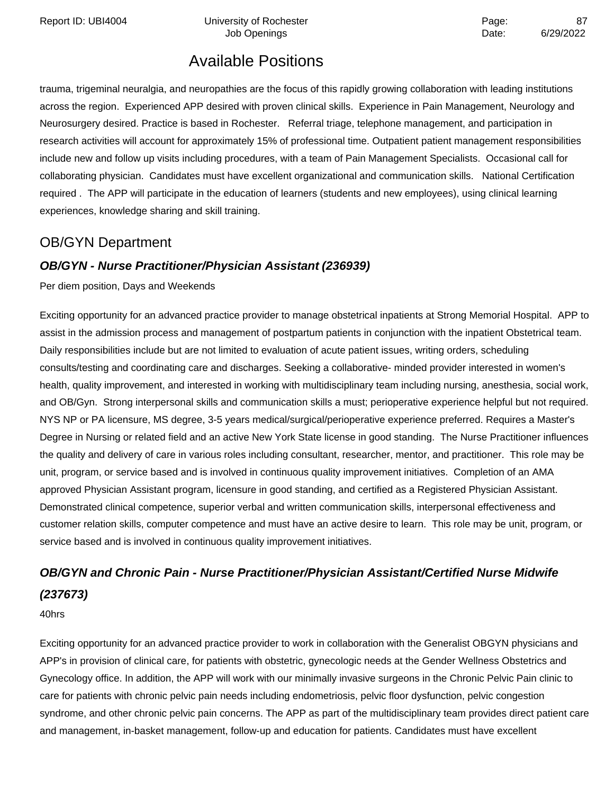Report ID: UBI4004 **Depart Controller University of Rochester** Page: **Page:** 87

### Available Positions

trauma, trigeminal neuralgia, and neuropathies are the focus of this rapidly growing collaboration with leading institutions across the region. Experienced APP desired with proven clinical skills. Experience in Pain Management, Neurology and Neurosurgery desired. Practice is based in Rochester. Referral triage, telephone management, and participation in research activities will account for approximately 15% of professional time. Outpatient patient management responsibilities include new and follow up visits including procedures, with a team of Pain Management Specialists. Occasional call for collaborating physician. Candidates must have excellent organizational and communication skills. National Certification required . The APP will participate in the education of learners (students and new employees), using clinical learning experiences, knowledge sharing and skill training.

### OB/GYN Department

#### **OB/GYN - Nurse Practitioner/Physician Assistant (236939)**

Per diem position, Days and Weekends

Exciting opportunity for an advanced practice provider to manage obstetrical inpatients at Strong Memorial Hospital. APP to assist in the admission process and management of postpartum patients in conjunction with the inpatient Obstetrical team. Daily responsibilities include but are not limited to evaluation of acute patient issues, writing orders, scheduling consults/testing and coordinating care and discharges. Seeking a collaborative- minded provider interested in women's health, quality improvement, and interested in working with multidisciplinary team including nursing, anesthesia, social work, and OB/Gyn. Strong interpersonal skills and communication skills a must; perioperative experience helpful but not required. NYS NP or PA licensure, MS degree, 3-5 years medical/surgical/perioperative experience preferred. Requires a Master's Degree in Nursing or related field and an active New York State license in good standing. The Nurse Practitioner influences the quality and delivery of care in various roles including consultant, researcher, mentor, and practitioner. This role may be unit, program, or service based and is involved in continuous quality improvement initiatives. Completion of an AMA approved Physician Assistant program, licensure in good standing, and certified as a Registered Physician Assistant. Demonstrated clinical competence, superior verbal and written communication skills, interpersonal effectiveness and customer relation skills, computer competence and must have an active desire to learn. This role may be unit, program, or service based and is involved in continuous quality improvement initiatives.

### **OB/GYN and Chronic Pain - Nurse Practitioner/Physician Assistant/Certified Nurse Midwife (237673)**

40hrs

Exciting opportunity for an advanced practice provider to work in collaboration with the Generalist OBGYN physicians and APP's in provision of clinical care, for patients with obstetric, gynecologic needs at the Gender Wellness Obstetrics and Gynecology office. In addition, the APP will work with our minimally invasive surgeons in the Chronic Pelvic Pain clinic to care for patients with chronic pelvic pain needs including endometriosis, pelvic floor dysfunction, pelvic congestion syndrome, and other chronic pelvic pain concerns. The APP as part of the multidisciplinary team provides direct patient care and management, in-basket management, follow-up and education for patients. Candidates must have excellent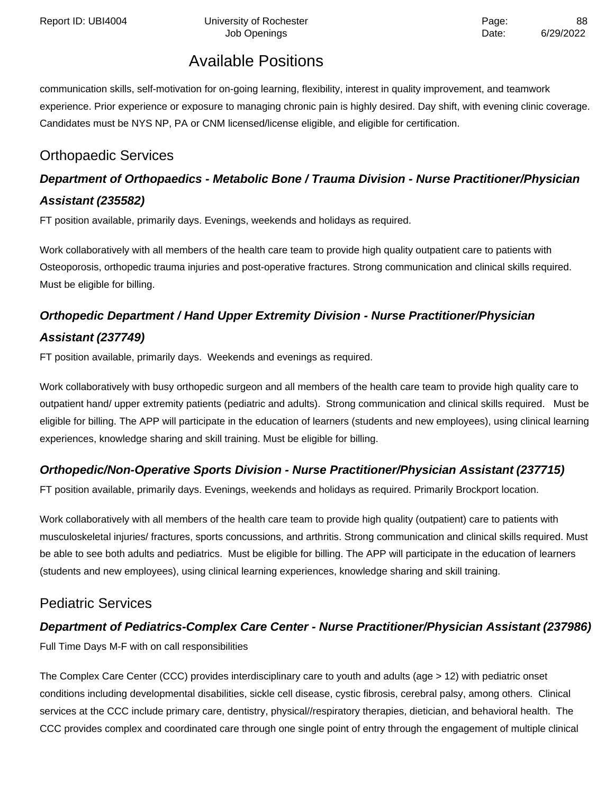communication skills, self-motivation for on-going learning, flexibility, interest in quality improvement, and teamwork experience. Prior experience or exposure to managing chronic pain is highly desired. Day shift, with evening clinic coverage. Candidates must be NYS NP, PA or CNM licensed/license eligible, and eligible for certification.

### Orthopaedic Services

### **Department of Orthopaedics - Metabolic Bone / Trauma Division - Nurse Practitioner/Physician Assistant (235582)**

FT position available, primarily days. Evenings, weekends and holidays as required.

Work collaboratively with all members of the health care team to provide high quality outpatient care to patients with Osteoporosis, orthopedic trauma injuries and post-operative fractures. Strong communication and clinical skills required. Must be eligible for billing.

### **Orthopedic Department / Hand Upper Extremity Division - Nurse Practitioner/Physician Assistant (237749)**

FT position available, primarily days. Weekends and evenings as required.

Work collaboratively with busy orthopedic surgeon and all members of the health care team to provide high quality care to outpatient hand/ upper extremity patients (pediatric and adults). Strong communication and clinical skills required. Must be eligible for billing. The APP will participate in the education of learners (students and new employees), using clinical learning experiences, knowledge sharing and skill training. Must be eligible for billing.

### **Orthopedic/Non-Operative Sports Division - Nurse Practitioner/Physician Assistant (237715)**

FT position available, primarily days. Evenings, weekends and holidays as required. Primarily Brockport location.

Work collaboratively with all members of the health care team to provide high quality (outpatient) care to patients with musculoskeletal injuries/ fractures, sports concussions, and arthritis. Strong communication and clinical skills required. Must be able to see both adults and pediatrics. Must be eligible for billing. The APP will participate in the education of learners (students and new employees), using clinical learning experiences, knowledge sharing and skill training.

### Pediatric Services

### **Department of Pediatrics-Complex Care Center - Nurse Practitioner/Physician Assistant (237986)**

Full Time Days M-F with on call responsibilities

The Complex Care Center (CCC) provides interdisciplinary care to youth and adults (age > 12) with pediatric onset conditions including developmental disabilities, sickle cell disease, cystic fibrosis, cerebral palsy, among others. Clinical services at the CCC include primary care, dentistry, physical//respiratory therapies, dietician, and behavioral health. The CCC provides complex and coordinated care through one single point of entry through the engagement of multiple clinical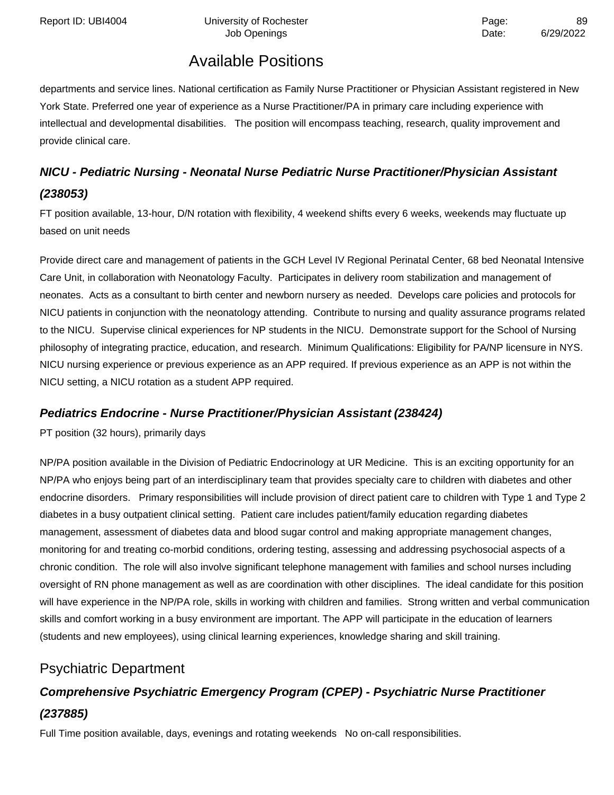departments and service lines. National certification as Family Nurse Practitioner or Physician Assistant registered in New York State. Preferred one year of experience as a Nurse Practitioner/PA in primary care including experience with intellectual and developmental disabilities. The position will encompass teaching, research, quality improvement and provide clinical care.

### **NICU - Pediatric Nursing - Neonatal Nurse Pediatric Nurse Practitioner/Physician Assistant (238053)**

FT position available, 13-hour, D/N rotation with flexibility, 4 weekend shifts every 6 weeks, weekends may fluctuate up based on unit needs

Provide direct care and management of patients in the GCH Level IV Regional Perinatal Center, 68 bed Neonatal Intensive Care Unit, in collaboration with Neonatology Faculty. Participates in delivery room stabilization and management of neonates. Acts as a consultant to birth center and newborn nursery as needed. Develops care policies and protocols for NICU patients in conjunction with the neonatology attending. Contribute to nursing and quality assurance programs related to the NICU. Supervise clinical experiences for NP students in the NICU. Demonstrate support for the School of Nursing philosophy of integrating practice, education, and research. Minimum Qualifications: Eligibility for PA/NP licensure in NYS. NICU nursing experience or previous experience as an APP required. If previous experience as an APP is not within the NICU setting, a NICU rotation as a student APP required.

#### **Pediatrics Endocrine - Nurse Practitioner/Physician Assistant (238424)**

PT position (32 hours), primarily days

NP/PA position available in the Division of Pediatric Endocrinology at UR Medicine. This is an exciting opportunity for an NP/PA who enjoys being part of an interdisciplinary team that provides specialty care to children with diabetes and other endocrine disorders. Primary responsibilities will include provision of direct patient care to children with Type 1 and Type 2 diabetes in a busy outpatient clinical setting. Patient care includes patient/family education regarding diabetes management, assessment of diabetes data and blood sugar control and making appropriate management changes, monitoring for and treating co-morbid conditions, ordering testing, assessing and addressing psychosocial aspects of a chronic condition. The role will also involve significant telephone management with families and school nurses including oversight of RN phone management as well as are coordination with other disciplines. The ideal candidate for this position will have experience in the NP/PA role, skills in working with children and families. Strong written and verbal communication skills and comfort working in a busy environment are important. The APP will participate in the education of learners (students and new employees), using clinical learning experiences, knowledge sharing and skill training.

### Psychiatric Department

### **Comprehensive Psychiatric Emergency Program (CPEP) - Psychiatric Nurse Practitioner (237885)**

Full Time position available, days, evenings and rotating weekends No on-call responsibilities.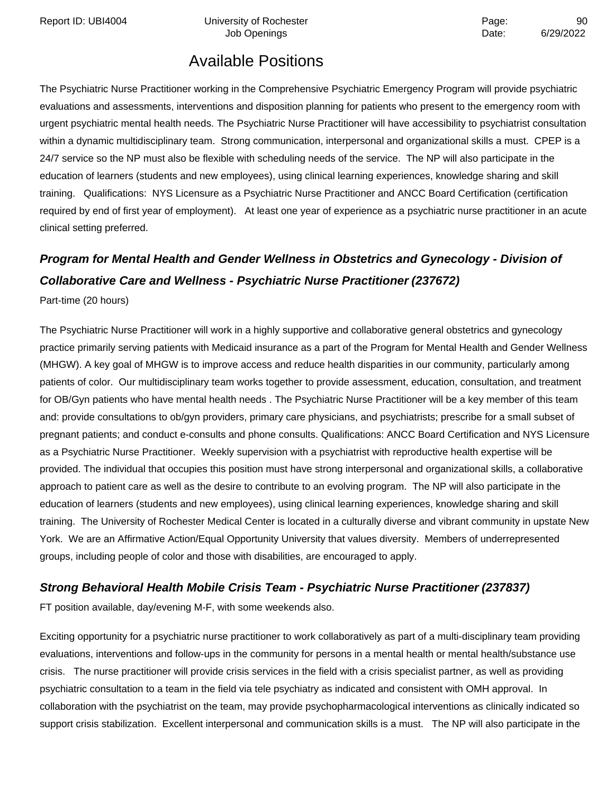Report ID: UBI4004 Chiversity of Rochester Page: Page: 90

### Available Positions

The Psychiatric Nurse Practitioner working in the Comprehensive Psychiatric Emergency Program will provide psychiatric evaluations and assessments, interventions and disposition planning for patients who present to the emergency room with urgent psychiatric mental health needs. The Psychiatric Nurse Practitioner will have accessibility to psychiatrist consultation within a dynamic multidisciplinary team. Strong communication, interpersonal and organizational skills a must. CPEP is a 24/7 service so the NP must also be flexible with scheduling needs of the service. The NP will also participate in the education of learners (students and new employees), using clinical learning experiences, knowledge sharing and skill training. Qualifications: NYS Licensure as a Psychiatric Nurse Practitioner and ANCC Board Certification (certification required by end of first year of employment). At least one year of experience as a psychiatric nurse practitioner in an acute clinical setting preferred.

### **Program for Mental Health and Gender Wellness in Obstetrics and Gynecology - Division of Collaborative Care and Wellness - Psychiatric Nurse Practitioner (237672)**

Part-time (20 hours)

The Psychiatric Nurse Practitioner will work in a highly supportive and collaborative general obstetrics and gynecology practice primarily serving patients with Medicaid insurance as a part of the Program for Mental Health and Gender Wellness (MHGW). A key goal of MHGW is to improve access and reduce health disparities in our community, particularly among patients of color. Our multidisciplinary team works together to provide assessment, education, consultation, and treatment for OB/Gyn patients who have mental health needs . The Psychiatric Nurse Practitioner will be a key member of this team and: provide consultations to ob/gyn providers, primary care physicians, and psychiatrists; prescribe for a small subset of pregnant patients; and conduct e-consults and phone consults. Qualifications: ANCC Board Certification and NYS Licensure as a Psychiatric Nurse Practitioner. Weekly supervision with a psychiatrist with reproductive health expertise will be provided. The individual that occupies this position must have strong interpersonal and organizational skills, a collaborative approach to patient care as well as the desire to contribute to an evolving program. The NP will also participate in the education of learners (students and new employees), using clinical learning experiences, knowledge sharing and skill training. The University of Rochester Medical Center is located in a culturally diverse and vibrant community in upstate New York. We are an Affirmative Action/Equal Opportunity University that values diversity. Members of underrepresented groups, including people of color and those with disabilities, are encouraged to apply.

#### **Strong Behavioral Health Mobile Crisis Team - Psychiatric Nurse Practitioner (237837)**

FT position available, day/evening M-F, with some weekends also.

Exciting opportunity for a psychiatric nurse practitioner to work collaboratively as part of a multi-disciplinary team providing evaluations, interventions and follow-ups in the community for persons in a mental health or mental health/substance use crisis. The nurse practitioner will provide crisis services in the field with a crisis specialist partner, as well as providing psychiatric consultation to a team in the field via tele psychiatry as indicated and consistent with OMH approval. In collaboration with the psychiatrist on the team, may provide psychopharmacological interventions as clinically indicated so support crisis stabilization. Excellent interpersonal and communication skills is a must. The NP will also participate in the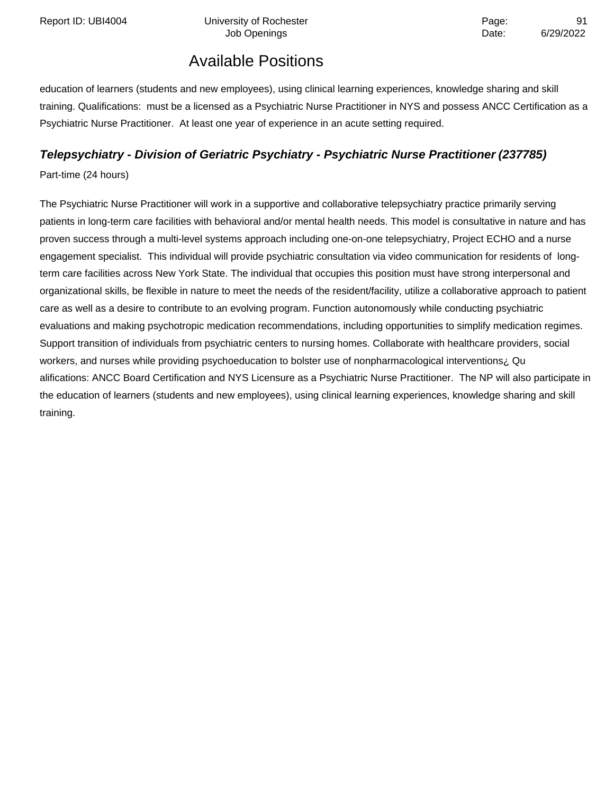education of learners (students and new employees), using clinical learning experiences, knowledge sharing and skill training. Qualifications: must be a licensed as a Psychiatric Nurse Practitioner in NYS and possess ANCC Certification as a Psychiatric Nurse Practitioner. At least one year of experience in an acute setting required.

### **Telepsychiatry - Division of Geriatric Psychiatry - Psychiatric Nurse Practitioner (237785)**

Part-time (24 hours)

The Psychiatric Nurse Practitioner will work in a supportive and collaborative telepsychiatry practice primarily serving patients in long-term care facilities with behavioral and/or mental health needs. This model is consultative in nature and has proven success through a multi-level systems approach including one-on-one telepsychiatry, Project ECHO and a nurse engagement specialist. This individual will provide psychiatric consultation via video communication for residents of longterm care facilities across New York State. The individual that occupies this position must have strong interpersonal and organizational skills, be flexible in nature to meet the needs of the resident/facility, utilize a collaborative approach to patient care as well as a desire to contribute to an evolving program. Function autonomously while conducting psychiatric evaluations and making psychotropic medication recommendations, including opportunities to simplify medication regimes. Support transition of individuals from psychiatric centers to nursing homes. Collaborate with healthcare providers, social workers, and nurses while providing psychoeducation to bolster use of nonpharmacological interventions; Qu alifications: ANCC Board Certification and NYS Licensure as a Psychiatric Nurse Practitioner. The NP will also participate in the education of learners (students and new employees), using clinical learning experiences, knowledge sharing and skill training.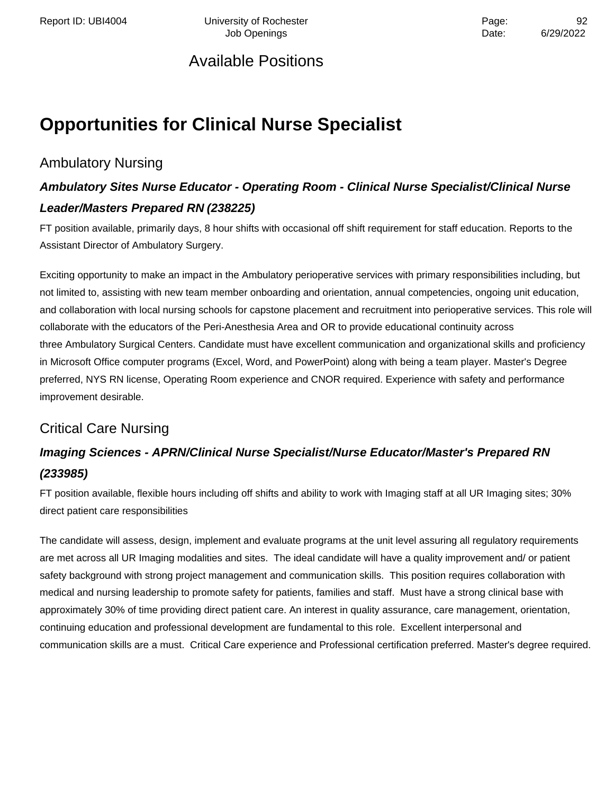Report ID: UBI4004 **Depart Controller University of Rochester** Page: Page: 92 Job Openings **Date:** 6/29/2022

### Available Positions

# **Opportunities for Clinical Nurse Specialist**

### Ambulatory Nursing

### **Ambulatory Sites Nurse Educator - Operating Room - Clinical Nurse Specialist/Clinical Nurse Leader/Masters Prepared RN (238225)**

FT position available, primarily days, 8 hour shifts with occasional off shift requirement for staff education. Reports to the Assistant Director of Ambulatory Surgery.

Exciting opportunity to make an impact in the Ambulatory perioperative services with primary responsibilities including, but not limited to, assisting with new team member onboarding and orientation, annual competencies, ongoing unit education, and collaboration with local nursing schools for capstone placement and recruitment into perioperative services. This role will collaborate with the educators of the Peri-Anesthesia Area and OR to provide educational continuity across three Ambulatory Surgical Centers. Candidate must have excellent communication and organizational skills and proficiency in Microsoft Office computer programs (Excel, Word, and PowerPoint) along with being a team player. Master's Degree preferred, NYS RN license, Operating Room experience and CNOR required. Experience with safety and performance improvement desirable.

### Critical Care Nursing

### **Imaging Sciences - APRN/Clinical Nurse Specialist/Nurse Educator/Master's Prepared RN (233985)**

FT position available, flexible hours including off shifts and ability to work with Imaging staff at all UR Imaging sites; 30% direct patient care responsibilities

The candidate will assess, design, implement and evaluate programs at the unit level assuring all regulatory requirements are met across all UR Imaging modalities and sites. The ideal candidate will have a quality improvement and/ or patient safety background with strong project management and communication skills. This position requires collaboration with medical and nursing leadership to promote safety for patients, families and staff. Must have a strong clinical base with approximately 30% of time providing direct patient care. An interest in quality assurance, care management, orientation, continuing education and professional development are fundamental to this role. Excellent interpersonal and communication skills are a must. Critical Care experience and Professional certification preferred. Master's degree required.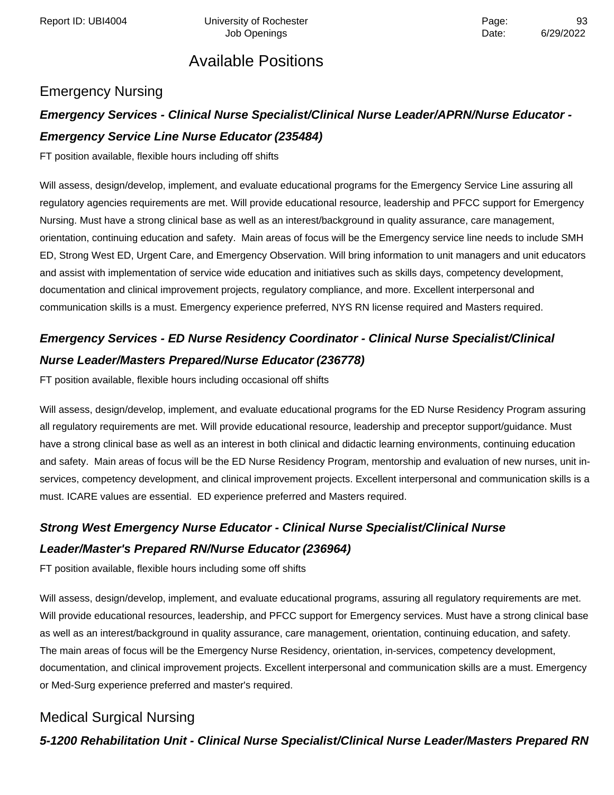### Emergency Nursing

### **Emergency Services - Clinical Nurse Specialist/Clinical Nurse Leader/APRN/Nurse Educator - Emergency Service Line Nurse Educator (235484)**

FT position available, flexible hours including off shifts

Will assess, design/develop, implement, and evaluate educational programs for the Emergency Service Line assuring all regulatory agencies requirements are met. Will provide educational resource, leadership and PFCC support for Emergency Nursing. Must have a strong clinical base as well as an interest/background in quality assurance, care management, orientation, continuing education and safety. Main areas of focus will be the Emergency service line needs to include SMH ED, Strong West ED, Urgent Care, and Emergency Observation. Will bring information to unit managers and unit educators and assist with implementation of service wide education and initiatives such as skills days, competency development, documentation and clinical improvement projects, regulatory compliance, and more. Excellent interpersonal and communication skills is a must. Emergency experience preferred, NYS RN license required and Masters required.

## **Emergency Services - ED Nurse Residency Coordinator - Clinical Nurse Specialist/Clinical Nurse Leader/Masters Prepared/Nurse Educator (236778)**

FT position available, flexible hours including occasional off shifts

Will assess, design/develop, implement, and evaluate educational programs for the ED Nurse Residency Program assuring all regulatory requirements are met. Will provide educational resource, leadership and preceptor support/guidance. Must have a strong clinical base as well as an interest in both clinical and didactic learning environments, continuing education and safety. Main areas of focus will be the ED Nurse Residency Program, mentorship and evaluation of new nurses, unit inservices, competency development, and clinical improvement projects. Excellent interpersonal and communication skills is a must. ICARE values are essential. ED experience preferred and Masters required.

### **Strong West Emergency Nurse Educator - Clinical Nurse Specialist/Clinical Nurse Leader/Master's Prepared RN/Nurse Educator (236964)**

FT position available, flexible hours including some off shifts

Will assess, design/develop, implement, and evaluate educational programs, assuring all regulatory requirements are met. Will provide educational resources, leadership, and PFCC support for Emergency services. Must have a strong clinical base as well as an interest/background in quality assurance, care management, orientation, continuing education, and safety. The main areas of focus will be the Emergency Nurse Residency, orientation, in-services, competency development, documentation, and clinical improvement projects. Excellent interpersonal and communication skills are a must. Emergency or Med-Surg experience preferred and master's required.

### Medical Surgical Nursing

**5-1200 Rehabilitation Unit - Clinical Nurse Specialist/Clinical Nurse Leader/Masters Prepared RN**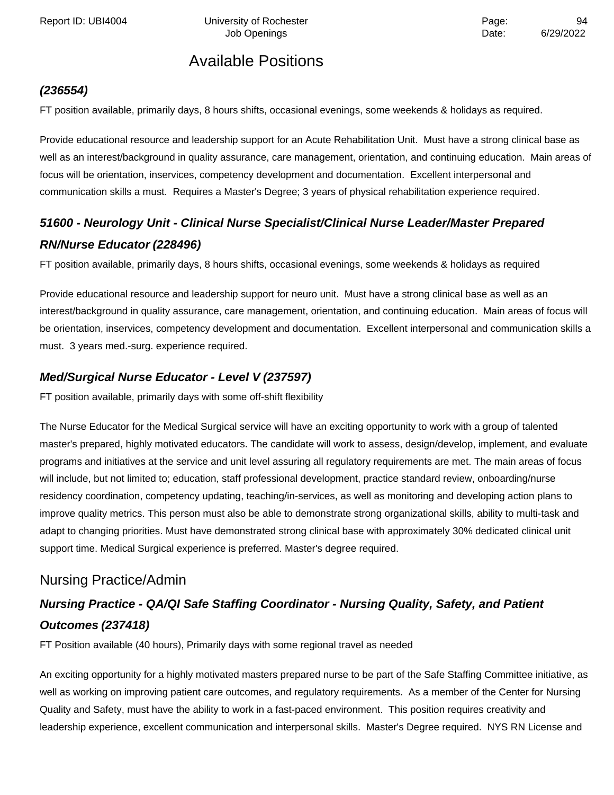Report ID: UBI4004 University of Rochester **Page:** 94 Page:

### Available Positions

#### **(236554)**

FT position available, primarily days, 8 hours shifts, occasional evenings, some weekends & holidays as required.

Provide educational resource and leadership support for an Acute Rehabilitation Unit. Must have a strong clinical base as well as an interest/background in quality assurance, care management, orientation, and continuing education. Main areas of focus will be orientation, inservices, competency development and documentation. Excellent interpersonal and communication skills a must. Requires a Master's Degree; 3 years of physical rehabilitation experience required.

### **51600 - Neurology Unit - Clinical Nurse Specialist/Clinical Nurse Leader/Master Prepared RN/Nurse Educator (228496)**

FT position available, primarily days, 8 hours shifts, occasional evenings, some weekends & holidays as required

Provide educational resource and leadership support for neuro unit. Must have a strong clinical base as well as an interest/background in quality assurance, care management, orientation, and continuing education. Main areas of focus will be orientation, inservices, competency development and documentation. Excellent interpersonal and communication skills a must. 3 years med.-surg. experience required.

#### **Med/Surgical Nurse Educator - Level V (237597)**

FT position available, primarily days with some off-shift flexibility

The Nurse Educator for the Medical Surgical service will have an exciting opportunity to work with a group of talented master's prepared, highly motivated educators. The candidate will work to assess, design/develop, implement, and evaluate programs and initiatives at the service and unit level assuring all regulatory requirements are met. The main areas of focus will include, but not limited to; education, staff professional development, practice standard review, onboarding/nurse residency coordination, competency updating, teaching/in-services, as well as monitoring and developing action plans to improve quality metrics. This person must also be able to demonstrate strong organizational skills, ability to multi-task and adapt to changing priorities. Must have demonstrated strong clinical base with approximately 30% dedicated clinical unit support time. Medical Surgical experience is preferred. Master's degree required.

### Nursing Practice/Admin

### **Nursing Practice - QA/QI Safe Staffing Coordinator - Nursing Quality, Safety, and Patient Outcomes (237418)**

FT Position available (40 hours), Primarily days with some regional travel as needed

An exciting opportunity for a highly motivated masters prepared nurse to be part of the Safe Staffing Committee initiative, as well as working on improving patient care outcomes, and regulatory requirements. As a member of the Center for Nursing Quality and Safety, must have the ability to work in a fast-paced environment. This position requires creativity and leadership experience, excellent communication and interpersonal skills. Master's Degree required. NYS RN License and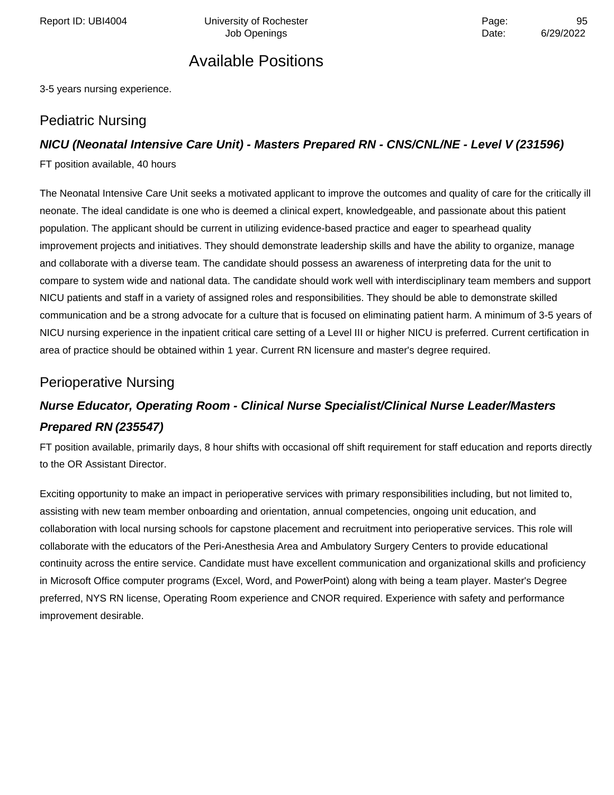Report ID: UBI4004 Chiversity of Rochester Page: Page: 95

Job Openings **Date:** 6/29/2022

### Available Positions

3-5 years nursing experience.

#### Pediatric Nursing

#### **NICU (Neonatal Intensive Care Unit) - Masters Prepared RN - CNS/CNL/NE - Level V (231596)**

FT position available, 40 hours

The Neonatal Intensive Care Unit seeks a motivated applicant to improve the outcomes and quality of care for the critically ill neonate. The ideal candidate is one who is deemed a clinical expert, knowledgeable, and passionate about this patient population. The applicant should be current in utilizing evidence-based practice and eager to spearhead quality improvement projects and initiatives. They should demonstrate leadership skills and have the ability to organize, manage and collaborate with a diverse team. The candidate should possess an awareness of interpreting data for the unit to compare to system wide and national data. The candidate should work well with interdisciplinary team members and support NICU patients and staff in a variety of assigned roles and responsibilities. They should be able to demonstrate skilled communication and be a strong advocate for a culture that is focused on eliminating patient harm. A minimum of 3-5 years of NICU nursing experience in the inpatient critical care setting of a Level III or higher NICU is preferred. Current certification in area of practice should be obtained within 1 year. Current RN licensure and master's degree required.

### Perioperative Nursing

### **Nurse Educator, Operating Room - Clinical Nurse Specialist/Clinical Nurse Leader/Masters Prepared RN (235547)**

FT position available, primarily days, 8 hour shifts with occasional off shift requirement for staff education and reports directly to the OR Assistant Director.

Exciting opportunity to make an impact in perioperative services with primary responsibilities including, but not limited to, assisting with new team member onboarding and orientation, annual competencies, ongoing unit education, and collaboration with local nursing schools for capstone placement and recruitment into perioperative services. This role will collaborate with the educators of the Peri-Anesthesia Area and Ambulatory Surgery Centers to provide educational continuity across the entire service. Candidate must have excellent communication and organizational skills and proficiency in Microsoft Office computer programs (Excel, Word, and PowerPoint) along with being a team player. Master's Degree preferred, NYS RN license, Operating Room experience and CNOR required. Experience with safety and performance improvement desirable.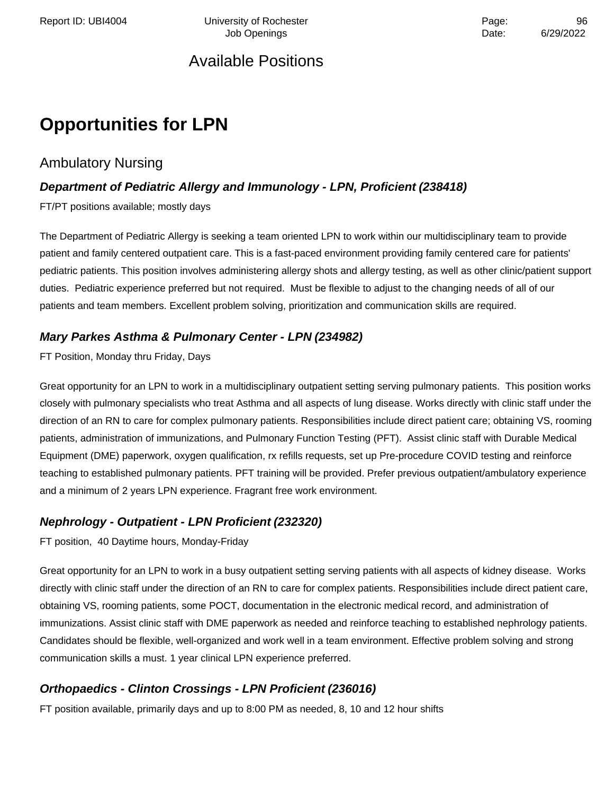Report ID: UBI4004 **Depart Controller University of Rochester** Page: Page: 96 Job Openings **Date:** 6/29/2022

### Available Positions

# **Opportunities for LPN**

#### Ambulatory Nursing

#### **Department of Pediatric Allergy and Immunology - LPN, Proficient (238418)**

FT/PT positions available; mostly days

The Department of Pediatric Allergy is seeking a team oriented LPN to work within our multidisciplinary team to provide patient and family centered outpatient care. This is a fast-paced environment providing family centered care for patients' pediatric patients. This position involves administering allergy shots and allergy testing, as well as other clinic/patient support duties. Pediatric experience preferred but not required. Must be flexible to adjust to the changing needs of all of our patients and team members. Excellent problem solving, prioritization and communication skills are required.

#### **Mary Parkes Asthma & Pulmonary Center - LPN (234982)**

FT Position, Monday thru Friday, Days

Great opportunity for an LPN to work in a multidisciplinary outpatient setting serving pulmonary patients. This position works closely with pulmonary specialists who treat Asthma and all aspects of lung disease. Works directly with clinic staff under the direction of an RN to care for complex pulmonary patients. Responsibilities include direct patient care; obtaining VS, rooming patients, administration of immunizations, and Pulmonary Function Testing (PFT). Assist clinic staff with Durable Medical Equipment (DME) paperwork, oxygen qualification, rx refills requests, set up Pre-procedure COVID testing and reinforce teaching to established pulmonary patients. PFT training will be provided. Prefer previous outpatient/ambulatory experience and a minimum of 2 years LPN experience. Fragrant free work environment.

#### **Nephrology - Outpatient - LPN Proficient (232320)**

FT position, 40 Daytime hours, Monday-Friday

Great opportunity for an LPN to work in a busy outpatient setting serving patients with all aspects of kidney disease. Works directly with clinic staff under the direction of an RN to care for complex patients. Responsibilities include direct patient care, obtaining VS, rooming patients, some POCT, documentation in the electronic medical record, and administration of immunizations. Assist clinic staff with DME paperwork as needed and reinforce teaching to established nephrology patients. Candidates should be flexible, well-organized and work well in a team environment. Effective problem solving and strong communication skills a must. 1 year clinical LPN experience preferred.

#### **Orthopaedics - Clinton Crossings - LPN Proficient (236016)**

FT position available, primarily days and up to 8:00 PM as needed, 8, 10 and 12 hour shifts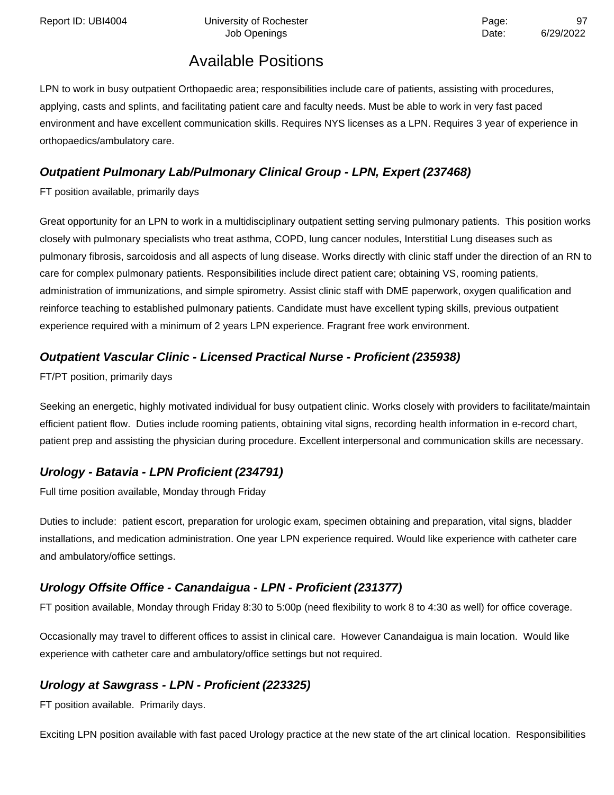Report ID: UBI4004 **Depart Controller University of Rochester** Page: 97

# Job Openings **Date:** 6/29/2022

### Available Positions

LPN to work in busy outpatient Orthopaedic area; responsibilities include care of patients, assisting with procedures, applying, casts and splints, and facilitating patient care and faculty needs. Must be able to work in very fast paced environment and have excellent communication skills. Requires NYS licenses as a LPN. Requires 3 year of experience in orthopaedics/ambulatory care.

### **Outpatient Pulmonary Lab/Pulmonary Clinical Group - LPN, Expert (237468)**

FT position available, primarily days

Great opportunity for an LPN to work in a multidisciplinary outpatient setting serving pulmonary patients. This position works closely with pulmonary specialists who treat asthma, COPD, lung cancer nodules, Interstitial Lung diseases such as pulmonary fibrosis, sarcoidosis and all aspects of lung disease. Works directly with clinic staff under the direction of an RN to care for complex pulmonary patients. Responsibilities include direct patient care; obtaining VS, rooming patients, administration of immunizations, and simple spirometry. Assist clinic staff with DME paperwork, oxygen qualification and reinforce teaching to established pulmonary patients. Candidate must have excellent typing skills, previous outpatient experience required with a minimum of 2 years LPN experience. Fragrant free work environment.

#### **Outpatient Vascular Clinic - Licensed Practical Nurse - Proficient (235938)**

FT/PT position, primarily days

Seeking an energetic, highly motivated individual for busy outpatient clinic. Works closely with providers to facilitate/maintain efficient patient flow. Duties include rooming patients, obtaining vital signs, recording health information in e-record chart, patient prep and assisting the physician during procedure. Excellent interpersonal and communication skills are necessary.

### **Urology - Batavia - LPN Proficient (234791)**

Full time position available, Monday through Friday

Duties to include: patient escort, preparation for urologic exam, specimen obtaining and preparation, vital signs, bladder installations, and medication administration. One year LPN experience required. Would like experience with catheter care and ambulatory/office settings.

### **Urology Offsite Office - Canandaigua - LPN - Proficient (231377)**

FT position available, Monday through Friday 8:30 to 5:00p (need flexibility to work 8 to 4:30 as well) for office coverage.

Occasionally may travel to different offices to assist in clinical care. However Canandaigua is main location. Would like experience with catheter care and ambulatory/office settings but not required.

#### **Urology at Sawgrass - LPN - Proficient (223325)**

FT position available. Primarily days.

Exciting LPN position available with fast paced Urology practice at the new state of the art clinical location. Responsibilities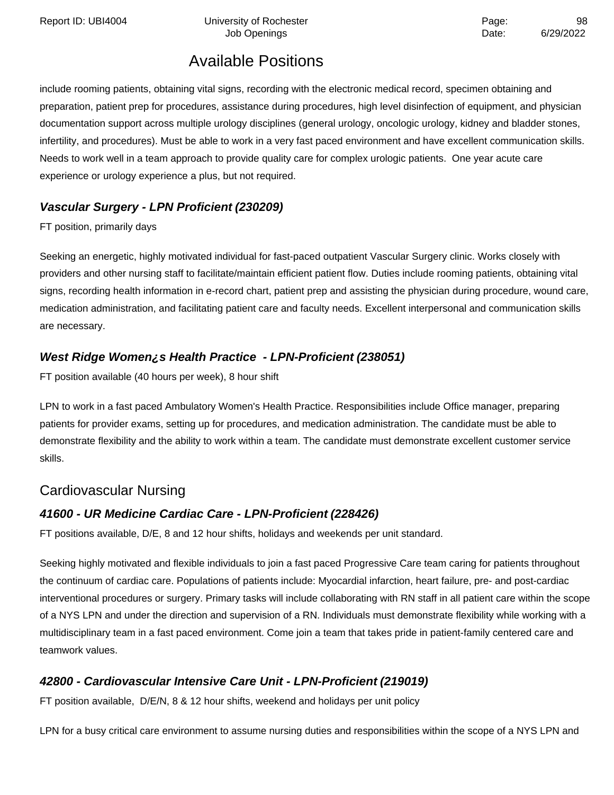Report ID: UBI4004 **Depart Controller University of Rochester** Page: Page: 98

Job Openings **Date:** 6/29/2022

### Available Positions

include rooming patients, obtaining vital signs, recording with the electronic medical record, specimen obtaining and preparation, patient prep for procedures, assistance during procedures, high level disinfection of equipment, and physician documentation support across multiple urology disciplines (general urology, oncologic urology, kidney and bladder stones, infertility, and procedures). Must be able to work in a very fast paced environment and have excellent communication skills. Needs to work well in a team approach to provide quality care for complex urologic patients. One year acute care experience or urology experience a plus, but not required.

### **Vascular Surgery - LPN Proficient (230209)**

FT position, primarily days

Seeking an energetic, highly motivated individual for fast-paced outpatient Vascular Surgery clinic. Works closely with providers and other nursing staff to facilitate/maintain efficient patient flow. Duties include rooming patients, obtaining vital signs, recording health information in e-record chart, patient prep and assisting the physician during procedure, wound care, medication administration, and facilitating patient care and faculty needs. Excellent interpersonal and communication skills are necessary.

#### **West Ridge Women¿s Health Practice - LPN-Proficient (238051)**

FT position available (40 hours per week), 8 hour shift

LPN to work in a fast paced Ambulatory Women's Health Practice. Responsibilities include Office manager, preparing patients for provider exams, setting up for procedures, and medication administration. The candidate must be able to demonstrate flexibility and the ability to work within a team. The candidate must demonstrate excellent customer service skills.

### Cardiovascular Nursing

#### **41600 - UR Medicine Cardiac Care - LPN-Proficient (228426)**

FT positions available, D/E, 8 and 12 hour shifts, holidays and weekends per unit standard.

Seeking highly motivated and flexible individuals to join a fast paced Progressive Care team caring for patients throughout the continuum of cardiac care. Populations of patients include: Myocardial infarction, heart failure, pre- and post-cardiac interventional procedures or surgery. Primary tasks will include collaborating with RN staff in all patient care within the scope of a NYS LPN and under the direction and supervision of a RN. Individuals must demonstrate flexibility while working with a multidisciplinary team in a fast paced environment. Come join a team that takes pride in patient-family centered care and teamwork values.

### **42800 - Cardiovascular Intensive Care Unit - LPN-Proficient (219019)**

FT position available, D/E/N, 8 & 12 hour shifts, weekend and holidays per unit policy

LPN for a busy critical care environment to assume nursing duties and responsibilities within the scope of a NYS LPN and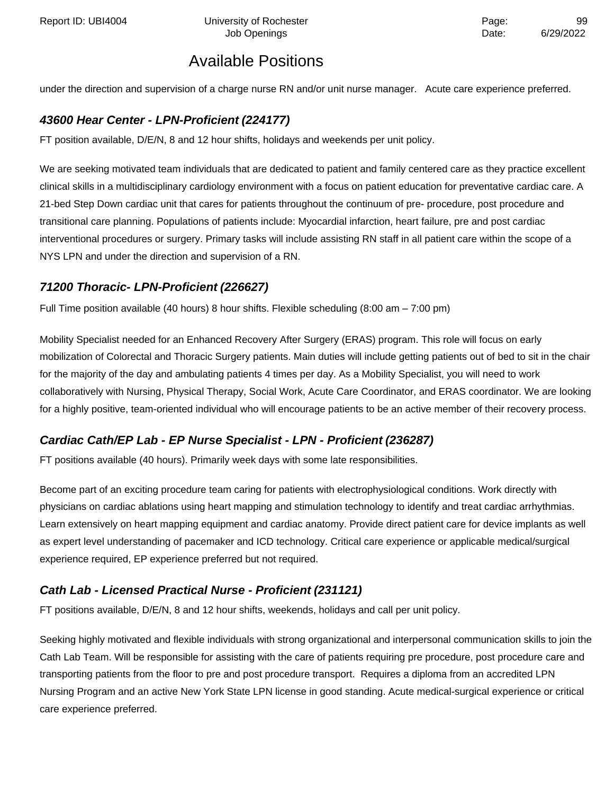under the direction and supervision of a charge nurse RN and/or unit nurse manager. Acute care experience preferred.

### **43600 Hear Center - LPN-Proficient (224177)**

FT position available, D/E/N, 8 and 12 hour shifts, holidays and weekends per unit policy.

We are seeking motivated team individuals that are dedicated to patient and family centered care as they practice excellent clinical skills in a multidisciplinary cardiology environment with a focus on patient education for preventative cardiac care. A 21-bed Step Down cardiac unit that cares for patients throughout the continuum of pre- procedure, post procedure and transitional care planning. Populations of patients include: Myocardial infarction, heart failure, pre and post cardiac interventional procedures or surgery. Primary tasks will include assisting RN staff in all patient care within the scope of a NYS LPN and under the direction and supervision of a RN.

#### **71200 Thoracic- LPN-Proficient (226627)**

Full Time position available (40 hours) 8 hour shifts. Flexible scheduling (8:00 am – 7:00 pm)

Mobility Specialist needed for an Enhanced Recovery After Surgery (ERAS) program. This role will focus on early mobilization of Colorectal and Thoracic Surgery patients. Main duties will include getting patients out of bed to sit in the chair for the majority of the day and ambulating patients 4 times per day. As a Mobility Specialist, you will need to work collaboratively with Nursing, Physical Therapy, Social Work, Acute Care Coordinator, and ERAS coordinator. We are looking for a highly positive, team-oriented individual who will encourage patients to be an active member of their recovery process.

#### **Cardiac Cath/EP Lab - EP Nurse Specialist - LPN - Proficient (236287)**

FT positions available (40 hours). Primarily week days with some late responsibilities.

Become part of an exciting procedure team caring for patients with electrophysiological conditions. Work directly with physicians on cardiac ablations using heart mapping and stimulation technology to identify and treat cardiac arrhythmias. Learn extensively on heart mapping equipment and cardiac anatomy. Provide direct patient care for device implants as well as expert level understanding of pacemaker and ICD technology. Critical care experience or applicable medical/surgical experience required, EP experience preferred but not required.

#### **Cath Lab - Licensed Practical Nurse - Proficient (231121)**

FT positions available, D/E/N, 8 and 12 hour shifts, weekends, holidays and call per unit policy.

Seeking highly motivated and flexible individuals with strong organizational and interpersonal communication skills to join the Cath Lab Team. Will be responsible for assisting with the care of patients requiring pre procedure, post procedure care and transporting patients from the floor to pre and post procedure transport. Requires a diploma from an accredited LPN Nursing Program and an active New York State LPN license in good standing. Acute medical-surgical experience or critical care experience preferred.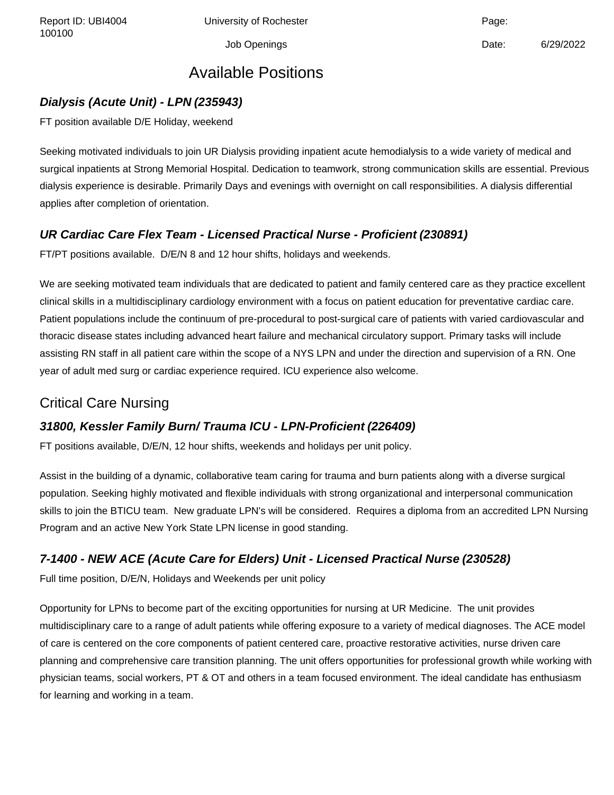100100

Job Openings Date: 6/29/2022

### Available Positions

#### **Dialysis (Acute Unit) - LPN (235943)**

FT position available D/E Holiday, weekend

Seeking motivated individuals to join UR Dialysis providing inpatient acute hemodialysis to a wide variety of medical and surgical inpatients at Strong Memorial Hospital. Dedication to teamwork, strong communication skills are essential. Previous dialysis experience is desirable. Primarily Days and evenings with overnight on call responsibilities. A dialysis differential applies after completion of orientation.

#### **UR Cardiac Care Flex Team - Licensed Practical Nurse - Proficient (230891)**

FT/PT positions available. D/E/N 8 and 12 hour shifts, holidays and weekends.

We are seeking motivated team individuals that are dedicated to patient and family centered care as they practice excellent clinical skills in a multidisciplinary cardiology environment with a focus on patient education for preventative cardiac care. Patient populations include the continuum of pre-procedural to post-surgical care of patients with varied cardiovascular and thoracic disease states including advanced heart failure and mechanical circulatory support. Primary tasks will include assisting RN staff in all patient care within the scope of a NYS LPN and under the direction and supervision of a RN. One year of adult med surg or cardiac experience required. ICU experience also welcome.

### Critical Care Nursing

#### **31800, Kessler Family Burn/ Trauma ICU - LPN-Proficient (226409)**

FT positions available, D/E/N, 12 hour shifts, weekends and holidays per unit policy.

Assist in the building of a dynamic, collaborative team caring for trauma and burn patients along with a diverse surgical population. Seeking highly motivated and flexible individuals with strong organizational and interpersonal communication skills to join the BTICU team. New graduate LPN's will be considered. Requires a diploma from an accredited LPN Nursing Program and an active New York State LPN license in good standing.

#### **7-1400 - NEW ACE (Acute Care for Elders) Unit - Licensed Practical Nurse (230528)**

Full time position, D/E/N, Holidays and Weekends per unit policy

Opportunity for LPNs to become part of the exciting opportunities for nursing at UR Medicine. The unit provides multidisciplinary care to a range of adult patients while offering exposure to a variety of medical diagnoses. The ACE model of care is centered on the core components of patient centered care, proactive restorative activities, nurse driven care planning and comprehensive care transition planning. The unit offers opportunities for professional growth while working with physician teams, social workers, PT & OT and others in a team focused environment. The ideal candidate has enthusiasm for learning and working in a team.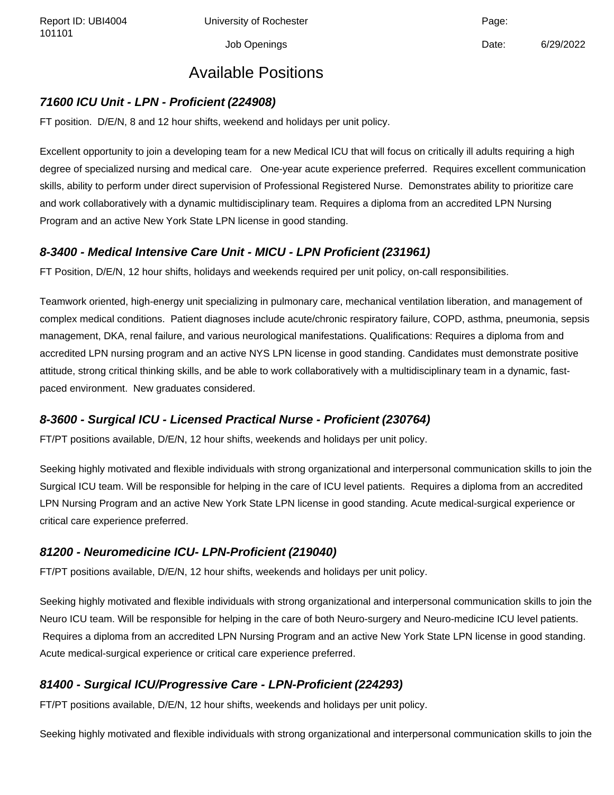Report ID: UBI4004 Chiversity of Rochester Channel Page: Page:

Job Openings Date: 6/29/2022

### Available Positions

#### **71600 ICU Unit - LPN - Proficient (224908)**

FT position. D/E/N, 8 and 12 hour shifts, weekend and holidays per unit policy.

Excellent opportunity to join a developing team for a new Medical ICU that will focus on critically ill adults requiring a high degree of specialized nursing and medical care. One-year acute experience preferred. Requires excellent communication skills, ability to perform under direct supervision of Professional Registered Nurse. Demonstrates ability to prioritize care and work collaboratively with a dynamic multidisciplinary team. Requires a diploma from an accredited LPN Nursing Program and an active New York State LPN license in good standing.

#### **8-3400 - Medical Intensive Care Unit - MICU - LPN Proficient (231961)**

FT Position, D/E/N, 12 hour shifts, holidays and weekends required per unit policy, on-call responsibilities.

Teamwork oriented, high-energy unit specializing in pulmonary care, mechanical ventilation liberation, and management of complex medical conditions. Patient diagnoses include acute/chronic respiratory failure, COPD, asthma, pneumonia, sepsis management, DKA, renal failure, and various neurological manifestations. Qualifications: Requires a diploma from and accredited LPN nursing program and an active NYS LPN license in good standing. Candidates must demonstrate positive attitude, strong critical thinking skills, and be able to work collaboratively with a multidisciplinary team in a dynamic, fastpaced environment. New graduates considered.

#### **8-3600 - Surgical ICU - Licensed Practical Nurse - Proficient (230764)**

FT/PT positions available, D/E/N, 12 hour shifts, weekends and holidays per unit policy.

Seeking highly motivated and flexible individuals with strong organizational and interpersonal communication skills to join the Surgical ICU team. Will be responsible for helping in the care of ICU level patients. Requires a diploma from an accredited LPN Nursing Program and an active New York State LPN license in good standing. Acute medical-surgical experience or critical care experience preferred.

#### **81200 - Neuromedicine ICU- LPN-Proficient (219040)**

FT/PT positions available, D/E/N, 12 hour shifts, weekends and holidays per unit policy.

Seeking highly motivated and flexible individuals with strong organizational and interpersonal communication skills to join the Neuro ICU team. Will be responsible for helping in the care of both Neuro-surgery and Neuro-medicine ICU level patients. Requires a diploma from an accredited LPN Nursing Program and an active New York State LPN license in good standing. Acute medical-surgical experience or critical care experience preferred.

### **81400 - Surgical ICU/Progressive Care - LPN-Proficient (224293)**

FT/PT positions available, D/E/N, 12 hour shifts, weekends and holidays per unit policy.

Seeking highly motivated and flexible individuals with strong organizational and interpersonal communication skills to join the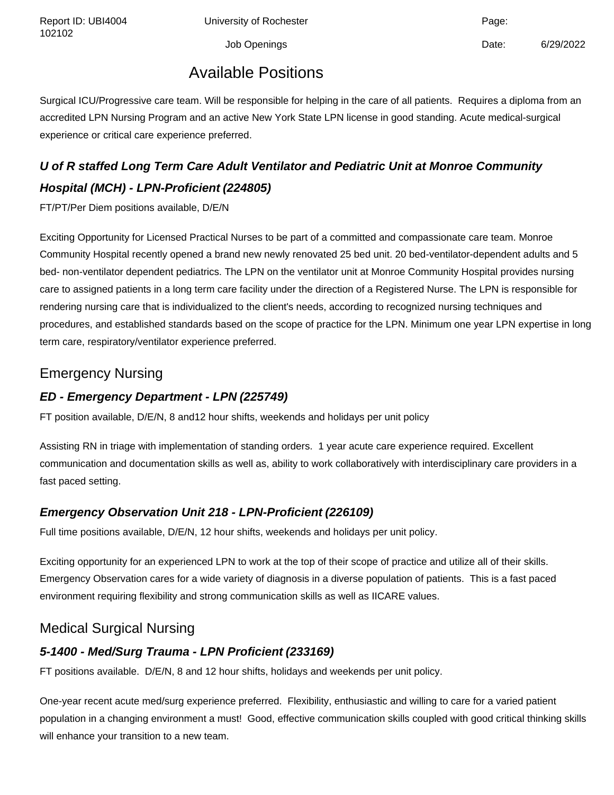Report ID: UBI4004 Chiversity of Rochester Change: Capacase Page:

Job Openings Date: 6/29/2022

### Available Positions

Surgical ICU/Progressive care team. Will be responsible for helping in the care of all patients. Requires a diploma from an accredited LPN Nursing Program and an active New York State LPN license in good standing. Acute medical-surgical experience or critical care experience preferred.

## **U of R staffed Long Term Care Adult Ventilator and Pediatric Unit at Monroe Community Hospital (MCH) - LPN-Proficient (224805)**

FT/PT/Per Diem positions available, D/E/N

Exciting Opportunity for Licensed Practical Nurses to be part of a committed and compassionate care team. Monroe Community Hospital recently opened a brand new newly renovated 25 bed unit. 20 bed-ventilator-dependent adults and 5 bed- non-ventilator dependent pediatrics. The LPN on the ventilator unit at Monroe Community Hospital provides nursing care to assigned patients in a long term care facility under the direction of a Registered Nurse. The LPN is responsible for rendering nursing care that is individualized to the client's needs, according to recognized nursing techniques and procedures, and established standards based on the scope of practice for the LPN. Minimum one year LPN expertise in long term care, respiratory/ventilator experience preferred.

### Emergency Nursing

#### **ED - Emergency Department - LPN (225749)**

FT position available, D/E/N, 8 and12 hour shifts, weekends and holidays per unit policy

Assisting RN in triage with implementation of standing orders. 1 year acute care experience required. Excellent communication and documentation skills as well as, ability to work collaboratively with interdisciplinary care providers in a fast paced setting.

#### **Emergency Observation Unit 218 - LPN-Proficient (226109)**

Full time positions available, D/E/N, 12 hour shifts, weekends and holidays per unit policy.

Exciting opportunity for an experienced LPN to work at the top of their scope of practice and utilize all of their skills. Emergency Observation cares for a wide variety of diagnosis in a diverse population of patients. This is a fast paced environment requiring flexibility and strong communication skills as well as IICARE values.

### Medical Surgical Nursing

### **5-1400 - Med/Surg Trauma - LPN Proficient (233169)**

FT positions available. D/E/N, 8 and 12 hour shifts, holidays and weekends per unit policy.

One-year recent acute med/surg experience preferred. Flexibility, enthusiastic and willing to care for a varied patient population in a changing environment a must! Good, effective communication skills coupled with good critical thinking skills will enhance your transition to a new team.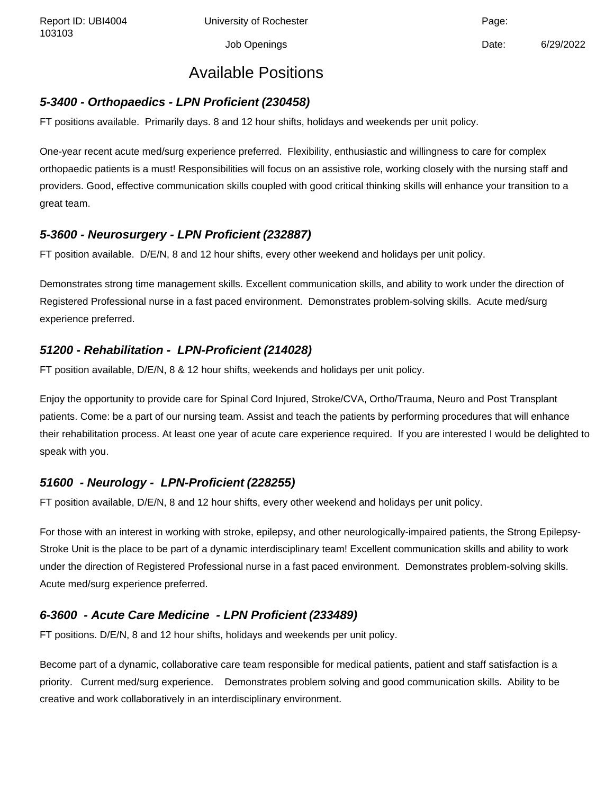Report ID: UBI4004 **University of Rochester** Page: Page:

Job Openings Date: 6/29/2022

### Available Positions

#### **5-3400 - Orthopaedics - LPN Proficient (230458)**

FT positions available. Primarily days. 8 and 12 hour shifts, holidays and weekends per unit policy.

One-year recent acute med/surg experience preferred. Flexibility, enthusiastic and willingness to care for complex orthopaedic patients is a must! Responsibilities will focus on an assistive role, working closely with the nursing staff and providers. Good, effective communication skills coupled with good critical thinking skills will enhance your transition to a great team.

#### **5-3600 - Neurosurgery - LPN Proficient (232887)**

FT position available. D/E/N, 8 and 12 hour shifts, every other weekend and holidays per unit policy.

Demonstrates strong time management skills. Excellent communication skills, and ability to work under the direction of Registered Professional nurse in a fast paced environment. Demonstrates problem-solving skills. Acute med/surg experience preferred.

#### **51200 - Rehabilitation - LPN-Proficient (214028)**

FT position available, D/E/N, 8 & 12 hour shifts, weekends and holidays per unit policy.

Enjoy the opportunity to provide care for Spinal Cord Injured, Stroke/CVA, Ortho/Trauma, Neuro and Post Transplant patients. Come: be a part of our nursing team. Assist and teach the patients by performing procedures that will enhance their rehabilitation process. At least one year of acute care experience required. If you are interested I would be delighted to speak with you.

#### **51600 - Neurology - LPN-Proficient (228255)**

FT position available, D/E/N, 8 and 12 hour shifts, every other weekend and holidays per unit policy.

For those with an interest in working with stroke, epilepsy, and other neurologically-impaired patients, the Strong Epilepsy-Stroke Unit is the place to be part of a dynamic interdisciplinary team! Excellent communication skills and ability to work under the direction of Registered Professional nurse in a fast paced environment. Demonstrates problem-solving skills. Acute med/surg experience preferred.

#### **6-3600 - Acute Care Medicine - LPN Proficient (233489)**

FT positions. D/E/N, 8 and 12 hour shifts, holidays and weekends per unit policy.

Become part of a dynamic, collaborative care team responsible for medical patients, patient and staff satisfaction is a priority. Current med/surg experience. Demonstrates problem solving and good communication skills. Ability to be creative and work collaboratively in an interdisciplinary environment.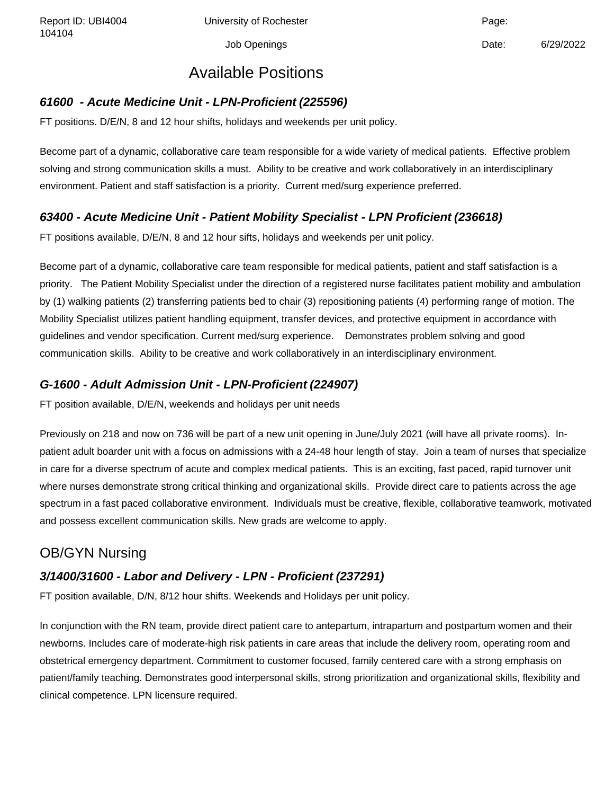Report ID: UBI4004 Chiversity of Rochester Change: Capacase Page:

Job Openings Date: 6/29/2022

### Available Positions

#### **61600 - Acute Medicine Unit - LPN-Proficient (225596)**

FT positions. D/E/N, 8 and 12 hour shifts, holidays and weekends per unit policy.

Become part of a dynamic, collaborative care team responsible for a wide variety of medical patients. Effective problem solving and strong communication skills a must. Ability to be creative and work collaboratively in an interdisciplinary environment. Patient and staff satisfaction is a priority. Current med/surg experience preferred.

#### **63400 - Acute Medicine Unit - Patient Mobility Specialist - LPN Proficient (236618)**

FT positions available, D/E/N, 8 and 12 hour sifts, holidays and weekends per unit policy.

Become part of a dynamic, collaborative care team responsible for medical patients, patient and staff satisfaction is a priority. The Patient Mobility Specialist under the direction of a registered nurse facilitates patient mobility and ambulation by (1) walking patients (2) transferring patients bed to chair (3) repositioning patients (4) performing range of motion. The Mobility Specialist utilizes patient handling equipment, transfer devices, and protective equipment in accordance with guidelines and vendor specification. Current med/surg experience. Demonstrates problem solving and good communication skills. Ability to be creative and work collaboratively in an interdisciplinary environment.

#### **G-1600 - Adult Admission Unit - LPN-Proficient (224907)**

FT position available, D/E/N, weekends and holidays per unit needs

Previously on 218 and now on 736 will be part of a new unit opening in June/July 2021 (will have all private rooms). Inpatient adult boarder unit with a focus on admissions with a 24-48 hour length of stay. Join a team of nurses that specialize in care for a diverse spectrum of acute and complex medical patients. This is an exciting, fast paced, rapid turnover unit where nurses demonstrate strong critical thinking and organizational skills. Provide direct care to patients across the age spectrum in a fast paced collaborative environment. Individuals must be creative, flexible, collaborative teamwork, motivated and possess excellent communication skills. New grads are welcome to apply.

### OB/GYN Nursing

#### **3/1400/31600 - Labor and Delivery - LPN - Proficient (237291)**

FT position available, D/N, 8/12 hour shifts. Weekends and Holidays per unit policy.

In conjunction with the RN team, provide direct patient care to antepartum, intrapartum and postpartum women and their newborns. Includes care of moderate-high risk patients in care areas that include the delivery room, operating room and obstetrical emergency department. Commitment to customer focused, family centered care with a strong emphasis on patient/family teaching. Demonstrates good interpersonal skills, strong prioritization and organizational skills, flexibility and clinical competence. LPN licensure required.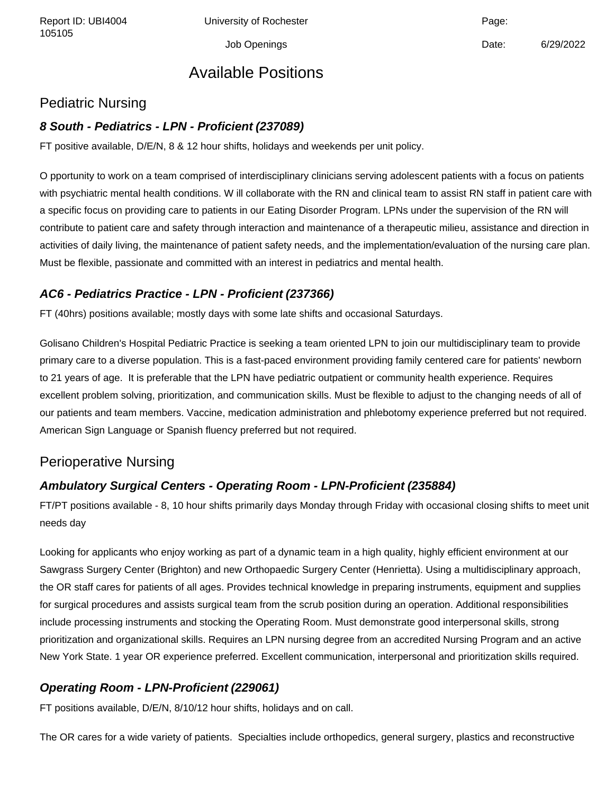Report ID: UBI4004 Chiversity of Rochester Channel Page: Page:

Job Openings Date: 6/29/2022

### Available Positions

#### Pediatric Nursing

#### **8 South - Pediatrics - LPN - Proficient (237089)**

FT positive available, D/E/N, 8 & 12 hour shifts, holidays and weekends per unit policy.

O pportunity to work on a team comprised of interdisciplinary clinicians serving adolescent patients with a focus on patients with psychiatric mental health conditions. W ill collaborate with the RN and clinical team to assist RN staff in patient care with a specific focus on providing care to patients in our Eating Disorder Program. LPNs under the supervision of the RN will contribute to patient care and safety through interaction and maintenance of a therapeutic milieu, assistance and direction in activities of daily living, the maintenance of patient safety needs, and the implementation/evaluation of the nursing care plan. Must be flexible, passionate and committed with an interest in pediatrics and mental health.

#### **AC6 - Pediatrics Practice - LPN - Proficient (237366)**

FT (40hrs) positions available; mostly days with some late shifts and occasional Saturdays.

Golisano Children's Hospital Pediatric Practice is seeking a team oriented LPN to join our multidisciplinary team to provide primary care to a diverse population. This is a fast-paced environment providing family centered care for patients' newborn to 21 years of age. It is preferable that the LPN have pediatric outpatient or community health experience. Requires excellent problem solving, prioritization, and communication skills. Must be flexible to adjust to the changing needs of all of our patients and team members. Vaccine, medication administration and phlebotomy experience preferred but not required. American Sign Language or Spanish fluency preferred but not required.

#### Perioperative Nursing

#### **Ambulatory Surgical Centers - Operating Room - LPN-Proficient (235884)**

FT/PT positions available - 8, 10 hour shifts primarily days Monday through Friday with occasional closing shifts to meet unit needs day

Looking for applicants who enjoy working as part of a dynamic team in a high quality, highly efficient environment at our Sawgrass Surgery Center (Brighton) and new Orthopaedic Surgery Center (Henrietta). Using a multidisciplinary approach, the OR staff cares for patients of all ages. Provides technical knowledge in preparing instruments, equipment and supplies for surgical procedures and assists surgical team from the scrub position during an operation. Additional responsibilities include processing instruments and stocking the Operating Room. Must demonstrate good interpersonal skills, strong prioritization and organizational skills. Requires an LPN nursing degree from an accredited Nursing Program and an active New York State. 1 year OR experience preferred. Excellent communication, interpersonal and prioritization skills required.

#### **Operating Room - LPN-Proficient (229061)**

FT positions available, D/E/N, 8/10/12 hour shifts, holidays and on call.

The OR cares for a wide variety of patients. Specialties include orthopedics, general surgery, plastics and reconstructive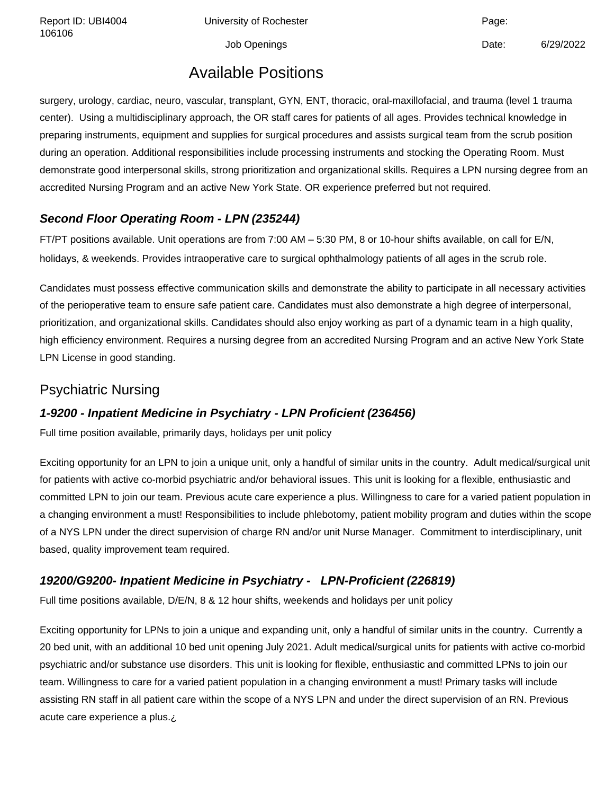Report ID: UBI4004 Chiversity of Rochester Change: Capacase Page:

Job Openings **Date:** 6/29/2022

### Available Positions

surgery, urology, cardiac, neuro, vascular, transplant, GYN, ENT, thoracic, oral-maxillofacial, and trauma (level 1 trauma center). Using a multidisciplinary approach, the OR staff cares for patients of all ages. Provides technical knowledge in preparing instruments, equipment and supplies for surgical procedures and assists surgical team from the scrub position during an operation. Additional responsibilities include processing instruments and stocking the Operating Room. Must demonstrate good interpersonal skills, strong prioritization and organizational skills. Requires a LPN nursing degree from an accredited Nursing Program and an active New York State. OR experience preferred but not required.

#### **Second Floor Operating Room - LPN (235244)**

FT/PT positions available. Unit operations are from 7:00 AM – 5:30 PM, 8 or 10-hour shifts available, on call for E/N, holidays, & weekends. Provides intraoperative care to surgical ophthalmology patients of all ages in the scrub role.

Candidates must possess effective communication skills and demonstrate the ability to participate in all necessary activities of the perioperative team to ensure safe patient care. Candidates must also demonstrate a high degree of interpersonal, prioritization, and organizational skills. Candidates should also enjoy working as part of a dynamic team in a high quality, high efficiency environment. Requires a nursing degree from an accredited Nursing Program and an active New York State LPN License in good standing.

#### Psychiatric Nursing

#### **1-9200 - Inpatient Medicine in Psychiatry - LPN Proficient (236456)**

Full time position available, primarily days, holidays per unit policy

Exciting opportunity for an LPN to join a unique unit, only a handful of similar units in the country. Adult medical/surgical unit for patients with active co-morbid psychiatric and/or behavioral issues. This unit is looking for a flexible, enthusiastic and committed LPN to join our team. Previous acute care experience a plus. Willingness to care for a varied patient population in a changing environment a must! Responsibilities to include phlebotomy, patient mobility program and duties within the scope of a NYS LPN under the direct supervision of charge RN and/or unit Nurse Manager. Commitment to interdisciplinary, unit based, quality improvement team required.

#### **19200/G9200- Inpatient Medicine in Psychiatry - LPN-Proficient (226819)**

Full time positions available, D/E/N, 8 & 12 hour shifts, weekends and holidays per unit policy

Exciting opportunity for LPNs to join a unique and expanding unit, only a handful of similar units in the country. Currently a 20 bed unit, with an additional 10 bed unit opening July 2021. Adult medical/surgical units for patients with active co-morbid psychiatric and/or substance use disorders. This unit is looking for flexible, enthusiastic and committed LPNs to join our team. Willingness to care for a varied patient population in a changing environment a must! Primary tasks will include assisting RN staff in all patient care within the scope of a NYS LPN and under the direct supervision of an RN. Previous acute care experience a plus.¿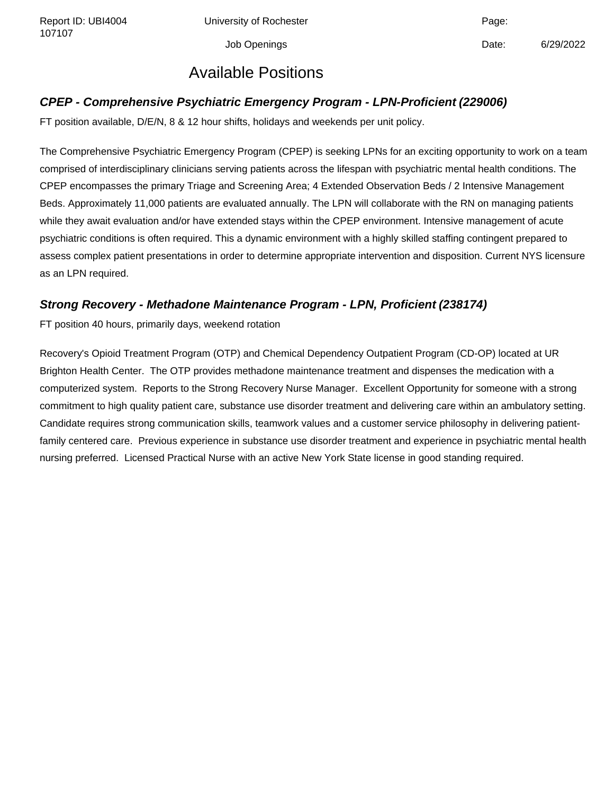Report ID: UBI4004 **University of Rochester** Page: Page:

Job Openings Date: 6/29/2022

### Available Positions

#### **CPEP - Comprehensive Psychiatric Emergency Program - LPN-Proficient (229006)**

FT position available, D/E/N, 8 & 12 hour shifts, holidays and weekends per unit policy.

The Comprehensive Psychiatric Emergency Program (CPEP) is seeking LPNs for an exciting opportunity to work on a team comprised of interdisciplinary clinicians serving patients across the lifespan with psychiatric mental health conditions. The CPEP encompasses the primary Triage and Screening Area; 4 Extended Observation Beds / 2 Intensive Management Beds. Approximately 11,000 patients are evaluated annually. The LPN will collaborate with the RN on managing patients while they await evaluation and/or have extended stays within the CPEP environment. Intensive management of acute psychiatric conditions is often required. This a dynamic environment with a highly skilled staffing contingent prepared to assess complex patient presentations in order to determine appropriate intervention and disposition. Current NYS licensure as an LPN required.

#### **Strong Recovery - Methadone Maintenance Program - LPN, Proficient (238174)**

FT position 40 hours, primarily days, weekend rotation

Recovery's Opioid Treatment Program (OTP) and Chemical Dependency Outpatient Program (CD-OP) located at UR Brighton Health Center. The OTP provides methadone maintenance treatment and dispenses the medication with a computerized system. Reports to the Strong Recovery Nurse Manager. Excellent Opportunity for someone with a strong commitment to high quality patient care, substance use disorder treatment and delivering care within an ambulatory setting. Candidate requires strong communication skills, teamwork values and a customer service philosophy in delivering patientfamily centered care. Previous experience in substance use disorder treatment and experience in psychiatric mental health nursing preferred. Licensed Practical Nurse with an active New York State license in good standing required.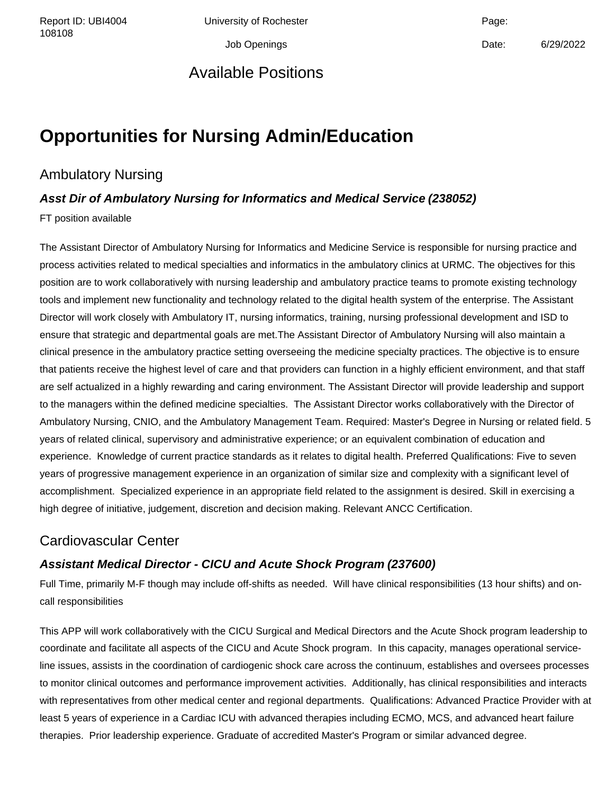Report ID: UBI4004 Chiversity of Rochester Change: Capacase Page:

### Available Positions

Job Openings Date: 6/29/2022

# **Opportunities for Nursing Admin/Education**

### Ambulatory Nursing

#### **Asst Dir of Ambulatory Nursing for Informatics and Medical Service (238052)**

FT position available

The Assistant Director of Ambulatory Nursing for Informatics and Medicine Service is responsible for nursing practice and process activities related to medical specialties and informatics in the ambulatory clinics at URMC. The objectives for this position are to work collaboratively with nursing leadership and ambulatory practice teams to promote existing technology tools and implement new functionality and technology related to the digital health system of the enterprise. The Assistant Director will work closely with Ambulatory IT, nursing informatics, training, nursing professional development and ISD to ensure that strategic and departmental goals are met.The Assistant Director of Ambulatory Nursing will also maintain a clinical presence in the ambulatory practice setting overseeing the medicine specialty practices. The objective is to ensure that patients receive the highest level of care and that providers can function in a highly efficient environment, and that staff are self actualized in a highly rewarding and caring environment. The Assistant Director will provide leadership and support to the managers within the defined medicine specialties. The Assistant Director works collaboratively with the Director of Ambulatory Nursing, CNIO, and the Ambulatory Management Team. Required: Master's Degree in Nursing or related field. 5 years of related clinical, supervisory and administrative experience; or an equivalent combination of education and experience. Knowledge of current practice standards as it relates to digital health. Preferred Qualifications: Five to seven years of progressive management experience in an organization of similar size and complexity with a significant level of accomplishment. Specialized experience in an appropriate field related to the assignment is desired. Skill in exercising a high degree of initiative, judgement, discretion and decision making. Relevant ANCC Certification.

### Cardiovascular Center

#### **Assistant Medical Director - CICU and Acute Shock Program (237600)**

Full Time, primarily M-F though may include off-shifts as needed. Will have clinical responsibilities (13 hour shifts) and oncall responsibilities

This APP will work collaboratively with the CICU Surgical and Medical Directors and the Acute Shock program leadership to coordinate and facilitate all aspects of the CICU and Acute Shock program. In this capacity, manages operational serviceline issues, assists in the coordination of cardiogenic shock care across the continuum, establishes and oversees processes to monitor clinical outcomes and performance improvement activities. Additionally, has clinical responsibilities and interacts with representatives from other medical center and regional departments. Qualifications: Advanced Practice Provider with at least 5 years of experience in a Cardiac ICU with advanced therapies including ECMO, MCS, and advanced heart failure therapies. Prior leadership experience. Graduate of accredited Master's Program or similar advanced degree.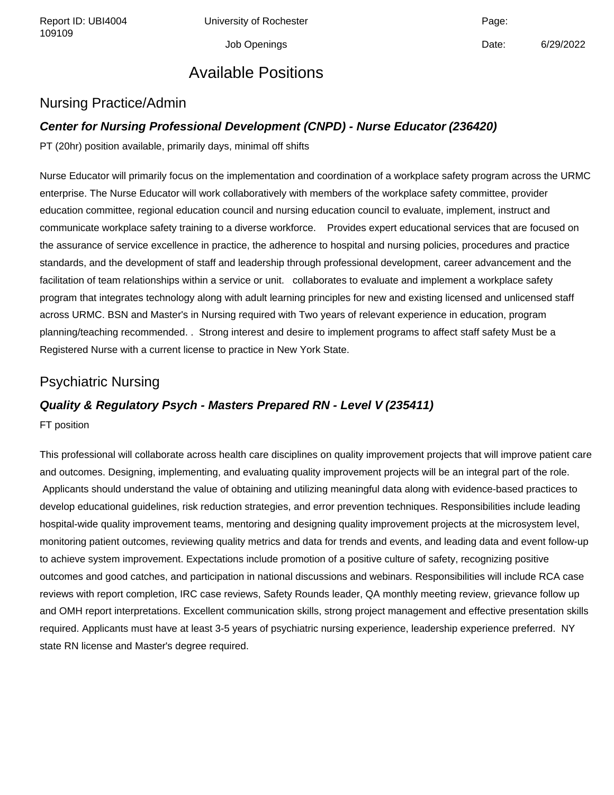Report ID: UBI4004 Chiversity of Rochester Channel Page: Page:

Job Openings Date: 6/29/2022

# Available Positions

#### Nursing Practice/Admin

#### **Center for Nursing Professional Development (CNPD) - Nurse Educator (236420)**

PT (20hr) position available, primarily days, minimal off shifts

Nurse Educator will primarily focus on the implementation and coordination of a workplace safety program across the URMC enterprise. The Nurse Educator will work collaboratively with members of the workplace safety committee, provider education committee, regional education council and nursing education council to evaluate, implement, instruct and communicate workplace safety training to a diverse workforce. Provides expert educational services that are focused on the assurance of service excellence in practice, the adherence to hospital and nursing policies, procedures and practice standards, and the development of staff and leadership through professional development, career advancement and the facilitation of team relationships within a service or unit. collaborates to evaluate and implement a workplace safety program that integrates technology along with adult learning principles for new and existing licensed and unlicensed staff across URMC. BSN and Master's in Nursing required with Two years of relevant experience in education, program planning/teaching recommended. . Strong interest and desire to implement programs to affect staff safety Must be a Registered Nurse with a current license to practice in New York State.

#### Psychiatric Nursing

#### **Quality & Regulatory Psych - Masters Prepared RN - Level V (235411)**

FT position

This professional will collaborate across health care disciplines on quality improvement projects that will improve patient care and outcomes. Designing, implementing, and evaluating quality improvement projects will be an integral part of the role. Applicants should understand the value of obtaining and utilizing meaningful data along with evidence-based practices to develop educational guidelines, risk reduction strategies, and error prevention techniques. Responsibilities include leading hospital-wide quality improvement teams, mentoring and designing quality improvement projects at the microsystem level, monitoring patient outcomes, reviewing quality metrics and data for trends and events, and leading data and event follow-up to achieve system improvement. Expectations include promotion of a positive culture of safety, recognizing positive outcomes and good catches, and participation in national discussions and webinars. Responsibilities will include RCA case reviews with report completion, IRC case reviews, Safety Rounds leader, QA monthly meeting review, grievance follow up and OMH report interpretations. Excellent communication skills, strong project management and effective presentation skills required. Applicants must have at least 3-5 years of psychiatric nursing experience, leadership experience preferred. NY state RN license and Master's degree required.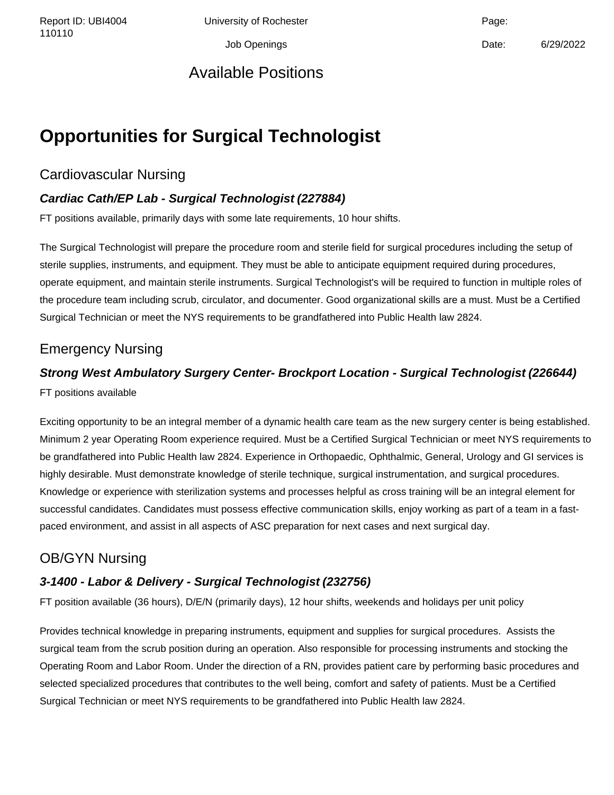Report ID: UBI4004 Chiversity of Rochester Change: Capacase Page:

Job Openings Date: 6/29/2022

# Available Positions

# **Opportunities for Surgical Technologist**

## Cardiovascular Nursing

### **Cardiac Cath/EP Lab - Surgical Technologist (227884)**

FT positions available, primarily days with some late requirements, 10 hour shifts.

The Surgical Technologist will prepare the procedure room and sterile field for surgical procedures including the setup of sterile supplies, instruments, and equipment. They must be able to anticipate equipment required during procedures, operate equipment, and maintain sterile instruments. Surgical Technologist's will be required to function in multiple roles of the procedure team including scrub, circulator, and documenter. Good organizational skills are a must. Must be a Certified Surgical Technician or meet the NYS requirements to be grandfathered into Public Health law 2824.

# Emergency Nursing

### **Strong West Ambulatory Surgery Center- Brockport Location - Surgical Technologist (226644)**

FT positions available

Exciting opportunity to be an integral member of a dynamic health care team as the new surgery center is being established. Minimum 2 year Operating Room experience required. Must be a Certified Surgical Technician or meet NYS requirements to be grandfathered into Public Health law 2824. Experience in Orthopaedic, Ophthalmic, General, Urology and GI services is highly desirable. Must demonstrate knowledge of sterile technique, surgical instrumentation, and surgical procedures. Knowledge or experience with sterilization systems and processes helpful as cross training will be an integral element for successful candidates. Candidates must possess effective communication skills, enjoy working as part of a team in a fastpaced environment, and assist in all aspects of ASC preparation for next cases and next surgical day.

# OB/GYN Nursing

### **3-1400 - Labor & Delivery - Surgical Technologist (232756)**

FT position available (36 hours), D/E/N (primarily days), 12 hour shifts, weekends and holidays per unit policy

Provides technical knowledge in preparing instruments, equipment and supplies for surgical procedures. Assists the surgical team from the scrub position during an operation. Also responsible for processing instruments and stocking the Operating Room and Labor Room. Under the direction of a RN, provides patient care by performing basic procedures and selected specialized procedures that contributes to the well being, comfort and safety of patients. Must be a Certified Surgical Technician or meet NYS requirements to be grandfathered into Public Health law 2824.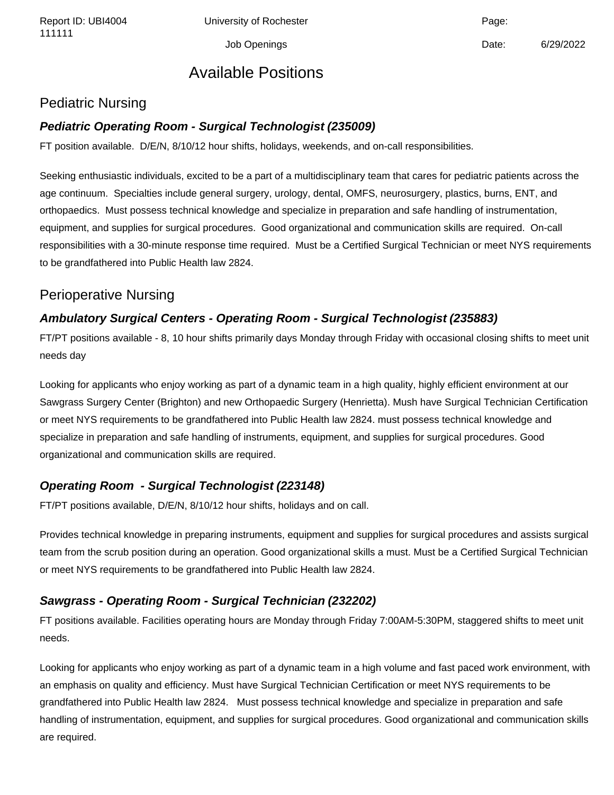Report ID: UBI4004 Chiversity of Rochester Change: Capacase Page:

# Available Positions

### Pediatric Nursing

#### **Pediatric Operating Room - Surgical Technologist (235009)**

FT position available. D/E/N, 8/10/12 hour shifts, holidays, weekends, and on-call responsibilities.

Seeking enthusiastic individuals, excited to be a part of a multidisciplinary team that cares for pediatric patients across the age continuum. Specialties include general surgery, urology, dental, OMFS, neurosurgery, plastics, burns, ENT, and orthopaedics. Must possess technical knowledge and specialize in preparation and safe handling of instrumentation, equipment, and supplies for surgical procedures. Good organizational and communication skills are required. On-call responsibilities with a 30-minute response time required. Must be a Certified Surgical Technician or meet NYS requirements to be grandfathered into Public Health law 2824.

### Perioperative Nursing

### **Ambulatory Surgical Centers - Operating Room - Surgical Technologist (235883)**

FT/PT positions available - 8, 10 hour shifts primarily days Monday through Friday with occasional closing shifts to meet unit needs day

Looking for applicants who enjoy working as part of a dynamic team in a high quality, highly efficient environment at our Sawgrass Surgery Center (Brighton) and new Orthopaedic Surgery (Henrietta). Mush have Surgical Technician Certification or meet NYS requirements to be grandfathered into Public Health law 2824. must possess technical knowledge and specialize in preparation and safe handling of instruments, equipment, and supplies for surgical procedures. Good organizational and communication skills are required.

### **Operating Room - Surgical Technologist (223148)**

FT/PT positions available, D/E/N, 8/10/12 hour shifts, holidays and on call.

Provides technical knowledge in preparing instruments, equipment and supplies for surgical procedures and assists surgical team from the scrub position during an operation. Good organizational skills a must. Must be a Certified Surgical Technician or meet NYS requirements to be grandfathered into Public Health law 2824.

### **Sawgrass - Operating Room - Surgical Technician (232202)**

FT positions available. Facilities operating hours are Monday through Friday 7:00AM-5:30PM, staggered shifts to meet unit needs.

Looking for applicants who enjoy working as part of a dynamic team in a high volume and fast paced work environment, with an emphasis on quality and efficiency. Must have Surgical Technician Certification or meet NYS requirements to be grandfathered into Public Health law 2824. Must possess technical knowledge and specialize in preparation and safe handling of instrumentation, equipment, and supplies for surgical procedures. Good organizational and communication skills are required.

Job Openings **Date:** 6/29/2022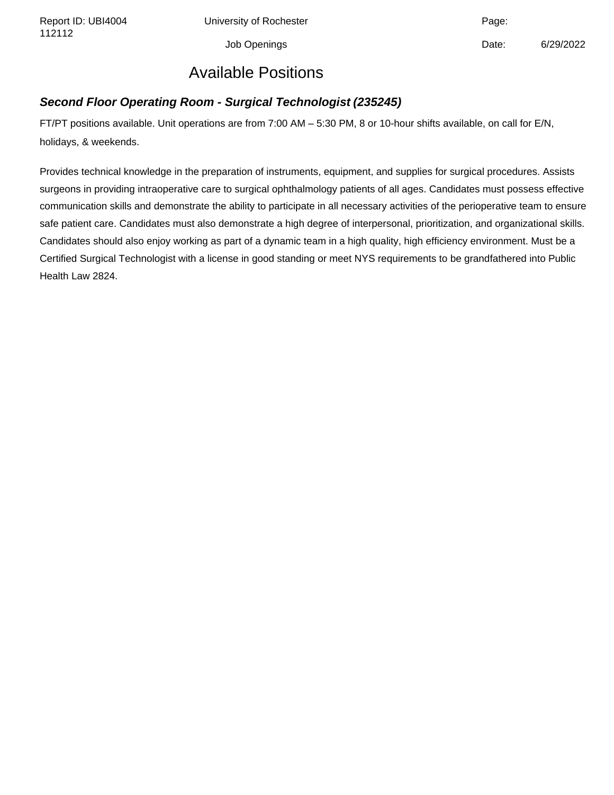Report ID: UBI4004 Chiversity of Rochester Channel Page:

Job Openings **Date:** 6/29/2022

# Available Positions

### **Second Floor Operating Room - Surgical Technologist (235245)**

FT/PT positions available. Unit operations are from 7:00 AM – 5:30 PM, 8 or 10-hour shifts available, on call for E/N, holidays, & weekends.

Provides technical knowledge in the preparation of instruments, equipment, and supplies for surgical procedures. Assists surgeons in providing intraoperative care to surgical ophthalmology patients of all ages. Candidates must possess effective communication skills and demonstrate the ability to participate in all necessary activities of the perioperative team to ensure safe patient care. Candidates must also demonstrate a high degree of interpersonal, prioritization, and organizational skills. Candidates should also enjoy working as part of a dynamic team in a high quality, high efficiency environment. Must be a Certified Surgical Technologist with a license in good standing or meet NYS requirements to be grandfathered into Public Health Law 2824.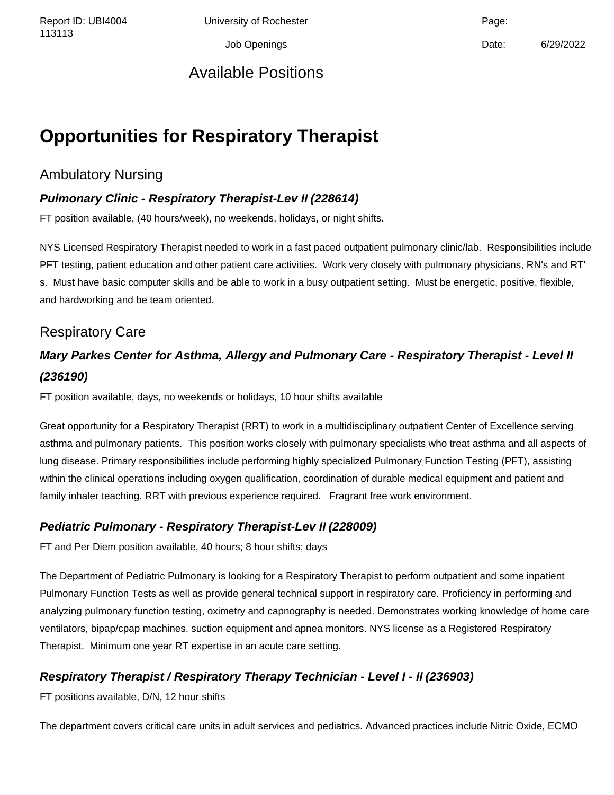Report ID: UBI4004 Chiversity of Rochester Channel Page:

Job Openings Date: 6/29/2022

# Available Positions

# **Opportunities for Respiratory Therapist**

## Ambulatory Nursing

### **Pulmonary Clinic - Respiratory Therapist-Lev II (228614)**

FT position available, (40 hours/week), no weekends, holidays, or night shifts.

NYS Licensed Respiratory Therapist needed to work in a fast paced outpatient pulmonary clinic/lab. Responsibilities include PFT testing, patient education and other patient care activities. Work very closely with pulmonary physicians, RN's and RT' s. Must have basic computer skills and be able to work in a busy outpatient setting. Must be energetic, positive, flexible, and hardworking and be team oriented.

### Respiratory Care

# **Mary Parkes Center for Asthma, Allergy and Pulmonary Care - Respiratory Therapist - Level II (236190)**

FT position available, days, no weekends or holidays, 10 hour shifts available

Great opportunity for a Respiratory Therapist (RRT) to work in a multidisciplinary outpatient Center of Excellence serving asthma and pulmonary patients. This position works closely with pulmonary specialists who treat asthma and all aspects of lung disease. Primary responsibilities include performing highly specialized Pulmonary Function Testing (PFT), assisting within the clinical operations including oxygen qualification, coordination of durable medical equipment and patient and family inhaler teaching. RRT with previous experience required. Fragrant free work environment.

#### **Pediatric Pulmonary - Respiratory Therapist-Lev II (228009)**

FT and Per Diem position available, 40 hours; 8 hour shifts; days

The Department of Pediatric Pulmonary is looking for a Respiratory Therapist to perform outpatient and some inpatient Pulmonary Function Tests as well as provide general technical support in respiratory care. Proficiency in performing and analyzing pulmonary function testing, oximetry and capnography is needed. Demonstrates working knowledge of home care ventilators, bipap/cpap machines, suction equipment and apnea monitors. NYS license as a Registered Respiratory Therapist. Minimum one year RT expertise in an acute care setting.

### **Respiratory Therapist / Respiratory Therapy Technician - Level I - II (236903)**

FT positions available, D/N, 12 hour shifts

The department covers critical care units in adult services and pediatrics. Advanced practices include Nitric Oxide, ECMO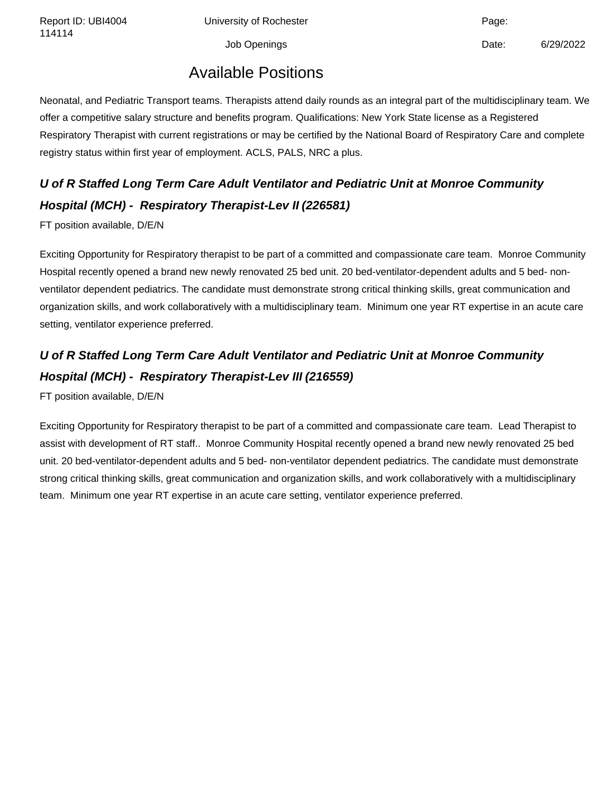Report ID: UBI4004 Chiversity of Rochester Channel Page: Page:

Job Openings Date: 6/29/2022

# Available Positions

Neonatal, and Pediatric Transport teams. Therapists attend daily rounds as an integral part of the multidisciplinary team. We offer a competitive salary structure and benefits program. Qualifications: New York State license as a Registered Respiratory Therapist with current registrations or may be certified by the National Board of Respiratory Care and complete registry status within first year of employment. ACLS, PALS, NRC a plus.

# **U of R Staffed Long Term Care Adult Ventilator and Pediatric Unit at Monroe Community Hospital (MCH) - Respiratory Therapist-Lev II (226581)**

FT position available, D/E/N

Exciting Opportunity for Respiratory therapist to be part of a committed and compassionate care team. Monroe Community Hospital recently opened a brand new newly renovated 25 bed unit. 20 bed-ventilator-dependent adults and 5 bed- nonventilator dependent pediatrics. The candidate must demonstrate strong critical thinking skills, great communication and organization skills, and work collaboratively with a multidisciplinary team. Minimum one year RT expertise in an acute care setting, ventilator experience preferred.

# **U of R Staffed Long Term Care Adult Ventilator and Pediatric Unit at Monroe Community Hospital (MCH) - Respiratory Therapist-Lev III (216559)**

FT position available, D/E/N

Exciting Opportunity for Respiratory therapist to be part of a committed and compassionate care team. Lead Therapist to assist with development of RT staff.. Monroe Community Hospital recently opened a brand new newly renovated 25 bed unit. 20 bed-ventilator-dependent adults and 5 bed- non-ventilator dependent pediatrics. The candidate must demonstrate strong critical thinking skills, great communication and organization skills, and work collaboratively with a multidisciplinary team. Minimum one year RT expertise in an acute care setting, ventilator experience preferred.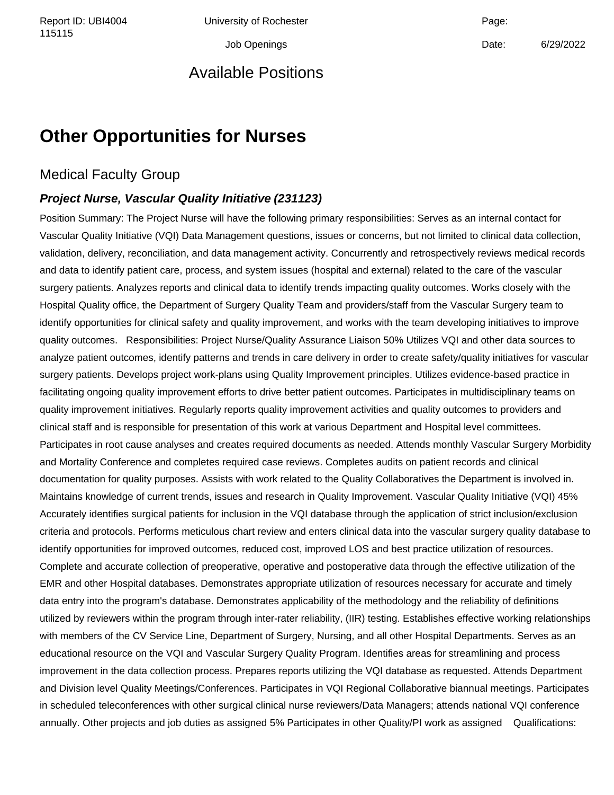Report ID: UBI4004 Chiversity of Rochester Change: Capacase Page:

Job Openings Date: 6/29/2022

## Available Positions

# **Other Opportunities for Nurses**

### Medical Faculty Group

#### **Project Nurse, Vascular Quality Initiative (231123)**

Position Summary: The Project Nurse will have the following primary responsibilities: Serves as an internal contact for Vascular Quality Initiative (VQI) Data Management questions, issues or concerns, but not limited to clinical data collection, validation, delivery, reconciliation, and data management activity. Concurrently and retrospectively reviews medical records and data to identify patient care, process, and system issues (hospital and external) related to the care of the vascular surgery patients. Analyzes reports and clinical data to identify trends impacting quality outcomes. Works closely with the Hospital Quality office, the Department of Surgery Quality Team and providers/staff from the Vascular Surgery team to identify opportunities for clinical safety and quality improvement, and works with the team developing initiatives to improve quality outcomes. Responsibilities: Project Nurse/Quality Assurance Liaison 50% Utilizes VQI and other data sources to analyze patient outcomes, identify patterns and trends in care delivery in order to create safety/quality initiatives for vascular surgery patients. Develops project work-plans using Quality Improvement principles. Utilizes evidence-based practice in facilitating ongoing quality improvement efforts to drive better patient outcomes. Participates in multidisciplinary teams on quality improvement initiatives. Regularly reports quality improvement activities and quality outcomes to providers and clinical staff and is responsible for presentation of this work at various Department and Hospital level committees. Participates in root cause analyses and creates required documents as needed. Attends monthly Vascular Surgery Morbidity and Mortality Conference and completes required case reviews. Completes audits on patient records and clinical documentation for quality purposes. Assists with work related to the Quality Collaboratives the Department is involved in. Maintains knowledge of current trends, issues and research in Quality Improvement. Vascular Quality Initiative (VQI) 45% Accurately identifies surgical patients for inclusion in the VQI database through the application of strict inclusion/exclusion criteria and protocols. Performs meticulous chart review and enters clinical data into the vascular surgery quality database to identify opportunities for improved outcomes, reduced cost, improved LOS and best practice utilization of resources. Complete and accurate collection of preoperative, operative and postoperative data through the effective utilization of the EMR and other Hospital databases. Demonstrates appropriate utilization of resources necessary for accurate and timely data entry into the program's database. Demonstrates applicability of the methodology and the reliability of definitions utilized by reviewers within the program through inter-rater reliability, (IIR) testing. Establishes effective working relationships with members of the CV Service Line, Department of Surgery, Nursing, and all other Hospital Departments. Serves as an educational resource on the VQI and Vascular Surgery Quality Program. Identifies areas for streamlining and process improvement in the data collection process. Prepares reports utilizing the VQI database as requested. Attends Department and Division level Quality Meetings/Conferences. Participates in VQI Regional Collaborative biannual meetings. Participates in scheduled teleconferences with other surgical clinical nurse reviewers/Data Managers; attends national VQI conference annually. Other projects and job duties as assigned 5% Participates in other Quality/PI work as assigned Qualifications: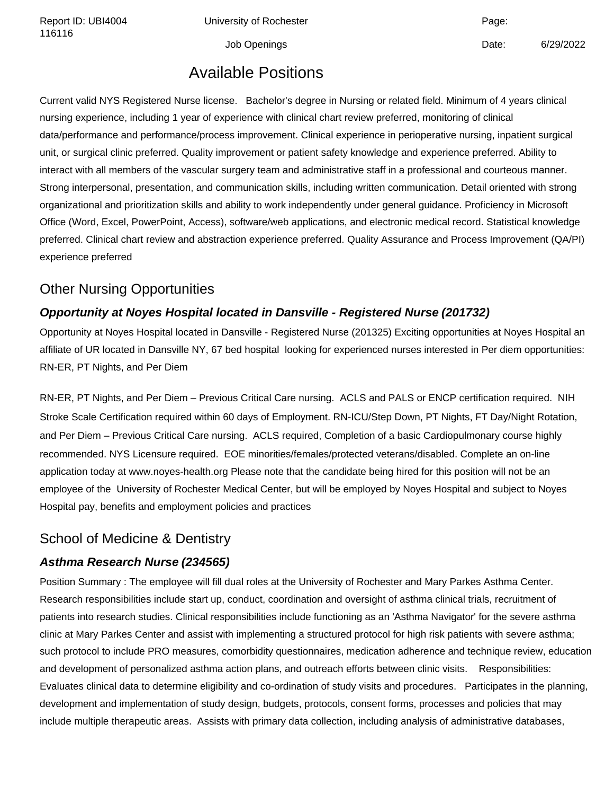Report ID: UBI4004 Chiversity of Rochester Change: Capacase Page:

Job Openings **Date:** 6/29/2022

# Available Positions

Current valid NYS Registered Nurse license. Bachelor's degree in Nursing or related field. Minimum of 4 years clinical nursing experience, including 1 year of experience with clinical chart review preferred, monitoring of clinical data/performance and performance/process improvement. Clinical experience in perioperative nursing, inpatient surgical unit, or surgical clinic preferred. Quality improvement or patient safety knowledge and experience preferred. Ability to interact with all members of the vascular surgery team and administrative staff in a professional and courteous manner. Strong interpersonal, presentation, and communication skills, including written communication. Detail oriented with strong organizational and prioritization skills and ability to work independently under general guidance. Proficiency in Microsoft Office (Word, Excel, PowerPoint, Access), software/web applications, and electronic medical record. Statistical knowledge preferred. Clinical chart review and abstraction experience preferred. Quality Assurance and Process Improvement (QA/PI) experience preferred

## Other Nursing Opportunities

### **Opportunity at Noyes Hospital located in Dansville - Registered Nurse (201732)**

Opportunity at Noyes Hospital located in Dansville - Registered Nurse (201325) Exciting opportunities at Noyes Hospital an affiliate of UR located in Dansville NY, 67 bed hospital looking for experienced nurses interested in Per diem opportunities: RN-ER, PT Nights, and Per Diem

RN-ER, PT Nights, and Per Diem – Previous Critical Care nursing. ACLS and PALS or ENCP certification required. NIH Stroke Scale Certification required within 60 days of Employment. RN-ICU/Step Down, PT Nights, FT Day/Night Rotation, and Per Diem – Previous Critical Care nursing. ACLS required, Completion of a basic Cardiopulmonary course highly recommended. NYS Licensure required. EOE minorities/females/protected veterans/disabled. Complete an on-line application today at www.noyes-health.org Please note that the candidate being hired for this position will not be an employee of the University of Rochester Medical Center, but will be employed by Noyes Hospital and subject to Noyes Hospital pay, benefits and employment policies and practices

# School of Medicine & Dentistry

### **Asthma Research Nurse (234565)**

Position Summary : The employee will fill dual roles at the University of Rochester and Mary Parkes Asthma Center. Research responsibilities include start up, conduct, coordination and oversight of asthma clinical trials, recruitment of patients into research studies. Clinical responsibilities include functioning as an 'Asthma Navigator' for the severe asthma clinic at Mary Parkes Center and assist with implementing a structured protocol for high risk patients with severe asthma; such protocol to include PRO measures, comorbidity questionnaires, medication adherence and technique review, education and development of personalized asthma action plans, and outreach efforts between clinic visits. Responsibilities: Evaluates clinical data to determine eligibility and co-ordination of study visits and procedures. Participates in the planning, development and implementation of study design, budgets, protocols, consent forms, processes and policies that may include multiple therapeutic areas. Assists with primary data collection, including analysis of administrative databases,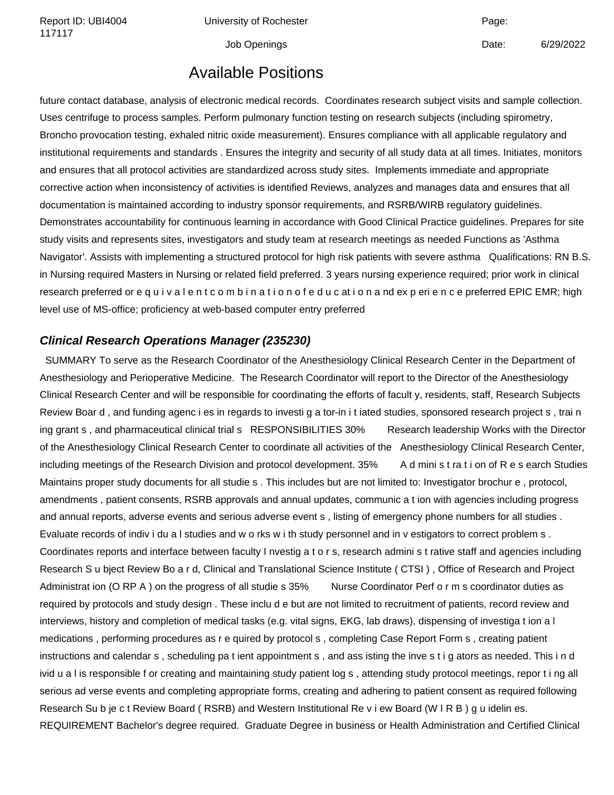Report ID: UBI4004 Chiversity of Rochester Channel Page: Page:

Job Openings **Date:** 6/29/2022

## Available Positions

future contact database, analysis of electronic medical records. Coordinates research subject visits and sample collection. Uses centrifuge to process samples. Perform pulmonary function testing on research subjects (including spirometry, Broncho provocation testing, exhaled nitric oxide measurement). Ensures compliance with all applicable regulatory and institutional requirements and standards . Ensures the integrity and security of all study data at all times. Initiates, monitors and ensures that all protocol activities are standardized across study sites. Implements immediate and appropriate corrective action when inconsistency of activities is identified Reviews, analyzes and manages data and ensures that all documentation is maintained according to industry sponsor requirements, and RSRB/WIRB regulatory guidelines. Demonstrates accountability for continuous learning in accordance with Good Clinical Practice guidelines. Prepares for site study visits and represents sites, investigators and study team at research meetings as needed Functions as 'Asthma Navigator'. Assists with implementing a structured protocol for high risk patients with severe asthma Qualifications: RN B.S. in Nursing required Masters in Nursing or related field preferred. 3 years nursing experience required; prior work in clinical research preferred or e quivalent combination of e ducation and experience preferred EPIC EMR; high level use of MS-office; proficiency at web-based computer entry preferred

#### **Clinical Research Operations Manager (235230)**

 SUMMARY To serve as the Research Coordinator of the Anesthesiology Clinical Research Center in the Department of Anesthesiology and Perioperative Medicine. The Research Coordinator will report to the Director of the Anesthesiology Clinical Research Center and will be responsible for coordinating the efforts of facult y, residents, staff, Research Subjects Review Boar d , and funding agenc i es in regards to investi g a tor-in i t iated studies, sponsored research project s , trai n ing grant s, and pharmaceutical clinical trial s RESPONSIBILITIES 30% Research leadership Works with the Director of the Anesthesiology Clinical Research Center to coordinate all activities of the Anesthesiology Clinical Research Center, including meetings of the Research Division and protocol development. 35% A d mini s t ra t i on of R e s earch Studies Maintains proper study documents for all studie s . This includes but are not limited to: Investigator brochur e , protocol, amendments , patient consents, RSRB approvals and annual updates, communic a t ion with agencies including progress and annual reports, adverse events and serious adverse event s , listing of emergency phone numbers for all studies . Evaluate records of indiv i du a l studies and w o rks w i th study personnel and in v estigators to correct problem s . Coordinates reports and interface between faculty I nvestig a t o r s, research admini s t rative staff and agencies including Research S u bject Review Bo a r d, Clinical and Translational Science Institute ( CTSI ) , Office of Research and Project Administrat ion (O RP A) on the progress of all studie s 35% Nurse Coordinator Perf o r m s coordinator duties as required by protocols and study design . These inclu d e but are not limited to recruitment of patients, record review and interviews, history and completion of medical tasks (e.g. vital signs, EKG, lab draws), dispensing of investiga t ion a l medications , performing procedures as r e quired by protocol s , completing Case Report Form s , creating patient instructions and calendar s , scheduling pa t ient appointment s , and ass isting the inve s t i g ators as needed. This i n d ivid u a l is responsible f or creating and maintaining study patient log s , attending study protocol meetings, repor t i ng all serious ad verse events and completing appropriate forms, creating and adhering to patient consent as required following Research Su b je c t Review Board ( RSRB) and Western Institutional Re v i ew Board (W I R B ) g u idelin es. REQUIREMENT Bachelor's degree required. Graduate Degree in business or Health Administration and Certified Clinical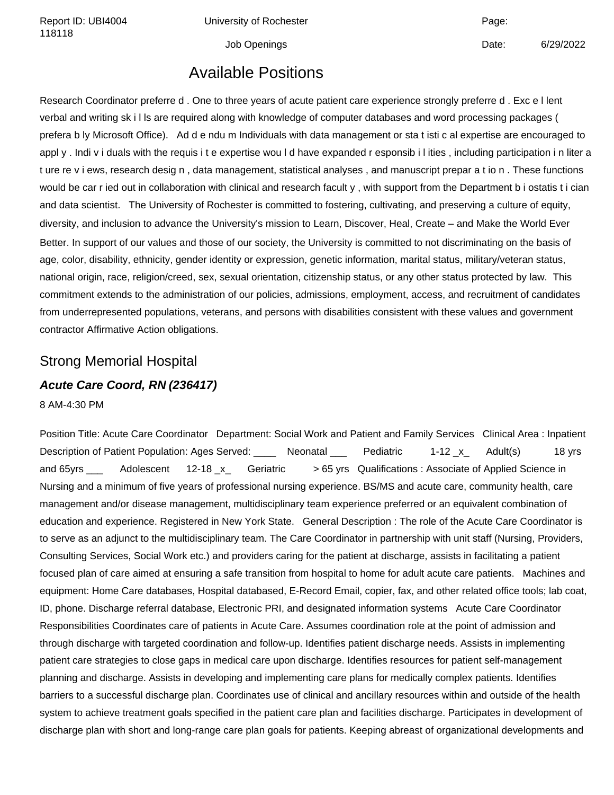Report ID: UBI4004 Chiversity of Rochester Channel Page: Page:

Job Openings Date: 6/29/2022

# Available Positions

Research Coordinator preferre d . One to three years of acute patient care experience strongly preferre d . Exc e l lent verbal and writing sk i l ls are required along with knowledge of computer databases and word processing packages ( prefera b ly Microsoft Office). Ad d e ndu m Individuals with data management or sta t isti c al expertise are encouraged to appl y . Indi v i duals with the requis i t e expertise wou l d have expanded r esponsib i l ities , including participation i n liter a t ure re v i ews, research desig n , data management, statistical analyses , and manuscript prepar a t io n . These functions would be car r ied out in collaboration with clinical and research facult y , with support from the Department b i ostatis t i cian and data scientist. The University of Rochester is committed to fostering, cultivating, and preserving a culture of equity, diversity, and inclusion to advance the University's mission to Learn, Discover, Heal, Create – and Make the World Ever Better. In support of our values and those of our society, the University is committed to not discriminating on the basis of age, color, disability, ethnicity, gender identity or expression, genetic information, marital status, military/veteran status, national origin, race, religion/creed, sex, sexual orientation, citizenship status, or any other status protected by law. This commitment extends to the administration of our policies, admissions, employment, access, and recruitment of candidates from underrepresented populations, veterans, and persons with disabilities consistent with these values and government contractor Affirmative Action obligations.

### Strong Memorial Hospital

# **Acute Care Coord, RN (236417)**

8 AM-4:30 PM

Position Title: Acute Care Coordinator Department: Social Work and Patient and Family Services Clinical Area : Inpatient Description of Patient Population: Ages Served: \_\_\_\_\_ Neonatal \_\_\_ Pediatric 1-12 x\_ Adult(s) 18 yrs and 65yrs \_\_\_ Adolescent 12-18 x\_ Geriatric > 65 yrs Qualifications : Associate of Applied Science in Nursing and a minimum of five years of professional nursing experience. BS/MS and acute care, community health, care management and/or disease management, multidisciplinary team experience preferred or an equivalent combination of education and experience. Registered in New York State. General Description : The role of the Acute Care Coordinator is to serve as an adjunct to the multidisciplinary team. The Care Coordinator in partnership with unit staff (Nursing, Providers, Consulting Services, Social Work etc.) and providers caring for the patient at discharge, assists in facilitating a patient focused plan of care aimed at ensuring a safe transition from hospital to home for adult acute care patients. Machines and equipment: Home Care databases, Hospital databased, E-Record Email, copier, fax, and other related office tools; lab coat, ID, phone. Discharge referral database, Electronic PRI, and designated information systems Acute Care Coordinator Responsibilities Coordinates care of patients in Acute Care. Assumes coordination role at the point of admission and through discharge with targeted coordination and follow-up. Identifies patient discharge needs. Assists in implementing patient care strategies to close gaps in medical care upon discharge. Identifies resources for patient self-management planning and discharge. Assists in developing and implementing care plans for medically complex patients. Identifies barriers to a successful discharge plan. Coordinates use of clinical and ancillary resources within and outside of the health system to achieve treatment goals specified in the patient care plan and facilities discharge. Participates in development of discharge plan with short and long-range care plan goals for patients. Keeping abreast of organizational developments and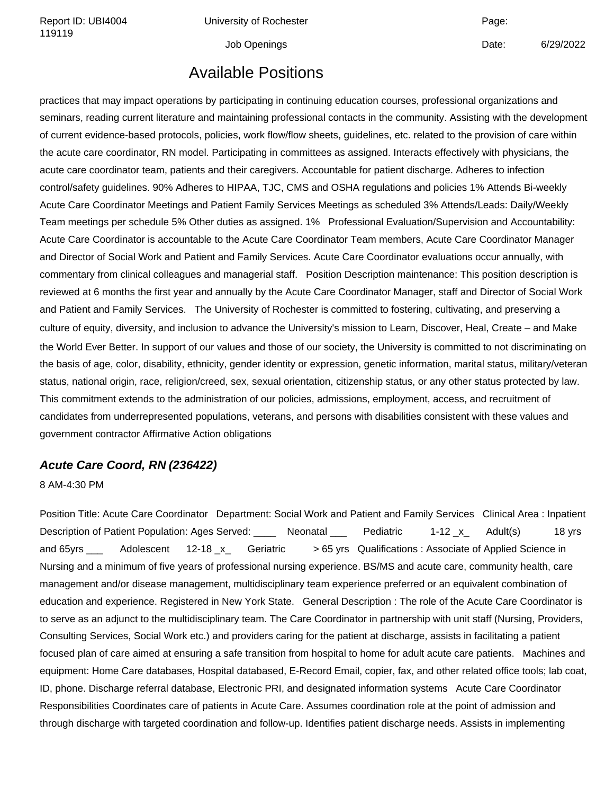Report ID: UBI4004 Chiversity of Rochester Channel Page: Page:

Job Openings Date: 6/29/2022

# Available Positions

practices that may impact operations by participating in continuing education courses, professional organizations and seminars, reading current literature and maintaining professional contacts in the community. Assisting with the development of current evidence-based protocols, policies, work flow/flow sheets, guidelines, etc. related to the provision of care within the acute care coordinator, RN model. Participating in committees as assigned. Interacts effectively with physicians, the acute care coordinator team, patients and their caregivers. Accountable for patient discharge. Adheres to infection control/safety guidelines. 90% Adheres to HIPAA, TJC, CMS and OSHA regulations and policies 1% Attends Bi-weekly Acute Care Coordinator Meetings and Patient Family Services Meetings as scheduled 3% Attends/Leads: Daily/Weekly Team meetings per schedule 5% Other duties as assigned. 1% Professional Evaluation/Supervision and Accountability: Acute Care Coordinator is accountable to the Acute Care Coordinator Team members, Acute Care Coordinator Manager and Director of Social Work and Patient and Family Services. Acute Care Coordinator evaluations occur annually, with commentary from clinical colleagues and managerial staff. Position Description maintenance: This position description is reviewed at 6 months the first year and annually by the Acute Care Coordinator Manager, staff and Director of Social Work and Patient and Family Services. The University of Rochester is committed to fostering, cultivating, and preserving a culture of equity, diversity, and inclusion to advance the University's mission to Learn, Discover, Heal, Create – and Make the World Ever Better. In support of our values and those of our society, the University is committed to not discriminating on the basis of age, color, disability, ethnicity, gender identity or expression, genetic information, marital status, military/veteran status, national origin, race, religion/creed, sex, sexual orientation, citizenship status, or any other status protected by law. This commitment extends to the administration of our policies, admissions, employment, access, and recruitment of candidates from underrepresented populations, veterans, and persons with disabilities consistent with these values and government contractor Affirmative Action obligations

#### **Acute Care Coord, RN (236422)**

#### 8 AM-4:30 PM

Position Title: Acute Care Coordinator Department: Social Work and Patient and Family Services Clinical Area : Inpatient Description of Patient Population: Ages Served: <br>
Neonatal Pediatric 1-12 x Adult(s) 18 yrs and 65yrs Adolescent 12-18 x Geriatric > 65 yrs Qualifications : Associate of Applied Science in Nursing and a minimum of five years of professional nursing experience. BS/MS and acute care, community health, care management and/or disease management, multidisciplinary team experience preferred or an equivalent combination of education and experience. Registered in New York State. General Description : The role of the Acute Care Coordinator is to serve as an adjunct to the multidisciplinary team. The Care Coordinator in partnership with unit staff (Nursing, Providers, Consulting Services, Social Work etc.) and providers caring for the patient at discharge, assists in facilitating a patient focused plan of care aimed at ensuring a safe transition from hospital to home for adult acute care patients. Machines and equipment: Home Care databases, Hospital databased, E-Record Email, copier, fax, and other related office tools; lab coat, ID, phone. Discharge referral database, Electronic PRI, and designated information systems Acute Care Coordinator Responsibilities Coordinates care of patients in Acute Care. Assumes coordination role at the point of admission and through discharge with targeted coordination and follow-up. Identifies patient discharge needs. Assists in implementing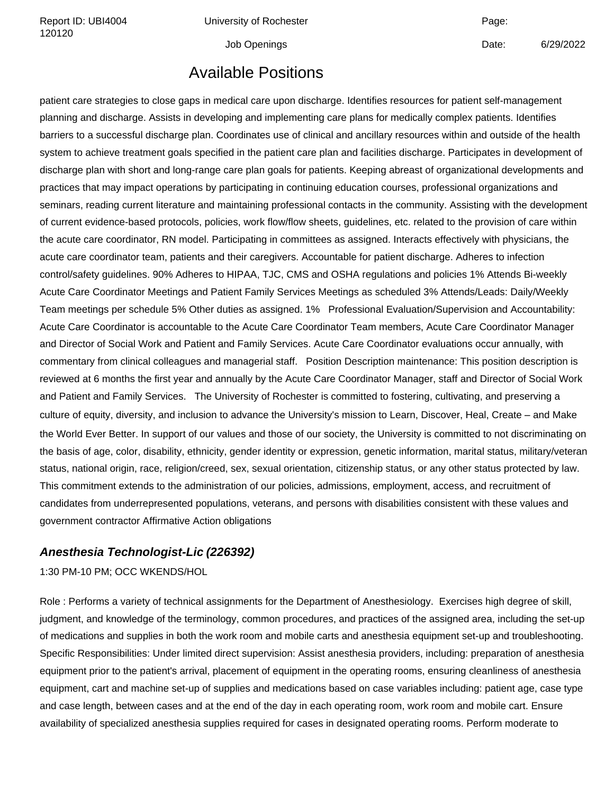Report ID: UBI4004 Chiversity of Rochester Channel Page: Page:

Job Openings **Date:** 6/29/2022

# Available Positions

patient care strategies to close gaps in medical care upon discharge. Identifies resources for patient self-management planning and discharge. Assists in developing and implementing care plans for medically complex patients. Identifies barriers to a successful discharge plan. Coordinates use of clinical and ancillary resources within and outside of the health system to achieve treatment goals specified in the patient care plan and facilities discharge. Participates in development of discharge plan with short and long-range care plan goals for patients. Keeping abreast of organizational developments and practices that may impact operations by participating in continuing education courses, professional organizations and seminars, reading current literature and maintaining professional contacts in the community. Assisting with the development of current evidence-based protocols, policies, work flow/flow sheets, guidelines, etc. related to the provision of care within the acute care coordinator, RN model. Participating in committees as assigned. Interacts effectively with physicians, the acute care coordinator team, patients and their caregivers. Accountable for patient discharge. Adheres to infection control/safety guidelines. 90% Adheres to HIPAA, TJC, CMS and OSHA regulations and policies 1% Attends Bi-weekly Acute Care Coordinator Meetings and Patient Family Services Meetings as scheduled 3% Attends/Leads: Daily/Weekly Team meetings per schedule 5% Other duties as assigned. 1% Professional Evaluation/Supervision and Accountability: Acute Care Coordinator is accountable to the Acute Care Coordinator Team members, Acute Care Coordinator Manager and Director of Social Work and Patient and Family Services. Acute Care Coordinator evaluations occur annually, with commentary from clinical colleagues and managerial staff. Position Description maintenance: This position description is reviewed at 6 months the first year and annually by the Acute Care Coordinator Manager, staff and Director of Social Work and Patient and Family Services. The University of Rochester is committed to fostering, cultivating, and preserving a culture of equity, diversity, and inclusion to advance the University's mission to Learn, Discover, Heal, Create – and Make the World Ever Better. In support of our values and those of our society, the University is committed to not discriminating on the basis of age, color, disability, ethnicity, gender identity or expression, genetic information, marital status, military/veteran status, national origin, race, religion/creed, sex, sexual orientation, citizenship status, or any other status protected by law. This commitment extends to the administration of our policies, admissions, employment, access, and recruitment of candidates from underrepresented populations, veterans, and persons with disabilities consistent with these values and government contractor Affirmative Action obligations

#### **Anesthesia Technologist-Lic (226392)**

1:30 PM-10 PM; OCC WKENDS/HOL

Role : Performs a variety of technical assignments for the Department of Anesthesiology. Exercises high degree of skill, judgment, and knowledge of the terminology, common procedures, and practices of the assigned area, including the set-up of medications and supplies in both the work room and mobile carts and anesthesia equipment set-up and troubleshooting. Specific Responsibilities: Under limited direct supervision: Assist anesthesia providers, including: preparation of anesthesia equipment prior to the patient's arrival, placement of equipment in the operating rooms, ensuring cleanliness of anesthesia equipment, cart and machine set-up of supplies and medications based on case variables including: patient age, case type and case length, between cases and at the end of the day in each operating room, work room and mobile cart. Ensure availability of specialized anesthesia supplies required for cases in designated operating rooms. Perform moderate to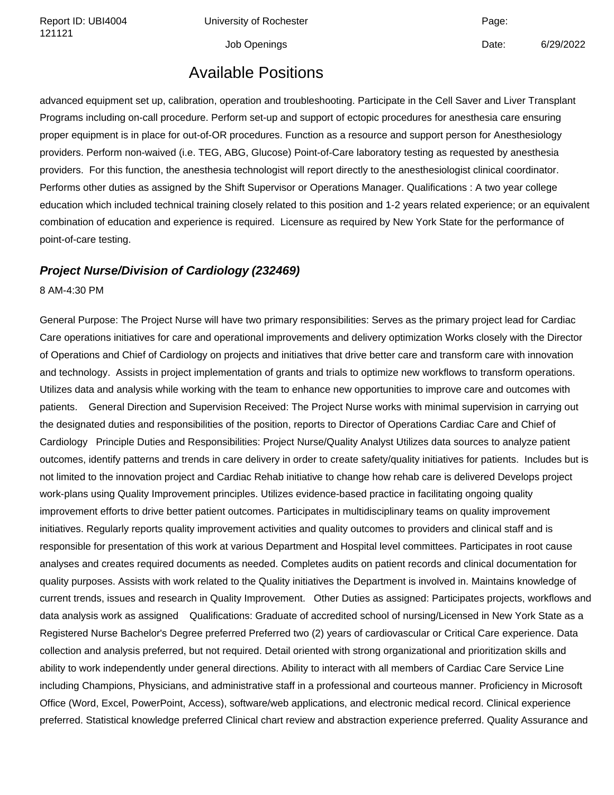Report ID: UBI4004 Chiversity of Rochester Channel Page: Page:

Job Openings **Date:** 6/29/2022

# Available Positions

advanced equipment set up, calibration, operation and troubleshooting. Participate in the Cell Saver and Liver Transplant Programs including on-call procedure. Perform set-up and support of ectopic procedures for anesthesia care ensuring proper equipment is in place for out-of-OR procedures. Function as a resource and support person for Anesthesiology providers. Perform non-waived (i.e. TEG, ABG, Glucose) Point-of-Care laboratory testing as requested by anesthesia providers. For this function, the anesthesia technologist will report directly to the anesthesiologist clinical coordinator. Performs other duties as assigned by the Shift Supervisor or Operations Manager. Qualifications : A two year college education which included technical training closely related to this position and 1-2 years related experience; or an equivalent combination of education and experience is required. Licensure as required by New York State for the performance of point-of-care testing.

#### **Project Nurse/Division of Cardiology (232469)**

8 AM-4:30 PM

General Purpose: The Project Nurse will have two primary responsibilities: Serves as the primary project lead for Cardiac Care operations initiatives for care and operational improvements and delivery optimization Works closely with the Director of Operations and Chief of Cardiology on projects and initiatives that drive better care and transform care with innovation and technology. Assists in project implementation of grants and trials to optimize new workflows to transform operations. Utilizes data and analysis while working with the team to enhance new opportunities to improve care and outcomes with patients. General Direction and Supervision Received: The Project Nurse works with minimal supervision in carrying out the designated duties and responsibilities of the position, reports to Director of Operations Cardiac Care and Chief of Cardiology Principle Duties and Responsibilities: Project Nurse/Quality Analyst Utilizes data sources to analyze patient outcomes, identify patterns and trends in care delivery in order to create safety/quality initiatives for patients. Includes but is not limited to the innovation project and Cardiac Rehab initiative to change how rehab care is delivered Develops project work-plans using Quality Improvement principles. Utilizes evidence-based practice in facilitating ongoing quality improvement efforts to drive better patient outcomes. Participates in multidisciplinary teams on quality improvement initiatives. Regularly reports quality improvement activities and quality outcomes to providers and clinical staff and is responsible for presentation of this work at various Department and Hospital level committees. Participates in root cause analyses and creates required documents as needed. Completes audits on patient records and clinical documentation for quality purposes. Assists with work related to the Quality initiatives the Department is involved in. Maintains knowledge of current trends, issues and research in Quality Improvement. Other Duties as assigned: Participates projects, workflows and data analysis work as assigned Qualifications: Graduate of accredited school of nursing/Licensed in New York State as a Registered Nurse Bachelor's Degree preferred Preferred two (2) years of cardiovascular or Critical Care experience. Data collection and analysis preferred, but not required. Detail oriented with strong organizational and prioritization skills and ability to work independently under general directions. Ability to interact with all members of Cardiac Care Service Line including Champions, Physicians, and administrative staff in a professional and courteous manner. Proficiency in Microsoft Office (Word, Excel, PowerPoint, Access), software/web applications, and electronic medical record. Clinical experience preferred. Statistical knowledge preferred Clinical chart review and abstraction experience preferred. Quality Assurance and